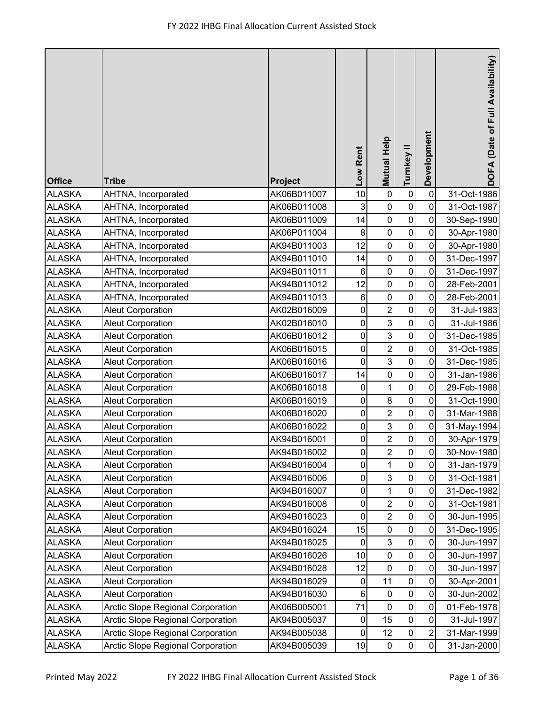| <b>Office</b>                  | <b>Tribe</b>                                         | Project                    | Low Rent               | <b>Mutual Help</b>        | Turnkey II                    | Development    | DOFA (Date of Full Availability) |
|--------------------------------|------------------------------------------------------|----------------------------|------------------------|---------------------------|-------------------------------|----------------|----------------------------------|
| <b>ALASKA</b>                  | AHTNA, Incorporated                                  | AK06B011007                | 10                     | 0                         | $\mathbf 0$                   | $\mathbf 0$    | 31-Oct-1986                      |
| <b>ALASKA</b>                  | AHTNA, Incorporated                                  | AK06B011008                | 3                      | $\pmb{0}$                 | $\pmb{0}$                     | $\pmb{0}$      | 31-Oct-1987                      |
| <b>ALASKA</b>                  | AHTNA, Incorporated                                  | AK06B011009                | 14                     | 0                         | $\mathbf 0$                   | 0              | 30-Sep-1990                      |
| <b>ALASKA</b>                  | AHTNA, Incorporated                                  | AK06P011004                | 8                      | $\mathbf 0$               | $\mathbf 0$                   | $\pmb{0}$      | 30-Apr-1980                      |
| <b>ALASKA</b>                  | AHTNA, Incorporated                                  | AK94B011003                | 12                     | 0                         | $\mathbf 0$                   | 0              | 30-Apr-1980                      |
| <b>ALASKA</b>                  | AHTNA, Incorporated                                  | AK94B011010                | 14                     | $\pmb{0}$                 | $\mathbf 0$                   | 0              | 31-Dec-1997                      |
| <b>ALASKA</b>                  | AHTNA, Incorporated                                  | AK94B011011                | 6                      | $\mathbf 0$               | $\pmb{0}$                     | 0              | 31-Dec-1997                      |
| <b>ALASKA</b>                  | AHTNA, Incorporated                                  | AK94B011012                | 12                     | $\mathbf 0$               | $\mathbf 0$                   | 0              | 28-Feb-2001                      |
| <b>ALASKA</b>                  | AHTNA, Incorporated                                  | AK94B011013                | 6                      | $\pmb{0}$                 | $\pmb{0}$                     | $\pmb{0}$      | 28-Feb-2001                      |
| <b>ALASKA</b>                  | <b>Aleut Corporation</b>                             | AK02B016009                | $\pmb{0}$              | $\overline{2}$            | $\mathbf 0$                   | 0              | 31-Jul-1983                      |
| <b>ALASKA</b>                  | <b>Aleut Corporation</b>                             | AK02B016010                | $\mathsf 0$            | $\mathbf{3}$              | $\mathbf 0$                   | 0              | 31-Jul-1986                      |
| <b>ALASKA</b>                  | <b>Aleut Corporation</b>                             | AK06B016012                | $\pmb{0}$              | $\mathsf 3$               | $\mathbf 0$                   | 0              | 31-Dec-1985                      |
| <b>ALASKA</b>                  | <b>Aleut Corporation</b>                             | AK06B016015                | $\mathsf 0$            | $\overline{2}$            | $\mathbf 0$                   | $\mathsf 0$    | 31-Oct-1985                      |
| <b>ALASKA</b>                  | <b>Aleut Corporation</b>                             | AK06B016016                | 0                      | 3                         | $\mathsf 0$                   | $\pmb{0}$      | 31-Dec-1985                      |
| <b>ALASKA</b>                  | <b>Aleut Corporation</b>                             | AK06B016017                | 14                     | $\mathbf 0$               | $\mathbf 0$<br>$\overline{0}$ | 0              | 31-Jan-1986                      |
| <b>ALASKA</b>                  | <b>Aleut Corporation</b>                             | AK06B016018                | 0                      | 1                         |                               | 0              | 29-Feb-1988                      |
| <b>ALASKA</b>                  | <b>Aleut Corporation</b>                             | AK06B016019                | $\pmb{0}$              | $\bf 8$                   | $\pmb{0}$<br>$\pmb{0}$        | 0              | 31-Oct-1990                      |
| <b>ALASKA</b><br><b>ALASKA</b> | <b>Aleut Corporation</b><br><b>Aleut Corporation</b> | AK06B016020<br>AK06B016022 | $\pmb{0}$<br>$\pmb{0}$ | $\overline{c}$<br>3       | $\pmb{0}$                     | 0<br>0         | 31-Mar-1988<br>31-May-1994       |
| <b>ALASKA</b>                  | <b>Aleut Corporation</b>                             | AK94B016001                | $\pmb{0}$              | $\overline{c}$            | $\mathsf 0$                   | $\pmb{0}$      | 30-Apr-1979                      |
| <b>ALASKA</b>                  | <b>Aleut Corporation</b>                             | AK94B016002                | 0                      | $\boldsymbol{2}$          | $\pmb{0}$                     | $\mathbf 0$    | 30-Nov-1980                      |
| <b>ALASKA</b>                  | <b>Aleut Corporation</b>                             | AK94B016004                | 0                      | $\mathbf{1}$              | $\pmb{0}$                     | 0              | 31-Jan-1979                      |
| <b>ALASKA</b>                  | <b>Aleut Corporation</b>                             | AK94B016006                | 0                      | 3 <sup>1</sup>            | $\pmb{0}$                     | 0              | 31-Oct-1981                      |
| <b>ALASKA</b>                  | <b>Aleut Corporation</b>                             | AK94B016007                | 0                      | 1                         | $\pmb{0}$                     | 0              | 31-Dec-1982                      |
| <b>ALASKA</b>                  | <b>Aleut Corporation</b>                             | AK94B016008                | 0                      | $\boldsymbol{2}$          | $\pmb{0}$                     | $\pmb{0}$      | 31-Oct-1981                      |
| <b>ALASKA</b>                  | <b>Aleut Corporation</b>                             | AK94B016023                | $\pmb{0}$              | $\overline{\mathbf{c}}$   | $\pmb{0}$                     | $\mathsf 0$    | 30-Jun-1995                      |
| <b>ALASKA</b>                  | <b>Aleut Corporation</b>                             | AK94B016024                | 15                     | $\pmb{0}$                 | $\pmb{0}$                     | 0              | 31-Dec-1995                      |
| <b>ALASKA</b>                  | <b>Aleut Corporation</b>                             | AK94B016025                | 0                      | $\ensuremath{\mathsf{3}}$ | $\pmb{0}$                     | $\pmb{0}$      | 30-Jun-1997                      |
| <b>ALASKA</b>                  | <b>Aleut Corporation</b>                             | AK94B016026                | 10                     | $\pmb{0}$                 | $\pmb{0}$                     | 0              | 30-Jun-1997                      |
| <b>ALASKA</b>                  | <b>Aleut Corporation</b>                             | AK94B016028                | 12                     | $\pmb{0}$                 | $\pmb{0}$                     | 0              | 30-Jun-1997                      |
| <b>ALASKA</b>                  | <b>Aleut Corporation</b>                             | AK94B016029                | 0                      | 11                        | $\boldsymbol{0}$              | 0              | 30-Apr-2001                      |
| <b>ALASKA</b>                  | <b>Aleut Corporation</b>                             | AK94B016030                | $\,6\,$                | $\pmb{0}$                 | $\pmb{0}$                     | $\mathsf 0$    | 30-Jun-2002                      |
| <b>ALASKA</b>                  | Arctic Slope Regional Corporation                    | AK06B005001                | 71                     | $\mathbf 0$               | $\pmb{0}$                     | $\pmb{0}$      | 01-Feb-1978                      |
| <b>ALASKA</b>                  | Arctic Slope Regional Corporation                    | AK94B005037                | 0                      | 15                        | $\pmb{0}$                     | 0              | 31-Jul-1997                      |
| <b>ALASKA</b>                  | <b>Arctic Slope Regional Corporation</b>             | AK94B005038                | $\pmb{0}$              | 12                        | $\mathbf 0$                   | $\overline{c}$ | 31-Mar-1999                      |
| <b>ALASKA</b>                  | Arctic Slope Regional Corporation                    | AK94B005039                | 19                     | $\pmb{0}$                 | $\pmb{0}$                     | $\pmb{0}$      | 31-Jan-2000                      |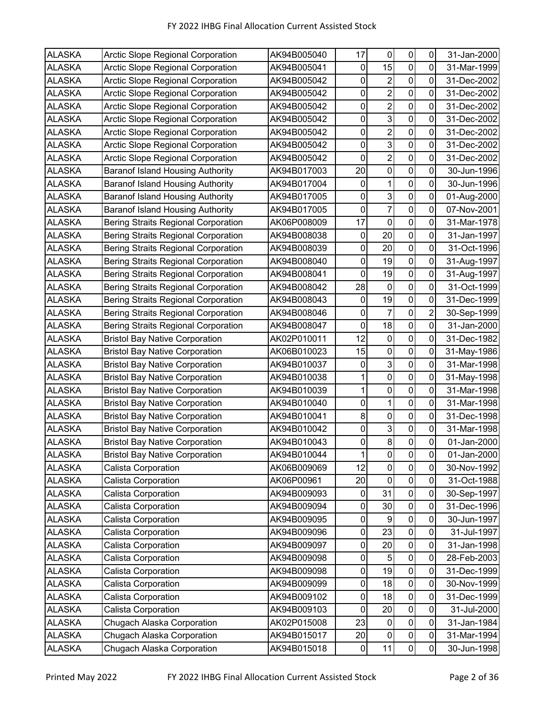| <b>ALASKA</b> | <b>Arctic Slope Regional Corporation</b>   | AK94B005040 | 17          | 0                       | 0              | 0              | 31-Jan-2000 |
|---------------|--------------------------------------------|-------------|-------------|-------------------------|----------------|----------------|-------------|
| <b>ALASKA</b> | Arctic Slope Regional Corporation          | AK94B005041 | $\mathbf 0$ | 15                      | $\mathbf 0$    | 0              | 31-Mar-1999 |
| <b>ALASKA</b> | Arctic Slope Regional Corporation          | AK94B005042 | 0           | $\overline{\mathbf{c}}$ | $\pmb{0}$      | 0              | 31-Dec-2002 |
| <b>ALASKA</b> | Arctic Slope Regional Corporation          | AK94B005042 | $\mathbf 0$ | $\overline{2}$          | $\pmb{0}$      | 0              | 31-Dec-2002 |
| <b>ALASKA</b> | Arctic Slope Regional Corporation          | AK94B005042 | 0           | $\overline{\mathbf{c}}$ | $\pmb{0}$      | $\mathbf 0$    | 31-Dec-2002 |
| <b>ALASKA</b> | Arctic Slope Regional Corporation          | AK94B005042 | 0           | 3                       | 0              | 0              | 31-Dec-2002 |
| <b>ALASKA</b> | Arctic Slope Regional Corporation          | AK94B005042 | $\mathbf 0$ | $\overline{c}$          | $\mathbf 0$    | 0              | 31-Dec-2002 |
| <b>ALASKA</b> | Arctic Slope Regional Corporation          | AK94B005042 | 0           | 3                       | $\mathbf 0$    | 0              | 31-Dec-2002 |
| <b>ALASKA</b> | Arctic Slope Regional Corporation          | AK94B005042 | $\mathbf 0$ | $\overline{2}$          | $\pmb{0}$      | 0              | 31-Dec-2002 |
| <b>ALASKA</b> | <b>Baranof Island Housing Authority</b>    | AK94B017003 | 20          | $\boldsymbol{0}$        | $\pmb{0}$      | $\mathbf 0$    | 30-Jun-1996 |
| <b>ALASKA</b> | <b>Baranof Island Housing Authority</b>    | AK94B017004 | $\pmb{0}$   | 1                       | $\mathbf 0$    | 0              | 30-Jun-1996 |
| <b>ALASKA</b> | <b>Baranof Island Housing Authority</b>    | AK94B017005 | $\pmb{0}$   | $\mathbf{3}$            | $\mathbf 0$    | $\mathbf 0$    | 01-Aug-2000 |
| <b>ALASKA</b> | <b>Baranof Island Housing Authority</b>    | AK94B017005 | $\pmb{0}$   | $\overline{7}$          | $\mathbf 0$    | 0              | 07-Nov-2001 |
| <b>ALASKA</b> | <b>Bering Straits Regional Corporation</b> | AK06P008009 | 17          | 0                       | $\mathbf 0$    | 0              | 31-Mar-1978 |
| <b>ALASKA</b> | <b>Bering Straits Regional Corporation</b> | AK94B008038 | 0           | 20                      | $\pmb{0}$      | 0              | 31-Jan-1997 |
| <b>ALASKA</b> | <b>Bering Straits Regional Corporation</b> | AK94B008039 | 0           | 20                      | $\mathbf 0$    | 0              | 31-Oct-1996 |
| <b>ALASKA</b> | <b>Bering Straits Regional Corporation</b> | AK94B008040 | 0           | 19                      | $\mathbf 0$    | 0              | 31-Aug-1997 |
| <b>ALASKA</b> | <b>Bering Straits Regional Corporation</b> | AK94B008041 | 0           | 19                      | $\mathbf 0$    | 0              | 31-Aug-1997 |
| <b>ALASKA</b> | <b>Bering Straits Regional Corporation</b> | AK94B008042 | 28          | $\pmb{0}$               | $\pmb{0}$      | 0              | 31-Oct-1999 |
| <b>ALASKA</b> | <b>Bering Straits Regional Corporation</b> | AK94B008043 | 0           | 19                      | 0              | 0              | 31-Dec-1999 |
| <b>ALASKA</b> | <b>Bering Straits Regional Corporation</b> | AK94B008046 | $\mathbf 0$ | $\overline{7}$          | $\pmb{0}$      | $\overline{2}$ | 30-Sep-1999 |
| <b>ALASKA</b> | <b>Bering Straits Regional Corporation</b> | AK94B008047 | 0           | 18                      | $\pmb{0}$      | 0              | 31-Jan-2000 |
| <b>ALASKA</b> | <b>Bristol Bay Native Corporation</b>      | AK02P010011 | 12          | $\pmb{0}$               | $\pmb{0}$      | 0              | 31-Dec-1982 |
| <b>ALASKA</b> | <b>Bristol Bay Native Corporation</b>      | AK06B010023 | 15          | $\boldsymbol{0}$        | $\mathbf 0$    | 0              | 31-May-1986 |
| <b>ALASKA</b> | <b>Bristol Bay Native Corporation</b>      | AK94B010037 | 0           | 3                       | $\pmb{0}$      | 0              | 31-Mar-1998 |
| <b>ALASKA</b> | <b>Bristol Bay Native Corporation</b>      | AK94B010038 | 1           | $\boldsymbol{0}$        | $\pmb{0}$      | 0              | 31-May-1998 |
| <b>ALASKA</b> | <b>Bristol Bay Native Corporation</b>      | AK94B010039 | 1           | 0                       | $\mathbf 0$    | 0              | 31-Mar-1998 |
| <b>ALASKA</b> | <b>Bristol Bay Native Corporation</b>      | AK94B010040 | $\pmb{0}$   | 1                       | $\pmb{0}$      | 0              | 31-Mar-1998 |
| <b>ALASKA</b> | <b>Bristol Bay Native Corporation</b>      | AK94B010041 | 8           | $\pmb{0}$               | $\pmb{0}$      | $\mathbf 0$    | 31-Dec-1998 |
| <b>ALASKA</b> | <b>Bristol Bay Native Corporation</b>      | AK94B010042 | $\pmb{0}$   | 3                       | $\pmb{0}$      | 0              | 31-Mar-1998 |
| <b>ALASKA</b> | <b>Bristol Bay Native Corporation</b>      | AK94B010043 | $\pmb{0}$   | 8 <sup>1</sup>          | $\mathbf 0$    | 0              | 01-Jan-2000 |
| <b>ALASKA</b> | <b>Bristol Bay Native Corporation</b>      | AK94B010044 | 1           | 0                       | $\pmb{0}$      | $\mathbf 0$    | 01-Jan-2000 |
| <b>ALASKA</b> | Calista Corporation                        | AK06B009069 | 12          | $\mathbf 0$             | $\pmb{0}$      | $\pmb{0}$      | 30-Nov-1992 |
| <b>ALASKA</b> | Calista Corporation                        | AK06P00961  | 20          | 0                       | $\mathbf 0$    | 0              | 31-Oct-1988 |
| <b>ALASKA</b> | Calista Corporation                        | AK94B009093 | $\pmb{0}$   | 31                      | $\pmb{0}$      | $\mathbf 0$    | 30-Sep-1997 |
| <b>ALASKA</b> | Calista Corporation                        | AK94B009094 | 0           | 30                      | $\pmb{0}$      | $\pmb{0}$      | 31-Dec-1996 |
| <b>ALASKA</b> | Calista Corporation                        | AK94B009095 | 0           | 9                       | $\pmb{0}$      | 0              | 30-Jun-1997 |
| <b>ALASKA</b> | Calista Corporation                        | AK94B009096 | $\pmb{0}$   | 23                      | $\mathbf 0$    | 0              | 31-Jul-1997 |
| <b>ALASKA</b> | Calista Corporation                        | AK94B009097 | 0           | 20                      | $\pmb{0}$      | 0              | 31-Jan-1998 |
| <b>ALASKA</b> | Calista Corporation                        | AK94B009098 | $\pmb{0}$   | 5                       | $\mathbf 0$    | $\pmb{0}$      | 28-Feb-2003 |
| <b>ALASKA</b> | Calista Corporation                        | AK94B009098 | $\pmb{0}$   | 19                      | $\pmb{0}$      | $\pmb{0}$      | 31-Dec-1999 |
| <b>ALASKA</b> | Calista Corporation                        | AK94B009099 | $\pmb{0}$   | 18                      | $\pmb{0}$      | $\mathbf 0$    | 30-Nov-1999 |
| <b>ALASKA</b> | Calista Corporation                        | AK94B009102 | $\pmb{0}$   | 18                      | $\pmb{0}$      | $\pmb{0}$      | 31-Dec-1999 |
| <b>ALASKA</b> | Calista Corporation                        | AK94B009103 | 0           | 20                      | $\pmb{0}$      | 0              | 31-Jul-2000 |
| <b>ALASKA</b> | Chugach Alaska Corporation                 | AK02P015008 | 23          | $\boldsymbol{0}$        | $\pmb{0}$      | $\pmb{0}$      | 31-Jan-1984 |
| <b>ALASKA</b> | Chugach Alaska Corporation                 | AK94B015017 | 20          | $\boldsymbol{0}$        | $\pmb{0}$      | $\pmb{0}$      | 31-Mar-1994 |
| <b>ALASKA</b> | Chugach Alaska Corporation                 | AK94B015018 | $\pmb{0}$   | 11                      | $\overline{0}$ | $\pmb{0}$      | 30-Jun-1998 |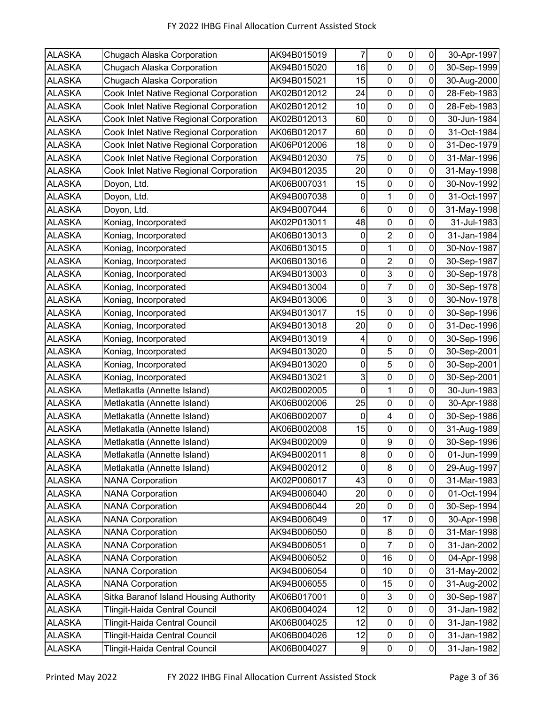| <b>ALASKA</b> | Chugach Alaska Corporation             | AK94B015019 | $\overline{7}$      | 0                       | $\pmb{0}$           | $\pmb{0}$        | 30-Apr-1997 |
|---------------|----------------------------------------|-------------|---------------------|-------------------------|---------------------|------------------|-------------|
| <b>ALASKA</b> | Chugach Alaska Corporation             | AK94B015020 | 16                  | $\mathbf 0$             | $\pmb{0}$           | 0                | 30-Sep-1999 |
| <b>ALASKA</b> | Chugach Alaska Corporation             | AK94B015021 | 15                  | $\mathbf 0$             | $\mathbf 0$         | 0                | 30-Aug-2000 |
| <b>ALASKA</b> | Cook Inlet Native Regional Corporation | AK02B012012 | 24                  | $\pmb{0}$               | $\pmb{0}$           | 0                | 28-Feb-1983 |
| <b>ALASKA</b> | Cook Inlet Native Regional Corporation | AK02B012012 | 10                  | $\pmb{0}$               | $\pmb{0}$           | 0                | 28-Feb-1983 |
| <b>ALASKA</b> | Cook Inlet Native Regional Corporation | AK02B012013 | 60                  | $\pmb{0}$               | $\mathsf{O}\xspace$ | 0                | 30-Jun-1984 |
| <b>ALASKA</b> | Cook Inlet Native Regional Corporation | AK06B012017 | 60                  | $\mathbf 0$             | $\pmb{0}$           | 0                | 31-Oct-1984 |
| <b>ALASKA</b> | Cook Inlet Native Regional Corporation | AK06P012006 | 18                  | $\mathbf 0$             | $\pmb{0}$           | 0                | 31-Dec-1979 |
| <b>ALASKA</b> | Cook Inlet Native Regional Corporation | AK94B012030 | 75                  | $\mathbf 0$             | $\mathbf 0$         | 0                | 31-Mar-1996 |
| <b>ALASKA</b> | Cook Inlet Native Regional Corporation | AK94B012035 | 20                  | $\pmb{0}$               | $\pmb{0}$           | $\mathbf 0$      | 31-May-1998 |
| <b>ALASKA</b> | Doyon, Ltd.                            | AK06B007031 | 15                  | $\mathbf 0$             | $\pmb{0}$           | 0                | 30-Nov-1992 |
| <b>ALASKA</b> | Doyon, Ltd.                            | AK94B007038 | 0                   | $\mathbf 1$             | $\pmb{0}$           | 0                | 31-Oct-1997 |
| <b>ALASKA</b> | Doyon, Ltd.                            | AK94B007044 | 6                   | $\pmb{0}$               | $\mathsf{O}\xspace$ | 0                | 31-May-1998 |
| <b>ALASKA</b> | Koniag, Incorporated                   | AK02P013011 | 48                  | $\mathbf 0$             | $\pmb{0}$           | $\mathbf 0$      | 31-Jul-1983 |
| <b>ALASKA</b> | Koniag, Incorporated                   | AK06B013013 | 0                   | $\overline{c}$          | $\pmb{0}$           | $\mathbf 0$      | 31-Jan-1984 |
| <b>ALASKA</b> | Koniag, Incorporated                   | AK06B013015 | $\pmb{0}$           | $\mathbf 1$             | $\mathbf 0$         | 0                | 30-Nov-1987 |
| <b>ALASKA</b> | Koniag, Incorporated                   | AK06B013016 | $\pmb{0}$           | $\overline{\mathbf{c}}$ | $\mathbf 0$         | $\mathbf 0$      | 30-Sep-1987 |
| <b>ALASKA</b> | Koniag, Incorporated                   | AK94B013003 | 0                   | $\overline{3}$          | $\mathbf 0$         | $\mathbf 0$      | 30-Sep-1978 |
| <b>ALASKA</b> | Koniag, Incorporated                   | AK94B013004 | 0                   | $\overline{7}$          | $\mathbf 0$         | 0                | 30-Sep-1978 |
| <b>ALASKA</b> | Koniag, Incorporated                   | AK94B013006 | 0                   | $\mathsf 3$             | $\pmb{0}$           | 0                | 30-Nov-1978 |
| <b>ALASKA</b> | Koniag, Incorporated                   | AK94B013017 | 15                  | $\mathbf 0$             | $\pmb{0}$           | 0                | 30-Sep-1996 |
| <b>ALASKA</b> | Koniag, Incorporated                   | AK94B013018 | 20                  | $\pmb{0}$               | $\mathbf 0$         | 0                | 31-Dec-1996 |
| <b>ALASKA</b> | Koniag, Incorporated                   | AK94B013019 | 4                   | $\pmb{0}$               | $\mathbf 0$         | $\mathbf 0$      | 30-Sep-1996 |
| <b>ALASKA</b> | Koniag, Incorporated                   | AK94B013020 | $\pmb{0}$           | $\overline{5}$          | $\mathbf 0$         | $\mathbf 0$      | 30-Sep-2001 |
| <b>ALASKA</b> | Koniag, Incorporated                   | AK94B013020 | 0                   | 5                       | $\pmb{0}$           | 0                | 30-Sep-2001 |
| <b>ALASKA</b> | Koniag, Incorporated                   | AK94B013021 | 3                   | $\mathbf 0$             | $\mathbf 0$         | 0                | 30-Sep-2001 |
| <b>ALASKA</b> | Metlakatla (Annette Island)            | AK02B002005 | 0                   | 1                       | $\mathbf 0$         | 0                | 30-Jun-1983 |
| <b>ALASKA</b> | Metlakatla (Annette Island)            | AK06B002006 | 25                  | $\mathbf 0$             | $\pmb{0}$           | 0                | 30-Apr-1988 |
| <b>ALASKA</b> | Metlakatla (Annette Island)            | AK06B002007 | $\mathbf 0$         | 4                       | $\pmb{0}$           | $\mathbf 0$      | 30-Sep-1986 |
| <b>ALASKA</b> | Metlakatla (Annette Island)            | AK06B002008 | 15                  | $\pmb{0}$               | $\mathbf 0$         | 0                | 31-Aug-1989 |
| <b>ALASKA</b> | Metlakatla (Annette Island)            | AK94B002009 | $\pmb{0}$           | $\boldsymbol{9}$        | $\mathsf{O}\xspace$ | $\mathbf 0$      | 30-Sep-1996 |
| <b>ALASKA</b> | Metlakatla (Annette Island)            | AK94B002011 | 8                   | 0                       | $\pmb{0}$           | $\mathbf 0$      | 01-Jun-1999 |
| <b>ALASKA</b> | Metlakatla (Annette Island)            | AK94B002012 | 0                   | 8                       | $\pmb{0}$           | $\mathbf 0$      | 29-Aug-1997 |
| <b>ALASKA</b> | <b>NANA Corporation</b>                | AK02P006017 | 43                  | $\pmb{0}$               | $\pmb{0}$           | 0                | 31-Mar-1983 |
| <b>ALASKA</b> | <b>NANA Corporation</b>                | AK94B006040 | 20                  | $\pmb{0}$               | $\pmb{0}$           | $\mathbf 0$      | 01-Oct-1994 |
| <b>ALASKA</b> | <b>NANA Corporation</b>                | AK94B006044 | 20                  | $\pmb{0}$               | $\pmb{0}$           | $\mathbf 0$      | 30-Sep-1994 |
| <b>ALASKA</b> | <b>NANA Corporation</b>                | AK94B006049 | 0                   | 17                      | $\mathbf 0$         | $\mathbf 0$      | 30-Apr-1998 |
| <b>ALASKA</b> | <b>NANA Corporation</b>                | AK94B006050 | 0                   | 8                       | $\pmb{0}$           | $\boldsymbol{0}$ | 31-Mar-1998 |
| <b>ALASKA</b> | <b>NANA Corporation</b>                | AK94B006051 | $\pmb{0}$           | 7                       | $\pmb{0}$           | 0                | 31-Jan-2002 |
| <b>ALASKA</b> | <b>NANA Corporation</b>                | AK94B006052 | $\pmb{0}$           | 16                      | $\pmb{0}$           | $\mathbf 0$      | 04-Apr-1998 |
| <b>ALASKA</b> | <b>NANA Corporation</b>                | AK94B006054 | $\mathsf{O}\xspace$ | 10                      | $\pmb{0}$           | $\pmb{0}$        | 31-May-2002 |
| <b>ALASKA</b> | <b>NANA Corporation</b>                | AK94B006055 | $\pmb{0}$           | 15                      | $\pmb{0}$           | $\mathbf 0$      | 31-Aug-2002 |
| <b>ALASKA</b> | Sitka Baranof Island Housing Authority | AK06B017001 | $\pmb{0}$           | $\sqrt{3}$              | $\pmb{0}$           | $\pmb{0}$        | 30-Sep-1987 |
| <b>ALASKA</b> | Tlingit-Haida Central Council          | AK06B004024 | 12                  | $\pmb{0}$               | $\mathsf 0$         | 0                | 31-Jan-1982 |
| <b>ALASKA</b> | Tlingit-Haida Central Council          | AK06B004025 | 12                  | $\pmb{0}$               | $\pmb{0}$           | $\pmb{0}$        | 31-Jan-1982 |
| <b>ALASKA</b> | Tlingit-Haida Central Council          | AK06B004026 | 12                  | $\pmb{0}$               | $\pmb{0}$           | $\pmb{0}$        | 31-Jan-1982 |
| <b>ALASKA</b> | Tlingit-Haida Central Council          | AK06B004027 | $\boldsymbol{9}$    | $\pmb{0}$               | $\overline{0}$      | $\overline{0}$   | 31-Jan-1982 |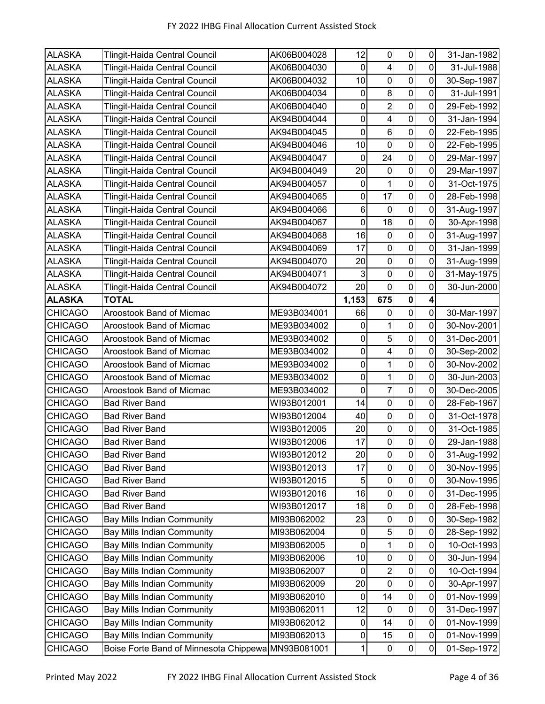| <b>ALASKA</b>  | <b>Tlingit-Haida Central Council</b>               | AK06B004028 | 12           | $\mathbf 0$             | $\pmb{0}$      | $\mathbf 0$ | 31-Jan-1982 |
|----------------|----------------------------------------------------|-------------|--------------|-------------------------|----------------|-------------|-------------|
| <b>ALASKA</b>  | Tlingit-Haida Central Council                      | AK06B004030 | $\mathbf 0$  | $\overline{\mathbf{4}}$ | $\pmb{0}$      | $\mathbf 0$ | 31-Jul-1988 |
| <b>ALASKA</b>  | <b>Tlingit-Haida Central Council</b>               | AK06B004032 | 10           | $\pmb{0}$               | $\pmb{0}$      | $\mathbf 0$ | 30-Sep-1987 |
| <b>ALASKA</b>  | Tlingit-Haida Central Council                      | AK06B004034 | 0            | 8                       | $\mathbf 0$    | 0           | 31-Jul-1991 |
| <b>ALASKA</b>  | Tlingit-Haida Central Council                      | AK06B004040 | 0            | $\overline{2}$          | 0              | 0           | 29-Feb-1992 |
| <b>ALASKA</b>  | Tlingit-Haida Central Council                      | AK94B004044 | 0            | $\overline{\mathbf{4}}$ | 0              | 0           | 31-Jan-1994 |
| <b>ALASKA</b>  | Tlingit-Haida Central Council                      | AK94B004045 | $\mathbf 0$  | $6\phantom{a}$          | $\mathbf 0$    | 0           | 22-Feb-1995 |
| <b>ALASKA</b>  | Tlingit-Haida Central Council                      | AK94B004046 | 10           | $\mathbf 0$             | $\mathbf 0$    | 0           | 22-Feb-1995 |
| <b>ALASKA</b>  | <b>Tlingit-Haida Central Council</b>               | AK94B004047 | $\mathbf 0$  | 24                      | $\pmb{0}$      | 0           | 29-Mar-1997 |
| <b>ALASKA</b>  | Tlingit-Haida Central Council                      | AK94B004049 | 20           | $\boldsymbol{0}$        | $\mathbf 0$    | $\mathbf 0$ | 29-Mar-1997 |
| <b>ALASKA</b>  | Tlingit-Haida Central Council                      | AK94B004057 | 0            | 1                       | 0              | 0           | 31-Oct-1975 |
| <b>ALASKA</b>  | Tlingit-Haida Central Council                      | AK94B004065 | $\pmb{0}$    | 17                      | $\pmb{0}$      | 0           | 28-Feb-1998 |
| <b>ALASKA</b>  | Tlingit-Haida Central Council                      | AK94B004066 | $\,6\,$      | 0                       | $\mathbf 0$    | 0           | 31-Aug-1997 |
| <b>ALASKA</b>  | Tlingit-Haida Central Council                      | AK94B004067 | $\mathbf 0$  | 18                      | $\pmb{0}$      | 0           | 30-Apr-1998 |
| <b>ALASKA</b>  | Tlingit-Haida Central Council                      | AK94B004068 | 16           | $\pmb{0}$               | $\mathbf 0$    | $\mathbf 0$ | 31-Aug-1997 |
| <b>ALASKA</b>  | Tlingit-Haida Central Council                      | AK94B004069 | 17           | 0                       | 0              | 0           | 31-Jan-1999 |
| <b>ALASKA</b>  | Tlingit-Haida Central Council                      | AK94B004070 | 20           | $\boldsymbol{0}$        | $\mathbf 0$    | 0           | 31-Aug-1999 |
| <b>ALASKA</b>  | Tlingit-Haida Central Council                      | AK94B004071 | 3            | 0                       | 0              | 0           | 31-May-1975 |
| <b>ALASKA</b>  | Tlingit-Haida Central Council                      | AK94B004072 | 20           | $\mathbf 0$             | $\mathbf 0$    | 0           | 30-Jun-2000 |
| <b>ALASKA</b>  | <b>TOTAL</b>                                       |             | 1,153        | 675                     | $\pmb{0}$      | 4           |             |
| <b>CHICAGO</b> | Aroostook Band of Micmac                           | ME93B034001 | 66           | $\mathbf 0$             | $\pmb{0}$      | 0           | 30-Mar-1997 |
| <b>CHICAGO</b> | Aroostook Band of Micmac                           | ME93B034002 | 0            | 1                       | $\pmb{0}$      | $\mathbf 0$ | 30-Nov-2001 |
| <b>CHICAGO</b> | Aroostook Band of Micmac                           | ME93B034002 | $\pmb{0}$    | $\overline{5}$          | $\mathbf 0$    | 0           | 31-Dec-2001 |
| <b>CHICAGO</b> | Aroostook Band of Micmac                           | ME93B034002 | $\mathbf 0$  | $\overline{\mathbf{4}}$ | $\mathbf 0$    | 0           | 30-Sep-2002 |
| <b>CHICAGO</b> | Aroostook Band of Micmac                           | ME93B034002 | 0            | 1                       | 0              | 0           | 30-Nov-2002 |
| <b>CHICAGO</b> | Aroostook Band of Micmac                           | ME93B034002 | $\mathbf 0$  | 1                       | $\mathbf 0$    | 0           | 30-Jun-2003 |
| <b>CHICAGO</b> | Aroostook Band of Micmac                           | ME93B034002 | $\pmb{0}$    | $\overline{7}$          | $\pmb{0}$      | 0           | 30-Dec-2005 |
| <b>CHICAGO</b> | <b>Bad River Band</b>                              | WI93B012001 | 14           | $\mathbf 0$             | $\mathbf 0$    | 0           | 28-Feb-1967 |
| <b>CHICAGO</b> | <b>Bad River Band</b>                              | WI93B012004 | 40           | $\mathbf 0$             | $\mathbf 0$    | $\mathbf 0$ | 31-Oct-1978 |
| <b>CHICAGO</b> | <b>Bad River Band</b>                              | WI93B012005 | 20           | $\pmb{0}$               | 0              | 0           | 31-Oct-1985 |
| <b>CHICAGO</b> | <b>Bad River Band</b>                              | WI93B012006 | 17           | $\mathbf 0$             | $\mathbf 0$    | 0           | 29-Jan-1988 |
| <b>CHICAGO</b> | <b>Bad River Band</b>                              | WI93B012012 | 20           | $\pmb{0}$               | $\overline{0}$ | $\mathbf 0$ | 31-Aug-1992 |
| <b>CHICAGO</b> | <b>Bad River Band</b>                              | WI93B012013 | 17           | $\mathbf 0$             | $\pmb{0}$      | 0           | 30-Nov-1995 |
| <b>CHICAGO</b> | <b>Bad River Band</b>                              | WI93B012015 | 5            | $\pmb{0}$               | $\pmb{0}$      | $\pmb{0}$   | 30-Nov-1995 |
| <b>CHICAGO</b> | <b>Bad River Band</b>                              | WI93B012016 | 16           | 0                       | $\pmb{0}$      | 0           | 31-Dec-1995 |
| <b>CHICAGO</b> | <b>Bad River Band</b>                              | WI93B012017 | 18           | $\pmb{0}$               | $\pmb{0}$      | 0           | 28-Feb-1998 |
| <b>CHICAGO</b> | <b>Bay Mills Indian Community</b>                  | MI93B062002 | 23           | 0                       | $\pmb{0}$      | 0           | 30-Sep-1982 |
| <b>CHICAGO</b> | <b>Bay Mills Indian Community</b>                  | MI93B062004 | $\mathbf 0$  | $\overline{5}$          | $\pmb{0}$      | 0           | 28-Sep-1992 |
| <b>CHICAGO</b> | <b>Bay Mills Indian Community</b>                  | MI93B062005 | $\pmb{0}$    | 1                       | $\pmb{0}$      | $\pmb{0}$   | 10-Oct-1993 |
| <b>CHICAGO</b> | <b>Bay Mills Indian Community</b>                  | MI93B062006 | 10           | $\pmb{0}$               | $\pmb{0}$      | 0           | 30-Jun-1994 |
| <b>CHICAGO</b> | <b>Bay Mills Indian Community</b>                  | MI93B062007 | $\mathbf 0$  | $\overline{c}$          | $\pmb{0}$      | $\mathbf 0$ | 10-Oct-1994 |
| <b>CHICAGO</b> | <b>Bay Mills Indian Community</b>                  | MI93B062009 | 20           | $\mathbf 0$             | $\pmb{0}$      | 0           | 30-Apr-1997 |
| <b>CHICAGO</b> | <b>Bay Mills Indian Community</b>                  | MI93B062010 | $\mathbf 0$  | 14                      | $\pmb{0}$      | 0           | 01-Nov-1999 |
| <b>CHICAGO</b> | <b>Bay Mills Indian Community</b>                  | MI93B062011 | 12           | 0                       | $\pmb{0}$      | 0           | 31-Dec-1997 |
| <b>CHICAGO</b> | <b>Bay Mills Indian Community</b>                  | MI93B062012 | $\pmb{0}$    | 14                      | $\pmb{0}$      | 0           | 01-Nov-1999 |
| <b>CHICAGO</b> | <b>Bay Mills Indian Community</b>                  | MI93B062013 | $\pmb{0}$    | 15                      | $\pmb{0}$      | $\pmb{0}$   | 01-Nov-1999 |
| <b>CHICAGO</b> | Boise Forte Band of Minnesota Chippewa MN93B081001 |             | $\mathbf{1}$ | $\pmb{0}$               | $\pmb{0}$      | $\pmb{0}$   | 01-Sep-1972 |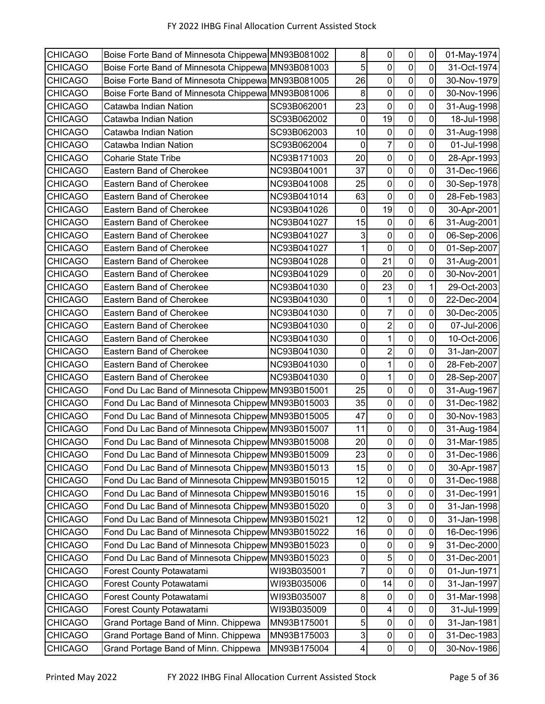| Boise Forte Band of Minnesota Chippewa MN93B081002<br>5<br>$\pmb{0}$<br>$\mathbf 0$<br><b>CHICAGO</b><br>0<br>Boise Forte Band of Minnesota Chippewa MN93B081003<br>31-Oct-1974<br>26<br>0<br>0<br>0<br><b>CHICAGO</b><br>Boise Forte Band of Minnesota Chippewa MN93B081005<br>30-Nov-1979<br>$\mathbf 0$<br>$\mathbf 0$<br>8<br>$\mathbf 0$<br>Boise Forte Band of Minnesota Chippewa MN93B081006<br><b>CHICAGO</b><br>30-Nov-1996<br>$\mathbf 0$<br>23<br>$\boldsymbol{0}$<br>0<br><b>CHICAGO</b><br>Catawba Indian Nation<br>SC93B062001<br>31-Aug-1998<br>$\mathbf 0$<br>19<br>0<br>$\pmb{0}$<br>Catawba Indian Nation<br>SC93B062002<br><b>CHICAGO</b><br>18-Jul-1998<br>$\overline{0}$<br>0<br>10<br>$\pmb{0}$<br><b>CHICAGO</b><br>SC93B062003<br>Catawba Indian Nation<br>31-Aug-1998<br>$\overline{7}$<br>$\mathbf 0$<br>0<br>$\pmb{0}$<br><b>CHICAGO</b><br>SC93B062004<br>Catawba Indian Nation<br>01-Jul-1998<br>$\mathbf 0$<br>20<br>$\boldsymbol{0}$<br><b>CHICAGO</b><br>NC93B171003<br>0<br><b>Coharie State Tribe</b><br>28-Apr-1993<br>37<br>$\mathbf 0$<br>0<br>$\mathbf 0$<br><b>CHICAGO</b><br>Eastern Band of Cherokee<br>NC93B041001<br>31-Dec-1966<br>$\overline{0}$<br>$\mathbf 0$<br>25<br>0<br><b>CHICAGO</b><br>Eastern Band of Cherokee<br>NC93B041008<br>30-Sep-1978<br>$\pmb{0}$<br>$\boldsymbol{0}$<br>$\pmb{0}$<br>63<br>NC93B041014<br>28-Feb-1983<br><b>CHICAGO</b><br>Eastern Band of Cherokee<br>$\mathbf 0$<br>19<br>0<br>$\pmb{0}$<br><b>CHICAGO</b><br>Eastern Band of Cherokee<br>NC93B041026<br>30-Apr-2001<br>$\mathbf 0$<br>6<br>15<br>$\pmb{0}$<br><b>CHICAGO</b><br>Eastern Band of Cherokee<br>NC93B041027<br>31-Aug-2001<br>0<br>3<br>0<br>0<br><b>CHICAGO</b><br>Eastern Band of Cherokee<br>NC93B041027<br>06-Sep-2006<br>$\mathbf 0$<br>0<br>Eastern Band of Cherokee<br>1<br>0<br>01-Sep-2007<br><b>CHICAGO</b><br>NC93B041027<br>$\overline{\mathsf{o}}$<br>$\mathbf 0$<br>0<br>21<br><b>CHICAGO</b><br>Eastern Band of Cherokee<br>NC93B041028<br>31-Aug-2001<br>$\mathbf 0$<br>0<br>20<br>0<br><b>CHICAGO</b><br>Eastern Band of Cherokee<br>NC93B041029<br>30-Nov-2001<br>$\pmb{0}$<br>$\pmb{0}$<br>23<br>1<br><b>CHICAGO</b><br>Eastern Band of Cherokee<br>NC93B041030<br>29-Oct-2003<br>0<br>0<br>0<br>Eastern Band of Cherokee<br>1<br><b>CHICAGO</b><br>NC93B041030<br>22-Dec-2004<br>$\overline{7}$<br>$\mathbf 0$<br>$\pmb{0}$<br>0<br><b>CHICAGO</b><br>Eastern Band of Cherokee<br>NC93B041030<br>30-Dec-2005<br>$\overline{2}$<br>0<br>0<br>0<br><b>CHICAGO</b><br>Eastern Band of Cherokee<br>NC93B041030<br>07-Jul-2006<br>$\mathbf 0$<br>$\mathbf 0$<br>0<br>$\mathbf{1}$<br><b>CHICAGO</b><br>Eastern Band of Cherokee<br>NC93B041030<br>10-Oct-2006<br>$\overline{c}$<br>$\pmb{0}$<br>$\pmb{0}$<br>$\mathbf 0$<br><b>CHICAGO</b><br>Eastern Band of Cherokee<br>NC93B041030<br>31-Jan-2007<br>$\mathbf 0$<br>1<br>$\pmb{0}$<br>0<br>Eastern Band of Cherokee<br><b>CHICAGO</b><br>NC93B041030<br>28-Feb-2007<br>$\mathbf 0$<br>$\pmb{0}$<br>$\mathbf{1}$<br>0<br><b>CHICAGO</b><br>Eastern Band of Cherokee<br>NC93B041030<br>28-Sep-2007<br>25<br>0<br>$\pmb{0}$<br>0<br>Fond Du Lac Band of Minnesota Chippew MN93B015001<br><b>CHICAGO</b><br>31-Aug-1967<br>$\mathbf 0$<br>Fond Du Lac Band of Minnesota Chippew MN93B015003<br>35<br>$\pmb{0}$<br>0<br><b>CHICAGO</b><br>31-Dec-1982<br>$\mathbf 0$<br>$\pmb{0}$<br>47<br>0<br>Fond Du Lac Band of Minnesota Chippew MN93B015005<br><b>CHICAGO</b><br>30-Nov-1983<br>$\mathbf 0$<br>11<br>$\pmb{0}$<br>0<br>Fond Du Lac Band of Minnesota Chippew MN93B015007<br><b>CHICAGO</b><br>31-Aug-1984<br>$\mathbf 0$<br>$\mathbf 0$<br>20<br>$\mathbf 0$<br>Fond Du Lac Band of Minnesota Chippew MN93B015008<br><b>CHICAGO</b><br>31-Mar-1985<br>Fond Du Lac Band of Minnesota Chippew MN93B015009<br>$\pmb{0}$<br>$\pmb{0}$<br><b>CHICAGO</b><br>23<br>0<br>31-Dec-1986<br><b>CHICAGO</b><br>Fond Du Lac Band of Minnesota Chippew MN93B015013<br>$\pmb{0}$<br>$\pmb{0}$<br>15<br>0<br>30-Apr-1987<br>Fond Du Lac Band of Minnesota Chippew MN93B015015<br>12<br>$\pmb{0}$<br><b>CHICAGO</b><br>$\pmb{0}$<br>0<br>31-Dec-1988<br>$\pmb{0}$<br>$\pmb{0}$<br><b>CHICAGO</b><br>Fond Du Lac Band of Minnesota Chippew MN93B015016<br>15<br>0<br>31-Dec-1991<br>3<br><b>CHICAGO</b><br>Fond Du Lac Band of Minnesota Chippew MN93B015020<br>$\pmb{0}$<br>0<br>0<br>31-Jan-1998<br>Fond Du Lac Band of Minnesota Chippew MN93B015021<br>12<br>$\pmb{0}$<br>$\pmb{0}$<br><b>CHICAGO</b><br>0<br>31-Jan-1998<br>$\mathbf 0$<br>$\pmb{0}$<br>Fond Du Lac Band of Minnesota Chippew MN93B015022<br>16<br>0<br><b>CHICAGO</b><br>16-Dec-1996<br>$\pmb{0}$<br>$\pmb{0}$<br>9<br><b>CHICAGO</b><br>Fond Du Lac Band of Minnesota Chippew MN93B015023<br>0<br>31-Dec-2000<br>$\overline{5}$<br>$\pmb{0}$<br>Fond Du Lac Band of Minnesota Chippew MN93B015023<br>$\pmb{0}$<br><b>CHICAGO</b><br>0<br>31-Dec-2001<br>7<br>$\pmb{0}$<br><b>CHICAGO</b><br>Forest County Potawatami<br>WI93B035001<br>0<br>0<br>01-Jun-1971<br>$\mathbf 0$<br>0<br>14<br>0<br><b>CHICAGO</b><br>Forest County Potawatami<br>WI93B035006<br>31-Jan-1997<br>$\pmb{0}$<br>8<br>$\pmb{0}$<br>$\pmb{0}$<br><b>CHICAGO</b><br>Forest County Potawatami<br>WI93B035007<br>31-Mar-1998<br>0<br>$\overline{\mathbf{4}}$<br>$\pmb{0}$<br><b>CHICAGO</b><br>Forest County Potawatami<br>WI93B035009<br>0<br>31-Jul-1999<br>5<br>$\pmb{0}$<br>$\pmb{0}$<br><b>CHICAGO</b><br>Grand Portage Band of Minn. Chippewa<br>0<br>MN93B175001<br>31-Jan-1981<br>$\ensuremath{\mathsf{3}}$<br>$\pmb{0}$<br>$\pmb{0}$<br><b>CHICAGO</b><br>Grand Portage Band of Minn. Chippewa<br>0<br>MN93B175003<br>31-Dec-1983<br>$\pmb{0}$<br><b>CHICAGO</b><br>Grand Portage Band of Minn. Chippewa<br>MN93B175004<br>4<br>$\pmb{0}$<br>0<br>30-Nov-1986 |                |  |   |           |           |           |             |
|------------------------------------------------------------------------------------------------------------------------------------------------------------------------------------------------------------------------------------------------------------------------------------------------------------------------------------------------------------------------------------------------------------------------------------------------------------------------------------------------------------------------------------------------------------------------------------------------------------------------------------------------------------------------------------------------------------------------------------------------------------------------------------------------------------------------------------------------------------------------------------------------------------------------------------------------------------------------------------------------------------------------------------------------------------------------------------------------------------------------------------------------------------------------------------------------------------------------------------------------------------------------------------------------------------------------------------------------------------------------------------------------------------------------------------------------------------------------------------------------------------------------------------------------------------------------------------------------------------------------------------------------------------------------------------------------------------------------------------------------------------------------------------------------------------------------------------------------------------------------------------------------------------------------------------------------------------------------------------------------------------------------------------------------------------------------------------------------------------------------------------------------------------------------------------------------------------------------------------------------------------------------------------------------------------------------------------------------------------------------------------------------------------------------------------------------------------------------------------------------------------------------------------------------------------------------------------------------------------------------------------------------------------------------------------------------------------------------------------------------------------------------------------------------------------------------------------------------------------------------------------------------------------------------------------------------------------------------------------------------------------------------------------------------------------------------------------------------------------------------------------------------------------------------------------------------------------------------------------------------------------------------------------------------------------------------------------------------------------------------------------------------------------------------------------------------------------------------------------------------------------------------------------------------------------------------------------------------------------------------------------------------------------------------------------------------------------------------------------------------------------------------------------------------------------------------------------------------------------------------------------------------------------------------------------------------------------------------------------------------------------------------------------------------------------------------------------------------------------------------------------------------------------------------------------------------------------------------------------------------------------------------------------------------------------------------------------------------------------------------------------------------------------------------------------------------------------------------------------------------------------------------------------------------------------------------------------------------------------------------------------------------------------------------------------------------------------------------------------------------------------------------------------------------------------------------------------------------------------------------------------------------------------------------------------------------------------------------------------------------------------------------------------------------------------------------------------------------------------------------------------------------------------------------------------------------------------------------------------------------------------------------------------------------------------------------------------------------------------------------------------------------------------------------------------------------------------------------------------------------------------------------------------------------------------------------------------------------------------------------------------------------------------------------------------------------------------------------------------------------------------------------------------------------------------------|----------------|--|---|-----------|-----------|-----------|-------------|
|                                                                                                                                                                                                                                                                                                                                                                                                                                                                                                                                                                                                                                                                                                                                                                                                                                                                                                                                                                                                                                                                                                                                                                                                                                                                                                                                                                                                                                                                                                                                                                                                                                                                                                                                                                                                                                                                                                                                                                                                                                                                                                                                                                                                                                                                                                                                                                                                                                                                                                                                                                                                                                                                                                                                                                                                                                                                                                                                                                                                                                                                                                                                                                                                                                                                                                                                                                                                                                                                                                                                                                                                                                                                                                                                                                                                                                                                                                                                                                                                                                                                                                                                                                                                                                                                                                                                                                                                                                                                                                                                                                                                                                                                                                                                                                                                                                                                                                                                                                                                                                                                                                                                                                                                                                                                                                                                                                                                                                                                                                                                                                                                                                                                                                                                                                                                                  | <b>CHICAGO</b> |  | 8 | $\pmb{0}$ | $\pmb{0}$ | $\pmb{0}$ | 01-May-1974 |
|                                                                                                                                                                                                                                                                                                                                                                                                                                                                                                                                                                                                                                                                                                                                                                                                                                                                                                                                                                                                                                                                                                                                                                                                                                                                                                                                                                                                                                                                                                                                                                                                                                                                                                                                                                                                                                                                                                                                                                                                                                                                                                                                                                                                                                                                                                                                                                                                                                                                                                                                                                                                                                                                                                                                                                                                                                                                                                                                                                                                                                                                                                                                                                                                                                                                                                                                                                                                                                                                                                                                                                                                                                                                                                                                                                                                                                                                                                                                                                                                                                                                                                                                                                                                                                                                                                                                                                                                                                                                                                                                                                                                                                                                                                                                                                                                                                                                                                                                                                                                                                                                                                                                                                                                                                                                                                                                                                                                                                                                                                                                                                                                                                                                                                                                                                                                                  |                |  |   |           |           |           |             |
|                                                                                                                                                                                                                                                                                                                                                                                                                                                                                                                                                                                                                                                                                                                                                                                                                                                                                                                                                                                                                                                                                                                                                                                                                                                                                                                                                                                                                                                                                                                                                                                                                                                                                                                                                                                                                                                                                                                                                                                                                                                                                                                                                                                                                                                                                                                                                                                                                                                                                                                                                                                                                                                                                                                                                                                                                                                                                                                                                                                                                                                                                                                                                                                                                                                                                                                                                                                                                                                                                                                                                                                                                                                                                                                                                                                                                                                                                                                                                                                                                                                                                                                                                                                                                                                                                                                                                                                                                                                                                                                                                                                                                                                                                                                                                                                                                                                                                                                                                                                                                                                                                                                                                                                                                                                                                                                                                                                                                                                                                                                                                                                                                                                                                                                                                                                                                  |                |  |   |           |           |           |             |
|                                                                                                                                                                                                                                                                                                                                                                                                                                                                                                                                                                                                                                                                                                                                                                                                                                                                                                                                                                                                                                                                                                                                                                                                                                                                                                                                                                                                                                                                                                                                                                                                                                                                                                                                                                                                                                                                                                                                                                                                                                                                                                                                                                                                                                                                                                                                                                                                                                                                                                                                                                                                                                                                                                                                                                                                                                                                                                                                                                                                                                                                                                                                                                                                                                                                                                                                                                                                                                                                                                                                                                                                                                                                                                                                                                                                                                                                                                                                                                                                                                                                                                                                                                                                                                                                                                                                                                                                                                                                                                                                                                                                                                                                                                                                                                                                                                                                                                                                                                                                                                                                                                                                                                                                                                                                                                                                                                                                                                                                                                                                                                                                                                                                                                                                                                                                                  |                |  |   |           |           |           |             |
|                                                                                                                                                                                                                                                                                                                                                                                                                                                                                                                                                                                                                                                                                                                                                                                                                                                                                                                                                                                                                                                                                                                                                                                                                                                                                                                                                                                                                                                                                                                                                                                                                                                                                                                                                                                                                                                                                                                                                                                                                                                                                                                                                                                                                                                                                                                                                                                                                                                                                                                                                                                                                                                                                                                                                                                                                                                                                                                                                                                                                                                                                                                                                                                                                                                                                                                                                                                                                                                                                                                                                                                                                                                                                                                                                                                                                                                                                                                                                                                                                                                                                                                                                                                                                                                                                                                                                                                                                                                                                                                                                                                                                                                                                                                                                                                                                                                                                                                                                                                                                                                                                                                                                                                                                                                                                                                                                                                                                                                                                                                                                                                                                                                                                                                                                                                                                  |                |  |   |           |           |           |             |
|                                                                                                                                                                                                                                                                                                                                                                                                                                                                                                                                                                                                                                                                                                                                                                                                                                                                                                                                                                                                                                                                                                                                                                                                                                                                                                                                                                                                                                                                                                                                                                                                                                                                                                                                                                                                                                                                                                                                                                                                                                                                                                                                                                                                                                                                                                                                                                                                                                                                                                                                                                                                                                                                                                                                                                                                                                                                                                                                                                                                                                                                                                                                                                                                                                                                                                                                                                                                                                                                                                                                                                                                                                                                                                                                                                                                                                                                                                                                                                                                                                                                                                                                                                                                                                                                                                                                                                                                                                                                                                                                                                                                                                                                                                                                                                                                                                                                                                                                                                                                                                                                                                                                                                                                                                                                                                                                                                                                                                                                                                                                                                                                                                                                                                                                                                                                                  |                |  |   |           |           |           |             |
|                                                                                                                                                                                                                                                                                                                                                                                                                                                                                                                                                                                                                                                                                                                                                                                                                                                                                                                                                                                                                                                                                                                                                                                                                                                                                                                                                                                                                                                                                                                                                                                                                                                                                                                                                                                                                                                                                                                                                                                                                                                                                                                                                                                                                                                                                                                                                                                                                                                                                                                                                                                                                                                                                                                                                                                                                                                                                                                                                                                                                                                                                                                                                                                                                                                                                                                                                                                                                                                                                                                                                                                                                                                                                                                                                                                                                                                                                                                                                                                                                                                                                                                                                                                                                                                                                                                                                                                                                                                                                                                                                                                                                                                                                                                                                                                                                                                                                                                                                                                                                                                                                                                                                                                                                                                                                                                                                                                                                                                                                                                                                                                                                                                                                                                                                                                                                  |                |  |   |           |           |           |             |
|                                                                                                                                                                                                                                                                                                                                                                                                                                                                                                                                                                                                                                                                                                                                                                                                                                                                                                                                                                                                                                                                                                                                                                                                                                                                                                                                                                                                                                                                                                                                                                                                                                                                                                                                                                                                                                                                                                                                                                                                                                                                                                                                                                                                                                                                                                                                                                                                                                                                                                                                                                                                                                                                                                                                                                                                                                                                                                                                                                                                                                                                                                                                                                                                                                                                                                                                                                                                                                                                                                                                                                                                                                                                                                                                                                                                                                                                                                                                                                                                                                                                                                                                                                                                                                                                                                                                                                                                                                                                                                                                                                                                                                                                                                                                                                                                                                                                                                                                                                                                                                                                                                                                                                                                                                                                                                                                                                                                                                                                                                                                                                                                                                                                                                                                                                                                                  |                |  |   |           |           |           |             |
|                                                                                                                                                                                                                                                                                                                                                                                                                                                                                                                                                                                                                                                                                                                                                                                                                                                                                                                                                                                                                                                                                                                                                                                                                                                                                                                                                                                                                                                                                                                                                                                                                                                                                                                                                                                                                                                                                                                                                                                                                                                                                                                                                                                                                                                                                                                                                                                                                                                                                                                                                                                                                                                                                                                                                                                                                                                                                                                                                                                                                                                                                                                                                                                                                                                                                                                                                                                                                                                                                                                                                                                                                                                                                                                                                                                                                                                                                                                                                                                                                                                                                                                                                                                                                                                                                                                                                                                                                                                                                                                                                                                                                                                                                                                                                                                                                                                                                                                                                                                                                                                                                                                                                                                                                                                                                                                                                                                                                                                                                                                                                                                                                                                                                                                                                                                                                  |                |  |   |           |           |           |             |
|                                                                                                                                                                                                                                                                                                                                                                                                                                                                                                                                                                                                                                                                                                                                                                                                                                                                                                                                                                                                                                                                                                                                                                                                                                                                                                                                                                                                                                                                                                                                                                                                                                                                                                                                                                                                                                                                                                                                                                                                                                                                                                                                                                                                                                                                                                                                                                                                                                                                                                                                                                                                                                                                                                                                                                                                                                                                                                                                                                                                                                                                                                                                                                                                                                                                                                                                                                                                                                                                                                                                                                                                                                                                                                                                                                                                                                                                                                                                                                                                                                                                                                                                                                                                                                                                                                                                                                                                                                                                                                                                                                                                                                                                                                                                                                                                                                                                                                                                                                                                                                                                                                                                                                                                                                                                                                                                                                                                                                                                                                                                                                                                                                                                                                                                                                                                                  |                |  |   |           |           |           |             |
|                                                                                                                                                                                                                                                                                                                                                                                                                                                                                                                                                                                                                                                                                                                                                                                                                                                                                                                                                                                                                                                                                                                                                                                                                                                                                                                                                                                                                                                                                                                                                                                                                                                                                                                                                                                                                                                                                                                                                                                                                                                                                                                                                                                                                                                                                                                                                                                                                                                                                                                                                                                                                                                                                                                                                                                                                                                                                                                                                                                                                                                                                                                                                                                                                                                                                                                                                                                                                                                                                                                                                                                                                                                                                                                                                                                                                                                                                                                                                                                                                                                                                                                                                                                                                                                                                                                                                                                                                                                                                                                                                                                                                                                                                                                                                                                                                                                                                                                                                                                                                                                                                                                                                                                                                                                                                                                                                                                                                                                                                                                                                                                                                                                                                                                                                                                                                  |                |  |   |           |           |           |             |
|                                                                                                                                                                                                                                                                                                                                                                                                                                                                                                                                                                                                                                                                                                                                                                                                                                                                                                                                                                                                                                                                                                                                                                                                                                                                                                                                                                                                                                                                                                                                                                                                                                                                                                                                                                                                                                                                                                                                                                                                                                                                                                                                                                                                                                                                                                                                                                                                                                                                                                                                                                                                                                                                                                                                                                                                                                                                                                                                                                                                                                                                                                                                                                                                                                                                                                                                                                                                                                                                                                                                                                                                                                                                                                                                                                                                                                                                                                                                                                                                                                                                                                                                                                                                                                                                                                                                                                                                                                                                                                                                                                                                                                                                                                                                                                                                                                                                                                                                                                                                                                                                                                                                                                                                                                                                                                                                                                                                                                                                                                                                                                                                                                                                                                                                                                                                                  |                |  |   |           |           |           |             |
|                                                                                                                                                                                                                                                                                                                                                                                                                                                                                                                                                                                                                                                                                                                                                                                                                                                                                                                                                                                                                                                                                                                                                                                                                                                                                                                                                                                                                                                                                                                                                                                                                                                                                                                                                                                                                                                                                                                                                                                                                                                                                                                                                                                                                                                                                                                                                                                                                                                                                                                                                                                                                                                                                                                                                                                                                                                                                                                                                                                                                                                                                                                                                                                                                                                                                                                                                                                                                                                                                                                                                                                                                                                                                                                                                                                                                                                                                                                                                                                                                                                                                                                                                                                                                                                                                                                                                                                                                                                                                                                                                                                                                                                                                                                                                                                                                                                                                                                                                                                                                                                                                                                                                                                                                                                                                                                                                                                                                                                                                                                                                                                                                                                                                                                                                                                                                  |                |  |   |           |           |           |             |
|                                                                                                                                                                                                                                                                                                                                                                                                                                                                                                                                                                                                                                                                                                                                                                                                                                                                                                                                                                                                                                                                                                                                                                                                                                                                                                                                                                                                                                                                                                                                                                                                                                                                                                                                                                                                                                                                                                                                                                                                                                                                                                                                                                                                                                                                                                                                                                                                                                                                                                                                                                                                                                                                                                                                                                                                                                                                                                                                                                                                                                                                                                                                                                                                                                                                                                                                                                                                                                                                                                                                                                                                                                                                                                                                                                                                                                                                                                                                                                                                                                                                                                                                                                                                                                                                                                                                                                                                                                                                                                                                                                                                                                                                                                                                                                                                                                                                                                                                                                                                                                                                                                                                                                                                                                                                                                                                                                                                                                                                                                                                                                                                                                                                                                                                                                                                                  |                |  |   |           |           |           |             |
|                                                                                                                                                                                                                                                                                                                                                                                                                                                                                                                                                                                                                                                                                                                                                                                                                                                                                                                                                                                                                                                                                                                                                                                                                                                                                                                                                                                                                                                                                                                                                                                                                                                                                                                                                                                                                                                                                                                                                                                                                                                                                                                                                                                                                                                                                                                                                                                                                                                                                                                                                                                                                                                                                                                                                                                                                                                                                                                                                                                                                                                                                                                                                                                                                                                                                                                                                                                                                                                                                                                                                                                                                                                                                                                                                                                                                                                                                                                                                                                                                                                                                                                                                                                                                                                                                                                                                                                                                                                                                                                                                                                                                                                                                                                                                                                                                                                                                                                                                                                                                                                                                                                                                                                                                                                                                                                                                                                                                                                                                                                                                                                                                                                                                                                                                                                                                  |                |  |   |           |           |           |             |
|                                                                                                                                                                                                                                                                                                                                                                                                                                                                                                                                                                                                                                                                                                                                                                                                                                                                                                                                                                                                                                                                                                                                                                                                                                                                                                                                                                                                                                                                                                                                                                                                                                                                                                                                                                                                                                                                                                                                                                                                                                                                                                                                                                                                                                                                                                                                                                                                                                                                                                                                                                                                                                                                                                                                                                                                                                                                                                                                                                                                                                                                                                                                                                                                                                                                                                                                                                                                                                                                                                                                                                                                                                                                                                                                                                                                                                                                                                                                                                                                                                                                                                                                                                                                                                                                                                                                                                                                                                                                                                                                                                                                                                                                                                                                                                                                                                                                                                                                                                                                                                                                                                                                                                                                                                                                                                                                                                                                                                                                                                                                                                                                                                                                                                                                                                                                                  |                |  |   |           |           |           |             |
|                                                                                                                                                                                                                                                                                                                                                                                                                                                                                                                                                                                                                                                                                                                                                                                                                                                                                                                                                                                                                                                                                                                                                                                                                                                                                                                                                                                                                                                                                                                                                                                                                                                                                                                                                                                                                                                                                                                                                                                                                                                                                                                                                                                                                                                                                                                                                                                                                                                                                                                                                                                                                                                                                                                                                                                                                                                                                                                                                                                                                                                                                                                                                                                                                                                                                                                                                                                                                                                                                                                                                                                                                                                                                                                                                                                                                                                                                                                                                                                                                                                                                                                                                                                                                                                                                                                                                                                                                                                                                                                                                                                                                                                                                                                                                                                                                                                                                                                                                                                                                                                                                                                                                                                                                                                                                                                                                                                                                                                                                                                                                                                                                                                                                                                                                                                                                  |                |  |   |           |           |           |             |
|                                                                                                                                                                                                                                                                                                                                                                                                                                                                                                                                                                                                                                                                                                                                                                                                                                                                                                                                                                                                                                                                                                                                                                                                                                                                                                                                                                                                                                                                                                                                                                                                                                                                                                                                                                                                                                                                                                                                                                                                                                                                                                                                                                                                                                                                                                                                                                                                                                                                                                                                                                                                                                                                                                                                                                                                                                                                                                                                                                                                                                                                                                                                                                                                                                                                                                                                                                                                                                                                                                                                                                                                                                                                                                                                                                                                                                                                                                                                                                                                                                                                                                                                                                                                                                                                                                                                                                                                                                                                                                                                                                                                                                                                                                                                                                                                                                                                                                                                                                                                                                                                                                                                                                                                                                                                                                                                                                                                                                                                                                                                                                                                                                                                                                                                                                                                                  |                |  |   |           |           |           |             |
|                                                                                                                                                                                                                                                                                                                                                                                                                                                                                                                                                                                                                                                                                                                                                                                                                                                                                                                                                                                                                                                                                                                                                                                                                                                                                                                                                                                                                                                                                                                                                                                                                                                                                                                                                                                                                                                                                                                                                                                                                                                                                                                                                                                                                                                                                                                                                                                                                                                                                                                                                                                                                                                                                                                                                                                                                                                                                                                                                                                                                                                                                                                                                                                                                                                                                                                                                                                                                                                                                                                                                                                                                                                                                                                                                                                                                                                                                                                                                                                                                                                                                                                                                                                                                                                                                                                                                                                                                                                                                                                                                                                                                                                                                                                                                                                                                                                                                                                                                                                                                                                                                                                                                                                                                                                                                                                                                                                                                                                                                                                                                                                                                                                                                                                                                                                                                  |                |  |   |           |           |           |             |
|                                                                                                                                                                                                                                                                                                                                                                                                                                                                                                                                                                                                                                                                                                                                                                                                                                                                                                                                                                                                                                                                                                                                                                                                                                                                                                                                                                                                                                                                                                                                                                                                                                                                                                                                                                                                                                                                                                                                                                                                                                                                                                                                                                                                                                                                                                                                                                                                                                                                                                                                                                                                                                                                                                                                                                                                                                                                                                                                                                                                                                                                                                                                                                                                                                                                                                                                                                                                                                                                                                                                                                                                                                                                                                                                                                                                                                                                                                                                                                                                                                                                                                                                                                                                                                                                                                                                                                                                                                                                                                                                                                                                                                                                                                                                                                                                                                                                                                                                                                                                                                                                                                                                                                                                                                                                                                                                                                                                                                                                                                                                                                                                                                                                                                                                                                                                                  |                |  |   |           |           |           |             |
|                                                                                                                                                                                                                                                                                                                                                                                                                                                                                                                                                                                                                                                                                                                                                                                                                                                                                                                                                                                                                                                                                                                                                                                                                                                                                                                                                                                                                                                                                                                                                                                                                                                                                                                                                                                                                                                                                                                                                                                                                                                                                                                                                                                                                                                                                                                                                                                                                                                                                                                                                                                                                                                                                                                                                                                                                                                                                                                                                                                                                                                                                                                                                                                                                                                                                                                                                                                                                                                                                                                                                                                                                                                                                                                                                                                                                                                                                                                                                                                                                                                                                                                                                                                                                                                                                                                                                                                                                                                                                                                                                                                                                                                                                                                                                                                                                                                                                                                                                                                                                                                                                                                                                                                                                                                                                                                                                                                                                                                                                                                                                                                                                                                                                                                                                                                                                  |                |  |   |           |           |           |             |
|                                                                                                                                                                                                                                                                                                                                                                                                                                                                                                                                                                                                                                                                                                                                                                                                                                                                                                                                                                                                                                                                                                                                                                                                                                                                                                                                                                                                                                                                                                                                                                                                                                                                                                                                                                                                                                                                                                                                                                                                                                                                                                                                                                                                                                                                                                                                                                                                                                                                                                                                                                                                                                                                                                                                                                                                                                                                                                                                                                                                                                                                                                                                                                                                                                                                                                                                                                                                                                                                                                                                                                                                                                                                                                                                                                                                                                                                                                                                                                                                                                                                                                                                                                                                                                                                                                                                                                                                                                                                                                                                                                                                                                                                                                                                                                                                                                                                                                                                                                                                                                                                                                                                                                                                                                                                                                                                                                                                                                                                                                                                                                                                                                                                                                                                                                                                                  |                |  |   |           |           |           |             |
|                                                                                                                                                                                                                                                                                                                                                                                                                                                                                                                                                                                                                                                                                                                                                                                                                                                                                                                                                                                                                                                                                                                                                                                                                                                                                                                                                                                                                                                                                                                                                                                                                                                                                                                                                                                                                                                                                                                                                                                                                                                                                                                                                                                                                                                                                                                                                                                                                                                                                                                                                                                                                                                                                                                                                                                                                                                                                                                                                                                                                                                                                                                                                                                                                                                                                                                                                                                                                                                                                                                                                                                                                                                                                                                                                                                                                                                                                                                                                                                                                                                                                                                                                                                                                                                                                                                                                                                                                                                                                                                                                                                                                                                                                                                                                                                                                                                                                                                                                                                                                                                                                                                                                                                                                                                                                                                                                                                                                                                                                                                                                                                                                                                                                                                                                                                                                  |                |  |   |           |           |           |             |
|                                                                                                                                                                                                                                                                                                                                                                                                                                                                                                                                                                                                                                                                                                                                                                                                                                                                                                                                                                                                                                                                                                                                                                                                                                                                                                                                                                                                                                                                                                                                                                                                                                                                                                                                                                                                                                                                                                                                                                                                                                                                                                                                                                                                                                                                                                                                                                                                                                                                                                                                                                                                                                                                                                                                                                                                                                                                                                                                                                                                                                                                                                                                                                                                                                                                                                                                                                                                                                                                                                                                                                                                                                                                                                                                                                                                                                                                                                                                                                                                                                                                                                                                                                                                                                                                                                                                                                                                                                                                                                                                                                                                                                                                                                                                                                                                                                                                                                                                                                                                                                                                                                                                                                                                                                                                                                                                                                                                                                                                                                                                                                                                                                                                                                                                                                                                                  |                |  |   |           |           |           |             |
|                                                                                                                                                                                                                                                                                                                                                                                                                                                                                                                                                                                                                                                                                                                                                                                                                                                                                                                                                                                                                                                                                                                                                                                                                                                                                                                                                                                                                                                                                                                                                                                                                                                                                                                                                                                                                                                                                                                                                                                                                                                                                                                                                                                                                                                                                                                                                                                                                                                                                                                                                                                                                                                                                                                                                                                                                                                                                                                                                                                                                                                                                                                                                                                                                                                                                                                                                                                                                                                                                                                                                                                                                                                                                                                                                                                                                                                                                                                                                                                                                                                                                                                                                                                                                                                                                                                                                                                                                                                                                                                                                                                                                                                                                                                                                                                                                                                                                                                                                                                                                                                                                                                                                                                                                                                                                                                                                                                                                                                                                                                                                                                                                                                                                                                                                                                                                  |                |  |   |           |           |           |             |
|                                                                                                                                                                                                                                                                                                                                                                                                                                                                                                                                                                                                                                                                                                                                                                                                                                                                                                                                                                                                                                                                                                                                                                                                                                                                                                                                                                                                                                                                                                                                                                                                                                                                                                                                                                                                                                                                                                                                                                                                                                                                                                                                                                                                                                                                                                                                                                                                                                                                                                                                                                                                                                                                                                                                                                                                                                                                                                                                                                                                                                                                                                                                                                                                                                                                                                                                                                                                                                                                                                                                                                                                                                                                                                                                                                                                                                                                                                                                                                                                                                                                                                                                                                                                                                                                                                                                                                                                                                                                                                                                                                                                                                                                                                                                                                                                                                                                                                                                                                                                                                                                                                                                                                                                                                                                                                                                                                                                                                                                                                                                                                                                                                                                                                                                                                                                                  |                |  |   |           |           |           |             |
|                                                                                                                                                                                                                                                                                                                                                                                                                                                                                                                                                                                                                                                                                                                                                                                                                                                                                                                                                                                                                                                                                                                                                                                                                                                                                                                                                                                                                                                                                                                                                                                                                                                                                                                                                                                                                                                                                                                                                                                                                                                                                                                                                                                                                                                                                                                                                                                                                                                                                                                                                                                                                                                                                                                                                                                                                                                                                                                                                                                                                                                                                                                                                                                                                                                                                                                                                                                                                                                                                                                                                                                                                                                                                                                                                                                                                                                                                                                                                                                                                                                                                                                                                                                                                                                                                                                                                                                                                                                                                                                                                                                                                                                                                                                                                                                                                                                                                                                                                                                                                                                                                                                                                                                                                                                                                                                                                                                                                                                                                                                                                                                                                                                                                                                                                                                                                  |                |  |   |           |           |           |             |
|                                                                                                                                                                                                                                                                                                                                                                                                                                                                                                                                                                                                                                                                                                                                                                                                                                                                                                                                                                                                                                                                                                                                                                                                                                                                                                                                                                                                                                                                                                                                                                                                                                                                                                                                                                                                                                                                                                                                                                                                                                                                                                                                                                                                                                                                                                                                                                                                                                                                                                                                                                                                                                                                                                                                                                                                                                                                                                                                                                                                                                                                                                                                                                                                                                                                                                                                                                                                                                                                                                                                                                                                                                                                                                                                                                                                                                                                                                                                                                                                                                                                                                                                                                                                                                                                                                                                                                                                                                                                                                                                                                                                                                                                                                                                                                                                                                                                                                                                                                                                                                                                                                                                                                                                                                                                                                                                                                                                                                                                                                                                                                                                                                                                                                                                                                                                                  |                |  |   |           |           |           |             |
|                                                                                                                                                                                                                                                                                                                                                                                                                                                                                                                                                                                                                                                                                                                                                                                                                                                                                                                                                                                                                                                                                                                                                                                                                                                                                                                                                                                                                                                                                                                                                                                                                                                                                                                                                                                                                                                                                                                                                                                                                                                                                                                                                                                                                                                                                                                                                                                                                                                                                                                                                                                                                                                                                                                                                                                                                                                                                                                                                                                                                                                                                                                                                                                                                                                                                                                                                                                                                                                                                                                                                                                                                                                                                                                                                                                                                                                                                                                                                                                                                                                                                                                                                                                                                                                                                                                                                                                                                                                                                                                                                                                                                                                                                                                                                                                                                                                                                                                                                                                                                                                                                                                                                                                                                                                                                                                                                                                                                                                                                                                                                                                                                                                                                                                                                                                                                  |                |  |   |           |           |           |             |
|                                                                                                                                                                                                                                                                                                                                                                                                                                                                                                                                                                                                                                                                                                                                                                                                                                                                                                                                                                                                                                                                                                                                                                                                                                                                                                                                                                                                                                                                                                                                                                                                                                                                                                                                                                                                                                                                                                                                                                                                                                                                                                                                                                                                                                                                                                                                                                                                                                                                                                                                                                                                                                                                                                                                                                                                                                                                                                                                                                                                                                                                                                                                                                                                                                                                                                                                                                                                                                                                                                                                                                                                                                                                                                                                                                                                                                                                                                                                                                                                                                                                                                                                                                                                                                                                                                                                                                                                                                                                                                                                                                                                                                                                                                                                                                                                                                                                                                                                                                                                                                                                                                                                                                                                                                                                                                                                                                                                                                                                                                                                                                                                                                                                                                                                                                                                                  |                |  |   |           |           |           |             |
|                                                                                                                                                                                                                                                                                                                                                                                                                                                                                                                                                                                                                                                                                                                                                                                                                                                                                                                                                                                                                                                                                                                                                                                                                                                                                                                                                                                                                                                                                                                                                                                                                                                                                                                                                                                                                                                                                                                                                                                                                                                                                                                                                                                                                                                                                                                                                                                                                                                                                                                                                                                                                                                                                                                                                                                                                                                                                                                                                                                                                                                                                                                                                                                                                                                                                                                                                                                                                                                                                                                                                                                                                                                                                                                                                                                                                                                                                                                                                                                                                                                                                                                                                                                                                                                                                                                                                                                                                                                                                                                                                                                                                                                                                                                                                                                                                                                                                                                                                                                                                                                                                                                                                                                                                                                                                                                                                                                                                                                                                                                                                                                                                                                                                                                                                                                                                  |                |  |   |           |           |           |             |
|                                                                                                                                                                                                                                                                                                                                                                                                                                                                                                                                                                                                                                                                                                                                                                                                                                                                                                                                                                                                                                                                                                                                                                                                                                                                                                                                                                                                                                                                                                                                                                                                                                                                                                                                                                                                                                                                                                                                                                                                                                                                                                                                                                                                                                                                                                                                                                                                                                                                                                                                                                                                                                                                                                                                                                                                                                                                                                                                                                                                                                                                                                                                                                                                                                                                                                                                                                                                                                                                                                                                                                                                                                                                                                                                                                                                                                                                                                                                                                                                                                                                                                                                                                                                                                                                                                                                                                                                                                                                                                                                                                                                                                                                                                                                                                                                                                                                                                                                                                                                                                                                                                                                                                                                                                                                                                                                                                                                                                                                                                                                                                                                                                                                                                                                                                                                                  |                |  |   |           |           |           |             |
|                                                                                                                                                                                                                                                                                                                                                                                                                                                                                                                                                                                                                                                                                                                                                                                                                                                                                                                                                                                                                                                                                                                                                                                                                                                                                                                                                                                                                                                                                                                                                                                                                                                                                                                                                                                                                                                                                                                                                                                                                                                                                                                                                                                                                                                                                                                                                                                                                                                                                                                                                                                                                                                                                                                                                                                                                                                                                                                                                                                                                                                                                                                                                                                                                                                                                                                                                                                                                                                                                                                                                                                                                                                                                                                                                                                                                                                                                                                                                                                                                                                                                                                                                                                                                                                                                                                                                                                                                                                                                                                                                                                                                                                                                                                                                                                                                                                                                                                                                                                                                                                                                                                                                                                                                                                                                                                                                                                                                                                                                                                                                                                                                                                                                                                                                                                                                  |                |  |   |           |           |           |             |
|                                                                                                                                                                                                                                                                                                                                                                                                                                                                                                                                                                                                                                                                                                                                                                                                                                                                                                                                                                                                                                                                                                                                                                                                                                                                                                                                                                                                                                                                                                                                                                                                                                                                                                                                                                                                                                                                                                                                                                                                                                                                                                                                                                                                                                                                                                                                                                                                                                                                                                                                                                                                                                                                                                                                                                                                                                                                                                                                                                                                                                                                                                                                                                                                                                                                                                                                                                                                                                                                                                                                                                                                                                                                                                                                                                                                                                                                                                                                                                                                                                                                                                                                                                                                                                                                                                                                                                                                                                                                                                                                                                                                                                                                                                                                                                                                                                                                                                                                                                                                                                                                                                                                                                                                                                                                                                                                                                                                                                                                                                                                                                                                                                                                                                                                                                                                                  |                |  |   |           |           |           |             |
|                                                                                                                                                                                                                                                                                                                                                                                                                                                                                                                                                                                                                                                                                                                                                                                                                                                                                                                                                                                                                                                                                                                                                                                                                                                                                                                                                                                                                                                                                                                                                                                                                                                                                                                                                                                                                                                                                                                                                                                                                                                                                                                                                                                                                                                                                                                                                                                                                                                                                                                                                                                                                                                                                                                                                                                                                                                                                                                                                                                                                                                                                                                                                                                                                                                                                                                                                                                                                                                                                                                                                                                                                                                                                                                                                                                                                                                                                                                                                                                                                                                                                                                                                                                                                                                                                                                                                                                                                                                                                                                                                                                                                                                                                                                                                                                                                                                                                                                                                                                                                                                                                                                                                                                                                                                                                                                                                                                                                                                                                                                                                                                                                                                                                                                                                                                                                  |                |  |   |           |           |           |             |
|                                                                                                                                                                                                                                                                                                                                                                                                                                                                                                                                                                                                                                                                                                                                                                                                                                                                                                                                                                                                                                                                                                                                                                                                                                                                                                                                                                                                                                                                                                                                                                                                                                                                                                                                                                                                                                                                                                                                                                                                                                                                                                                                                                                                                                                                                                                                                                                                                                                                                                                                                                                                                                                                                                                                                                                                                                                                                                                                                                                                                                                                                                                                                                                                                                                                                                                                                                                                                                                                                                                                                                                                                                                                                                                                                                                                                                                                                                                                                                                                                                                                                                                                                                                                                                                                                                                                                                                                                                                                                                                                                                                                                                                                                                                                                                                                                                                                                                                                                                                                                                                                                                                                                                                                                                                                                                                                                                                                                                                                                                                                                                                                                                                                                                                                                                                                                  |                |  |   |           |           |           |             |
|                                                                                                                                                                                                                                                                                                                                                                                                                                                                                                                                                                                                                                                                                                                                                                                                                                                                                                                                                                                                                                                                                                                                                                                                                                                                                                                                                                                                                                                                                                                                                                                                                                                                                                                                                                                                                                                                                                                                                                                                                                                                                                                                                                                                                                                                                                                                                                                                                                                                                                                                                                                                                                                                                                                                                                                                                                                                                                                                                                                                                                                                                                                                                                                                                                                                                                                                                                                                                                                                                                                                                                                                                                                                                                                                                                                                                                                                                                                                                                                                                                                                                                                                                                                                                                                                                                                                                                                                                                                                                                                                                                                                                                                                                                                                                                                                                                                                                                                                                                                                                                                                                                                                                                                                                                                                                                                                                                                                                                                                                                                                                                                                                                                                                                                                                                                                                  |                |  |   |           |           |           |             |
|                                                                                                                                                                                                                                                                                                                                                                                                                                                                                                                                                                                                                                                                                                                                                                                                                                                                                                                                                                                                                                                                                                                                                                                                                                                                                                                                                                                                                                                                                                                                                                                                                                                                                                                                                                                                                                                                                                                                                                                                                                                                                                                                                                                                                                                                                                                                                                                                                                                                                                                                                                                                                                                                                                                                                                                                                                                                                                                                                                                                                                                                                                                                                                                                                                                                                                                                                                                                                                                                                                                                                                                                                                                                                                                                                                                                                                                                                                                                                                                                                                                                                                                                                                                                                                                                                                                                                                                                                                                                                                                                                                                                                                                                                                                                                                                                                                                                                                                                                                                                                                                                                                                                                                                                                                                                                                                                                                                                                                                                                                                                                                                                                                                                                                                                                                                                                  |                |  |   |           |           |           |             |
|                                                                                                                                                                                                                                                                                                                                                                                                                                                                                                                                                                                                                                                                                                                                                                                                                                                                                                                                                                                                                                                                                                                                                                                                                                                                                                                                                                                                                                                                                                                                                                                                                                                                                                                                                                                                                                                                                                                                                                                                                                                                                                                                                                                                                                                                                                                                                                                                                                                                                                                                                                                                                                                                                                                                                                                                                                                                                                                                                                                                                                                                                                                                                                                                                                                                                                                                                                                                                                                                                                                                                                                                                                                                                                                                                                                                                                                                                                                                                                                                                                                                                                                                                                                                                                                                                                                                                                                                                                                                                                                                                                                                                                                                                                                                                                                                                                                                                                                                                                                                                                                                                                                                                                                                                                                                                                                                                                                                                                                                                                                                                                                                                                                                                                                                                                                                                  |                |  |   |           |           |           |             |
|                                                                                                                                                                                                                                                                                                                                                                                                                                                                                                                                                                                                                                                                                                                                                                                                                                                                                                                                                                                                                                                                                                                                                                                                                                                                                                                                                                                                                                                                                                                                                                                                                                                                                                                                                                                                                                                                                                                                                                                                                                                                                                                                                                                                                                                                                                                                                                                                                                                                                                                                                                                                                                                                                                                                                                                                                                                                                                                                                                                                                                                                                                                                                                                                                                                                                                                                                                                                                                                                                                                                                                                                                                                                                                                                                                                                                                                                                                                                                                                                                                                                                                                                                                                                                                                                                                                                                                                                                                                                                                                                                                                                                                                                                                                                                                                                                                                                                                                                                                                                                                                                                                                                                                                                                                                                                                                                                                                                                                                                                                                                                                                                                                                                                                                                                                                                                  |                |  |   |           |           |           |             |
|                                                                                                                                                                                                                                                                                                                                                                                                                                                                                                                                                                                                                                                                                                                                                                                                                                                                                                                                                                                                                                                                                                                                                                                                                                                                                                                                                                                                                                                                                                                                                                                                                                                                                                                                                                                                                                                                                                                                                                                                                                                                                                                                                                                                                                                                                                                                                                                                                                                                                                                                                                                                                                                                                                                                                                                                                                                                                                                                                                                                                                                                                                                                                                                                                                                                                                                                                                                                                                                                                                                                                                                                                                                                                                                                                                                                                                                                                                                                                                                                                                                                                                                                                                                                                                                                                                                                                                                                                                                                                                                                                                                                                                                                                                                                                                                                                                                                                                                                                                                                                                                                                                                                                                                                                                                                                                                                                                                                                                                                                                                                                                                                                                                                                                                                                                                                                  |                |  |   |           |           |           |             |
|                                                                                                                                                                                                                                                                                                                                                                                                                                                                                                                                                                                                                                                                                                                                                                                                                                                                                                                                                                                                                                                                                                                                                                                                                                                                                                                                                                                                                                                                                                                                                                                                                                                                                                                                                                                                                                                                                                                                                                                                                                                                                                                                                                                                                                                                                                                                                                                                                                                                                                                                                                                                                                                                                                                                                                                                                                                                                                                                                                                                                                                                                                                                                                                                                                                                                                                                                                                                                                                                                                                                                                                                                                                                                                                                                                                                                                                                                                                                                                                                                                                                                                                                                                                                                                                                                                                                                                                                                                                                                                                                                                                                                                                                                                                                                                                                                                                                                                                                                                                                                                                                                                                                                                                                                                                                                                                                                                                                                                                                                                                                                                                                                                                                                                                                                                                                                  |                |  |   |           |           |           |             |
|                                                                                                                                                                                                                                                                                                                                                                                                                                                                                                                                                                                                                                                                                                                                                                                                                                                                                                                                                                                                                                                                                                                                                                                                                                                                                                                                                                                                                                                                                                                                                                                                                                                                                                                                                                                                                                                                                                                                                                                                                                                                                                                                                                                                                                                                                                                                                                                                                                                                                                                                                                                                                                                                                                                                                                                                                                                                                                                                                                                                                                                                                                                                                                                                                                                                                                                                                                                                                                                                                                                                                                                                                                                                                                                                                                                                                                                                                                                                                                                                                                                                                                                                                                                                                                                                                                                                                                                                                                                                                                                                                                                                                                                                                                                                                                                                                                                                                                                                                                                                                                                                                                                                                                                                                                                                                                                                                                                                                                                                                                                                                                                                                                                                                                                                                                                                                  |                |  |   |           |           |           |             |
|                                                                                                                                                                                                                                                                                                                                                                                                                                                                                                                                                                                                                                                                                                                                                                                                                                                                                                                                                                                                                                                                                                                                                                                                                                                                                                                                                                                                                                                                                                                                                                                                                                                                                                                                                                                                                                                                                                                                                                                                                                                                                                                                                                                                                                                                                                                                                                                                                                                                                                                                                                                                                                                                                                                                                                                                                                                                                                                                                                                                                                                                                                                                                                                                                                                                                                                                                                                                                                                                                                                                                                                                                                                                                                                                                                                                                                                                                                                                                                                                                                                                                                                                                                                                                                                                                                                                                                                                                                                                                                                                                                                                                                                                                                                                                                                                                                                                                                                                                                                                                                                                                                                                                                                                                                                                                                                                                                                                                                                                                                                                                                                                                                                                                                                                                                                                                  |                |  |   |           |           |           |             |
|                                                                                                                                                                                                                                                                                                                                                                                                                                                                                                                                                                                                                                                                                                                                                                                                                                                                                                                                                                                                                                                                                                                                                                                                                                                                                                                                                                                                                                                                                                                                                                                                                                                                                                                                                                                                                                                                                                                                                                                                                                                                                                                                                                                                                                                                                                                                                                                                                                                                                                                                                                                                                                                                                                                                                                                                                                                                                                                                                                                                                                                                                                                                                                                                                                                                                                                                                                                                                                                                                                                                                                                                                                                                                                                                                                                                                                                                                                                                                                                                                                                                                                                                                                                                                                                                                                                                                                                                                                                                                                                                                                                                                                                                                                                                                                                                                                                                                                                                                                                                                                                                                                                                                                                                                                                                                                                                                                                                                                                                                                                                                                                                                                                                                                                                                                                                                  |                |  |   |           |           |           |             |
|                                                                                                                                                                                                                                                                                                                                                                                                                                                                                                                                                                                                                                                                                                                                                                                                                                                                                                                                                                                                                                                                                                                                                                                                                                                                                                                                                                                                                                                                                                                                                                                                                                                                                                                                                                                                                                                                                                                                                                                                                                                                                                                                                                                                                                                                                                                                                                                                                                                                                                                                                                                                                                                                                                                                                                                                                                                                                                                                                                                                                                                                                                                                                                                                                                                                                                                                                                                                                                                                                                                                                                                                                                                                                                                                                                                                                                                                                                                                                                                                                                                                                                                                                                                                                                                                                                                                                                                                                                                                                                                                                                                                                                                                                                                                                                                                                                                                                                                                                                                                                                                                                                                                                                                                                                                                                                                                                                                                                                                                                                                                                                                                                                                                                                                                                                                                                  |                |  |   |           |           |           |             |
|                                                                                                                                                                                                                                                                                                                                                                                                                                                                                                                                                                                                                                                                                                                                                                                                                                                                                                                                                                                                                                                                                                                                                                                                                                                                                                                                                                                                                                                                                                                                                                                                                                                                                                                                                                                                                                                                                                                                                                                                                                                                                                                                                                                                                                                                                                                                                                                                                                                                                                                                                                                                                                                                                                                                                                                                                                                                                                                                                                                                                                                                                                                                                                                                                                                                                                                                                                                                                                                                                                                                                                                                                                                                                                                                                                                                                                                                                                                                                                                                                                                                                                                                                                                                                                                                                                                                                                                                                                                                                                                                                                                                                                                                                                                                                                                                                                                                                                                                                                                                                                                                                                                                                                                                                                                                                                                                                                                                                                                                                                                                                                                                                                                                                                                                                                                                                  |                |  |   |           |           |           |             |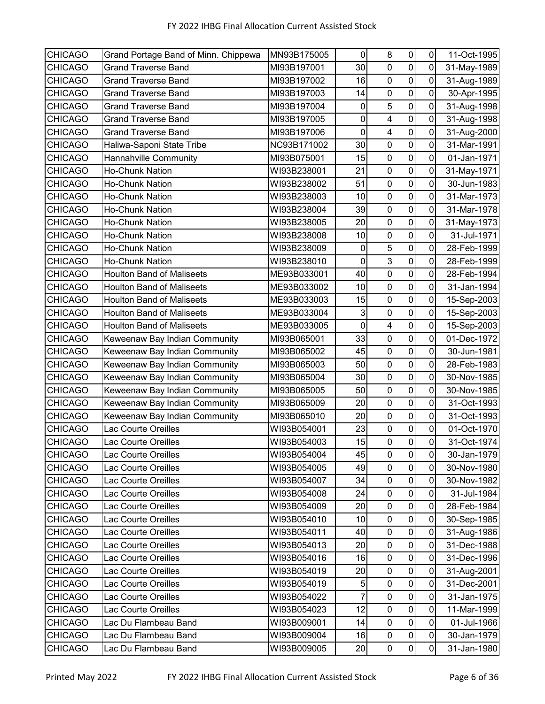| <b>CHICAGO</b> | Grand Portage Band of Minn. Chippewa | MN93B175005 | 0           | 8                       | $\pmb{0}$        | 0           | 11-Oct-1995 |
|----------------|--------------------------------------|-------------|-------------|-------------------------|------------------|-------------|-------------|
| <b>CHICAGO</b> | <b>Grand Traverse Band</b>           | MI93B197001 | 30          | $\mathbf 0$             | $\mathbf 0$      | 0           | 31-May-1989 |
| <b>CHICAGO</b> | <b>Grand Traverse Band</b>           | MI93B197002 | 16          | $\pmb{0}$               | $\mathbf 0$      | 0           | 31-Aug-1989 |
| <b>CHICAGO</b> | <b>Grand Traverse Band</b>           | MI93B197003 | 14          | $\mathbf 0$             | $\mathbf 0$      | 0           | 30-Apr-1995 |
| <b>CHICAGO</b> | <b>Grand Traverse Band</b>           | MI93B197004 | 0           | 5                       | $\mathbf 0$      | $\mathbf 0$ | 31-Aug-1998 |
| <b>CHICAGO</b> | <b>Grand Traverse Band</b>           | MI93B197005 | 0           | $\overline{\mathbf{4}}$ | $\mathbf 0$      | 0           | 31-Aug-1998 |
| <b>CHICAGO</b> | <b>Grand Traverse Band</b>           | MI93B197006 | 0           | $\overline{\mathbf{4}}$ | $\mathbf 0$      | 0           | 31-Aug-2000 |
| <b>CHICAGO</b> | Haliwa-Saponi State Tribe            | NC93B171002 | 30          | 0                       | $\mathbf 0$      | 0           | 31-Mar-1991 |
| <b>CHICAGO</b> | Hannahville Community                | MI93B075001 | 15          | $\mathbf 0$             | $\mathbf 0$      | $\mathbf 0$ | 01-Jan-1971 |
| <b>CHICAGO</b> | <b>Ho-Chunk Nation</b>               | WI93B238001 | 21          | $\mathbf 0$             | $\pmb{0}$        | $\mathbf 0$ | 31-May-1971 |
| <b>CHICAGO</b> | Ho-Chunk Nation                      | WI93B238002 | 51          | 0                       | $\mathbf 0$      | 0           | 30-Jun-1983 |
| <b>CHICAGO</b> | Ho-Chunk Nation                      | WI93B238003 | 10          | $\mathbf 0$             | $\overline{0}$   | 0           | 31-Mar-1973 |
| <b>CHICAGO</b> | <b>Ho-Chunk Nation</b>               | WI93B238004 | 39          | 0                       | $\mathbf 0$      | 0           | 31-Mar-1978 |
| <b>CHICAGO</b> | Ho-Chunk Nation                      | WI93B238005 | 20          | $\mathbf 0$             | $\mathbf 0$      | 0           | 31-May-1973 |
| <b>CHICAGO</b> | <b>Ho-Chunk Nation</b>               | WI93B238008 | 10          | $\mathbf 0$             | $\mathbf 0$      | 0           | 31-Jul-1971 |
| <b>CHICAGO</b> | Ho-Chunk Nation                      | WI93B238009 | $\pmb{0}$   | 5                       | $\mathbf 0$      | $\mathbf 0$ | 28-Feb-1999 |
| <b>CHICAGO</b> | <b>Ho-Chunk Nation</b>               | WI93B238010 | $\pmb{0}$   | 3                       | $\pmb{0}$        | $\mathbf 0$ | 28-Feb-1999 |
| <b>CHICAGO</b> | <b>Houlton Band of Maliseets</b>     | ME93B033001 | 40          | $\mathbf 0$             | $\overline{0}$   | 0           | 28-Feb-1994 |
| <b>CHICAGO</b> | <b>Houlton Band of Maliseets</b>     | ME93B033002 | 10          | $\pmb{0}$               | $\mathbf 0$      | 0           | 31-Jan-1994 |
| <b>CHICAGO</b> | <b>Houlton Band of Maliseets</b>     | ME93B033003 | 15          | $\mathbf 0$             | $\mathbf 0$      | 0           | 15-Sep-2003 |
| <b>CHICAGO</b> | <b>Houlton Band of Maliseets</b>     | ME93B033004 | 3           | $\mathbf 0$             | $\mathbf 0$      | $\mathbf 0$ | 15-Sep-2003 |
| <b>CHICAGO</b> | <b>Houlton Band of Maliseets</b>     | ME93B033005 | $\mathbf 0$ | $\overline{\mathbf{4}}$ | $\pmb{0}$        | 0           | 15-Sep-2003 |
| <b>CHICAGO</b> | Keweenaw Bay Indian Community        | MI93B065001 | 33          | $\mathbf 0$             | $\mathbf 0$      | 0           | 01-Dec-1972 |
| <b>CHICAGO</b> | Keweenaw Bay Indian Community        | MI93B065002 | 45          | $\mathbf 0$             | $\mathbf 0$      | $\mathbf 0$ | 30-Jun-1981 |
| <b>CHICAGO</b> | Keweenaw Bay Indian Community        | MI93B065003 | 50          | 0                       | $\mathbf 0$      | 0           | 28-Feb-1983 |
| <b>CHICAGO</b> | Keweenaw Bay Indian Community        | MI93B065004 | 30          | $\mathbf 0$             | $\mathbf 0$      | 0           | 30-Nov-1985 |
| <b>CHICAGO</b> | Keweenaw Bay Indian Community        | MI93B065005 | 50          | 0                       | $\mathbf 0$      | 0           | 30-Nov-1985 |
| <b>CHICAGO</b> | Keweenaw Bay Indian Community        | MI93B065009 | 20          | $\mathbf 0$             | $\mathbf 0$      | $\mathbf 0$ | 31-Oct-1993 |
| <b>CHICAGO</b> | Keweenaw Bay Indian Community        | MI93B065010 | 20          | $\pmb{0}$               | $\pmb{0}$        | $\mathbf 0$ | 31-Oct-1993 |
| <b>CHICAGO</b> | <b>Lac Courte Oreilles</b>           | WI93B054001 | 23          | 0                       | $\pmb{0}$        | $\mathbf 0$ | 01-Oct-1970 |
| <b>CHICAGO</b> | Lac Courte Oreilles                  | WI93B054003 | 15          | $\mathsf 0$             | $\mathbf 0$      | 0           | 31-Oct-1974 |
| <b>CHICAGO</b> | Lac Courte Oreilles                  | WI93B054004 | 45          | 0                       | $\pmb{0}$        | $\mathbf 0$ | 30-Jan-1979 |
| <b>CHICAGO</b> | Lac Courte Oreilles                  | WI93B054005 | 49          | $\mathbf 0$             | $\mathbf 0$      | 0           | 30-Nov-1980 |
| <b>CHICAGO</b> | Lac Courte Oreilles                  | WI93B054007 | 34          | 0                       | $\pmb{0}$        | 0           | 30-Nov-1982 |
| <b>CHICAGO</b> | Lac Courte Oreilles                  | WI93B054008 | 24          | $\pmb{0}$               | $\pmb{0}$        | 0           | 31-Jul-1984 |
| <b>CHICAGO</b> | Lac Courte Oreilles                  | WI93B054009 | 20          | $\pmb{0}$               | $\pmb{0}$        | $\pmb{0}$   | 28-Feb-1984 |
| <b>CHICAGO</b> | Lac Courte Oreilles                  | WI93B054010 | 10          | 0                       | $\pmb{0}$        | 0           | 30-Sep-1985 |
| <b>CHICAGO</b> | Lac Courte Oreilles                  | WI93B054011 | 40          | $\pmb{0}$               | $\pmb{0}$        | 0           | 31-Aug-1986 |
| <b>CHICAGO</b> | <b>Lac Courte Oreilles</b>           | WI93B054013 | 20          | 0                       | $\boldsymbol{0}$ | 0           | 31-Dec-1988 |
| <b>CHICAGO</b> | Lac Courte Oreilles                  | WI93B054016 | 16          | $\mathbf 0$             | $\mathbf 0$      | 0           | 31-Dec-1996 |
| <b>CHICAGO</b> | Lac Courte Oreilles                  | WI93B054019 | 20          | $\pmb{0}$               | 0                | $\pmb{0}$   | 31-Aug-2001 |
| <b>CHICAGO</b> | Lac Courte Oreilles                  | WI93B054019 | 5           | 0                       | $\pmb{0}$        | 0           | 31-Dec-2001 |
| <b>CHICAGO</b> | Lac Courte Oreilles                  | WI93B054022 | 7           | $\pmb{0}$               | $\pmb{0}$        | $\pmb{0}$   | 31-Jan-1975 |
| <b>CHICAGO</b> | Lac Courte Oreilles                  | WI93B054023 | 12          | 0                       | $\pmb{0}$        | 0           | 11-Mar-1999 |
| <b>CHICAGO</b> | Lac Du Flambeau Band                 | WI93B009001 | 14          | $\mathbf 0$             | $\pmb{0}$        | $\mathbf 0$ | 01-Jul-1966 |
| <b>CHICAGO</b> | Lac Du Flambeau Band                 | WI93B009004 | 16          | 0                       | $\pmb{0}$        | $\pmb{0}$   | 30-Jan-1979 |
| <b>CHICAGO</b> | Lac Du Flambeau Band                 | WI93B009005 | 20          | $\pmb{0}$               | $\pmb{0}$        | $\pmb{0}$   | 31-Jan-1980 |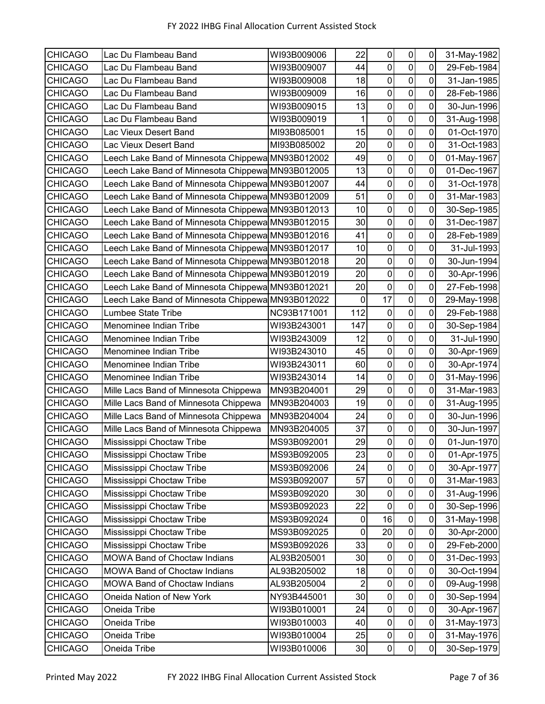| <b>CHICAGO</b> | Lac Du Flambeau Band                              | WI93B009006 | 22          | $\mathbf 0$      | $\pmb{0}$      | 0           | 31-May-1982 |
|----------------|---------------------------------------------------|-------------|-------------|------------------|----------------|-------------|-------------|
| <b>CHICAGO</b> | Lac Du Flambeau Band                              | WI93B009007 | 44          | $\mathbf 0$      | $\mathbf 0$    | 0           | 29-Feb-1984 |
| <b>CHICAGO</b> | Lac Du Flambeau Band                              | WI93B009008 | 18          | $\boldsymbol{0}$ | $\mathbf 0$    | $\mathbf 0$ | 31-Jan-1985 |
| <b>CHICAGO</b> | Lac Du Flambeau Band                              | WI93B009009 | 16          | $\mathbf 0$      | $\mathbf 0$    | 0           | 28-Feb-1986 |
| <b>CHICAGO</b> | Lac Du Flambeau Band                              | WI93B009015 | 13          | $\mathbf 0$      | $\mathbf 0$    | $\mathbf 0$ | 30-Jun-1996 |
| <b>CHICAGO</b> | Lac Du Flambeau Band                              | WI93B009019 |             | 0                | 0              | 0           | 31-Aug-1998 |
| <b>CHICAGO</b> | Lac Vieux Desert Band                             | MI93B085001 | 15          | 0                | $\mathbf 0$    | 0           | 01-Oct-1970 |
| <b>CHICAGO</b> | Lac Vieux Desert Band                             | MI93B085002 | 20          | $\boldsymbol{0}$ | $\mathbf 0$    | 0           | 31-Oct-1983 |
| <b>CHICAGO</b> | Leech Lake Band of Minnesota Chippewa MN93B012002 |             | 49          | $\mathbf 0$      | $\mathbf 0$    | $\mathbf 0$ | 01-May-1967 |
| <b>CHICAGO</b> | Leech Lake Band of Minnesota Chippewa MN93B012005 |             | 13          | $\boldsymbol{0}$ | $\mathbf 0$    | $\mathbf 0$ | 01-Dec-1967 |
| <b>CHICAGO</b> | Leech Lake Band of Minnesota Chippewa MN93B012007 |             | 44          | $\mathbf 0$      | $\mathbf 0$    | 0           | 31-Oct-1978 |
| <b>CHICAGO</b> | Leech Lake Band of Minnesota Chippewa MN93B012009 |             | 51          | $\boldsymbol{0}$ | $\pmb{0}$      | 0           | 31-Mar-1983 |
| <b>CHICAGO</b> | Leech Lake Band of Minnesota Chippewa MN93B012013 |             | 10          | 0                | 0              | 0           | 30-Sep-1985 |
| <b>CHICAGO</b> | Leech Lake Band of Minnesota Chippewa MN93B012015 |             | 30          | $\mathbf 0$      | $\mathbf 0$    | 0           | 31-Dec-1987 |
| <b>CHICAGO</b> | Leech Lake Band of Minnesota Chippewa MN93B012016 |             | 41          | $\boldsymbol{0}$ | $\mathbf 0$    | 0           | 28-Feb-1989 |
| <b>CHICAGO</b> | Leech Lake Band of Minnesota Chippewa MN93B012017 |             | 10          | $\mathbf 0$      | $\mathbf 0$    | 0           | 31-Jul-1993 |
| <b>CHICAGO</b> | Leech Lake Band of Minnesota Chippewa MN93B012018 |             | 20          | $\mathbf 0$      | $\overline{0}$ | $\mathbf 0$ | 30-Jun-1994 |
| <b>CHICAGO</b> | Leech Lake Band of Minnesota Chippewa MN93B012019 |             | 20          | $\pmb{0}$        | 0              | 0           | 30-Apr-1996 |
| <b>CHICAGO</b> | Leech Lake Band of Minnesota Chippewa MN93B012021 |             | 20          | $\pmb{0}$        | $\mathbf 0$    | 0           | 27-Feb-1998 |
| <b>CHICAGO</b> | Leech Lake Band of Minnesota Chippewa MN93B012022 |             | 0           | 17               | $\mathbf 0$    | 0           | 29-May-1998 |
| <b>CHICAGO</b> | Lumbee State Tribe                                | NC93B171001 | 112         | $\boldsymbol{0}$ | $\overline{0}$ | $\mathbf 0$ | 29-Feb-1988 |
| <b>CHICAGO</b> | Menominee Indian Tribe                            | WI93B243001 | 147         | $\pmb{0}$        | $\pmb{0}$      | $\pmb{0}$   | 30-Sep-1984 |
| <b>CHICAGO</b> | Menominee Indian Tribe                            | WI93B243009 | 12          | $\mathbf 0$      | $\mathbf 0$    | 0           | 31-Jul-1990 |
| <b>CHICAGO</b> | Menominee Indian Tribe                            | WI93B243010 | 45          | $\boldsymbol{0}$ | $\pmb{0}$      | 0           | 30-Apr-1969 |
| <b>CHICAGO</b> | Menominee Indian Tribe                            | WI93B243011 | 60          | 0                | 0              | 0           | 30-Apr-1974 |
| <b>CHICAGO</b> | Menominee Indian Tribe                            | WI93B243014 | 14          | 0                | $\mathbf 0$    | $\mathbf 0$ | 31-May-1996 |
| <b>CHICAGO</b> | Mille Lacs Band of Minnesota Chippewa             | MN93B204001 | 29          | $\mathbf 0$      | $\overline{0}$ | 0           | 31-Mar-1983 |
| <b>CHICAGO</b> | Mille Lacs Band of Minnesota Chippewa             | MN93B204003 | 19          | $\mathbf 0$      | $\mathbf 0$    | 0           | 31-Aug-1995 |
| <b>CHICAGO</b> | Mille Lacs Band of Minnesota Chippewa             | MN93B204004 | 24          | $\pmb{0}$        | $\pmb{0}$      | $\mathbf 0$ | 30-Jun-1996 |
| <b>CHICAGO</b> | Mille Lacs Band of Minnesota Chippewa             | MN93B204005 | 37          | $\pmb{0}$        | $\mathbf 0$    | $\mathbf 0$ | 30-Jun-1997 |
| <b>CHICAGO</b> | Mississippi Choctaw Tribe                         | MS93B092001 | 29          | $\pmb{0}$        | $\mathbf 0$    | $\mathbf 0$ | 01-Jun-1970 |
| <b>CHICAGO</b> | Mississippi Choctaw Tribe                         | MS93B092005 | 23          | $\boldsymbol{0}$ | $\pmb{0}$      | $\mathbf 0$ | 01-Apr-1975 |
| <b>CHICAGO</b> | Mississippi Choctaw Tribe                         | MS93B092006 | 24          | $\mathbf 0$      | $\pmb{0}$      | $\pmb{0}$   | 30-Apr-1977 |
| <b>CHICAGO</b> | Mississippi Choctaw Tribe                         | MS93B092007 | 57          | $\pmb{0}$        | $\pmb{0}$      | 0           | 31-Mar-1983 |
| <b>CHICAGO</b> | Mississippi Choctaw Tribe                         | MS93B092020 | 30          | $\pmb{0}$        | $\pmb{0}$      | 0           | 31-Aug-1996 |
| <b>CHICAGO</b> | Mississippi Choctaw Tribe                         | MS93B092023 | 22          | $\pmb{0}$        | $\mathbf 0$    | $\mathbf 0$ | 30-Sep-1996 |
| <b>CHICAGO</b> | Mississippi Choctaw Tribe                         | MS93B092024 | 0           | 16               | $\pmb{0}$      | 0           | 31-May-1998 |
| <b>CHICAGO</b> | Mississippi Choctaw Tribe                         | MS93B092025 | $\mathbf 0$ | 20               | $\pmb{0}$      | $\pmb{0}$   | 30-Apr-2000 |
| <b>CHICAGO</b> | Mississippi Choctaw Tribe                         | MS93B092026 | 33          | $\mathbf 0$      | $\pmb{0}$      | $\pmb{0}$   | 29-Feb-2000 |
| <b>CHICAGO</b> | <b>MOWA Band of Choctaw Indians</b>               | AL93B205001 | 30          | $\boldsymbol{0}$ | $\pmb{0}$      | 0           | 31-Dec-1993 |
| <b>CHICAGO</b> | <b>MOWA Band of Choctaw Indians</b>               | AL93B205002 | 18          | $\pmb{0}$        | $\pmb{0}$      | $\pmb{0}$   | 30-Oct-1994 |
| <b>CHICAGO</b> | MOWA Band of Choctaw Indians                      | AL93B205004 | 2           | 0                | $\pmb{0}$      | 0           | 09-Aug-1998 |
| <b>CHICAGO</b> | Oneida Nation of New York                         | NY93B445001 | 30          | $\pmb{0}$        | $\mathbf 0$    | $\pmb{0}$   | 30-Sep-1994 |
| <b>CHICAGO</b> | Oneida Tribe                                      | WI93B010001 | 24          | $\pmb{0}$        | $\pmb{0}$      | $\pmb{0}$   | 30-Apr-1967 |
| <b>CHICAGO</b> | Oneida Tribe                                      | WI93B010003 | 40          | $\mathbf 0$      | $\mathbf 0$    | $\mathbf 0$ | 31-May-1973 |
| <b>CHICAGO</b> | Oneida Tribe                                      | WI93B010004 | 25          | $\pmb{0}$        | $\pmb{0}$      | $\pmb{0}$   | 31-May-1976 |
| <b>CHICAGO</b> | Oneida Tribe                                      | WI93B010006 | 30          | $\pmb{0}$        | $\overline{0}$ | $\pmb{0}$   | 30-Sep-1979 |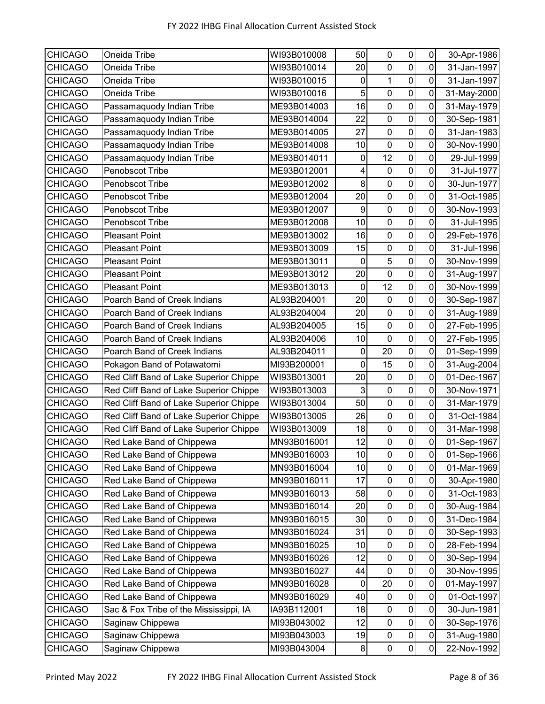| <b>CHICAGO</b> | Oneida Tribe                           | WI93B010008 | 50        | 0                | $\pmb{0}$               | $\overline{0}$ | 30-Apr-1986 |
|----------------|----------------------------------------|-------------|-----------|------------------|-------------------------|----------------|-------------|
| <b>CHICAGO</b> | Oneida Tribe                           | WI93B010014 | 20        | $\overline{0}$   | $\mathbf 0$             | $\overline{0}$ | 31-Jan-1997 |
| <b>CHICAGO</b> | Oneida Tribe                           | WI93B010015 | 0         | $\mathbf{1}$     | $\mathbf 0$             | $\mathbf 0$    | 31-Jan-1997 |
| <b>CHICAGO</b> | Oneida Tribe                           | WI93B010016 | 5         | $\mathbf 0$      | $\pmb{0}$               | 0              | 31-May-2000 |
| <b>CHICAGO</b> | Passamaquody Indian Tribe              | ME93B014003 | 16        | 0                | $\mathsf{O}\xspace$     | 0              | 31-May-1979 |
| <b>CHICAGO</b> | Passamaquody Indian Tribe              | ME93B014004 | 22        | $\mathbf 0$      | $\pmb{0}$               | 0              | 30-Sep-1981 |
| <b>CHICAGO</b> | Passamaquody Indian Tribe              | ME93B014005 | 27        | $\boldsymbol{0}$ | $\pmb{0}$               | $\mathbf 0$    | 31-Jan-1983 |
| <b>CHICAGO</b> | Passamaquody Indian Tribe              | ME93B014008 | 10        | $\mathbf 0$      | $\pmb{0}$               | 0              | 30-Nov-1990 |
| <b>CHICAGO</b> | Passamaquody Indian Tribe              | ME93B014011 | $\pmb{0}$ | 12               | $\mathbf 0$             | $\overline{0}$ | 29-Jul-1999 |
| <b>CHICAGO</b> | Penobscot Tribe                        | ME93B012001 | 4         | $\pmb{0}$        | $\pmb{0}$               | $\mathbf 0$    | 31-Jul-1977 |
| <b>CHICAGO</b> | Penobscot Tribe                        | ME93B012002 | 8         | $\mathbf 0$      | $\mathbf 0$             | $\mathbf 0$    | 30-Jun-1977 |
| <b>CHICAGO</b> | Penobscot Tribe                        | ME93B012004 | 20        | $\mathbf 0$      | $\overline{\mathsf{o}}$ | $\mathbf 0$    | 31-Oct-1985 |
| <b>CHICAGO</b> | Penobscot Tribe                        | ME93B012007 | 9         | $\mathbf 0$      | $\pmb{0}$               | 0              | 30-Nov-1993 |
| <b>CHICAGO</b> | Penobscot Tribe                        | ME93B012008 | 10        | $\boldsymbol{0}$ | $\pmb{0}$               | $\mathbf 0$    | 31-Jul-1995 |
| <b>CHICAGO</b> | <b>Pleasant Point</b>                  | ME93B013002 | 16        | $\mathbf 0$      | $\mathbf 0$             | $\overline{0}$ | 29-Feb-1976 |
| <b>CHICAGO</b> | <b>Pleasant Point</b>                  | ME93B013009 | 15        | $\boldsymbol{0}$ | $\pmb{0}$               | $\mathbf 0$    | 31-Jul-1996 |
| <b>CHICAGO</b> | <b>Pleasant Point</b>                  | ME93B013011 | $\pmb{0}$ | $\overline{5}$   | $\overline{0}$          | $\mathbf 0$    | 30-Nov-1999 |
| <b>CHICAGO</b> | <b>Pleasant Point</b>                  | ME93B013012 | 20        | $\mathbf 0$      | $\pmb{0}$               | 0              | 31-Aug-1997 |
| <b>CHICAGO</b> | <b>Pleasant Point</b>                  | ME93B013013 | 0         | 12               | $\mathbf 0$             | $\mathbf 0$    | 30-Nov-1999 |
| <b>CHICAGO</b> | Poarch Band of Creek Indians           | AL93B204001 | 20        | $\pmb{0}$        | $\pmb{0}$               | 0              | 30-Sep-1987 |
| <b>CHICAGO</b> | Poarch Band of Creek Indians           | AL93B204004 | 20        | $\overline{0}$   | $\overline{0}$          | $\overline{0}$ | 31-Aug-1989 |
| <b>CHICAGO</b> | Poarch Band of Creek Indians           | AL93B204005 | 15        | $\pmb{0}$        | $\overline{\mathsf{o}}$ | $\mathbf 0$    | 27-Feb-1995 |
| <b>CHICAGO</b> | Poarch Band of Creek Indians           | AL93B204006 | 10        | $\mathbf 0$      | $\pmb{0}$               | 0              | 27-Feb-1995 |
| <b>CHICAGO</b> | Poarch Band of Creek Indians           | AL93B204011 | 0         | 20               | $\overline{\mathsf{o}}$ | $\mathbf 0$    | 01-Sep-1999 |
| <b>CHICAGO</b> | Pokagon Band of Potawatomi             | MI93B200001 | 0         | 15               | $\mathbf 0$             | 0              | 31-Aug-2004 |
| <b>CHICAGO</b> | Red Cliff Band of Lake Superior Chippe | WI93B013001 | 20        | $\boldsymbol{0}$ | $\pmb{0}$               | 0              | 01-Dec-1967 |
| <b>CHICAGO</b> | Red Cliff Band of Lake Superior Chippe | WI93B013003 | 3         | $\boldsymbol{0}$ | $\mathbf 0$             | 0              | 30-Nov-1971 |
| <b>CHICAGO</b> | Red Cliff Band of Lake Superior Chippe | WI93B013004 | 50        | $\mathbf 0$      | $\overline{0}$          | 0              | 31-Mar-1979 |
| <b>CHICAGO</b> | Red Cliff Band of Lake Superior Chippe | WI93B013005 | 26        | $\pmb{0}$        | $\overline{0}$          | $\overline{0}$ | 31-Oct-1984 |
| <b>CHICAGO</b> | Red Cliff Band of Lake Superior Chippe | WI93B013009 | 18        | $\pmb{0}$        | $\mathbf 0$             | $\overline{0}$ | 31-Mar-1998 |
| <b>CHICAGO</b> | Red Lake Band of Chippewa              | MN93B016001 | 12        | $\pmb{0}$        | $\overline{0}$          | $\overline{0}$ | 01-Sep-1967 |
| <b>CHICAGO</b> | Red Lake Band of Chippewa              | MN93B016003 | 10        | 0                | $\pmb{0}$               | 0              | 01-Sep-1966 |
| <b>CHICAGO</b> | Red Lake Band of Chippewa              | MN93B016004 | 10        | $\pmb{0}$        | $\mathbf 0$             | $\mathbf 0$    | 01-Mar-1969 |
| <b>CHICAGO</b> | Red Lake Band of Chippewa              | MN93B016011 | 17        | $\pmb{0}$        | $\pmb{0}$               | $\pmb{0}$      | 30-Apr-1980 |
| <b>CHICAGO</b> | Red Lake Band of Chippewa              | MN93B016013 | 58        | $\pmb{0}$        | $\pmb{0}$               | $\mathbf 0$    | 31-Oct-1983 |
| <b>CHICAGO</b> | Red Lake Band of Chippewa              | MN93B016014 | 20        | $\pmb{0}$        | $\pmb{0}$               | 0              | 30-Aug-1984 |
| <b>CHICAGO</b> | Red Lake Band of Chippewa              | MN93B016015 | 30        | $\pmb{0}$        | $\pmb{0}$               | 0              | 31-Dec-1984 |
| <b>CHICAGO</b> | Red Lake Band of Chippewa              | MN93B016024 | 31        | $\pmb{0}$        | $\pmb{0}$               | 0              | 30-Sep-1993 |
| <b>CHICAGO</b> | Red Lake Band of Chippewa              | MN93B016025 | 10        | $\pmb{0}$        | $\pmb{0}$               | 0              | 28-Feb-1994 |
| <b>CHICAGO</b> | Red Lake Band of Chippewa              | MN93B016026 | 12        | $\mathbf 0$      | $\pmb{0}$               | $\mathbf 0$    | 30-Sep-1994 |
| <b>CHICAGO</b> | Red Lake Band of Chippewa              | MN93B016027 | 44        | $\pmb{0}$        | $\pmb{0}$               | $\pmb{0}$      | 30-Nov-1995 |
| <b>CHICAGO</b> | Red Lake Band of Chippewa              | MN93B016028 | 0         | 20               | $\pmb{0}$               | 0              | 01-May-1997 |
| <b>CHICAGO</b> | Red Lake Band of Chippewa              | MN93B016029 | 40        | $\pmb{0}$        | $\pmb{0}$               | $\mathbf 0$    | 01-Oct-1997 |
| <b>CHICAGO</b> | Sac & Fox Tribe of the Mississippi, IA | IA93B112001 | 18        | $\pmb{0}$        | $\mathsf 0$             | 0              | 30-Jun-1981 |
| <b>CHICAGO</b> | Saginaw Chippewa                       | MI93B043002 | 12        | $\pmb{0}$        | $\pmb{0}$               | $\mathbf 0$    | 30-Sep-1976 |
| <b>CHICAGO</b> | Saginaw Chippewa                       | MI93B043003 | 19        | $\pmb{0}$        | $\mathbf 0$             | $\pmb{0}$      | 31-Aug-1980 |
| <b>CHICAGO</b> | Saginaw Chippewa                       | MI93B043004 | $\bf 8$   | $\pmb{0}$        | $\overline{0}$          | $\overline{0}$ | 22-Nov-1992 |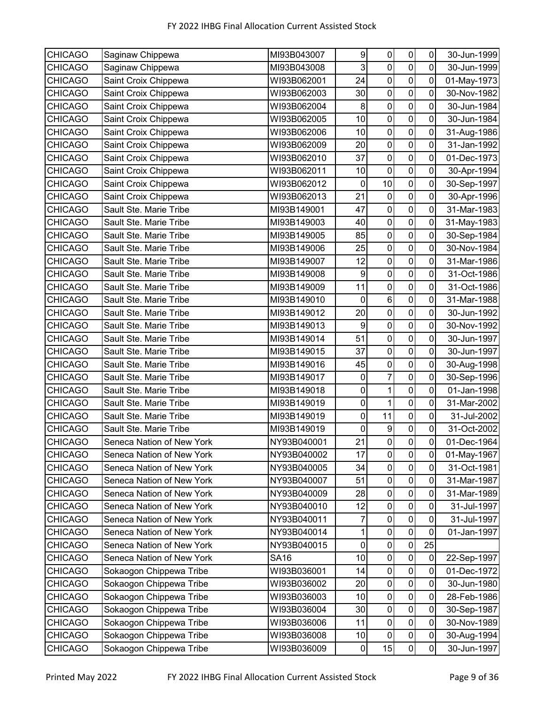| <b>CHICAGO</b> | Saginaw Chippewa          | MI93B043007 | 9              | 0                | $\pmb{0}$        | 0           | 30-Jun-1999 |
|----------------|---------------------------|-------------|----------------|------------------|------------------|-------------|-------------|
| <b>CHICAGO</b> | Saginaw Chippewa          | MI93B043008 | 3              | $\mathbf 0$      | $\mathbf 0$      | 0           | 30-Jun-1999 |
| <b>CHICAGO</b> | Saint Croix Chippewa      | WI93B062001 | 24             | $\pmb{0}$        | $\pmb{0}$        | 0           | 01-May-1973 |
| <b>CHICAGO</b> | Saint Croix Chippewa      | WI93B062003 | 30             | $\mathbf 0$      | $\mathbf 0$      | 0           | 30-Nov-1982 |
| CHICAGO        | Saint Croix Chippewa      | WI93B062004 | 8              | $\pmb{0}$        | $\pmb{0}$        | $\mathbf 0$ | 30-Jun-1984 |
| <b>CHICAGO</b> | Saint Croix Chippewa      | WI93B062005 | 10             | $\mathbf 0$      | $\mathbf 0$      | 0           | 30-Jun-1984 |
| <b>CHICAGO</b> | Saint Croix Chippewa      | WI93B062006 | 10             | $\boldsymbol{0}$ | $\mathbf 0$      | 0           | 31-Aug-1986 |
| <b>CHICAGO</b> | Saint Croix Chippewa      | WI93B062009 | 20             | 0                | $\mathbf 0$      | 0           | 31-Jan-1992 |
| <b>CHICAGO</b> | Saint Croix Chippewa      | WI93B062010 | 37             | $\mathbf 0$      | $\mathbf 0$      | 0           | 01-Dec-1973 |
| <b>CHICAGO</b> | Saint Croix Chippewa      | WI93B062011 | 10             | $\mathbf 0$      | $\pmb{0}$        | $\mathbf 0$ | 30-Apr-1994 |
| <b>CHICAGO</b> | Saint Croix Chippewa      | WI93B062012 | 0              | 10               | $\mathbf 0$      | 0           | 30-Sep-1997 |
| <b>CHICAGO</b> | Saint Croix Chippewa      | WI93B062013 | 21             | $\mathbf 0$      | $\overline{0}$   | 0           | 30-Apr-1996 |
| <b>CHICAGO</b> | Sault Ste. Marie Tribe    | MI93B149001 | 47             | $\mathbf 0$      | $\mathbf 0$      | 0           | 31-Mar-1983 |
| <b>CHICAGO</b> | Sault Ste. Marie Tribe    | MI93B149003 | 40             | $\mathbf 0$      | $\mathbf 0$      | 0           | 31-May-1983 |
| <b>CHICAGO</b> | Sault Ste. Marie Tribe    | MI93B149005 | 85             | $\mathbf 0$      | $\mathbf 0$      | 0           | 30-Sep-1984 |
| <b>CHICAGO</b> | Sault Ste. Marie Tribe    | MI93B149006 | 25             | $\mathbf 0$      | $\mathbf 0$      | $\mathbf 0$ | 30-Nov-1984 |
| <b>CHICAGO</b> | Sault Ste. Marie Tribe    | MI93B149007 | 12             | 0                | $\pmb{0}$        | 0           | 31-Mar-1986 |
| <b>CHICAGO</b> | Sault Ste. Marie Tribe    | MI93B149008 | 9              | $\mathbf 0$      | $\overline{0}$   | 0           | 31-Oct-1986 |
| <b>CHICAGO</b> | Sault Ste. Marie Tribe    | MI93B149009 | 11             | $\pmb{0}$        | $\mathbf 0$      | 0           | 31-Oct-1986 |
| <b>CHICAGO</b> | Sault Ste. Marie Tribe    | MI93B149010 | 0              | $\,6$            | $\mathbf 0$      | 0           | 31-Mar-1988 |
| <b>CHICAGO</b> | Sault Ste. Marie Tribe    | MI93B149012 | 20             | $\mathbf 0$      | $\mathbf 0$      | 0           | 30-Jun-1992 |
| <b>CHICAGO</b> | Sault Ste. Marie Tribe    | MI93B149013 | 9              | $\mathbf 0$      | $\mathbf 0$      | 0           | 30-Nov-1992 |
| <b>CHICAGO</b> | Sault Ste. Marie Tribe    | MI93B149014 | 51             | $\mathbf 0$      | $\mathbf 0$      | 0           | 30-Jun-1997 |
| <b>CHICAGO</b> | Sault Ste. Marie Tribe    | MI93B149015 | 37             | $\mathbf 0$      | $\mathbf 0$      | $\mathbf 0$ | 30-Jun-1997 |
| <b>CHICAGO</b> | Sault Ste. Marie Tribe    | MI93B149016 | 45             | 0                | $\mathbf 0$      | 0           | 30-Aug-1998 |
| <b>CHICAGO</b> | Sault Ste. Marie Tribe    | MI93B149017 | 0              | $\overline{7}$   | $\mathbf 0$      | 0           | 30-Sep-1996 |
| <b>CHICAGO</b> | Sault Ste. Marie Tribe    | MI93B149018 | 0              | 1                | $\mathbf 0$      | 0           | 01-Jan-1998 |
| <b>CHICAGO</b> | Sault Ste. Marie Tribe    | MI93B149019 | $\pmb{0}$      | $\mathbf 1$      | $\mathbf 0$      | $\mathbf 0$ | 31-Mar-2002 |
| <b>CHICAGO</b> | Sault Ste. Marie Tribe    | MI93B149019 | $\pmb{0}$      | 11               | $\pmb{0}$        | $\mathbf 0$ | 31-Jul-2002 |
| <b>CHICAGO</b> | Sault Ste. Marie Tribe    | MI93B149019 | 0              | $\boldsymbol{9}$ | $\mathbf 0$      | $\mathbf 0$ | 31-Oct-2002 |
| <b>CHICAGO</b> | Seneca Nation of New York | NY93B040001 | 21             | $\mathsf 0$      | $\mathbf 0$      | 0           | 01-Dec-1964 |
| <b>CHICAGO</b> | Seneca Nation of New York | NY93B040002 | 17             | 0                | $\pmb{0}$        | 0           | 01-May-1967 |
| <b>CHICAGO</b> | Seneca Nation of New York | NY93B040005 | 34             | $\mathbf 0$      | $\mathbf 0$      | 0           | 31-Oct-1981 |
| <b>CHICAGO</b> | Seneca Nation of New York | NY93B040007 | 51             | 0                | $\pmb{0}$        | 0           | 31-Mar-1987 |
| <b>CHICAGO</b> | Seneca Nation of New York | NY93B040009 | 28             | $\pmb{0}$        | $\pmb{0}$        | 0           | 31-Mar-1989 |
| <b>CHICAGO</b> | Seneca Nation of New York | NY93B040010 | 12             | $\pmb{0}$        | $\pmb{0}$        | 0           | 31-Jul-1997 |
| <b>CHICAGO</b> | Seneca Nation of New York | NY93B040011 | 7              | 0                | $\pmb{0}$        | 0           | 31-Jul-1997 |
| <b>CHICAGO</b> | Seneca Nation of New York | NY93B040014 | 1              | $\pmb{0}$        | $\mathbf 0$      | 0           | 01-Jan-1997 |
| <b>CHICAGO</b> | Seneca Nation of New York | NY93B040015 | 0              | 0                | $\boldsymbol{0}$ | 25          |             |
| <b>CHICAGO</b> | Seneca Nation of New York | <b>SA16</b> | 10             | $\mathbf 0$      | $\pmb{0}$        | $\pmb{0}$   | 22-Sep-1997 |
| <b>CHICAGO</b> | Sokaogon Chippewa Tribe   | WI93B036001 | 14             | $\pmb{0}$        | $\pmb{0}$        | $\pmb{0}$   | 01-Dec-1972 |
| <b>CHICAGO</b> | Sokaogon Chippewa Tribe   | WI93B036002 | 20             | $\mathbf 0$      | $\pmb{0}$        | 0           | 30-Jun-1980 |
| <b>CHICAGO</b> | Sokaogon Chippewa Tribe   | WI93B036003 | 10             | $\pmb{0}$        | $\mathbf 0$      | $\pmb{0}$   | 28-Feb-1986 |
| <b>CHICAGO</b> | Sokaogon Chippewa Tribe   | WI93B036004 | 30             | $\pmb{0}$        | $\pmb{0}$        | 0           | 30-Sep-1987 |
| <b>CHICAGO</b> | Sokaogon Chippewa Tribe   | WI93B036006 | 11             | $\mathbf 0$      | $\pmb{0}$        | 0           | 30-Nov-1989 |
| <b>CHICAGO</b> | Sokaogon Chippewa Tribe   | WI93B036008 | 10             | 0                | $\pmb{0}$        | 0           | 30-Aug-1994 |
| <b>CHICAGO</b> | Sokaogon Chippewa Tribe   | WI93B036009 | $\overline{0}$ | 15               | $\pmb{0}$        | $\mathbf 0$ | 30-Jun-1997 |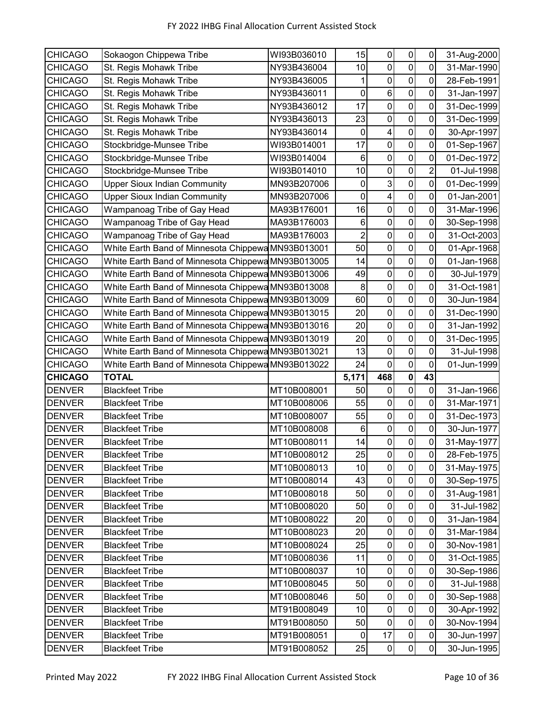| <b>CHICAGO</b> | Sokaogon Chippewa Tribe                            | WI93B036010 | 15             | $\pmb{0}$               | $\pmb{0}$        | 0              | 31-Aug-2000                |
|----------------|----------------------------------------------------|-------------|----------------|-------------------------|------------------|----------------|----------------------------|
| <b>CHICAGO</b> | St. Regis Mohawk Tribe                             | NY93B436004 | 10             | $\mathbf 0$             | $\mathbf 0$      | 0              | 31-Mar-1990                |
| <b>CHICAGO</b> | St. Regis Mohawk Tribe                             | NY93B436005 | 1              | $\pmb{0}$               | $\mathbf 0$      | 0              | 28-Feb-1991                |
| <b>CHICAGO</b> | St. Regis Mohawk Tribe                             | NY93B436011 | $\pmb{0}$      | $\,6$                   | $\mathbf 0$      | 0              | 31-Jan-1997                |
| <b>CHICAGO</b> | St. Regis Mohawk Tribe                             | NY93B436012 | 17             | $\pmb{0}$               | $\pmb{0}$        | $\mathbf 0$    | 31-Dec-1999                |
| <b>CHICAGO</b> | St. Regis Mohawk Tribe                             | NY93B436013 | 23             | 0                       | $\mathbf 0$      | 0              | 31-Dec-1999                |
| <b>CHICAGO</b> | St. Regis Mohawk Tribe                             | NY93B436014 | $\mathbf 0$    | $\overline{\mathbf{4}}$ | $\mathbf 0$      | 0              | 30-Apr-1997                |
| <b>CHICAGO</b> | Stockbridge-Munsee Tribe                           | WI93B014001 | 17             | 0                       | 0                | 0              | 01-Sep-1967                |
| <b>CHICAGO</b> | Stockbridge-Munsee Tribe                           | WI93B014004 | $\,6\,$        | $\mathbf 0$             | $\mathbf 0$      | $\mathbf 0$    | 01-Dec-1972                |
| <b>CHICAGO</b> | Stockbridge-Munsee Tribe                           | WI93B014010 | 10             | $\boldsymbol{0}$        | $\pmb{0}$        | $\overline{2}$ | 01-Jul-1998                |
| <b>CHICAGO</b> | <b>Upper Sioux Indian Community</b>                | MN93B207006 | $\pmb{0}$      | $\mathbf{3}$            | $\mathbf 0$      | 0              | 01-Dec-1999                |
| <b>CHICAGO</b> | <b>Upper Sioux Indian Community</b>                | MN93B207006 | $\pmb{0}$      | $\overline{\mathbf{4}}$ | $\overline{0}$   | $\mathbf 0$    | 01-Jan-2001                |
| <b>CHICAGO</b> | Wampanoag Tribe of Gay Head                        | MA93B176001 | 16             | $\mathbf 0$             | $\mathbf 0$      | 0              | 31-Mar-1996                |
| <b>CHICAGO</b> | Wampanoag Tribe of Gay Head                        | MA93B176003 | 6              | 0                       | $\mathbf 0$      | 0              | 30-Sep-1998                |
| <b>CHICAGO</b> | Wampanoag Tribe of Gay Head                        | MA93B176003 | $\overline{2}$ | $\mathbf 0$             | $\mathbf 0$      | 0              | 31-Oct-2003                |
| <b>CHICAGO</b> | White Earth Band of Minnesota Chippewa MN93B013001 |             | 50             | $\mathbf 0$             | $\mathbf 0$      | $\mathbf 0$    | 01-Apr-1968                |
| <b>CHICAGO</b> | White Earth Band of Minnesota Chippewa MN93B013005 |             | 14             | $\pmb{0}$               | $\pmb{0}$        | $\pmb{0}$      | 01-Jan-1968                |
| <b>CHICAGO</b> | White Earth Band of Minnesota Chippewa MN93B013006 |             | 49             | $\mathbf 0$             | $\mathbf 0$      | 0              | 30-Jul-1979                |
| <b>CHICAGO</b> | White Earth Band of Minnesota Chippewa MN93B013008 |             | 8              | $\pmb{0}$               | $\pmb{0}$        | 0              | 31-Oct-1981                |
| <b>CHICAGO</b> | White Earth Band of Minnesota Chippewa MN93B013009 |             | 60             | $\pmb{0}$               | 0                | 0              | 30-Jun-1984                |
| <b>CHICAGO</b> | White Earth Band of Minnesota Chippewa MN93B013015 |             | 20             | $\mathbf 0$             | $\mathbf 0$      | $\mathbf 0$    | 31-Dec-1990                |
| <b>CHICAGO</b> | White Earth Band of Minnesota Chippewa MN93B013016 |             | 20             | $\pmb{0}$               | $\mathbf 0$      | 0              | 31-Jan-1992                |
| <b>CHICAGO</b> | White Earth Band of Minnesota Chippewa MN93B013019 |             | 20             | $\pmb{0}$               | $\mathbf 0$      | 0              | 31-Dec-1995                |
|                |                                                    |             |                |                         | $\mathbf 0$      |                |                            |
| <b>CHICAGO</b> | White Earth Band of Minnesota Chippewa MN93B013021 |             | 13             | $\mathbf 0$             |                  | 0              | 31-Jul-1998                |
| <b>CHICAGO</b> | White Earth Band of Minnesota Chippewa MN93B013022 |             | 24             | $\pmb{0}$               | $\mathbf 0$      | $\mathbf 0$    | 01-Jun-1999                |
| <b>CHICAGO</b> | <b>TOTAL</b>                                       |             | 5,171          | 468                     | $\pmb{0}$        | 43             |                            |
| <b>DENVER</b>  | <b>Blackfeet Tribe</b>                             | MT10B008001 | 50             | $\pmb{0}$               | $\mathbf 0$      | 0              | 31-Jan-1966                |
| <b>DENVER</b>  | <b>Blackfeet Tribe</b>                             | MT10B008006 | 55             | $\pmb{0}$               | $\mathbf 0$      | 0              | 31-Mar-1971                |
| <b>DENVER</b>  | <b>Blackfeet Tribe</b>                             | MT10B008007 | 55             | $\pmb{0}$               | $\pmb{0}$        | $\mathbf 0$    | 31-Dec-1973                |
| <b>DENVER</b>  | <b>Blackfeet Tribe</b>                             | MT10B008008 | 6              | 0                       | $\pmb{0}$        | 0              | 30-Jun-1977                |
| <b>DENVER</b>  | <b>Blackfeet Tribe</b>                             | MT10B008011 | 14             | $\pmb{0}$               | $\mathbf 0$      | $\mathbf 0$    |                            |
| <b>DENVER</b>  | <b>Blackfeet Tribe</b>                             | MT10B008012 | 25             | $\boldsymbol{0}$        | $\pmb{0}$        | $\mathbf 0$    | 28-Feb-1975                |
| <b>DENVER</b>  | <b>Blackfeet Tribe</b>                             | MT10B008013 | 10             | $\mathbf 0$             | $\pmb{0}$        | 0              | 31-May-1975                |
| <b>DENVER</b>  | <b>Blackfeet Tribe</b>                             | MT10B008014 | 43             | $\boldsymbol{0}$        | $\pmb{0}$        | $\mathsf 0$    | 31-May-1977<br>30-Sep-1975 |
| <b>DENVER</b>  | <b>Blackfeet Tribe</b>                             | MT10B008018 | 50             | $\boldsymbol{0}$        | $\pmb{0}$        | $\mathbf 0$    | 31-Aug-1981                |
| <b>DENVER</b>  | <b>Blackfeet Tribe</b>                             | MT10B008020 | 50             | $\pmb{0}$               | $\pmb{0}$        | $\pmb{0}$      | 31-Jul-1982                |
| <b>DENVER</b>  | <b>Blackfeet Tribe</b>                             | MT10B008022 | 20             | $\boldsymbol{0}$        | $\pmb{0}$        | $\pmb{0}$      | 31-Jan-1984                |
| <b>DENVER</b>  | <b>Blackfeet Tribe</b>                             | MT10B008023 | 20             | $\pmb{0}$               | $\pmb{0}$        | $\pmb{0}$      | 31-Mar-1984                |
| <b>DENVER</b>  | <b>Blackfeet Tribe</b>                             | MT10B008024 | 25             | $\pmb{0}$               | $\boldsymbol{0}$ | 0              | 30-Nov-1981                |
| <b>DENVER</b>  | <b>Blackfeet Tribe</b>                             | MT10B008036 | 11             | $\mathbf 0$             | $\pmb{0}$        | $\mathbf 0$    | 31-Oct-1985                |
| <b>DENVER</b>  | <b>Blackfeet Tribe</b>                             | MT10B008037 | 10             | $\pmb{0}$               | $\pmb{0}$        | $\pmb{0}$      | 30-Sep-1986                |
| <b>DENVER</b>  | <b>Blackfeet Tribe</b>                             | MT10B008045 | 50             | $\pmb{0}$               | $\pmb{0}$        | $\mathbf 0$    | 31-Jul-1988                |
| <b>DENVER</b>  | <b>Blackfeet Tribe</b>                             | MT10B008046 | 50             | $\pmb{0}$               | $\pmb{0}$        | $\mathsf 0$    | 30-Sep-1988                |
| <b>DENVER</b>  | <b>Blackfeet Tribe</b>                             | MT91B008049 | 10             | $\boldsymbol{0}$        | $\pmb{0}$        | $\pmb{0}$      | 30-Apr-1992                |
| <b>DENVER</b>  | <b>Blackfeet Tribe</b>                             | MT91B008050 | 50             | $\mathbf 0$             | $\pmb{0}$        | $\mathbf 0$    | 30-Nov-1994                |
| <b>DENVER</b>  | <b>Blackfeet Tribe</b>                             | MT91B008051 | 0              | 17                      | $\pmb{0}$        | $\pmb{0}$      | 30-Jun-1997                |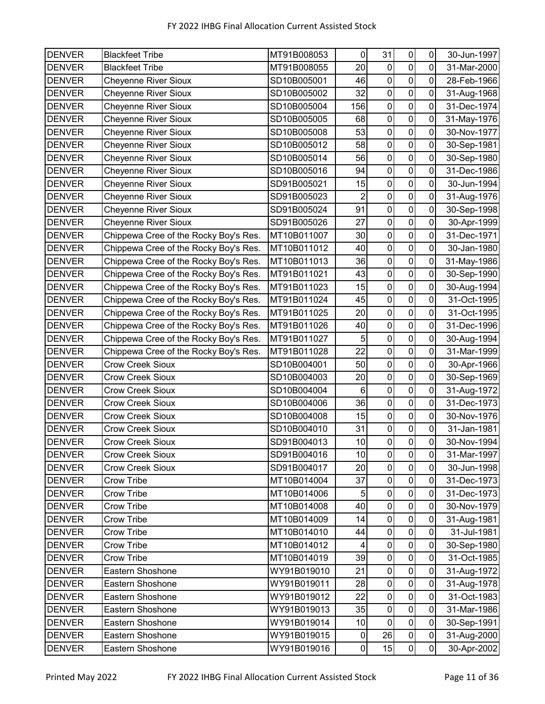| <b>DENVER</b> | <b>Blackfeet Tribe</b>                | MT91B008053 | 0              | 31               | $\pmb{0}$           | 0              | 30-Jun-1997 |
|---------------|---------------------------------------|-------------|----------------|------------------|---------------------|----------------|-------------|
| <b>DENVER</b> | <b>Blackfeet Tribe</b>                | MT91B008055 | 20             | 0                | $\pmb{0}$           | 0              | 31-Mar-2000 |
| <b>DENVER</b> | <b>Cheyenne River Sioux</b>           | SD10B005001 | 46             | $\mathbf 0$      | $\pmb{0}$           | 0              | 28-Feb-1966 |
| <b>DENVER</b> | <b>Cheyenne River Sioux</b>           | SD10B005002 | 32             | $\boldsymbol{0}$ | $\pmb{0}$           | 0              | 31-Aug-1968 |
| <b>DENVER</b> | <b>Cheyenne River Sioux</b>           | SD10B005004 | 156            | $\pmb{0}$        | $\pmb{0}$           | $\mathbf 0$    | 31-Dec-1974 |
| <b>DENVER</b> | <b>Cheyenne River Sioux</b>           | SD10B005005 | 68             | $\mathbf 0$      | $\pmb{0}$           | $\mathbf 0$    | 31-May-1976 |
| <b>DENVER</b> | <b>Cheyenne River Sioux</b>           | SD10B005008 | 53             | $\pmb{0}$        | $\mathbf 0$         | 0              | 30-Nov-1977 |
| <b>DENVER</b> | <b>Cheyenne River Sioux</b>           | SD10B005012 | 58             | $\mathbf 0$      | $\mathsf{O}\xspace$ | 0              | 30-Sep-1981 |
| <b>DENVER</b> | <b>Cheyenne River Sioux</b>           | SD10B005014 | 56             | $\pmb{0}$        | $\pmb{0}$           | 0              | 30-Sep-1980 |
| <b>DENVER</b> | <b>Cheyenne River Sioux</b>           | SD10B005016 | 94             | $\boldsymbol{0}$ | $\pmb{0}$           | 0              | 31-Dec-1986 |
| <b>DENVER</b> | <b>Cheyenne River Sioux</b>           | SD91B005021 | 15             | $\pmb{0}$        | $\pmb{0}$           | 0              | 30-Jun-1994 |
| <b>DENVER</b> | <b>Cheyenne River Sioux</b>           | SD91B005023 | 2              | $\pmb{0}$        | $\mathsf{O}\xspace$ | 0              | 31-Aug-1976 |
| <b>DENVER</b> | Cheyenne River Sioux                  | SD91B005024 | 91             | $\pmb{0}$        | $\mathsf{O}\xspace$ | 0              | 30-Sep-1998 |
| <b>DENVER</b> | <b>Cheyenne River Sioux</b>           | SD91B005026 | 27             | $\pmb{0}$        | $\pmb{0}$           | $\mathbf 0$    | 30-Apr-1999 |
| <b>DENVER</b> | Chippewa Cree of the Rocky Boy's Res. | MT10B011007 | 30             | $\mathbf 0$      | $\pmb{0}$           | 0              | 31-Dec-1971 |
| <b>DENVER</b> | Chippewa Cree of the Rocky Boy's Res. | MT10B011012 | 40             | $\mathbf 0$      | $\mathbf 0$         | $\overline{0}$ | 30-Jan-1980 |
| <b>DENVER</b> | Chippewa Cree of the Rocky Boy's Res. | MT10B011013 | 36             | $\pmb{0}$        | $\mathbf 0$         | $\mathbf 0$    | 31-May-1986 |
| <b>DENVER</b> | Chippewa Cree of the Rocky Boy's Res. | MT91B011021 | 43             | $\mathbf 0$      | $\pmb{0}$           | $\mathbf 0$    | 30-Sep-1990 |
| <b>DENVER</b> | Chippewa Cree of the Rocky Boy's Res. | MT91B011023 | 15             | $\pmb{0}$        | $\mathbf 0$         | $\mathbf 0$    | 30-Aug-1994 |
| <b>DENVER</b> | Chippewa Cree of the Rocky Boy's Res. | MT91B011024 | 45             | $\mathbf 0$      | $\pmb{0}$           | 0              | 31-Oct-1995 |
| <b>DENVER</b> | Chippewa Cree of the Rocky Boy's Res. | MT91B011025 | 20             | $\mathbf 0$      | $\pmb{0}$           | 0              | 31-Oct-1995 |
| <b>DENVER</b> | Chippewa Cree of the Rocky Boy's Res. | MT91B011026 | 40             | $\pmb{0}$        | $\pmb{0}$           | 0              | 31-Dec-1996 |
| <b>DENVER</b> | Chippewa Cree of the Rocky Boy's Res. | MT91B011027 | 5              | $\boldsymbol{0}$ | $\mathbf 0$         | 0              | 30-Aug-1994 |
| <b>DENVER</b> | Chippewa Cree of the Rocky Boy's Res. | MT91B011028 | 22             | $\pmb{0}$        | $\pmb{0}$           | $\mathbf 0$    | 31-Mar-1999 |
| <b>DENVER</b> | <b>Crow Creek Sioux</b>               | SD10B004001 | 50             | $\mathbf 0$      | $\pmb{0}$           | 0              | 30-Apr-1966 |
| <b>DENVER</b> | <b>Crow Creek Sioux</b>               | SD10B004003 | 20             | $\pmb{0}$        | $\mathbf 0$         | 0              | 30-Sep-1969 |
| <b>DENVER</b> | <b>Crow Creek Sioux</b>               | SD10B004004 | 6              | $\mathbf 0$      | $\pmb{0}$           | 0              | 31-Aug-1972 |
| <b>DENVER</b> | <b>Crow Creek Sioux</b>               | SD10B004006 | 36             | $\mathbf 0$      | $\pmb{0}$           | 0              | 31-Dec-1973 |
| <b>DENVER</b> | <b>Crow Creek Sioux</b>               | SD10B004008 | 15             | $\boldsymbol{0}$ | $\pmb{0}$           | $\mathbf 0$    | 30-Nov-1976 |
| <b>DENVER</b> | <b>Crow Creek Sioux</b>               | SD10B004010 | 31             | $\pmb{0}$        | $\pmb{0}$           | $\mathbf 0$    | 31-Jan-1981 |
| <b>DENVER</b> | Crow Creek Sioux                      | SD91B004013 | 10             | $\mathbf 0$      | $\mathbf 0$         | $\overline{0}$ | 30-Nov-1994 |
| <b>DENVER</b> | Crow Creek Sioux                      | SD91B004016 | 10             | $\pmb{0}$        | $\overline{0}$      | $\overline{0}$ | 31-Mar-1997 |
| <b>DENVER</b> | <b>Crow Creek Sioux</b>               | SD91B004017 | 20             | $\pmb{0}$        | $\pmb{0}$           | $\mathbf 0$    | 30-Jun-1998 |
| <b>DENVER</b> | <b>Crow Tribe</b>                     | MT10B014004 | 37             | $\boldsymbol{0}$ | $\pmb{0}$           | 0              | 31-Dec-1973 |
| <b>DENVER</b> | <b>Crow Tribe</b>                     | MT10B014006 | $\overline{5}$ | $\pmb{0}$        | $\pmb{0}$           | $\mathbf 0$    | 31-Dec-1973 |
| <b>DENVER</b> | <b>Crow Tribe</b>                     | MT10B014008 | 40             | $\pmb{0}$        | $\overline{0}$      | $\mathbf 0$    | 30-Nov-1979 |
| <b>DENVER</b> | Crow Tribe                            | MT10B014009 | 14             | $\pmb{0}$        | $\pmb{0}$           | $\mathbf 0$    | 31-Aug-1981 |
| <b>DENVER</b> | Crow Tribe                            | MT10B014010 | 44             | $\pmb{0}$        | $\pmb{0}$           | $\pmb{0}$      | 31-Jul-1981 |
| <b>DENVER</b> | <b>Crow Tribe</b>                     | MT10B014012 | 4              | 0                | $\pmb{0}$           | $\pmb{0}$      | 30-Sep-1980 |
| <b>DENVER</b> | Crow Tribe                            | MT10B014019 | 39             | $\pmb{0}$        | $\pmb{0}$           | $\pmb{0}$      | 31-Oct-1985 |
| <b>DENVER</b> | Eastern Shoshone                      | WY91B019010 | 21             | $\pmb{0}$        | $\pmb{0}$           | $\mathbf 0$    | 31-Aug-1972 |
| <b>DENVER</b> | Eastern Shoshone                      | WY91B019011 | 28             | $\pmb{0}$        | $\pmb{0}$           | $\mathbf 0$    | 31-Aug-1978 |
| <b>DENVER</b> | Eastern Shoshone                      | WY91B019012 | 22             | $\pmb{0}$        | $\pmb{0}$           | $\pmb{0}$      | 31-Oct-1983 |
| <b>DENVER</b> | Eastern Shoshone                      | WY91B019013 | 35             | $\pmb{0}$        | $\pmb{0}$           | $\mathbf 0$    | 31-Mar-1986 |
| <b>DENVER</b> | Eastern Shoshone                      | WY91B019014 | 10             | $\pmb{0}$        | $\pmb{0}$           | 0              | 30-Sep-1991 |
| <b>DENVER</b> | Eastern Shoshone                      | WY91B019015 | 0              | 26               | $\pmb{0}$           | $\pmb{0}$      | 31-Aug-2000 |
| <b>DENVER</b> | Eastern Shoshone                      | WY91B019016 | $\overline{0}$ | 15               | $\overline{0}$      | $\overline{0}$ | 30-Apr-2002 |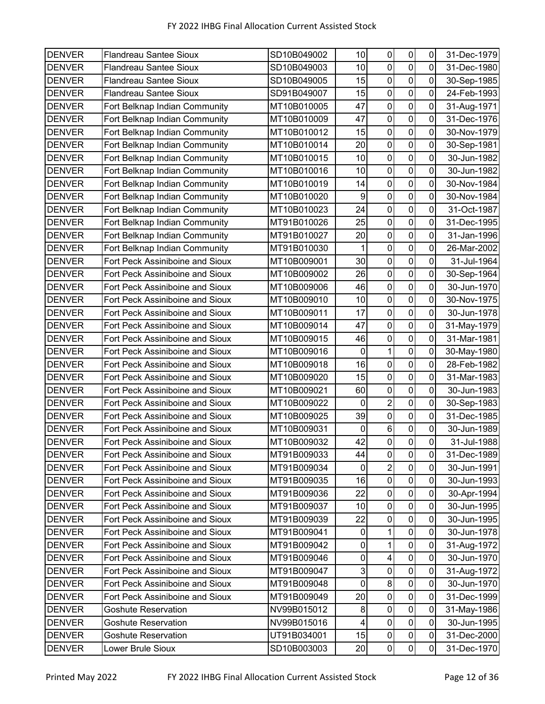| <b>DENVER</b> | <b>Flandreau Santee Sioux</b>          | SD10B049002 | 10               | $\pmb{0}$                | $\pmb{0}$           | 0           | 31-Dec-1979 |
|---------------|----------------------------------------|-------------|------------------|--------------------------|---------------------|-------------|-------------|
| <b>DENVER</b> | <b>Flandreau Santee Sioux</b>          | SD10B049003 | 10               | $\mathbf 0$              | $\mathbf 0$         | 0           | 31-Dec-1980 |
| <b>DENVER</b> | <b>Flandreau Santee Sioux</b>          | SD10B049005 | 15               | $\pmb{0}$                | $\pmb{0}$           | 0           | 30-Sep-1985 |
| <b>DENVER</b> | <b>Flandreau Santee Sioux</b>          | SD91B049007 | 15               | 0                        | $\mathbf 0$         | 0           | 24-Feb-1993 |
| <b>DENVER</b> | Fort Belknap Indian Community          | MT10B010005 | 47               | $\pmb{0}$                | $\pmb{0}$           | $\mathbf 0$ | 31-Aug-1971 |
| <b>DENVER</b> | Fort Belknap Indian Community          | MT10B010009 | 47               | 0                        | 0                   | 0           | 31-Dec-1976 |
| <b>DENVER</b> | Fort Belknap Indian Community          | MT10B010012 | 15               | $\pmb{0}$                | $\mathbf 0$         | 0           | 30-Nov-1979 |
| <b>DENVER</b> | Fort Belknap Indian Community          | MT10B010014 | 20               | 0                        | 0                   | 0           | 30-Sep-1981 |
| <b>DENVER</b> | Fort Belknap Indian Community          | MT10B010015 | 10               | $\mathbf 0$              | $\overline{0}$      | $\mathbf 0$ | 30-Jun-1982 |
| <b>DENVER</b> | Fort Belknap Indian Community          | MT10B010016 | 10               | $\boldsymbol{0}$         | $\pmb{0}$           | $\mathbf 0$ | 30-Jun-1982 |
| <b>DENVER</b> | Fort Belknap Indian Community          | MT10B010019 | 14               | 0                        | $\mathbf 0$         | 0           | 30-Nov-1984 |
| <b>DENVER</b> | Fort Belknap Indian Community          | MT10B010020 | $\boldsymbol{9}$ | $\boldsymbol{0}$         | $\overline{0}$      | 0           | 30-Nov-1984 |
| <b>DENVER</b> | Fort Belknap Indian Community          | MT10B010023 | 24               | 0                        | $\mathbf 0$         | 0           | 31-Oct-1987 |
| <b>DENVER</b> | Fort Belknap Indian Community          | MT91B010026 | 25               | 0                        | $\mathbf 0$         | 0           | 31-Dec-1995 |
| <b>DENVER</b> | Fort Belknap Indian Community          | MT91B010027 | 20               | $\mathbf 0$              | $\pmb{0}$           | 0           | 31-Jan-1996 |
| <b>DENVER</b> | Fort Belknap Indian Community          | MT91B010030 | 1                | $\boldsymbol{0}$         | $\overline{0}$      | 0           | 26-Mar-2002 |
| <b>DENVER</b> | Fort Peck Assiniboine and Sioux        | MT10B009001 | 30               | $\pmb{0}$                | $\mathbf 0$         | $\mathbf 0$ | 31-Jul-1964 |
| <b>DENVER</b> | Fort Peck Assiniboine and Sioux        | MT10B009002 | 26               | $\mathbf 0$              | $\overline{0}$      | 0           | 30-Sep-1964 |
| <b>DENVER</b> | Fort Peck Assiniboine and Sioux        | MT10B009006 | 46               | $\pmb{0}$                | $\mathbf 0$         | 0           | 30-Jun-1970 |
| <b>DENVER</b> | Fort Peck Assiniboine and Sioux        | MT10B009010 | 10               | 0                        | 0                   | 0           | 30-Nov-1975 |
| <b>DENVER</b> | Fort Peck Assiniboine and Sioux        | MT10B009011 | 17               | $\mathbf 0$              | $\mathbf 0$         | 0           | 30-Jun-1978 |
| <b>DENVER</b> | Fort Peck Assiniboine and Sioux        | MT10B009014 | 47               | $\pmb{0}$                | $\pmb{0}$           | 0           | 31-May-1979 |
| <b>DENVER</b> | Fort Peck Assiniboine and Sioux        | MT10B009015 | 46               | 0                        | $\mathbf 0$         | 0           | 31-Mar-1981 |
| <b>DENVER</b> | Fort Peck Assiniboine and Sioux        | MT10B009016 | $\mathbf 0$      | $\mathbf{1}$             | $\mathbf 0$         | 0           | 30-May-1980 |
| <b>DENVER</b> | Fort Peck Assiniboine and Sioux        | MT10B009018 | 16               | 0                        | 0                   | 0           | 28-Feb-1982 |
| <b>DENVER</b> | Fort Peck Assiniboine and Sioux        | MT10B009020 | 15               | $\boldsymbol{0}$         | $\mathbf 0$         | 0           | 31-Mar-1983 |
| <b>DENVER</b> | Fort Peck Assiniboine and Sioux        | MT10B009021 | 60               | 0                        | $\mathbf 0$         | 0           | 30-Jun-1983 |
| <b>DENVER</b> | Fort Peck Assiniboine and Sioux        | MT10B009022 | $\mathbf 0$      | $\overline{c}$           | $\mathbf 0$         | 0           | 30-Sep-1983 |
| <b>DENVER</b> | <b>Fort Peck Assiniboine and Sioux</b> | MT10B009025 | 39               | $\pmb{0}$                | $\pmb{0}$           | $\mathbf 0$ | 31-Dec-1985 |
| <b>DENVER</b> | Fort Peck Assiniboine and Sioux        | MT10B009031 | $\pmb{0}$        | $\,6$                    | $\pmb{0}$           | $\mathbf 0$ | 30-Jun-1989 |
| <b>DENVER</b> | Fort Peck Assiniboine and Sioux        | MT10B009032 | 42               | $\pmb{0}$                | $\mathsf{O}\xspace$ | $\mathbf 0$ | 31-Jul-1988 |
| <b>DENVER</b> | Fort Peck Assiniboine and Sioux        | MT91B009033 | 44               | $\boldsymbol{0}$         | $\pmb{0}$           | 0           | 31-Dec-1989 |
| <b>DENVER</b> | Fort Peck Assiniboine and Sioux        | MT91B009034 | 0                | $\overline{c}$           | $\pmb{0}$           | $\mathbf 0$ | 30-Jun-1991 |
| <b>DENVER</b> | Fort Peck Assiniboine and Sioux        | MT91B009035 | 16               | $\boldsymbol{0}$         | $\pmb{0}$           | $\pmb{0}$   | 30-Jun-1993 |
| <b>DENVER</b> | Fort Peck Assiniboine and Sioux        | MT91B009036 | 22               | $\pmb{0}$                | $\pmb{0}$           | $\mathbf 0$ | 30-Apr-1994 |
| <b>DENVER</b> | Fort Peck Assiniboine and Sioux        | MT91B009037 | 10               | $\pmb{0}$                | 0                   | $\pmb{0}$   | 30-Jun-1995 |
| <b>DENVER</b> | Fort Peck Assiniboine and Sioux        | MT91B009039 | 22               | $\pmb{0}$                | $\pmb{0}$           | $\pmb{0}$   | 30-Jun-1995 |
| <b>DENVER</b> | Fort Peck Assiniboine and Sioux        | MT91B009041 | $\pmb{0}$        | 1                        | $\pmb{0}$           | 0           | 30-Jun-1978 |
| <b>DENVER</b> | Fort Peck Assiniboine and Sioux        | MT91B009042 | 0                | 1                        | 0                   | 0           | 31-Aug-1972 |
| <b>DENVER</b> | Fort Peck Assiniboine and Sioux        | MT91B009046 | $\pmb{0}$        | $\overline{\mathcal{A}}$ | $\pmb{0}$           | $\mathbf 0$ | 30-Jun-1970 |
| <b>DENVER</b> | Fort Peck Assiniboine and Sioux        | MT91B009047 | $\mathbf{3}$     | 0                        | $\pmb{0}$           | $\mathsf 0$ | 31-Aug-1972 |
| <b>DENVER</b> | Fort Peck Assiniboine and Sioux        | MT91B009048 | $\pmb{0}$        | 8                        | $\pmb{0}$           | $\mathbf 0$ | 30-Jun-1970 |
| <b>DENVER</b> | Fort Peck Assiniboine and Sioux        | MT91B009049 | 20               | $\pmb{0}$                | $\mathbf 0$         | $\pmb{0}$   | 31-Dec-1999 |
| <b>DENVER</b> | <b>Goshute Reservation</b>             | NV99B015012 | 8                | $\pmb{0}$                | $\pmb{0}$           | 0           | 31-May-1986 |
| <b>DENVER</b> | <b>Goshute Reservation</b>             | NV99B015016 | 4                | $\mathbf 0$              | $\pmb{0}$           | $\mathbf 0$ | 30-Jun-1995 |
| <b>DENVER</b> | <b>Goshute Reservation</b>             | UT91B034001 | 15               | $\pmb{0}$                | $\pmb{0}$           | $\pmb{0}$   | 31-Dec-2000 |
| <b>DENVER</b> | Lower Brule Sioux                      | SD10B003003 | 20               | $\pmb{0}$                | $\pmb{0}$           | $\pmb{0}$   | 31-Dec-1970 |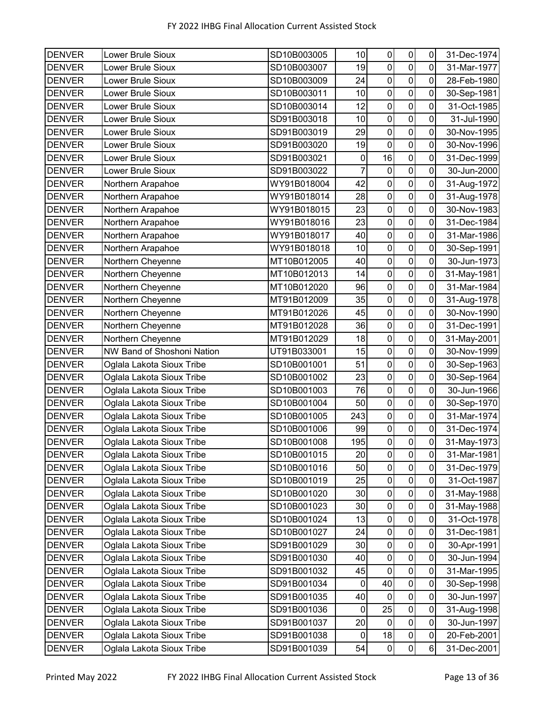| <b>DENVER</b> | <b>Lower Brule Sioux</b>   | SD10B003005 | 10        | $\pmb{0}$        | $\pmb{0}$      | 0           | 31-Dec-1974 |
|---------------|----------------------------|-------------|-----------|------------------|----------------|-------------|-------------|
| <b>DENVER</b> | Lower Brule Sioux          | SD10B003007 | 19        | $\pmb{0}$        | $\mathbf 0$    | 0           | 31-Mar-1977 |
| <b>DENVER</b> | Lower Brule Sioux          | SD10B003009 | 24        | $\pmb{0}$        | $\pmb{0}$      | $\mathbf 0$ | 28-Feb-1980 |
| <b>DENVER</b> | Lower Brule Sioux          | SD10B003011 | 10        | 0                | $\mathbf 0$    | 0           | 30-Sep-1981 |
| <b>DENVER</b> | Lower Brule Sioux          | SD10B003014 | 12        | $\mathbf 0$      | $\mathbf 0$    | 0           | 31-Oct-1985 |
| <b>DENVER</b> | Lower Brule Sioux          | SD91B003018 | 10        | 0                | 0              | 0           | 31-Jul-1990 |
| <b>DENVER</b> | Lower Brule Sioux          | SD91B003019 | 29        | 0                | $\mathbf 0$    | 0           | 30-Nov-1995 |
| <b>DENVER</b> | Lower Brule Sioux          | SD91B003020 | 19        | 0                | $\mathbf 0$    | 0           | 30-Nov-1996 |
| <b>DENVER</b> | Lower Brule Sioux          | SD91B003021 | $\pmb{0}$ | 16               | $\mathbf 0$    | $\mathbf 0$ | 31-Dec-1999 |
| <b>DENVER</b> | Lower Brule Sioux          | SD91B003022 | 7         | $\pmb{0}$        | $\mathbf 0$    | $\mathbf 0$ | 30-Jun-2000 |
| <b>DENVER</b> | Northern Arapahoe          | WY91B018004 | 42        | 0                | $\mathbf 0$    | 0           | 31-Aug-1972 |
| <b>DENVER</b> | Northern Arapahoe          | WY91B018014 | 28        | $\boldsymbol{0}$ | $\pmb{0}$      | 0           | 31-Aug-1978 |
| <b>DENVER</b> | Northern Arapahoe          | WY91B018015 | 23        | 0                | 0              | 0           | 30-Nov-1983 |
| <b>DENVER</b> | Northern Arapahoe          | WY91B018016 | 23        | $\mathbf 0$      | $\mathbf 0$    | 0           | 31-Dec-1984 |
| <b>DENVER</b> | Northern Arapahoe          | WY91B018017 | 40        | $\boldsymbol{0}$ | $\mathbf 0$    | 0           | 31-Mar-1986 |
| <b>DENVER</b> | Northern Arapahoe          | WY91B018018 | 10        | 0                | $\mathbf 0$    | 0           | 30-Sep-1991 |
| <b>DENVER</b> | Northern Cheyenne          | MT10B012005 | 40        | $\mathbf 0$      | $\overline{0}$ | $\mathbf 0$ | 30-Jun-1973 |
| <b>DENVER</b> | Northern Cheyenne          | MT10B012013 | 14        | $\boldsymbol{0}$ | 0              | 0           | 31-May-1981 |
| <b>DENVER</b> | Northern Cheyenne          | MT10B012020 | 96        | $\pmb{0}$        | $\mathbf 0$    | 0           | 31-Mar-1984 |
| <b>DENVER</b> | Northern Cheyenne          | MT91B012009 | 35        | $\mathbf 0$      | $\mathbf 0$    | 0           | 31-Aug-1978 |
| <b>DENVER</b> | Northern Cheyenne          | MT91B012026 | 45        | $\boldsymbol{0}$ | $\mathbf 0$    | $\mathbf 0$ | 30-Nov-1990 |
| <b>DENVER</b> | Northern Cheyenne          | MT91B012028 | 36        | $\pmb{0}$        | $\pmb{0}$      | $\mathbf 0$ | 31-Dec-1991 |
| <b>DENVER</b> | Northern Cheyenne          | MT91B012029 | 18        | 0                | $\mathbf 0$    | 0           | 31-May-2001 |
| <b>DENVER</b> | NW Band of Shoshoni Nation | UT91B033001 | 15        | $\pmb{0}$        | $\pmb{0}$      | 0           | 30-Nov-1999 |
| <b>DENVER</b> | Oglala Lakota Sioux Tribe  | SD10B001001 | 51        | 0                | 0              | 0           | 30-Sep-1963 |
| <b>DENVER</b> | Oglala Lakota Sioux Tribe  | SD10B001002 | 23        | 0                | $\mathbf 0$    | 0           | 30-Sep-1964 |
| <b>DENVER</b> | Oglala Lakota Sioux Tribe  | SD10B001003 | 76        | $\boldsymbol{0}$ | $\mathbf 0$    | 0           | 30-Jun-1966 |
| <b>DENVER</b> | Oglala Lakota Sioux Tribe  | SD10B001004 | 50        | $\mathbf 0$      | $\mathbf 0$    | 0           | 30-Sep-1970 |
| <b>DENVER</b> | Oglala Lakota Sioux Tribe  | SD10B001005 | 243       | $\pmb{0}$        | $\mathbf 0$    | $\mathbf 0$ | 31-Mar-1974 |
| <b>DENVER</b> | Oglala Lakota Sioux Tribe  | SD10B001006 | 99        | $\pmb{0}$        | $\mathbf 0$    | 0           | 31-Dec-1974 |
| <b>DENVER</b> | Oglala Lakota Sioux Tribe  | SD10B001008 | 195       | $\pmb{0}$        | $\mathbf 0$    | 0           | 31-May-1973 |
| <b>DENVER</b> | Oglala Lakota Sioux Tribe  | SD10B001015 | 20        | $\boldsymbol{0}$ | $\pmb{0}$      | $\mathbf 0$ | 31-Mar-1981 |
| <b>DENVER</b> | Oglala Lakota Sioux Tribe  | SD10B001016 | 50        | $\mathbf 0$      | $\pmb{0}$      | 0           | 31-Dec-1979 |
| <b>DENVER</b> | Oglala Lakota Sioux Tribe  | SD10B001019 | 25        | $\pmb{0}$        | $\pmb{0}$      | 0           | 31-Oct-1987 |
| <b>DENVER</b> | Oglala Lakota Sioux Tribe  | SD10B001020 | 30        | $\pmb{0}$        | $\pmb{0}$      | 0           | 31-May-1988 |
| <b>DENVER</b> | Oglala Lakota Sioux Tribe  | SD10B001023 | 30        | $\pmb{0}$        | $\mathbf 0$    | 0           | 31-May-1988 |
| <b>DENVER</b> | Oglala Lakota Sioux Tribe  | SD10B001024 | 13        | $\pmb{0}$        | $\pmb{0}$      | 0           | 31-Oct-1978 |
| <b>DENVER</b> | Oglala Lakota Sioux Tribe  | SD10B001027 | 24        | $\mathbf 0$      | $\pmb{0}$      | 0           | 31-Dec-1981 |
| <b>DENVER</b> | Oglala Lakota Sioux Tribe  | SD91B001029 | 30        | $\boldsymbol{0}$ | $\pmb{0}$      | 0           | 30-Apr-1991 |
| <b>DENVER</b> | Oglala Lakota Sioux Tribe  | SD91B001030 | 40        | $\pmb{0}$        | $\pmb{0}$      | $\mathbf 0$ | 30-Jun-1994 |
| <b>DENVER</b> | Oglala Lakota Sioux Tribe  | SD91B001032 | 45        | $\pmb{0}$        | $\pmb{0}$      | $\pmb{0}$   | 31-Mar-1995 |
| <b>DENVER</b> | Oglala Lakota Sioux Tribe  | SD91B001034 | 0         | 40               | $\pmb{0}$      | 0           | 30-Sep-1998 |
| <b>DENVER</b> | Oglala Lakota Sioux Tribe  | SD91B001035 | 40        | $\pmb{0}$        | $\pmb{0}$      | $\pmb{0}$   | 30-Jun-1997 |
| <b>DENVER</b> | Oglala Lakota Sioux Tribe  | SD91B001036 | 0         | 25               | $\pmb{0}$      | 0           | 31-Aug-1998 |
| <b>DENVER</b> | Oglala Lakota Sioux Tribe  | SD91B001037 | 20        | $\mathbf 0$      | $\pmb{0}$      | $\mathbf 0$ | 30-Jun-1997 |
| <b>DENVER</b> | Oglala Lakota Sioux Tribe  | SD91B001038 | $\pmb{0}$ | 18               | $\pmb{0}$      | $\pmb{0}$   | 20-Feb-2001 |
| <b>DENVER</b> | Oglala Lakota Sioux Tribe  | SD91B001039 | 54        | $\pmb{0}$        | $\overline{0}$ | $\,6$       | 31-Dec-2001 |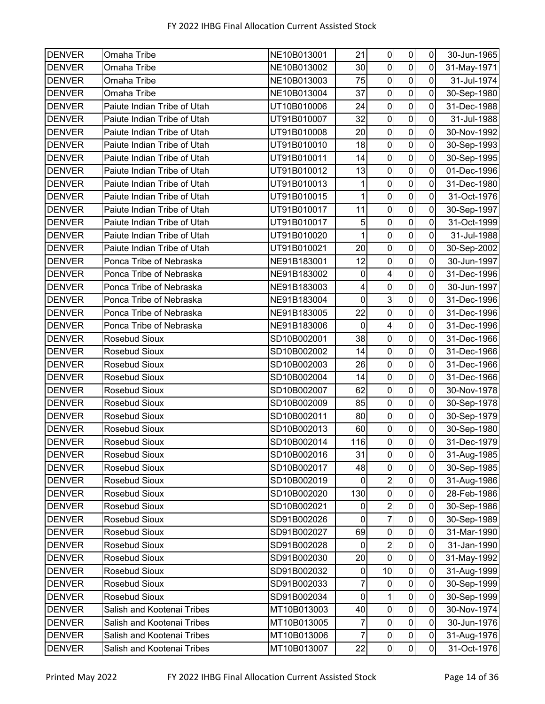| <b>DENVER</b> | Omaha Tribe                 | NE10B013001 | 21             | $\pmb{0}$               | $\pmb{0}$               | $\mathbf 0$         | 30-Jun-1965 |
|---------------|-----------------------------|-------------|----------------|-------------------------|-------------------------|---------------------|-------------|
| <b>DENVER</b> | Omaha Tribe                 | NE10B013002 | 30             | $\mathbf 0$             | $\mathbf 0$             | 0                   | 31-May-1971 |
| <b>DENVER</b> | Omaha Tribe                 | NE10B013003 | 75             | $\pmb{0}$               | $\overline{\mathsf{o}}$ | $\mathbf 0$         | 31-Jul-1974 |
| <b>DENVER</b> | Omaha Tribe                 | NE10B013004 | 37             | $\mathbf 0$             | $\pmb{0}$               | $\overline{0}$      | 30-Sep-1980 |
| <b>DENVER</b> | Paiute Indian Tribe of Utah | UT10B010006 | 24             | $\pmb{0}$               | $\pmb{0}$               | $\mathbf 0$         | 31-Dec-1988 |
| <b>DENVER</b> | Paiute Indian Tribe of Utah | UT91B010007 | 32             | $\boldsymbol{0}$        | $\mathbf 0$             | 0                   | 31-Jul-1988 |
| <b>DENVER</b> | Paiute Indian Tribe of Utah | UT91B010008 | 20             | $\mathbf 0$             | $\pmb{0}$               | 0                   | 30-Nov-1992 |
| <b>DENVER</b> | Paiute Indian Tribe of Utah | UT91B010010 | 18             | $\pmb{0}$               | $\mathbf 0$             | $\mathbf 0$         | 30-Sep-1993 |
| <b>DENVER</b> | Paiute Indian Tribe of Utah | UT91B010011 | 14             | $\mathbf 0$             | $\mathbf 0$             | 0                   | 30-Sep-1995 |
| <b>DENVER</b> | Paiute Indian Tribe of Utah | UT91B010012 | 13             | $\pmb{0}$               | $\pmb{0}$               | $\mathbf 0$         | 01-Dec-1996 |
| <b>DENVER</b> | Paiute Indian Tribe of Utah | UT91B010013 | 1              | 0                       | $\mathbf 0$             | 0                   | 31-Dec-1980 |
| <b>DENVER</b> | Paiute Indian Tribe of Utah | UT91B010015 | $\overline{1}$ | $\boldsymbol{0}$        | $\overline{0}$          | $\mathbf 0$         | 31-Oct-1976 |
| <b>DENVER</b> | Paiute Indian Tribe of Utah | UT91B010017 | 11             | 0                       | $\mathbf 0$             | 0                   | 30-Sep-1997 |
| <b>DENVER</b> | Paiute Indian Tribe of Utah | UT91B010017 | 5              | $\boldsymbol{0}$        | $\mathbf 0$             | $\mathbf 0$         | 31-Oct-1999 |
| <b>DENVER</b> | Paiute Indian Tribe of Utah | UT91B010020 |                | $\mathbf 0$             | $\mathbf 0$             | $\mathbf 0$         | 31-Jul-1988 |
| <b>DENVER</b> | Paiute Indian Tribe of Utah | UT91B010021 | 20             | $\mathbf 0$             | $\pmb{0}$               | $\mathbf 0$         | 30-Sep-2002 |
| <b>DENVER</b> | Ponca Tribe of Nebraska     | NE91B183001 | 12             | $\pmb{0}$               | $\overline{\mathbf{o}}$ | $\pmb{0}$           | 30-Jun-1997 |
| <b>DENVER</b> | Ponca Tribe of Nebraska     | NE91B183002 | $\pmb{0}$      | $\overline{\mathbf{4}}$ | $\mathbf 0$             | 0                   | 31-Dec-1996 |
| <b>DENVER</b> | Ponca Tribe of Nebraska     | NE91B183003 | 4              | $\pmb{0}$               | $\mathbf 0$             | $\mathbf 0$         | 30-Jun-1997 |
| <b>DENVER</b> | Ponca Tribe of Nebraska     | NE91B183004 | $\mathbf 0$    | $\mathbf{3}$            | $\mathbf 0$             | $\mathbf 0$         | 31-Dec-1996 |
| <b>DENVER</b> | Ponca Tribe of Nebraska     | NE91B183005 | 22             | $\mathbf 0$             | $\overline{0}$          | 0                   | 31-Dec-1996 |
| <b>DENVER</b> | Ponca Tribe of Nebraska     | NE91B183006 | $\mathbf 0$    | $\overline{\mathbf{4}}$ | $\mathbf 0$             | 0                   | 31-Dec-1996 |
| <b>DENVER</b> | Rosebud Sioux               | SD10B002001 | 38             | $\boldsymbol{0}$        | $\pmb{0}$               | 0                   | 31-Dec-1966 |
| <b>DENVER</b> | Rosebud Sioux               | SD10B002002 | 14             | $\pmb{0}$               | $\overline{0}$          | $\mathbf 0$         | 31-Dec-1966 |
| <b>DENVER</b> | Rosebud Sioux               | SD10B002003 | 26             | $\boldsymbol{0}$        | $\mathbf 0$             | 0                   | 31-Dec-1966 |
| <b>DENVER</b> | Rosebud Sioux               | SD10B002004 | 14             | $\boldsymbol{0}$        | $\mathbf 0$             | 0                   | 31-Dec-1966 |
| <b>DENVER</b> | Rosebud Sioux               | SD10B002007 | 62             | $\pmb{0}$               | $\pmb{0}$               | 0                   | 30-Nov-1978 |
| <b>DENVER</b> | Rosebud Sioux               | SD10B002009 | 85             | $\mathbf 0$             | $\overline{0}$          | 0                   | 30-Sep-1978 |
| <b>DENVER</b> | Rosebud Sioux               | SD10B002011 | 80             | $\pmb{0}$               | $\pmb{0}$               | $\mathsf{O}\xspace$ | 30-Sep-1979 |
| <b>DENVER</b> | Rosebud Sioux               | SD10B002013 | 60             | $\pmb{0}$               | $\pmb{0}$               | $\mathbf 0$         | 30-Sep-1980 |
| <b>DENVER</b> | Rosebud Sioux               | SD10B002014 | 116            | $\pmb{0}$               | $\overline{0}$          | $\overline{0}$      | 31-Dec-1979 |
| <b>DENVER</b> | Rosebud Sioux               | SD10B002016 | 31             | $\pmb{0}$               | $\pmb{0}$               | $\mathbf 0$         | 31-Aug-1985 |
| <b>DENVER</b> | Rosebud Sioux               | SD10B002017 | 48             | $\mathbf 0$             | $\mathbf 0$             | $\mathbf 0$         | 30-Sep-1985 |
| <b>DENVER</b> | Rosebud Sioux               | SD10B002019 | 0              | $\overline{\mathbf{c}}$ | $\mathbf 0$             | 0                   | 31-Aug-1986 |
| <b>DENVER</b> | Rosebud Sioux               | SD10B002020 | 130            | $\pmb{0}$               | $\pmb{0}$               | $\mathbf 0$         | 28-Feb-1986 |
| <b>DENVER</b> | Rosebud Sioux               | SD10B002021 | $\pmb{0}$      | $\overline{\mathbf{c}}$ | $\pmb{0}$               | $\mathbf 0$         | 30-Sep-1986 |
| <b>DENVER</b> | Rosebud Sioux               | SD91B002026 | 0              | $\overline{7}$          | $\pmb{0}$               | $\pmb{0}$           | 30-Sep-1989 |
| <b>DENVER</b> | Rosebud Sioux               | SD91B002027 | 69             | $\pmb{0}$               | $\pmb{0}$               | $\pmb{0}$           | 31-Mar-1990 |
| <b>DENVER</b> | Rosebud Sioux               | SD91B002028 | 0              | $\sqrt{2}$              | $\pmb{0}$               | 0                   | 31-Jan-1990 |
| <b>DENVER</b> | Rosebud Sioux               | SD91B002030 | 20             | $\mathbf 0$             | $\pmb{0}$               | 0                   | 31-May-1992 |
| <b>DENVER</b> | Rosebud Sioux               | SD91B002032 | $\pmb{0}$      | 10                      | $\pmb{0}$               | $\mathsf 0$         | 31-Aug-1999 |
| <b>DENVER</b> | Rosebud Sioux               | SD91B002033 | $\overline{7}$ | $\boldsymbol{0}$        | $\pmb{0}$               | $\mathbf 0$         | 30-Sep-1999 |
| <b>DENVER</b> | Rosebud Sioux               | SD91B002034 | $\pmb{0}$      | 1                       | $\pmb{0}$               | $\pmb{0}$           | 30-Sep-1999 |
| <b>DENVER</b> | Salish and Kootenai Tribes  | MT10B013003 | 40             | $\pmb{0}$               | $\pmb{0}$               | 0                   | 30-Nov-1974 |
| <b>DENVER</b> | Salish and Kootenai Tribes  | MT10B013005 | 7              | $\mathbf 0$             | $\pmb{0}$               | $\mathbf 0$         | 30-Jun-1976 |
| <b>DENVER</b> | Salish and Kootenai Tribes  | MT10B013006 | 7              | $\pmb{0}$               | $\pmb{0}$               | $\pmb{0}$           | 31-Aug-1976 |
| <b>DENVER</b> | Salish and Kootenai Tribes  | MT10B013007 | 22             | $\pmb{0}$               | $\pmb{0}$               | $\pmb{0}$           | 31-Oct-1976 |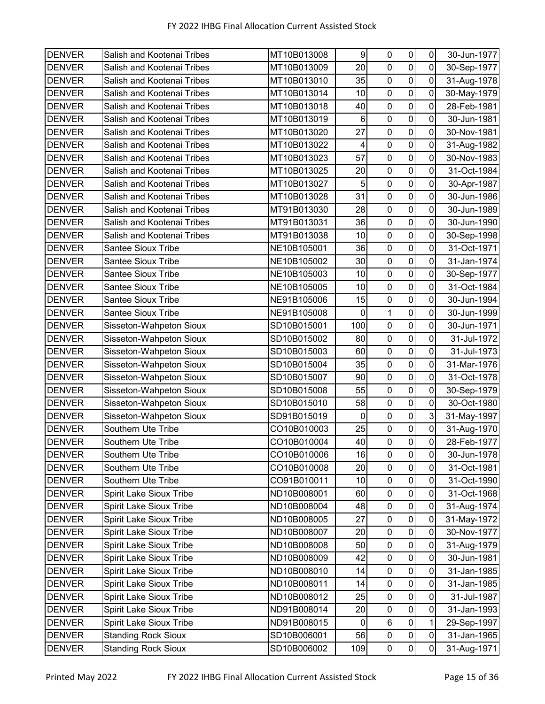| <b>DENVER</b> | Salish and Kootenai Tribes     | MT10B013008 | 9           | $\pmb{0}$        | $\pmb{0}$        | $\pmb{0}$   | 30-Jun-1977 |
|---------------|--------------------------------|-------------|-------------|------------------|------------------|-------------|-------------|
| <b>DENVER</b> | Salish and Kootenai Tribes     | MT10B013009 | 20          | $\mathbf 0$      | $\overline{0}$   | $\mathbf 0$ | 30-Sep-1977 |
| <b>DENVER</b> | Salish and Kootenai Tribes     | MT10B013010 | 35          | $\pmb{0}$        | $\overline{0}$   | 0           | 31-Aug-1978 |
| <b>DENVER</b> | Salish and Kootenai Tribes     | MT10B013014 | 10          | $\boldsymbol{0}$ | $\mathbf 0$      | 0           | 30-May-1979 |
| <b>DENVER</b> | Salish and Kootenai Tribes     | MT10B013018 | 40          | $\pmb{0}$        | $\mathbf 0$      | $\mathbf 0$ | 28-Feb-1981 |
| <b>DENVER</b> | Salish and Kootenai Tribes     | MT10B013019 | 6           | $\mathbf 0$      | 0                | 0           | 30-Jun-1981 |
| <b>DENVER</b> | Salish and Kootenai Tribes     | MT10B013020 | 27          | $\pmb{0}$        | $\mathbf 0$      | 0           | 30-Nov-1981 |
| <b>DENVER</b> | Salish and Kootenai Tribes     | MT10B013022 | 4           | $\pmb{0}$        | $\mathbf 0$      | 0           | 31-Aug-1982 |
| <b>DENVER</b> | Salish and Kootenai Tribes     | MT10B013023 | 57          | $\pmb{0}$        | $\overline{0}$   | 0           | 30-Nov-1983 |
| <b>DENVER</b> | Salish and Kootenai Tribes     | MT10B013025 | 20          | $\pmb{0}$        | $\pmb{0}$        | $\pmb{0}$   | 31-Oct-1984 |
| <b>DENVER</b> | Salish and Kootenai Tribes     | MT10B013027 | 5           | $\mathbf 0$      | $\overline{0}$   | 0           | 30-Apr-1987 |
| <b>DENVER</b> | Salish and Kootenai Tribes     | MT10B013028 | 31          | $\pmb{0}$        | $\overline{0}$   | 0           | 30-Jun-1986 |
| <b>DENVER</b> | Salish and Kootenai Tribes     | MT91B013030 | 28          | $\mathbf 0$      | $\mathbf 0$      | 0           | 30-Jun-1989 |
| <b>DENVER</b> | Salish and Kootenai Tribes     | MT91B013031 | 36          | $\pmb{0}$        | $\mathbf 0$      | 0           | 30-Jun-1990 |
| <b>DENVER</b> | Salish and Kootenai Tribes     | MT91B013038 | 10          | $\mathbf 0$      | $\mathbf 0$      | 0           | 30-Sep-1998 |
| <b>DENVER</b> | <b>Santee Sioux Tribe</b>      | NE10B105001 | 36          | $\mathbf 0$      | $\overline{0}$   | 0           | 31-Oct-1971 |
| <b>DENVER</b> | <b>Santee Sioux Tribe</b>      | NE10B105002 | 30          | $\pmb{0}$        | $\overline{0}$   | $\pmb{0}$   | 31-Jan-1974 |
| <b>DENVER</b> | <b>Santee Sioux Tribe</b>      | NE10B105003 | 10          | $\mathbf 0$      | $\boldsymbol{0}$ | 0           | 30-Sep-1977 |
| <b>DENVER</b> | <b>Santee Sioux Tribe</b>      | NE10B105005 | 10          | $\pmb{0}$        | $\mathbf 0$      | 0           | 31-Oct-1984 |
| <b>DENVER</b> | <b>Santee Sioux Tribe</b>      | NE91B105006 | 15          | $\pmb{0}$        | $\mathbf 0$      | 0           | 30-Jun-1994 |
| <b>DENVER</b> | <b>Santee Sioux Tribe</b>      | NE91B105008 | $\mathbf 0$ | 1                | $\overline{0}$   | 0           | 30-Jun-1999 |
| <b>DENVER</b> | Sisseton-Wahpeton Sioux        | SD10B015001 | 100         | $\pmb{0}$        | $\overline{0}$   | 0           | 30-Jun-1971 |
| <b>DENVER</b> | Sisseton-Wahpeton Sioux        | SD10B015002 | 80          | $\boldsymbol{0}$ | $\mathbf 0$      | 0           | 31-Jul-1972 |
| <b>DENVER</b> | Sisseton-Wahpeton Sioux        | SD10B015003 | 60          | $\pmb{0}$        | $\overline{0}$   | 0           | 31-Jul-1973 |
| <b>DENVER</b> | Sisseton-Wahpeton Sioux        | SD10B015004 | 35          | $\mathbf 0$      | 0                | 0           | 31-Mar-1976 |
| <b>DENVER</b> | Sisseton-Wahpeton Sioux        | SD10B015007 | 90          | $\pmb{0}$        | $\boldsymbol{0}$ | 0           | 31-Oct-1978 |
| <b>DENVER</b> | Sisseton-Wahpeton Sioux        | SD10B015008 | 55          | $\pmb{0}$        | $\mathbf 0$      | 0           | 30-Sep-1979 |
| <b>DENVER</b> | Sisseton-Wahpeton Sioux        | SD10B015010 | 58          | $\mathbf 0$      | $\overline{0}$   | 0           | 30-Oct-1980 |
| <b>DENVER</b> | Sisseton-Wahpeton Sioux        | SD91B015019 | $\mathbf 0$ | $\overline{0}$   | $\mathbf 0$      | 3           | 31-May-1997 |
| <b>DENVER</b> | Southern Ute Tribe             | CO10B010003 | 25          | $\pmb{0}$        | $\pmb{0}$        | $\mathbf 0$ | 31-Aug-1970 |
| <b>DENVER</b> | Southern Ute Tribe             | CO10B010004 | 40          | $\overline{0}$   | $\overline{0}$   | $\mathsf 0$ | 28-Feb-1977 |
| <b>DENVER</b> | Southern Ute Tribe             | CO10B010006 | 16          | 0                | $\pmb{0}$        | $\pmb{0}$   | 30-Jun-1978 |
| <b>DENVER</b> | Southern Ute Tribe             | CO10B010008 | 20          | $\mathbf 0$      | $\mathbf 0$      | $\pmb{0}$   | 31-Oct-1981 |
| <b>DENVER</b> | Southern Ute Tribe             | CO91B010011 | 10          | $\pmb{0}$        | $\pmb{0}$        | 0           | 31-Oct-1990 |
| <b>DENVER</b> | Spirit Lake Sioux Tribe        | ND10B008001 | 60          | $\pmb{0}$        | $\pmb{0}$        | $\mathbf 0$ | 31-Oct-1968 |
| <b>DENVER</b> | Spirit Lake Sioux Tribe        | ND10B008004 | 48          | $\pmb{0}$        | $\pmb{0}$        | $\pmb{0}$   | 31-Aug-1974 |
| <b>DENVER</b> | <b>Spirit Lake Sioux Tribe</b> | ND10B008005 | 27          | 0                | $\mathbf 0$      | 0           | 31-May-1972 |
| <b>DENVER</b> | <b>Spirit Lake Sioux Tribe</b> | ND10B008007 | 20          | $\overline{0}$   | $\pmb{0}$        | $\pmb{0}$   | 30-Nov-1977 |
| <b>DENVER</b> | <b>Spirit Lake Sioux Tribe</b> | ND10B008008 | 50          | 0                | $\pmb{0}$        | 0           | 31-Aug-1979 |
| <b>DENVER</b> | <b>Spirit Lake Sioux Tribe</b> | ND10B008009 | 42          | $\mathbf 0$      | $\pmb{0}$        | $\pmb{0}$   | 30-Jun-1981 |
| <b>DENVER</b> | <b>Spirit Lake Sioux Tribe</b> | ND10B008010 | 14          | $\pmb{0}$        | $\pmb{0}$        | $\pmb{0}$   | 31-Jan-1985 |
| <b>DENVER</b> | Spirit Lake Sioux Tribe        | ND10B008011 | 14          | 0                | $\pmb{0}$        | 0           | 31-Jan-1985 |
| <b>DENVER</b> | <b>Spirit Lake Sioux Tribe</b> | ND10B008012 | 25          | $\pmb{0}$        | $\pmb{0}$        | $\pmb{0}$   | 31-Jul-1987 |
| <b>DENVER</b> | <b>Spirit Lake Sioux Tribe</b> | ND91B008014 | 20          | $\pmb{0}$        | $\pmb{0}$        | 0           | 31-Jan-1993 |
| <b>DENVER</b> | Spirit Lake Sioux Tribe        | ND91B008015 | 0           | 6                | $\pmb{0}$        | 1           | 29-Sep-1997 |
| <b>DENVER</b> | <b>Standing Rock Sioux</b>     | SD10B006001 | 56          | $\pmb{0}$        | $\pmb{0}$        | $\pmb{0}$   | 31-Jan-1965 |
| <b>DENVER</b> | <b>Standing Rock Sioux</b>     | SD10B006002 | 109         | $\overline{0}$   | $\overline{0}$   | $\mathsf 0$ | 31-Aug-1971 |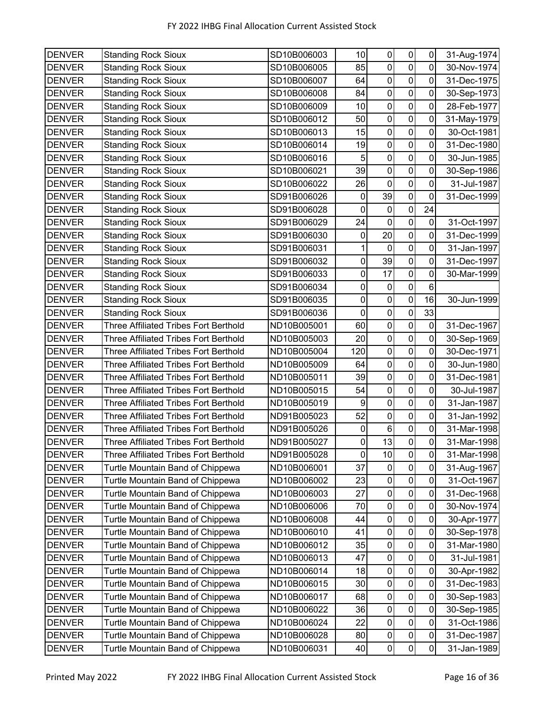| <b>DENVER</b> | <b>Standing Rock Sioux</b>                   | SD10B006003 | 10                  | 0                | $\pmb{0}$               | $\mathbf 0$    | 31-Aug-1974 |
|---------------|----------------------------------------------|-------------|---------------------|------------------|-------------------------|----------------|-------------|
| <b>DENVER</b> | <b>Standing Rock Sioux</b>                   | SD10B006005 | 85                  | $\mathbf 0$      | $\mathsf{O}\xspace$     | 0              | 30-Nov-1974 |
| <b>DENVER</b> | <b>Standing Rock Sioux</b>                   | SD10B006007 | 64                  | $\pmb{0}$        | $\mathbf 0$             | 0              | 31-Dec-1975 |
| <b>DENVER</b> | <b>Standing Rock Sioux</b>                   | SD10B006008 | 84                  | $\pmb{0}$        | $\mathbf 0$             | 0              | 30-Sep-1973 |
| <b>DENVER</b> | <b>Standing Rock Sioux</b>                   | SD10B006009 | 10                  | $\pmb{0}$        | $\mathsf{O}\xspace$     | $\mathbf 0$    | 28-Feb-1977 |
| <b>DENVER</b> | <b>Standing Rock Sioux</b>                   | SD10B006012 | 50                  | $\mathbf 0$      | $\pmb{0}$               | 0              | 31-May-1979 |
| <b>DENVER</b> | <b>Standing Rock Sioux</b>                   | SD10B006013 | 15                  | $\mathbf 0$      | $\mathbf 0$             | 0              | 30-Oct-1981 |
| <b>DENVER</b> | <b>Standing Rock Sioux</b>                   | SD10B006014 | 19                  | $\pmb{0}$        | $\pmb{0}$               | 0              | 31-Dec-1980 |
| <b>DENVER</b> | <b>Standing Rock Sioux</b>                   | SD10B006016 | $\overline{5}$      | $\mathbf 0$      | $\mathbf 0$             | 0              | 30-Jun-1985 |
| <b>DENVER</b> | <b>Standing Rock Sioux</b>                   | SD10B006021 | 39                  | $\pmb{0}$        | $\pmb{0}$               | $\mathbf 0$    | 30-Sep-1986 |
| <b>DENVER</b> | <b>Standing Rock Sioux</b>                   | SD10B006022 | 26                  | $\mathbf 0$      | $\mathbf 0$             | $\mathbf 0$    | 31-Jul-1987 |
| <b>DENVER</b> | <b>Standing Rock Sioux</b>                   | SD91B006026 | 0                   | 39               | $\overline{\mathsf{o}}$ | $\overline{0}$ | 31-Dec-1999 |
| <b>DENVER</b> | <b>Standing Rock Sioux</b>                   | SD91B006028 | 0                   | 0                | 0                       | 24             |             |
| <b>DENVER</b> | <b>Standing Rock Sioux</b>                   | SD91B006029 | 24                  | $\mathbf 0$      | $\pmb{0}$               | $\mathbf 0$    | 31-Oct-1997 |
| <b>DENVER</b> | <b>Standing Rock Sioux</b>                   | SD91B006030 | 0                   | 20               | $\pmb{0}$               | 0              | 31-Dec-1999 |
| <b>DENVER</b> | <b>Standing Rock Sioux</b>                   | SD91B006031 | 1                   | $\mathbf 0$      | $\mathbf 0$             | 0              | 31-Jan-1997 |
| <b>DENVER</b> | <b>Standing Rock Sioux</b>                   | SD91B006032 | $\pmb{0}$           | 39               | $\pmb{0}$               | $\mathbf 0$    | 31-Dec-1997 |
| <b>DENVER</b> | <b>Standing Rock Sioux</b>                   | SD91B006033 | $\pmb{0}$           | 17               | $\pmb{0}$               | 0              | 30-Mar-1999 |
| <b>DENVER</b> | <b>Standing Rock Sioux</b>                   | SD91B006034 | 0                   | $\pmb{0}$        | $\pmb{0}$               | 6              |             |
| <b>DENVER</b> | <b>Standing Rock Sioux</b>                   | SD91B006035 | 0                   | $\mathbf 0$      | $\pmb{0}$               | 16             | 30-Jun-1999 |
| <b>DENVER</b> | <b>Standing Rock Sioux</b>                   | SD91B006036 | 0                   | $\mathbf 0$      | $\pmb{0}$               | 33             |             |
| <b>DENVER</b> | <b>Three Affiliated Tribes Fort Berthold</b> | ND10B005001 | 60                  | $\pmb{0}$        | $\pmb{0}$               | $\mathbf 0$    | 31-Dec-1967 |
| <b>DENVER</b> | <b>Three Affiliated Tribes Fort Berthold</b> | ND10B005003 | 20                  | $\pmb{0}$        | $\pmb{0}$               | $\mathbf 0$    | 30-Sep-1969 |
| <b>DENVER</b> | <b>Three Affiliated Tribes Fort Berthold</b> | ND10B005004 | 120                 | $\mathbf 0$      | $\mathbf 0$             | $\mathbf 0$    | 30-Dec-1971 |
| <b>DENVER</b> | <b>Three Affiliated Tribes Fort Berthold</b> | ND10B005009 | 64                  | $\pmb{0}$        | $\pmb{0}$               | 0              | 30-Jun-1980 |
| <b>DENVER</b> | <b>Three Affiliated Tribes Fort Berthold</b> | ND10B005011 | 39                  | $\pmb{0}$        | $\mathbf 0$             | 0              | 31-Dec-1981 |
| <b>DENVER</b> | <b>Three Affiliated Tribes Fort Berthold</b> | ND10B005015 | 54                  | $\pmb{0}$        | $\pmb{0}$               | 0              | 30-Jul-1987 |
| <b>DENVER</b> | <b>Three Affiliated Tribes Fort Berthold</b> | ND10B005019 | 9                   | $\mathbf 0$      | $\pmb{0}$               | 0              | 31-Jan-1987 |
| <b>DENVER</b> | <b>Three Affiliated Tribes Fort Berthold</b> | ND91B005023 | 52                  | $\pmb{0}$        | $\pmb{0}$               | $\mathbf 0$    | 31-Jan-1992 |
| <b>DENVER</b> | Three Affiliated Tribes Fort Berthold        | ND91B005026 | 0                   | $\,6$            | $\mathbf 0$             | $\mathbf 0$    | 31-Mar-1998 |
| <b>DENVER</b> | <b>Three Affiliated Tribes Fort Berthold</b> | ND91B005027 | $\mathsf{O}\xspace$ | 13               | $\mathsf{O}\xspace$     | $\overline{0}$ | 31-Mar-1998 |
| <b>DENVER</b> | <b>Three Affiliated Tribes Fort Berthold</b> | ND91B005028 | 0                   | 10               | $\pmb{0}$               | $\mathbf 0$    | 31-Mar-1998 |
| <b>DENVER</b> | Turtle Mountain Band of Chippewa             | ND10B006001 | 37                  | $\pmb{0}$        | $\pmb{0}$               | 0              | 31-Aug-1967 |
| <b>DENVER</b> | Turtle Mountain Band of Chippewa             | ND10B006002 | 23                  | $\pmb{0}$        | $\pmb{0}$               | 0              | 31-Oct-1967 |
| <b>DENVER</b> | Turtle Mountain Band of Chippewa             | ND10B006003 | 27                  | $\pmb{0}$        | $\pmb{0}$               | 0              | 31-Dec-1968 |
| <b>DENVER</b> | Turtle Mountain Band of Chippewa             | ND10B006006 | 70                  | $\pmb{0}$        | $\pmb{0}$               | $\pmb{0}$      | 30-Nov-1974 |
| <b>DENVER</b> | Turtle Mountain Band of Chippewa             | ND10B006008 | 44                  | $\pmb{0}$        | $\mathbf 0$             | $\pmb{0}$      | 30-Apr-1977 |
| <b>DENVER</b> | Turtle Mountain Band of Chippewa             | ND10B006010 | 41                  | $\pmb{0}$        | $\mathbf 0$             | 0              | 30-Sep-1978 |
| <b>DENVER</b> | Turtle Mountain Band of Chippewa             | ND10B006012 | 35                  | 0                | $\pmb{0}$               | 0              | 31-Mar-1980 |
| <b>DENVER</b> | Turtle Mountain Band of Chippewa             | ND10B006013 | 47                  | $\boldsymbol{0}$ | $\mathbf 0$             | $\pmb{0}$      | 31-Jul-1981 |
| <b>DENVER</b> | Turtle Mountain Band of Chippewa             | ND10B006014 | 18                  | $\pmb{0}$        | $\mathbf 0$             | $\pmb{0}$      | 30-Apr-1982 |
| <b>DENVER</b> | Turtle Mountain Band of Chippewa             | ND10B006015 | 30                  | $\pmb{0}$        | $\mathbf 0$             | $\pmb{0}$      | 31-Dec-1983 |
| <b>DENVER</b> | Turtle Mountain Band of Chippewa             | ND10B006017 | 68                  | $\pmb{0}$        | $\pmb{0}$               | $\pmb{0}$      | 30-Sep-1983 |
| <b>DENVER</b> | Turtle Mountain Band of Chippewa             | ND10B006022 | 36                  | $\pmb{0}$        | $\mathsf 0$             | 0              | 30-Sep-1985 |
| <b>DENVER</b> | Turtle Mountain Band of Chippewa             | ND10B006024 | 22                  | $\pmb{0}$        | $\pmb{0}$               | $\pmb{0}$      | 31-Oct-1986 |
| <b>DENVER</b> | Turtle Mountain Band of Chippewa             | ND10B006028 | 80                  | $\pmb{0}$        | $\pmb{0}$               | $\pmb{0}$      | 31-Dec-1987 |
| <b>DENVER</b> | Turtle Mountain Band of Chippewa             | ND10B006031 | 40                  | $\pmb{0}$        | $\overline{0}$          | $\overline{0}$ | 31-Jan-1989 |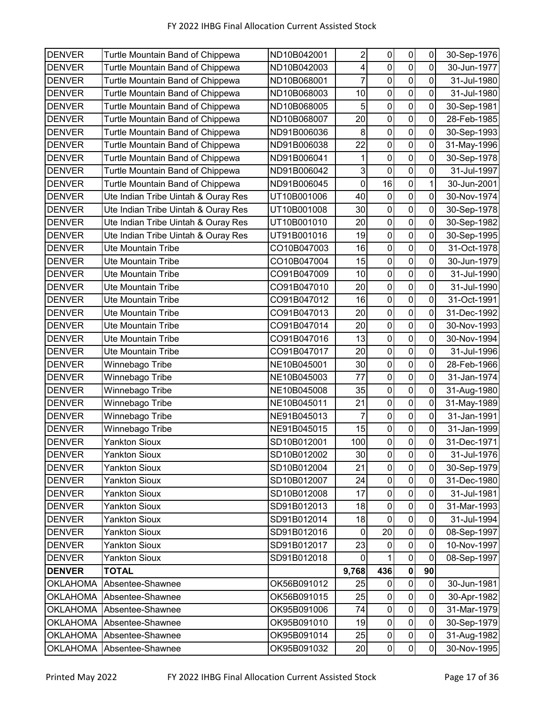| <b>DENVER</b>   | Turtle Mountain Band of Chippewa    | ND10B042001 | $\boldsymbol{2}$ | 0              | $\pmb{0}$      | 0              | 30-Sep-1976 |
|-----------------|-------------------------------------|-------------|------------------|----------------|----------------|----------------|-------------|
| <b>DENVER</b>   | Turtle Mountain Band of Chippewa    | ND10B042003 | 4                | $\mathbf 0$    | $\mathbf 0$    | 0              | 30-Jun-1977 |
| <b>DENVER</b>   | Turtle Mountain Band of Chippewa    | ND10B068001 | 7                | $\pmb{0}$      | 0              | 0              | 31-Jul-1980 |
| <b>DENVER</b>   | Turtle Mountain Band of Chippewa    | ND10B068003 | 10               | 0              | $\mathbf 0$    | 0              | 31-Jul-1980 |
| <b>DENVER</b>   | Turtle Mountain Band of Chippewa    | ND10B068005 | 5                | 0              | $\mathsf 0$    | $\mathbf 0$    | 30-Sep-1981 |
| <b>DENVER</b>   | Turtle Mountain Band of Chippewa    | ND10B068007 | 20               | $\mathbf 0$    | 0              | 0              | 28-Feb-1985 |
| <b>DENVER</b>   | Turtle Mountain Band of Chippewa    | ND91B006036 | 8                | $\mathbf 0$    | $\overline{0}$ | $\mathbf 0$    | 30-Sep-1993 |
| <b>DENVER</b>   | Turtle Mountain Band of Chippewa    | ND91B006038 | 22               | 0              | $\overline{0}$ | $\mathbf 0$    | 31-May-1996 |
| <b>DENVER</b>   | Turtle Mountain Band of Chippewa    | ND91B006041 | 1                | $\mathbf 0$    | $\pmb{0}$      | 0              | 30-Sep-1978 |
| <b>DENVER</b>   | Turtle Mountain Band of Chippewa    | ND91B006042 | 3                | $\mathbf 0$    | $\mathbf 0$    | 0              | 31-Jul-1997 |
| <b>DENVER</b>   | Turtle Mountain Band of Chippewa    | ND91B006045 | $\pmb{0}$        | 16             | 0              | 1              | 30-Jun-2001 |
| <b>DENVER</b>   | Ute Indian Tribe Uintah & Ouray Res | UT10B001006 | 40               | $\mathbf 0$    | $\pmb{0}$      | 0              | 30-Nov-1974 |
| <b>DENVER</b>   | Ute Indian Tribe Uintah & Ouray Res | UT10B001008 | 30               | $\pmb{0}$      | $\overline{0}$ | 0              | 30-Sep-1978 |
| <b>DENVER</b>   | Ute Indian Tribe Uintah & Ouray Res | UT10B001010 | 20               | $\mathsf 0$    | $\overline{0}$ | 0              | 30-Sep-1982 |
| <b>DENVER</b>   | Ute Indian Tribe Uintah & Ouray Res | UT91B001016 | 19               | $\overline{0}$ | $\mathbf 0$    | $\pmb{0}$      | 30-Sep-1995 |
| <b>DENVER</b>   | Ute Mountain Tribe                  | CO10B047003 | 16               | $\pmb{0}$      | $\mathbf 0$    | 0              | 31-Oct-1978 |
| <b>DENVER</b>   | Ute Mountain Tribe                  | CO10B047004 | 15               | $\pmb{0}$      | $\mathbf 0$    | $\mathbf 0$    | 30-Jun-1979 |
| <b>DENVER</b>   | <b>Ute Mountain Tribe</b>           | CO91B047009 | 10               | $\pmb{0}$      | 0              | 0              | 31-Jul-1990 |
| <b>DENVER</b>   | Ute Mountain Tribe                  | CO91B047010 | 20               | $\pmb{0}$      | $\mathbf 0$    | $\mathbf 0$    | 31-Jul-1990 |
| <b>DENVER</b>   | <b>Ute Mountain Tribe</b>           | CO91B047012 | 16               | $\pmb{0}$      | $\overline{0}$ | 0              | 31-Oct-1991 |
| <b>DENVER</b>   | <b>Ute Mountain Tribe</b>           | CO91B047013 | 20               | $\pmb{0}$      | $\mathbf 0$    | $\mathbf 0$    | 31-Dec-1992 |
| <b>DENVER</b>   | <b>Ute Mountain Tribe</b>           | CO91B047014 | 20               | $\pmb{0}$      | $\pmb{0}$      | 0              | 30-Nov-1993 |
| <b>DENVER</b>   | <b>Ute Mountain Tribe</b>           | CO91B047016 | 13               | $\mathbf 0$    | $\mathbf 0$    | 0              | 30-Nov-1994 |
| <b>DENVER</b>   | Ute Mountain Tribe                  | CO91B047017 | 20               | $\pmb{0}$      | $\mathbf 0$    | 0              | 31-Jul-1996 |
| <b>DENVER</b>   | Winnebago Tribe                     | NE10B045001 | 30               | $\mathbf 0$    | 0              | 0              | 28-Feb-1966 |
| <b>DENVER</b>   | Winnebago Tribe                     | NE10B045003 | 77               | $\mathbf 0$    | $\overline{0}$ | $\mathbf 0$    | 31-Jan-1974 |
| <b>DENVER</b>   | Winnebago Tribe                     | NE10B045008 | 35               | $\pmb{0}$      | $\overline{0}$ | $\mathbf 0$    | 31-Aug-1980 |
| <b>DENVER</b>   | Winnebago Tribe                     | NE10B045011 | 21               | $\pmb{0}$      | $\mathbf 0$    | 0              | 31-May-1989 |
| <b>DENVER</b>   | Winnebago Tribe                     | NE91B045013 | 7                | $\pmb{0}$      | $\mathbf 0$    | 0              | 31-Jan-1991 |
| <b>DENVER</b>   | Winnebago Tribe                     | NE91B045015 | 15               | $\pmb{0}$      | 0              | $\mathbf 0$    | 31-Jan-1999 |
| <b>DENVER</b>   | <b>Yankton Sioux</b>                | SD10B012001 | 100              | $\overline{0}$ | $\mathbf 0$    | 0              | 31-Dec-1971 |
| <b>DENVER</b>   | <b>Yankton Sioux</b>                | SD10B012002 | 30               | $\overline{0}$ | $\pmb{0}$      | $\overline{0}$ | 31-Jul-1976 |
| <b>DENVER</b>   | <b>Yankton Sioux</b>                | SD10B012004 | 21               | $\overline{0}$ | $\pmb{0}$      | 0              | 30-Sep-1979 |
| <b>DENVER</b>   | <b>Yankton Sioux</b>                | SD10B012007 | 24               | $\overline{0}$ | $\pmb{0}$      | $\pmb{0}$      | 31-Dec-1980 |
| <b>DENVER</b>   | <b>Yankton Sioux</b>                | SD10B012008 | 17               | $\pmb{0}$      | $\pmb{0}$      | 0              | 31-Jul-1981 |
| <b>DENVER</b>   | <b>Yankton Sioux</b>                | SD91B012013 | 18               | $\overline{0}$ | $\pmb{0}$      | 0              | 31-Mar-1993 |
| <b>DENVER</b>   | <b>Yankton Sioux</b>                | SD91B012014 | 18               | 0              | $\pmb{0}$      | 0              | 31-Jul-1994 |
| <b>DENVER</b>   | <b>Yankton Sioux</b>                | SD91B012016 | $\mathbf 0$      | 20             | $\pmb{0}$      | 0              | 08-Sep-1997 |
| <b>DENVER</b>   | <b>Yankton Sioux</b>                | SD91B012017 | 23               | $\overline{0}$ | $\pmb{0}$      | 0              | 10-Nov-1997 |
| <b>DENVER</b>   | <b>Yankton Sioux</b>                | SD91B012018 | $\mathbf 0$      | 1              | $\pmb{0}$      | $\mathbf 0$    | 08-Sep-1997 |
| <b>DENVER</b>   | <b>TOTAL</b>                        |             | 9,768            | 436            | $\pmb{0}$      | 90             |             |
| <b>OKLAHOMA</b> | Absentee-Shawnee                    | OK56B091012 | 25               | 0              | $\pmb{0}$      | 0              | 30-Jun-1981 |
| <b>OKLAHOMA</b> | Absentee-Shawnee                    | OK56B091015 | 25               | $\overline{0}$ | $\pmb{0}$      | $\pmb{0}$      | 30-Apr-1982 |
| <b>OKLAHOMA</b> | Absentee-Shawnee                    | OK95B091006 | 74               | $\overline{0}$ | $\pmb{0}$      | $\mathbf 0$    | 31-Mar-1979 |
| <b>OKLAHOMA</b> | Absentee-Shawnee                    | OK95B091010 | 19               | $\overline{0}$ | $\pmb{0}$      | $\mathbf 0$    | 30-Sep-1979 |
| <b>OKLAHOMA</b> | Absentee-Shawnee                    | OK95B091014 | 25               | $\overline{0}$ | $\pmb{0}$      | $\pmb{0}$      | 31-Aug-1982 |
| <b>OKLAHOMA</b> | Absentee-Shawnee                    | OK95B091032 | 20               | $\overline{0}$ | $\pmb{0}$      | $\pmb{0}$      | 30-Nov-1995 |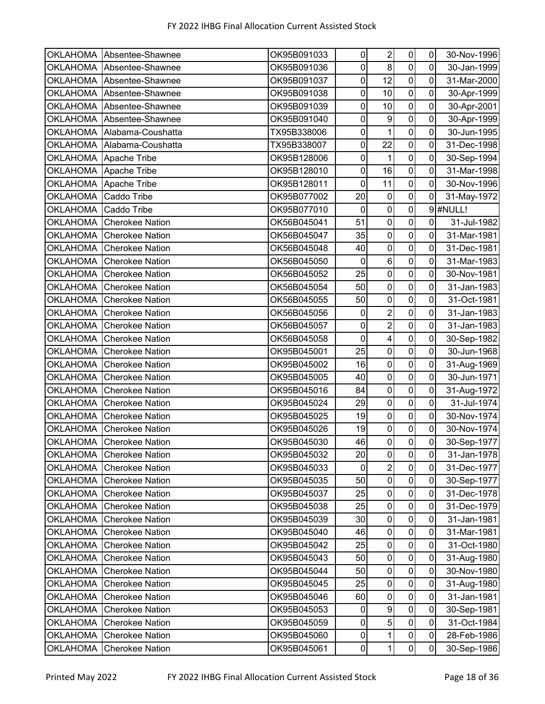|                 | OKLAHOMA Absentee-Shawnee | OK95B091033 | 0                   | $\overline{2}$          | $\overline{0}$          | $\pmb{0}$      | 30-Nov-1996 |
|-----------------|---------------------------|-------------|---------------------|-------------------------|-------------------------|----------------|-------------|
|                 | OKLAHOMA Absentee-Shawnee | OK95B091036 | $\mathbf 0$         | 8                       | $\overline{0}$          | 0              | 30-Jan-1999 |
| <b>OKLAHOMA</b> | Absentee-Shawnee          | OK95B091037 | $\mathsf 0$         | 12                      | $\overline{0}$          | 0              | 31-Mar-2000 |
| <b>OKLAHOMA</b> | Absentee-Shawnee          | OK95B091038 | $\pmb{0}$           | 10                      | $\mathsf{O}\xspace$     | 0              | 30-Apr-1999 |
| <b>OKLAHOMA</b> | Absentee-Shawnee          | OK95B091039 | $\pmb{0}$           | 10                      | $\overline{0}$          | 0              | 30-Apr-2001 |
| <b>OKLAHOMA</b> | Absentee-Shawnee          | OK95B091040 | 0                   | $\boldsymbol{9}$        | $\pmb{0}$               | 0              | 30-Apr-1999 |
| <b>OKLAHOMA</b> | Alabama-Coushatta         | TX95B338006 | 0                   | $\mathbf{1}$            | $\mathsf{O}\xspace$     | 0              | 30-Jun-1995 |
| <b>OKLAHOMA</b> | Alabama-Coushatta         | TX95B338007 | $\pmb{0}$           | 22                      | $\pmb{0}$               | 0              | 31-Dec-1998 |
| <b>OKLAHOMA</b> | Apache Tribe              | OK95B128006 | $\mathsf 0$         | $\mathbf{1}$            | $\overline{\mathsf{o}}$ | 0              | 30-Sep-1994 |
| <b>OKLAHOMA</b> | Apache Tribe              | OK95B128010 | $\pmb{0}$           | 16                      | $\overline{0}$          | $\mathbf 0$    | 31-Mar-1998 |
| OKLAHOMA        | Apache Tribe              | OK95B128011 | $\pmb{0}$           | 11                      | $\mathbf 0$             | 0              | 30-Nov-1996 |
| OKLAHOMA        | Caddo Tribe               | OK95B077002 | 20                  | $\pmb{0}$               | $\overline{0}$          | 0              | 31-May-1972 |
| <b>OKLAHOMA</b> | Caddo Tribe               | OK95B077010 | 0                   | $\pmb{0}$               | $\mathbf 0$             |                | 9 #NULL!    |
| <b>OKLAHOMA</b> | <b>Cherokee Nation</b>    | OK56B045041 | 51                  | $\mathbf 0$             | $\mathbf 0$             | 0              | 31-Jul-1982 |
| <b>OKLAHOMA</b> | <b>Cherokee Nation</b>    | OK56B045047 | 35                  | $\mathbf 0$             | $\overline{\mathsf{o}}$ | $\overline{0}$ | 31-Mar-1981 |
| <b>OKLAHOMA</b> | <b>Cherokee Nation</b>    | OK56B045048 | 40                  | $\pmb{0}$               | $\overline{\mathsf{o}}$ | 0              | 31-Dec-1981 |
| <b>OKLAHOMA</b> | <b>Cherokee Nation</b>    | OK56B045050 | $\pmb{0}$           | $\,6$                   | $\overline{0}$          | $\mathbf 0$    | 31-Mar-1983 |
| <b>OKLAHOMA</b> | <b>Cherokee Nation</b>    | OK56B045052 | 25                  | $\pmb{0}$               | $\pmb{0}$               | 0              | 30-Nov-1981 |
| <b>OKLAHOMA</b> | <b>Cherokee Nation</b>    | OK56B045054 | 50                  | $\pmb{0}$               | $\overline{\mathsf{o}}$ | 0              | 31-Jan-1983 |
| <b>OKLAHOMA</b> | <b>Cherokee Nation</b>    | OK56B045055 | 50                  | 0                       | $\mathbf 0$             | 0              | 31-Oct-1981 |
| <b>OKLAHOMA</b> | <b>Cherokee Nation</b>    | OK56B045056 | 0                   | $\overline{c}$          | $\overline{\mathsf{o}}$ | 0              | 31-Jan-1983 |
| <b>OKLAHOMA</b> | <b>Cherokee Nation</b>    | OK56B045057 | $\pmb{0}$           | $\overline{c}$          | $\mathbf 0$             | 0              | 31-Jan-1983 |
| <b>OKLAHOMA</b> | <b>Cherokee Nation</b>    | OK56B045058 | $\pmb{0}$           | $\overline{\mathbf{4}}$ | $\pmb{0}$               | 0              | 30-Sep-1982 |
| <b>OKLAHOMA</b> | <b>Cherokee Nation</b>    | OK95B045001 | 25                  | $\pmb{0}$               | $\mathbf 0$             | 0              | 30-Jun-1968 |
| OKLAHOMA        | <b>Cherokee Nation</b>    | OK95B045002 | 16                  | 0                       | $\pmb{0}$               | 0              | 31-Aug-1969 |
| <b>OKLAHOMA</b> | <b>Cherokee Nation</b>    | OK95B045005 | 40                  | $\pmb{0}$               | $\mathbf 0$             | 0              | 30-Jun-1971 |
| <b>OKLAHOMA</b> | <b>Cherokee Nation</b>    | OK95B045016 | 84                  | $\pmb{0}$               | $\mathbf 0$             | 0              | 31-Aug-1972 |
| <b>OKLAHOMA</b> | <b>Cherokee Nation</b>    | OK95B045024 | 29                  | $\pmb{0}$               | $\overline{\mathsf{o}}$ | 0              | 31-Jul-1974 |
| <b>OKLAHOMA</b> | <b>Cherokee Nation</b>    | OK95B045025 | 19                  | $\pmb{0}$               | $\overline{0}$          | $\pmb{0}$      | 30-Nov-1974 |
| <b>OKLAHOMA</b> | <b>Cherokee Nation</b>    | OK95B045026 | 19                  | $\pmb{0}$               | $\mathsf{O}\xspace$     | 0              | 30-Nov-1974 |
| OKLAHOMA        | <b>Cherokee Nation</b>    | OK95B045030 | 46                  | $\overline{0}$          | $\overline{0}$          | 0              | 30-Sep-1977 |
| <b>OKLAHOMA</b> | <b>Cherokee Nation</b>    | OK95B045032 | 20                  | 0                       | $\pmb{0}$               | $\mathbf 0$    | 31-Jan-1978 |
| <b>OKLAHOMA</b> | <b>Cherokee Nation</b>    | OK95B045033 | 0                   | $\overline{2}$          | $\mathbf 0$             | 0              | 31-Dec-1977 |
| <b>OKLAHOMA</b> | <b>Cherokee Nation</b>    | OK95B045035 | 50                  | $\pmb{0}$               | $\pmb{0}$               | 0              | 30-Sep-1977 |
| <b>OKLAHOMA</b> | <b>Cherokee Nation</b>    | OK95B045037 | 25                  | $\pmb{0}$               | $\pmb{0}$               | 0              | 31-Dec-1978 |
| <b>OKLAHOMA</b> | <b>Cherokee Nation</b>    | OK95B045038 | 25                  | $\pmb{0}$               | $\pmb{0}$               | 0              | 31-Dec-1979 |
| <b>OKLAHOMA</b> | <b>Cherokee Nation</b>    | OK95B045039 | 30                  | 0                       | $\pmb{0}$               | 0              | 31-Jan-1981 |
| <b>OKLAHOMA</b> | <b>Cherokee Nation</b>    | OK95B045040 | 46                  | $\pmb{0}$               | $\pmb{0}$               | 0              | 31-Mar-1981 |
| <b>OKLAHOMA</b> | <b>Cherokee Nation</b>    | OK95B045042 | 25                  | 0                       | 0                       | 0              | 31-Oct-1980 |
| <b>OKLAHOMA</b> | <b>Cherokee Nation</b>    | OK95B045043 | 50                  | $\mathbf 0$             | $\pmb{0}$               | 0              | 31-Aug-1980 |
| <b>OKLAHOMA</b> | <b>Cherokee Nation</b>    | OK95B045044 | 50                  | $\pmb{0}$               | $\overline{0}$          | 0              | 30-Nov-1980 |
| <b>OKLAHOMA</b> | <b>Cherokee Nation</b>    | OK95B045045 | 25                  | $\pmb{0}$               | $\mathbf 0$             | 0              | 31-Aug-1980 |
| <b>OKLAHOMA</b> | <b>Cherokee Nation</b>    | OK95B045046 | 60                  | $\pmb{0}$               | $\mathsf{O}\xspace$     | $\pmb{0}$      | 31-Jan-1981 |
| <b>OKLAHOMA</b> | <b>Cherokee Nation</b>    | OK95B045053 | 0                   | 9                       | $\pmb{0}$               | 0              | 30-Sep-1981 |
| <b>OKLAHOMA</b> | <b>Cherokee Nation</b>    | OK95B045059 | 0                   | 5                       | $\mathbf 0$             | 0              | 31-Oct-1984 |
| <b>OKLAHOMA</b> | <b>Cherokee Nation</b>    | OK95B045060 | 0                   | 1                       | $\pmb{0}$               | $\pmb{0}$      | 28-Feb-1986 |
| <b>OKLAHOMA</b> | <b>Cherokee Nation</b>    | OK95B045061 | $\mathsf{O}\xspace$ | 1                       | $\overline{0}$          | 0              | 30-Sep-1986 |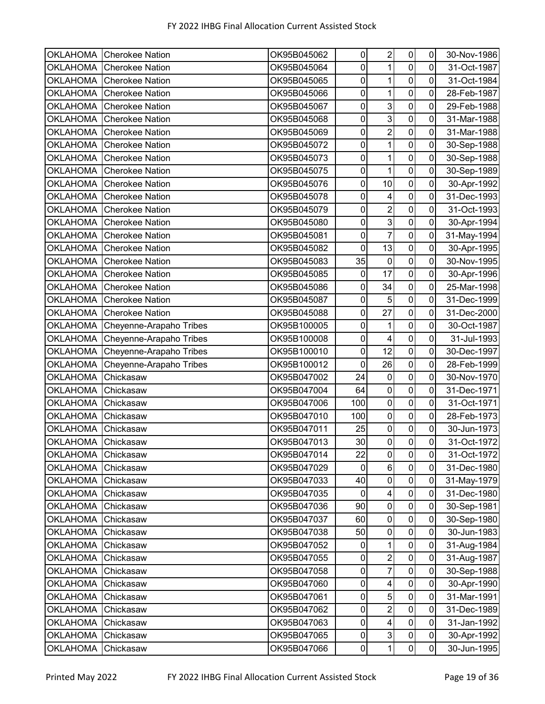| <b>OKLAHOMA</b> | <b>Cherokee Nation</b>  | OK95B045062 | 0           | $\overline{2}$   | 0                | 0              | 30-Nov-1986 |
|-----------------|-------------------------|-------------|-------------|------------------|------------------|----------------|-------------|
| <b>OKLAHOMA</b> | <b>Cherokee Nation</b>  | OK95B045064 | $\mathsf 0$ | 1                | $\overline{0}$   | 0              | 31-Oct-1987 |
| <b>OKLAHOMA</b> | <b>Cherokee Nation</b>  | OK95B045065 | $\mathbf 0$ | 1                | $\pmb{0}$        | $\mathsf 0$    | 31-Oct-1984 |
| <b>OKLAHOMA</b> | <b>Cherokee Nation</b>  | OK95B045066 | $\pmb{0}$   | 1                | $\mathbf 0$      | 0              | 28-Feb-1987 |
| <b>OKLAHOMA</b> | <b>Cherokee Nation</b>  | OK95B045067 | $\mathsf 0$ | 3                | $\mathbf 0$      | $\mathbf 0$    | 29-Feb-1988 |
| <b>OKLAHOMA</b> | <b>Cherokee Nation</b>  | OK95B045068 | 0           | 3                | 0                | 0              | 31-Mar-1988 |
| <b>OKLAHOMA</b> | <b>Cherokee Nation</b>  | OK95B045069 | $\pmb{0}$   | $\overline{2}$   | $\mathbf 0$      | 0              | 31-Mar-1988 |
| <b>OKLAHOMA</b> | <b>Cherokee Nation</b>  | OK95B045072 | $\mathsf 0$ | 1                | $\pmb{0}$        | 0              | 30-Sep-1988 |
| <b>OKLAHOMA</b> | <b>Cherokee Nation</b>  | OK95B045073 | $\mathsf 0$ | 1                | $\mathbf 0$      | 0              | 30-Sep-1988 |
| <b>OKLAHOMA</b> | <b>Cherokee Nation</b>  | OK95B045075 | $\pmb{0}$   | 1                | $\mathbf 0$      | $\mathbf 0$    | 30-Sep-1989 |
| <b>OKLAHOMA</b> | <b>Cherokee Nation</b>  | OK95B045076 | $\pmb{0}$   | 10               | $\mathbf 0$      | 0              | 30-Apr-1992 |
| <b>OKLAHOMA</b> | <b>Cherokee Nation</b>  | OK95B045078 | $\pmb{0}$   | 4                | $\pmb{0}$        | 0              | 31-Dec-1993 |
| <b>OKLAHOMA</b> | <b>Cherokee Nation</b>  | OK95B045079 | $\pmb{0}$   | $\overline{2}$   | 0                | 0              | 31-Oct-1993 |
| <b>OKLAHOMA</b> | <b>Cherokee Nation</b>  | OK95B045080 | $\mathbf 0$ | 3                | $\mathbf 0$      | $\overline{0}$ | 30-Apr-1994 |
| <b>OKLAHOMA</b> | <b>Cherokee Nation</b>  | OK95B045081 | $\mathbf 0$ | $\overline{7}$   | $\mathbf 0$      | 0              | 31-May-1994 |
| <b>OKLAHOMA</b> | <b>Cherokee Nation</b>  | OK95B045082 | $\mathbf 0$ | 13               | $\mathbf 0$      | $\mathbf 0$    | 30-Apr-1995 |
| <b>OKLAHOMA</b> | <b>Cherokee Nation</b>  | OK95B045083 | 35          | $\pmb{0}$        | $\overline{0}$   | $\mathbf 0$    | 30-Nov-1995 |
| <b>OKLAHOMA</b> | <b>Cherokee Nation</b>  | OK95B045085 | 0           | 17               | $\pmb{0}$        | 0              | 30-Apr-1996 |
| <b>OKLAHOMA</b> | <b>Cherokee Nation</b>  | OK95B045086 | $\pmb{0}$   | 34               | $\pmb{0}$        | 0              | 25-Mar-1998 |
| <b>OKLAHOMA</b> | <b>Cherokee Nation</b>  | OK95B045087 | $\mathsf 0$ | 5                | $\mathbf 0$      | 0              | 31-Dec-1999 |
| <b>OKLAHOMA</b> | <b>Cherokee Nation</b>  | OK95B045088 | $\mathsf 0$ | 27               | $\mathbf 0$      | 0              | 31-Dec-2000 |
| <b>OKLAHOMA</b> | Cheyenne-Arapaho Tribes | OK95B100005 | $\pmb{0}$   | 1                | $\pmb{0}$        | $\pmb{0}$      | 30-Oct-1987 |
| <b>OKLAHOMA</b> | Cheyenne-Arapaho Tribes | OK95B100008 | $\pmb{0}$   | 4                | $\mathbf 0$      | 0              | 31-Jul-1993 |
| <b>OKLAHOMA</b> | Cheyenne-Arapaho Tribes | OK95B100010 | $\pmb{0}$   | 12               | $\pmb{0}$        | 0              | 30-Dec-1997 |
| <b>OKLAHOMA</b> | Cheyenne-Arapaho Tribes | OK95B100012 | 0           | 26               | $\mathbf 0$      | 0              | 28-Feb-1999 |
| <b>OKLAHOMA</b> | Chickasaw               | OK95B047002 | 24          | $\mathbf 0$      | $\mathbf 0$      | 0              | 30-Nov-1970 |
| <b>OKLAHOMA</b> | Chickasaw               | OK95B047004 | 64          | $\pmb{0}$        | $\mathbf 0$      | 0              | 31-Dec-1971 |
| <b>OKLAHOMA</b> | Chickasaw               | OK95B047006 | 100         | $\boldsymbol{0}$ | $\mathbf 0$      | 0              | 31-Oct-1971 |
| <b>OKLAHOMA</b> | Chickasaw               | OK95B047010 | 100         | $\overline{0}$   | $\pmb{0}$        | $\pmb{0}$      | 28-Feb-1973 |
| <b>OKLAHOMA</b> | Chickasaw               | OK95B047011 | 25          | 0                | $\boldsymbol{0}$ | $\pmb{0}$      | 30-Jun-1973 |
| <b>OKLAHOMA</b> | Chickasaw               | OK95B047013 | 30          | $\overline{0}$   | $\mathsf 0$      | $\mathbf 0$    | 31-Oct-1972 |
| <b>OKLAHOMA</b> | Chickasaw               | OK95B047014 | 22          | $\overline{0}$   | $\overline{0}$   | $\overline{0}$ | 31-Oct-1972 |
| <b>OKLAHOMA</b> | Chickasaw               | OK95B047029 | 0           | $6\phantom{a}$   | $\overline{0}$   | $\mathbf 0$    | 31-Dec-1980 |
| <b>OKLAHOMA</b> | Chickasaw               | OK95B047033 | 40          | $\pmb{0}$        | $\mathbf 0$      | $\pmb{0}$      | 31-May-1979 |
| <b>OKLAHOMA</b> | Chickasaw               | OK95B047035 | 0           | 4                | $\pmb{0}$        | 0              | 31-Dec-1980 |
| <b>OKLAHOMA</b> | Chickasaw               | OK95B047036 | 90          | $\pmb{0}$        | $\pmb{0}$        | $\pmb{0}$      | 30-Sep-1981 |
| <b>OKLAHOMA</b> | Chickasaw               | OK95B047037 | 60          | 0                | $\pmb{0}$        | 0              | 30-Sep-1980 |
| <b>OKLAHOMA</b> | Chickasaw               | OK95B047038 | 50          | $\mathbf 0$      | $\pmb{0}$        | $\mathbf 0$    | 30-Jun-1983 |
| <b>OKLAHOMA</b> | Chickasaw               | OK95B047052 | 0           | 1                | $\pmb{0}$        | 0              | 31-Aug-1984 |
| <b>OKLAHOMA</b> | Chickasaw               | OK95B047055 | $\pmb{0}$   | $\overline{2}$   | $\pmb{0}$        | 0              | 31-Aug-1987 |
| <b>OKLAHOMA</b> | Chickasaw               | OK95B047058 | 0           | $\overline{7}$   | $\pmb{0}$        | $\pmb{0}$      | 30-Sep-1988 |
| <b>OKLAHOMA</b> | Chickasaw               | OK95B047060 | 0           | 4                | $\pmb{0}$        | 0              | 30-Apr-1990 |
| <b>OKLAHOMA</b> | Chickasaw               | OK95B047061 | 0           | 5                | $\pmb{0}$        | $\pmb{0}$      | 31-Mar-1991 |
| <b>OKLAHOMA</b> | Chickasaw               | OK95B047062 | 0           | $\overline{2}$   | $\pmb{0}$        | 0              | 31-Dec-1989 |
| <b>OKLAHOMA</b> | Chickasaw               | OK95B047063 | $\pmb{0}$   | $\overline{4}$   | $\pmb{0}$        | $\mathbf 0$    | 31-Jan-1992 |
| <b>OKLAHOMA</b> | Chickasaw               | OK95B047065 | $\pmb{0}$   | 3                | $\mathbf 0$      | $\pmb{0}$      | 30-Apr-1992 |
| <b>OKLAHOMA</b> | Chickasaw               | OK95B047066 | $\pmb{0}$   | $\mathbf{1}$     | $\overline{0}$   | $\pmb{0}$      | 30-Jun-1995 |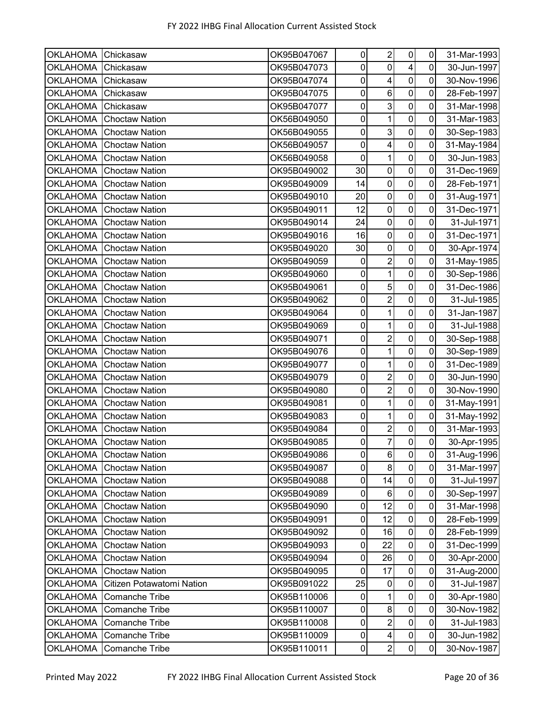| <b>OKLAHOMA</b> | Chickasaw                 | OK95B047067 | 0           | $\overline{2}$           | $\overline{0}$          | $\overline{0}$ | 31-Mar-1993 |
|-----------------|---------------------------|-------------|-------------|--------------------------|-------------------------|----------------|-------------|
| <b>OKLAHOMA</b> | Chickasaw                 | OK95B047073 | $\pmb{0}$   | $\mathbf 0$              | $\overline{\mathbf{4}}$ | $\overline{0}$ | 30-Jun-1997 |
| <b>OKLAHOMA</b> | Chickasaw                 | OK95B047074 | $\pmb{0}$   | $\overline{\mathbf{4}}$  | $\pmb{0}$               | $\mathbf 0$    | 30-Nov-1996 |
| <b>OKLAHOMA</b> | Chickasaw                 | OK95B047075 | $\pmb{0}$   | $\,6$                    | $\mathbf 0$             | 0              | 28-Feb-1997 |
| <b>OKLAHOMA</b> | Chickasaw                 | OK95B047077 | $\pmb{0}$   | دى                       | $\mathbf 0$             | $\mathbf 0$    | 31-Mar-1998 |
| <b>OKLAHOMA</b> | <b>Choctaw Nation</b>     | OK56B049050 | $\mathbf 0$ | 1                        | $\mathbf 0$             | 0              | 31-Mar-1983 |
| <b>OKLAHOMA</b> | <b>Choctaw Nation</b>     | OK56B049055 | $\pmb{0}$   | $\mathbf{3}$             | $\pmb{0}$               | 0              | 30-Sep-1983 |
| <b>OKLAHOMA</b> | <b>Choctaw Nation</b>     | OK56B049057 | $\pmb{0}$   | $\overline{4}$           | $\mathbf 0$             | $\mathbf 0$    | 31-May-1984 |
| <b>OKLAHOMA</b> | <b>Choctaw Nation</b>     | OK56B049058 | $\mathbf 0$ | $\overline{1}$           | $\pmb{0}$               | 0              | 30-Jun-1983 |
| <b>OKLAHOMA</b> | <b>Choctaw Nation</b>     | OK95B049002 | 30          | $\pmb{0}$                | $\pmb{0}$               | $\mathbf 0$    | 31-Dec-1969 |
| <b>OKLAHOMA</b> | <b>Choctaw Nation</b>     | OK95B049009 | 14          | $\boldsymbol{0}$         | $\mathbf 0$             | 0              | 28-Feb-1971 |
| <b>OKLAHOMA</b> | <b>Choctaw Nation</b>     | OK95B049010 | 20          | $\pmb{0}$                | $\pmb{0}$               | 0              | 31-Aug-1971 |
| <b>OKLAHOMA</b> | <b>Choctaw Nation</b>     | OK95B049011 | 12          | $\pmb{0}$                | $\pmb{0}$               | 0              | 31-Dec-1971 |
| <b>OKLAHOMA</b> | <b>Choctaw Nation</b>     | OK95B049014 | 24          | $\mathbf 0$              | $\mathbf 0$             | $\mathbf 0$    | 31-Jul-1971 |
| <b>OKLAHOMA</b> | <b>Choctaw Nation</b>     | OK95B049016 | 16          | $\boldsymbol{0}$         | $\mathbf 0$             | 0              | 31-Dec-1971 |
| <b>OKLAHOMA</b> | <b>Choctaw Nation</b>     | OK95B049020 | 30          | $\pmb{0}$                | $\pmb{0}$               | $\overline{0}$ | 30-Apr-1974 |
| <b>OKLAHOMA</b> | <b>Choctaw Nation</b>     | OK95B049059 | $\pmb{0}$   | $\overline{2}$           | $\overline{\mathsf{o}}$ | $\mathbf 0$    | 31-May-1985 |
| <b>OKLAHOMA</b> | <b>Choctaw Nation</b>     | OK95B049060 | $\pmb{0}$   | 1                        | $\mathbf 0$             | 0              | 30-Sep-1986 |
| <b>OKLAHOMA</b> | <b>Choctaw Nation</b>     | OK95B049061 | $\pmb{0}$   | $\sqrt{5}$               | $\pmb{0}$               | 0              | 31-Dec-1986 |
| <b>OKLAHOMA</b> | <b>Choctaw Nation</b>     | OK95B049062 | 0           | $\overline{2}$           | $\mathbf 0$             | 0              | 31-Jul-1985 |
| <b>OKLAHOMA</b> | <b>Choctaw Nation</b>     | OK95B049064 | $\pmb{0}$   | $\overline{1}$           | $\mathbf 0$             | 0              | 31-Jan-1987 |
| <b>OKLAHOMA</b> | <b>Choctaw Nation</b>     | OK95B049069 | $\pmb{0}$   | 1                        | $\pmb{0}$               | $\mathbf 0$    | 31-Jul-1988 |
| <b>OKLAHOMA</b> | <b>Choctaw Nation</b>     | OK95B049071 | $\pmb{0}$   | $\overline{c}$           | $\mathbf 0$             | $\mathbf 0$    | 30-Sep-1988 |
| <b>OKLAHOMA</b> | <b>Choctaw Nation</b>     | OK95B049076 | $\pmb{0}$   | $\mathbf{1}$             | $\pmb{0}$               | $\mathbf 0$    | 30-Sep-1989 |
| <b>OKLAHOMA</b> | <b>Choctaw Nation</b>     | OK95B049077 | $\mathbf 0$ | 1                        | $\mathbf 0$             | 0              | 31-Dec-1989 |
| <b>OKLAHOMA</b> | <b>Choctaw Nation</b>     | OK95B049079 | $\pmb{0}$   | $\overline{2}$           | $\pmb{0}$               | $\mathbf 0$    | 30-Jun-1990 |
| <b>OKLAHOMA</b> | <b>Choctaw Nation</b>     | OK95B049080 | $\pmb{0}$   | $\overline{2}$           | $\mathbf 0$             | $\mathbf 0$    | 30-Nov-1990 |
| <b>OKLAHOMA</b> | <b>Choctaw Nation</b>     | OK95B049081 | $\pmb{0}$   | 1                        | $\pmb{0}$               | $\mathbf 0$    | 31-May-1991 |
| <b>OKLAHOMA</b> | <b>Choctaw Nation</b>     | OK95B049083 | $\pmb{0}$   | $\mathbf{1}$             | $\mathbf 0$             | $\mathbf 0$    | 31-May-1992 |
| <b>OKLAHOMA</b> | <b>Choctaw Nation</b>     | OK95B049084 | $\pmb{0}$   | $\overline{c}$           | $\mathbf 0$             | $\mathbf 0$    | 31-Mar-1993 |
| <b>OKLAHOMA</b> | <b>Choctaw Nation</b>     | OK95B049085 | $\pmb{0}$   | $\overline{7}$           | $\mathbf 0$             | $\mathbf 0$    | 30-Apr-1995 |
| <b>OKLAHOMA</b> | <b>Choctaw Nation</b>     | OK95B049086 | 0           | $\,6$                    | $\pmb{0}$               | $\mathbf 0$    | 31-Aug-1996 |
| <b>OKLAHOMA</b> | <b>Choctaw Nation</b>     | OK95B049087 | $\pmb{0}$   | 8                        | $\mathbf 0$             | $\mathbf 0$    | 31-Mar-1997 |
| <b>OKLAHOMA</b> | <b>Choctaw Nation</b>     | OK95B049088 | $\pmb{0}$   | 14                       | $\pmb{0}$               | $\pmb{0}$      | 31-Jul-1997 |
| <b>OKLAHOMA</b> | <b>Choctaw Nation</b>     | OK95B049089 | $\pmb{0}$   | 6                        | $\pmb{0}$               | $\mathbf 0$    | 30-Sep-1997 |
| <b>OKLAHOMA</b> | <b>Choctaw Nation</b>     | OK95B049090 | $\pmb{0}$   | 12                       | $\pmb{0}$               | $\mathbf 0$    | 31-Mar-1998 |
| <b>OKLAHOMA</b> | <b>Choctaw Nation</b>     | OK95B049091 | 0           | 12                       | $\pmb{0}$               | $\mathbf 0$    | 28-Feb-1999 |
| <b>OKLAHOMA</b> | <b>Choctaw Nation</b>     | OK95B049092 | 0           | 16                       | $\pmb{0}$               | 0              | 28-Feb-1999 |
| <b>OKLAHOMA</b> | <b>Choctaw Nation</b>     | OK95B049093 | 0           | 22                       | $\pmb{0}$               | $\pmb{0}$      | 31-Dec-1999 |
| <b>OKLAHOMA</b> | <b>Choctaw Nation</b>     | OK95B049094 | $\pmb{0}$   | 26                       | $\pmb{0}$               | $\mathbf 0$    | 30-Apr-2000 |
| <b>OKLAHOMA</b> | <b>Choctaw Nation</b>     | OK95B049095 | $\pmb{0}$   | 17                       | $\pmb{0}$               | $\pmb{0}$      | 31-Aug-2000 |
| <b>OKLAHOMA</b> | Citizen Potawatomi Nation | OK95B091022 | 25          | $\boldsymbol{0}$         | $\mathbf 0$             | $\pmb{0}$      | 31-Jul-1987 |
| <b>OKLAHOMA</b> | Comanche Tribe            | OK95B110006 | $\pmb{0}$   | 1                        | $\mathbf 0$             | $\mathsf 0$    | 30-Apr-1980 |
| <b>OKLAHOMA</b> | <b>Comanche Tribe</b>     | OK95B110007 | 0           | $\bf 8$                  | $\pmb{0}$               | $\mathbf 0$    | 30-Nov-1982 |
| <b>OKLAHOMA</b> | Comanche Tribe            | OK95B110008 | $\pmb{0}$   | $\overline{2}$           | $\pmb{0}$               | $\mathbf 0$    | 31-Jul-1983 |
| <b>OKLAHOMA</b> | Comanche Tribe            | OK95B110009 | $\pmb{0}$   | $\overline{\mathcal{A}}$ | $\pmb{0}$               | $\pmb{0}$      | 30-Jun-1982 |
| <b>OKLAHOMA</b> | Comanche Tribe            | OK95B110011 | $\pmb{0}$   | $\boldsymbol{2}$         | $\overline{0}$          | $\pmb{0}$      | 30-Nov-1987 |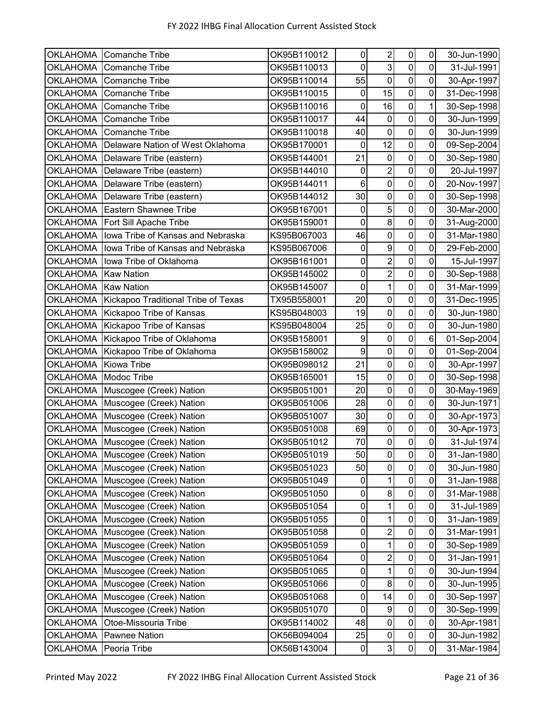| <b>OKLAHOMA</b> | <b>Comanche Tribe</b>               | OK95B110012 | 0              | $\overline{2}$ | $\pmb{0}$      | 0              | 30-Jun-1990 |
|-----------------|-------------------------------------|-------------|----------------|----------------|----------------|----------------|-------------|
| <b>OKLAHOMA</b> | <b>Comanche Tribe</b>               | OK95B110013 | $\overline{0}$ | 3              | $\mathbf 0$    | 0              | 31-Jul-1991 |
| <b>OKLAHOMA</b> | <b>Comanche Tribe</b>               | OK95B110014 | 55             | $\mathbf 0$    | $\mathbf 0$    | $\mathbf 0$    | 30-Apr-1997 |
| <b>OKLAHOMA</b> | <b>Comanche Tribe</b>               | OK95B110015 | $\pmb{0}$      | 15             | $\mathbf 0$    | 0              | 31-Dec-1998 |
| <b>OKLAHOMA</b> | <b>Comanche Tribe</b>               | OK95B110016 | $\mathbf 0$    | 16             | $\mathbf 0$    | 1              | 30-Sep-1998 |
| <b>OKLAHOMA</b> | <b>Comanche Tribe</b>               | OK95B110017 | 44             | $\mathbf 0$    | $\mathbf 0$    | 0              | 30-Jun-1999 |
| <b>OKLAHOMA</b> | <b>Comanche Tribe</b>               | OK95B110018 | 40             | $\mathbf 0$    | $\mathbf 0$    | 0              | 30-Jun-1999 |
| <b>OKLAHOMA</b> | Delaware Nation of West Oklahoma    | OK95B170001 | 0              | 12             | $\mathbf 0$    | 0              | 09-Sep-2004 |
| <b>OKLAHOMA</b> | Delaware Tribe (eastern)            | OK95B144001 | 21             | $\mathbf 0$    | $\mathbf 0$    | $\overline{0}$ | 30-Sep-1980 |
| <b>OKLAHOMA</b> | Delaware Tribe (eastern)            | OK95B144010 | $\pmb{0}$      | $\overline{c}$ | $\pmb{0}$      | $\mathbf 0$    | 20-Jul-1997 |
| <b>OKLAHOMA</b> | Delaware Tribe (eastern)            | OK95B144011 | 6              | $\mathbf 0$    | $\mathbf 0$    | 0              | 20-Nov-1997 |
| <b>OKLAHOMA</b> | Delaware Tribe (eastern)            | OK95B144012 | 30             | $\mathbf 0$    | $\overline{0}$ | $\mathbf 0$    | 30-Sep-1998 |
| <b>OKLAHOMA</b> | <b>Eastern Shawnee Tribe</b>        | OK95B167001 | 0              | 5              | $\mathbf 0$    | 0              | 30-Mar-2000 |
| <b>OKLAHOMA</b> | Fort Sill Apache Tribe              | OK95B159001 | $\mathbf 0$    | 8 <sup>1</sup> | $\mathbf 0$    | 0              | 31-Aug-2000 |
| <b>OKLAHOMA</b> | Iowa Tribe of Kansas and Nebraska   | KS95B067003 | 46             | $\mathbf 0$    | $\mathbf 0$    | 0              | 31-Mar-1980 |
| <b>OKLAHOMA</b> | Iowa Tribe of Kansas and Nebraska   | KS95B067006 | $\pmb{0}$      | 9              | $\mathbf 0$    | 0              | 29-Feb-2000 |
| OKLAHOMA        | lowa Tribe of Oklahoma              | OK95B161001 | $\pmb{0}$      | $\overline{c}$ | $\mathbf 0$    | $\mathbf 0$    | 15-Jul-1997 |
| <b>OKLAHOMA</b> | <b>Kaw Nation</b>                   | OK95B145002 | 0              | $\overline{2}$ | $\mathbf 0$    | 0              | 30-Sep-1988 |
| <b>OKLAHOMA</b> | <b>Kaw Nation</b>                   | OK95B145007 | 0              | $\mathbf{1}$   | $\pmb{0}$      | 0              | 31-Mar-1999 |
| <b>OKLAHOMA</b> | Kickapoo Traditional Tribe of Texas | TX95B558001 | 20             | $\mathbf 0$    | $\mathbf 0$    | 0              | 31-Dec-1995 |
| <b>OKLAHOMA</b> | Kickapoo Tribe of Kansas            | KS95B048003 | 19             | $\mathbf 0$    | $\mathbf 0$    | 0              | 30-Jun-1980 |
| <b>OKLAHOMA</b> | Kickapoo Tribe of Kansas            | KS95B048004 | 25             | $\mathsf 0$    | $\mathbf 0$    | $\mathbf 0$    | 30-Jun-1980 |
| <b>OKLAHOMA</b> | Kickapoo Tribe of Oklahoma          | OK95B158001 | 9              | $\mathbf 0$    | $\pmb{0}$      | 6              | 01-Sep-2004 |
| <b>OKLAHOMA</b> | Kickapoo Tribe of Oklahoma          | OK95B158002 | 9              | $\mathbf 0$    | $\mathbf 0$    | $\mathbf 0$    | 01-Sep-2004 |
| <b>OKLAHOMA</b> | Kiowa Tribe                         | OK95B098012 | 21             | $\mathbf 0$    | $\mathbf 0$    | 0              | 30-Apr-1997 |
| <b>OKLAHOMA</b> | Modoc Tribe                         | OK95B165001 | 15             | $\pmb{0}$      | $\pmb{0}$      | 0              | 30-Sep-1998 |
| <b>OKLAHOMA</b> | Muscogee (Creek) Nation             | OK95B051001 | 20             | $\pmb{0}$      | $\mathbf 0$    | 0              | 30-May-1969 |
| <b>OKLAHOMA</b> | Muscogee (Creek) Nation             | OK95B051006 | 28             | $\mathbf 0$    | $\mathbf 0$    | 0              | 30-Jun-1971 |
| <b>OKLAHOMA</b> | Muscogee (Creek) Nation             | OK95B051007 | 30             | $\pmb{0}$      | $\pmb{0}$      | $\mathbf 0$    | 30-Apr-1973 |
| <b>OKLAHOMA</b> | Muscogee (Creek) Nation             | OK95B051008 | 69             | $\pmb{0}$      | $\mathbf 0$    | $\mathbf 0$    | 30-Apr-1973 |
|                 | OKLAHOMA Muscogee (Creek) Nation    | OK95B051012 | 70             | $\overline{0}$ | $\overline{0}$ | $\mathbf 0$    | 31-Jul-1974 |
|                 | OKLAHOMA Muscogee (Creek) Nation    | OK95B051019 | 50             | 0              | $\pmb{0}$      | $\mathbf 0$    | 31-Jan-1980 |
|                 | OKLAHOMA Muscogee (Creek) Nation    | OK95B051023 | 50             | $\mathbf 0$    | $\pmb{0}$      | $\pmb{0}$      | 30-Jun-1980 |
| <b>OKLAHOMA</b> | Muscogee (Creek) Nation             | OK95B051049 | 0              | 1              | $\pmb{0}$      | $\pmb{0}$      | 31-Jan-1988 |
| <b>OKLAHOMA</b> | Muscogee (Creek) Nation             | OK95B051050 | 0              | $\bf 8$        | $\pmb{0}$      | 0              | 31-Mar-1988 |
| <b>OKLAHOMA</b> | Muscogee (Creek) Nation             | OK95B051054 | 0              | 1              | $\pmb{0}$      | $\pmb{0}$      | 31-Jul-1989 |
| OKLAHOMA        | Muscogee (Creek) Nation             | OK95B051055 | 0              | 1              | $\pmb{0}$      | $\pmb{0}$      | 31-Jan-1989 |
| <b>OKLAHOMA</b> | Muscogee (Creek) Nation             | OK95B051058 | 0              | $\overline{2}$ | $\pmb{0}$      | 0              | 31-Mar-1991 |
| <b>OKLAHOMA</b> | Muscogee (Creek) Nation             | OK95B051059 | 0              | 1              | $\pmb{0}$      | 0              | 30-Sep-1989 |
| <b>OKLAHOMA</b> | Muscogee (Creek) Nation             | OK95B051064 | 0              | $\overline{2}$ | $\pmb{0}$      | $\pmb{0}$      | 31-Jan-1991 |
| <b>OKLAHOMA</b> | Muscogee (Creek) Nation             | OK95B051065 | 0              | 1              | $\pmb{0}$      | $\pmb{0}$      | 30-Jun-1994 |
| OKLAHOMA        | Muscogee (Creek) Nation             | OK95B051066 | 0              | $\bf 8$        | $\pmb{0}$      | $\mathbf 0$    | 30-Jun-1995 |
| <b>OKLAHOMA</b> | Muscogee (Creek) Nation             | OK95B051068 | 0              | 14             | $\pmb{0}$      | $\pmb{0}$      | 30-Sep-1997 |
| <b>OKLAHOMA</b> | Muscogee (Creek) Nation             | OK95B051070 | 0              | $\overline{9}$ | $\pmb{0}$      | 0              | 30-Sep-1999 |
| <b>OKLAHOMA</b> | Otoe-Missouria Tribe                | OK95B114002 | 48             | $\pmb{0}$      | $\pmb{0}$      | 0              | 30-Apr-1981 |
| <b>OKLAHOMA</b> | Pawnee Nation                       | OK56B094004 | 25             | $\pmb{0}$      | $\pmb{0}$      | $\pmb{0}$      | 30-Jun-1982 |
| <b>OKLAHOMA</b> | Peoria Tribe                        | OK56B143004 | $\pmb{0}$      | $\overline{3}$ | $\overline{0}$ | $\pmb{0}$      | 31-Mar-1984 |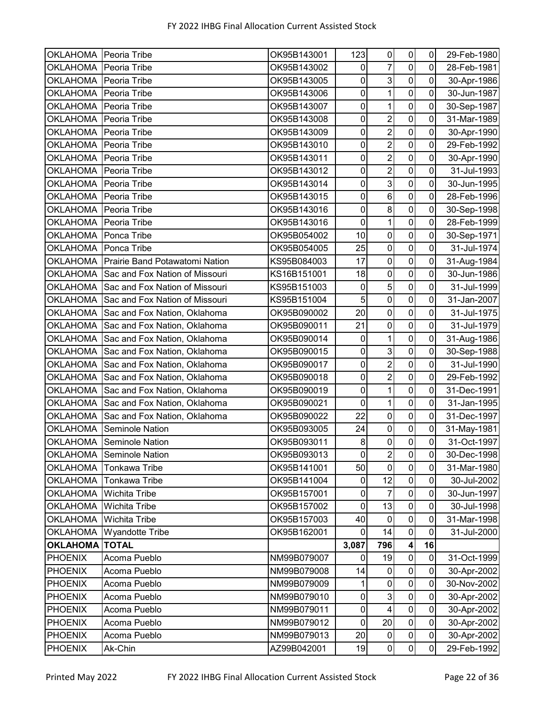| OKLAHOMA Peoria Tribe |                                | OK95B143001 | 123         | $\pmb{0}$               | $\pmb{0}$        | $\mathbf 0$         | 29-Feb-1980 |
|-----------------------|--------------------------------|-------------|-------------|-------------------------|------------------|---------------------|-------------|
| <b>OKLAHOMA</b>       | Peoria Tribe                   | OK95B143002 | $\mathbf 0$ | $\overline{7}$          | $\mathbf 0$      | 0                   | 28-Feb-1981 |
| <b>OKLAHOMA</b>       | Peoria Tribe                   | OK95B143005 | $\pmb{0}$   | 3                       | $\mathbf 0$      | $\mathbf 0$         | 30-Apr-1986 |
| <b>OKLAHOMA</b>       | Peoria Tribe                   | OK95B143006 | $\pmb{0}$   | 1                       | $\pmb{0}$        | $\overline{0}$      | 30-Jun-1987 |
| <b>OKLAHOMA</b>       | Peoria Tribe                   | OK95B143007 | $\pmb{0}$   | $\mathbf{1}$            | $\pmb{0}$        | $\mathbf 0$         | 30-Sep-1987 |
| <b>OKLAHOMA</b>       | Peoria Tribe                   | OK95B143008 | 0           | $\overline{2}$          | $\mathbf 0$      | 0                   | 31-Mar-1989 |
| <b>OKLAHOMA</b>       | Peoria Tribe                   | OK95B143009 | $\pmb{0}$   | $\overline{2}$          | $\pmb{0}$        | 0                   | 30-Apr-1990 |
| <b>OKLAHOMA</b>       | Peoria Tribe                   | OK95B143010 | 0           | $\overline{2}$          | $\pmb{0}$        | $\mathbf 0$         | 29-Feb-1992 |
| <b>OKLAHOMA</b>       | Peoria Tribe                   | OK95B143011 | $\mathbf 0$ | $\overline{2}$          | $\mathbf 0$      | 0                   | 30-Apr-1990 |
| <b>OKLAHOMA</b>       | Peoria Tribe                   | OK95B143012 | $\pmb{0}$   | $\overline{c}$          | $\pmb{0}$        | $\pmb{0}$           | 31-Jul-1993 |
| <b>OKLAHOMA</b>       | Peoria Tribe                   | OK95B143014 | $\pmb{0}$   | $\overline{3}$          | $\mathbf 0$      | $\mathbf 0$         | 30-Jun-1995 |
| <b>OKLAHOMA</b>       | Peoria Tribe                   | OK95B143015 | $\pmb{0}$   | $\,6\,$                 | $\overline{0}$   | $\mathbf 0$         | 28-Feb-1996 |
| <b>OKLAHOMA</b>       | Peoria Tribe                   | OK95B143016 | $\pmb{0}$   | $\bf 8$                 | $\mathbf 0$      | 0                   | 30-Sep-1998 |
| <b>OKLAHOMA</b>       | Peoria Tribe                   | OK95B143016 | $\mathbf 0$ | 1                       | $\mathbf 0$      | $\mathbf 0$         | 28-Feb-1999 |
| <b>OKLAHOMA</b>       | Ponca Tribe                    | OK95B054002 | 10          | $\mathbf 0$             | $\mathbf 0$      | $\mathbf 0$         | 30-Sep-1971 |
| <b>OKLAHOMA</b>       | Ponca Tribe                    | OK95B054005 | 25          | $\mathbf 0$             | $\mathbf 0$      | $\mathbf 0$         | 31-Jul-1974 |
| <b>OKLAHOMA</b>       | Prairie Band Potawatomi Nation | KS95B084003 | 17          | $\pmb{0}$               | $\pmb{0}$        | $\mathsf{O}\xspace$ | 31-Aug-1984 |
| <b>OKLAHOMA</b>       | Sac and Fox Nation of Missouri | KS16B151001 | 18          | $\mathbf 0$             | $\mathbf 0$      | 0                   | 30-Jun-1986 |
| <b>OKLAHOMA</b>       | Sac and Fox Nation of Missouri | KS95B151003 | $\pmb{0}$   | $\overline{5}$          | $\pmb{0}$        | 0                   | 31-Jul-1999 |
| <b>OKLAHOMA</b>       | Sac and Fox Nation of Missouri | KS95B151004 | 5           | $\pmb{0}$               | $\mathbf 0$      | $\mathbf 0$         | 31-Jan-2007 |
| <b>OKLAHOMA</b>       | Sac and Fox Nation, Oklahoma   | OK95B090002 | 20          | $\mathbf 0$             | $\mathbf 0$      | 0                   | 31-Jul-1975 |
| <b>OKLAHOMA</b>       | Sac and Fox Nation, Oklahoma   | OK95B090011 | 21          | $\pmb{0}$               | $\mathbf 0$      | $\mathbf 0$         | 31-Jul-1979 |
| <b>OKLAHOMA</b>       | Sac and Fox Nation, Oklahoma   | OK95B090014 | $\pmb{0}$   | 1                       | $\pmb{0}$        | 0                   | 31-Aug-1986 |
| <b>OKLAHOMA</b>       | Sac and Fox Nation, Oklahoma   | OK95B090015 | $\pmb{0}$   | دى                      | $\mathbf 0$      | $\mathbf 0$         | 30-Sep-1988 |
| <b>OKLAHOMA</b>       | Sac and Fox Nation, Oklahoma   | OK95B090017 | $\pmb{0}$   | $\overline{2}$          | $\pmb{0}$        | 0                   | 31-Jul-1990 |
| <b>OKLAHOMA</b>       | Sac and Fox Nation, Oklahoma   | OK95B090018 | $\pmb{0}$   | $\overline{2}$          | $\pmb{0}$        | 0                   | 29-Feb-1992 |
| <b>OKLAHOMA</b>       | Sac and Fox Nation, Oklahoma   | OK95B090019 | $\pmb{0}$   | 1                       | $\mathbf 0$      | 0                   | 31-Dec-1991 |
| <b>OKLAHOMA</b>       | Sac and Fox Nation, Oklahoma   | OK95B090021 | $\pmb{0}$   | $\overline{1}$          | $\mathbf 0$      | 0                   | 31-Jan-1995 |
| <b>OKLAHOMA</b>       | Sac and Fox Nation, Oklahoma   | OK95B090022 | 22          | $\pmb{0}$               | $\mathbf 0$      | $\mathbf 0$         | 31-Dec-1997 |
| <b>OKLAHOMA</b>       | <b>Seminole Nation</b>         | OK95B093005 | 24          | $\pmb{0}$               | $\mathbf 0$      | $\mathbf 0$         | 31-May-1981 |
| <b>OKLAHOMA</b>       | Seminole Nation                | OK95B093011 | 8           | $\pmb{0}$               | $\overline{0}$   | $\mathbf 0$         | 31-Oct-1997 |
| <b>OKLAHOMA</b>       | Seminole Nation                | OK95B093013 | $\mathbf 0$ | $\overline{2}$          | $\pmb{0}$        | $\mathbf 0$         | 30-Dec-1998 |
| <b>OKLAHOMA</b>       | <b>Tonkawa Tribe</b>           | OK95B141001 | 50          | $\mathbf 0$             | $\mathbf 0$      | 0                   | 31-Mar-1980 |
| <b>OKLAHOMA</b>       | Tonkawa Tribe                  | OK95B141004 | 0           | 12                      | $\pmb{0}$        | $\pmb{0}$           | 30-Jul-2002 |
| <b>OKLAHOMA</b>       | <b>Wichita Tribe</b>           | OK95B157001 | $\pmb{0}$   | $\overline{7}$          | $\pmb{0}$        | $\mathbf 0$         | 30-Jun-1997 |
| <b>OKLAHOMA</b>       | Wichita Tribe                  | OK95B157002 | $\pmb{0}$   | 13                      | $\pmb{0}$        | $\pmb{0}$           | 30-Jul-1998 |
| <b>OKLAHOMA</b>       | Wichita Tribe                  | OK95B157003 | 40          | $\pmb{0}$               | $\pmb{0}$        | 0                   | 31-Mar-1998 |
| <b>OKLAHOMA</b>       | <b>Wyandotte Tribe</b>         | OK95B162001 | $\mathbf 0$ | 14                      | $\pmb{0}$        | 0                   | 31-Jul-2000 |
| <b>OKLAHOMA</b>       | <b>TOTAL</b>                   |             | 3,087       | 796                     | $\boldsymbol{4}$ | 16                  |             |
| <b>PHOENIX</b>        | Acoma Pueblo                   | NM99B079007 | $\mathbf 0$ | 19                      | $\pmb{0}$        | $\pmb{0}$           | 31-Oct-1999 |
| <b>PHOENIX</b>        | Acoma Pueblo                   | NM99B079008 | 14          | $\pmb{0}$               | $\pmb{0}$        | $\pmb{0}$           | 30-Apr-2002 |
| <b>PHOENIX</b>        | Acoma Pueblo                   | NM99B079009 | 1           | $\boldsymbol{0}$        | $\pmb{0}$        | $\mathbf 0$         | 30-Nov-2002 |
| <b>PHOENIX</b>        | Acoma Pueblo                   | NM99B079010 | $\pmb{0}$   | $\mathbf{3}$            | $\pmb{0}$        | $\pmb{0}$           | 30-Apr-2002 |
| <b>PHOENIX</b>        | Acoma Pueblo                   | NM99B079011 | $\pmb{0}$   | $\overline{\mathbf{4}}$ | $\pmb{0}$        | $\pmb{0}$           | 30-Apr-2002 |
| <b>PHOENIX</b>        | Acoma Pueblo                   | NM99B079012 | $\mathbf 0$ | 20                      | $\pmb{0}$        | $\pmb{0}$           | 30-Apr-2002 |
| <b>PHOENIX</b>        | Acoma Pueblo                   | NM99B079013 | 20          | $\mathbf 0$             | $\pmb{0}$        | $\pmb{0}$           | 30-Apr-2002 |
| <b>PHOENIX</b>        | Ak-Chin                        | AZ99B042001 | 19          | $\pmb{0}$               | $\overline{0}$   | $\pmb{0}$           | 29-Feb-1992 |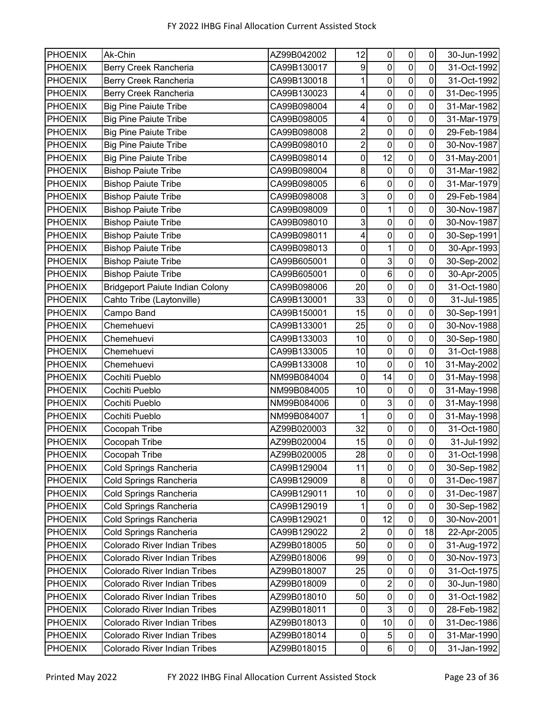| <b>PHOENIX</b> | Ak-Chin                                | AZ99B042002 | 12                      | 0              | $\mathsf{O}\xspace$     | 0         | 30-Jun-1992 |
|----------------|----------------------------------------|-------------|-------------------------|----------------|-------------------------|-----------|-------------|
| <b>PHOENIX</b> | Berry Creek Rancheria                  | CA99B130017 | 9                       | $\mathbf 0$    | $\mathbf 0$             | 0         | 31-Oct-1992 |
| <b>PHOENIX</b> | Berry Creek Rancheria                  | CA99B130018 | $\mathbf 1$             | 0              | $\mathbf 0$             | 0         | 31-Oct-1992 |
| <b>PHOENIX</b> | Berry Creek Rancheria                  | CA99B130023 | $\overline{\mathbf{4}}$ | 0              | $\mathbf 0$             | 0         | 31-Dec-1995 |
| <b>PHOENIX</b> | <b>Big Pine Paiute Tribe</b>           | CA99B098004 | 4                       | $\pmb{0}$      | $\mathsf{O}\xspace$     | 0         | 31-Mar-1982 |
| <b>PHOENIX</b> | <b>Big Pine Paiute Tribe</b>           | CA99B098005 | 4                       | $\mathbf 0$    | $\mathbf 0$             | 0         | 31-Mar-1979 |
| <b>PHOENIX</b> | <b>Big Pine Paiute Tribe</b>           | CA99B098008 | $\overline{2}$          | $\pmb{0}$      | $\mathsf{O}\xspace$     | 0         | 29-Feb-1984 |
| <b>PHOENIX</b> | <b>Big Pine Paiute Tribe</b>           | CA99B098010 | $\overline{2}$          | $\mathbf 0$    | $\mathbf 0$             | 0         | 30-Nov-1987 |
| <b>PHOENIX</b> | <b>Big Pine Paiute Tribe</b>           | CA99B098014 | 0                       | 12             | $\mathbf 0$             | 0         | 31-May-2001 |
| <b>PHOENIX</b> | <b>Bishop Paiute Tribe</b>             | CA99B098004 | 8                       | $\pmb{0}$      | $\overline{0}$          | 0         | 31-Mar-1982 |
| <b>PHOENIX</b> | <b>Bishop Paiute Tribe</b>             | CA99B098005 | 6                       | $\pmb{0}$      | $\mathbf 0$             | 0         | 31-Mar-1979 |
| <b>PHOENIX</b> | <b>Bishop Paiute Tribe</b>             | CA99B098008 | 3                       | $\pmb{0}$      | $\mathbf 0$             | 0         | 29-Feb-1984 |
| <b>PHOENIX</b> | <b>Bishop Paiute Tribe</b>             | CA99B098009 | $\pmb{0}$               | 1              | $\mathbf 0$             | 0         | 30-Nov-1987 |
| <b>PHOENIX</b> | <b>Bishop Paiute Tribe</b>             | CA99B098010 | $\mathbf{3}$            | $\pmb{0}$      | $\mathbf 0$             | 0         | 30-Nov-1987 |
| <b>PHOENIX</b> | <b>Bishop Paiute Tribe</b>             | CA99B098011 | $\overline{\mathbf{4}}$ | 0              | 0                       | 0         | 30-Sep-1991 |
| <b>PHOENIX</b> | <b>Bishop Paiute Tribe</b>             | CA99B098013 | $\mathsf 0$             | $\mathbf{1}$   | $\overline{0}$          | 0         | 30-Apr-1993 |
| <b>PHOENIX</b> | <b>Bishop Paiute Tribe</b>             | CA99B605001 | $\pmb{0}$               | 3              | $\pmb{0}$               | 0         | 30-Sep-2002 |
| <b>PHOENIX</b> | <b>Bishop Paiute Tribe</b>             | CA99B605001 | $\pmb{0}$               | $\,6$          | $\mathbf 0$             | 0         | 30-Apr-2005 |
| <b>PHOENIX</b> | <b>Bridgeport Paiute Indian Colony</b> | CA99B098006 | 20                      | $\pmb{0}$      | $\mathbf 0$             | 0         | 31-Oct-1980 |
| <b>PHOENIX</b> | Cahto Tribe (Laytonville)              | CA99B130001 | 33                      | 0              | $\mathbf 0$             | 0         | 31-Jul-1985 |
| <b>PHOENIX</b> | Campo Band                             | CA99B150001 | 15                      | $\mathbf 0$    | $\mathbf 0$             | 0         | 30-Sep-1991 |
| <b>PHOENIX</b> | Chemehuevi                             | CA99B133001 | 25                      | $\mathbf 0$    | $\overline{\mathsf{o}}$ | 0         | 30-Nov-1988 |
| <b>PHOENIX</b> | Chemehuevi                             | CA99B133003 | 10                      | $\pmb{0}$      | $\mathsf{O}\xspace$     | 0         | 30-Sep-1980 |
| <b>PHOENIX</b> | Chemehuevi                             | CA99B133005 | 10                      | $\pmb{0}$      | $\mathbf 0$             | 0         | 31-Oct-1988 |
| <b>PHOENIX</b> | Chemehuevi                             | CA99B133008 | 10                      | $\mathbf 0$    | $\mathbf 0$             | 10        | 31-May-2002 |
| <b>PHOENIX</b> | Cochiti Pueblo                         | NM99B084004 | 0                       | 14             | $\mathbf 0$             | 0         | 31-May-1998 |
| <b>PHOENIX</b> | Cochiti Pueblo                         | NM99B084005 | 10                      | $\pmb{0}$      | $\pmb{0}$               | 0         | 31-May-1998 |
| <b>PHOENIX</b> | Cochiti Pueblo                         | NM99B084006 | 0                       | 3              | $\overline{\mathsf{o}}$ | 0         | 31-May-1998 |
| <b>PHOENIX</b> | Cochiti Pueblo                         | NM99B084007 | $\mathbf{1}$            | $\pmb{0}$      | $\overline{0}$          | 0         | 31-May-1998 |
| <b>PHOENIX</b> | Cocopah Tribe                          | AZ99B020003 | 32                      | $\pmb{0}$      | $\pmb{0}$               | 0         | 31-Oct-1980 |
| <b>PHOENIX</b> | Cocopah Tribe                          | AZ99B020004 | 15                      | $\overline{0}$ | $\mathbf 0$             | 0         | 31-Jul-1992 |
| <b>PHOENIX</b> | Cocopah Tribe                          | AZ99B020005 | 28                      | $\pmb{0}$      | $\pmb{0}$               | $\pmb{0}$ | 31-Oct-1998 |
| <b>PHOENIX</b> | Cold Springs Rancheria                 | CA99B129004 | 11                      | $\pmb{0}$      | $\pmb{0}$               | 0         | 30-Sep-1982 |
| <b>PHOENIX</b> | Cold Springs Rancheria                 | CA99B129009 | 8                       | $\pmb{0}$      | $\pmb{0}$               | 0         | 31-Dec-1987 |
| <b>PHOENIX</b> | Cold Springs Rancheria                 | CA99B129011 | 10                      | $\pmb{0}$      | $\mathbf 0$             | 0         | 31-Dec-1987 |
| <b>PHOENIX</b> | Cold Springs Rancheria                 | CA99B129019 | 1                       | $\pmb{0}$      | $\pmb{0}$               | 0         | 30-Sep-1982 |
| <b>PHOENIX</b> | Cold Springs Rancheria                 | CA99B129021 | 0                       | 12             | $\mathbf 0$             | 0         | 30-Nov-2001 |
| <b>PHOENIX</b> | Cold Springs Rancheria                 | CA99B129022 | $\overline{2}$          | $\pmb{0}$      | $\pmb{0}$               | 18        | 22-Apr-2005 |
| <b>PHOENIX</b> | Colorado River Indian Tribes           | AZ99B018005 | 50                      | $\pmb{0}$      | $\pmb{0}$               | $\pmb{0}$ | 31-Aug-1972 |
| <b>PHOENIX</b> | Colorado River Indian Tribes           | AZ99B018006 | 99                      | $\pmb{0}$      | $\mathbf 0$             | 0         | 30-Nov-1973 |
| <b>PHOENIX</b> | <b>Colorado River Indian Tribes</b>    | AZ99B018007 | 25                      | $\pmb{0}$      | $\pmb{0}$               | 0         | 31-Oct-1975 |
| <b>PHOENIX</b> | Colorado River Indian Tribes           | AZ99B018009 | $\pmb{0}$               | $\overline{c}$ | $\pmb{0}$               | 0         | 30-Jun-1980 |
| <b>PHOENIX</b> | Colorado River Indian Tribes           | AZ99B018010 | 50                      | $\pmb{0}$      | $\pmb{0}$               | 0         | 31-Oct-1982 |
| <b>PHOENIX</b> | <b>Colorado River Indian Tribes</b>    | AZ99B018011 | 0                       | $\mathbf{3}$   | $\pmb{0}$               | 0         | 28-Feb-1982 |
| <b>PHOENIX</b> | Colorado River Indian Tribes           | AZ99B018013 | 0                       | 10             | $\pmb{0}$               | 0         | 31-Dec-1986 |
| <b>PHOENIX</b> | <b>Colorado River Indian Tribes</b>    | AZ99B018014 | 0                       | $\sqrt{5}$     | $\pmb{0}$               | 0         | 31-Mar-1990 |
| <b>PHOENIX</b> | Colorado River Indian Tribes           | AZ99B018015 | $\mathbf 0$             | 6 <sup>1</sup> | $\overline{0}$          | 0         | 31-Jan-1992 |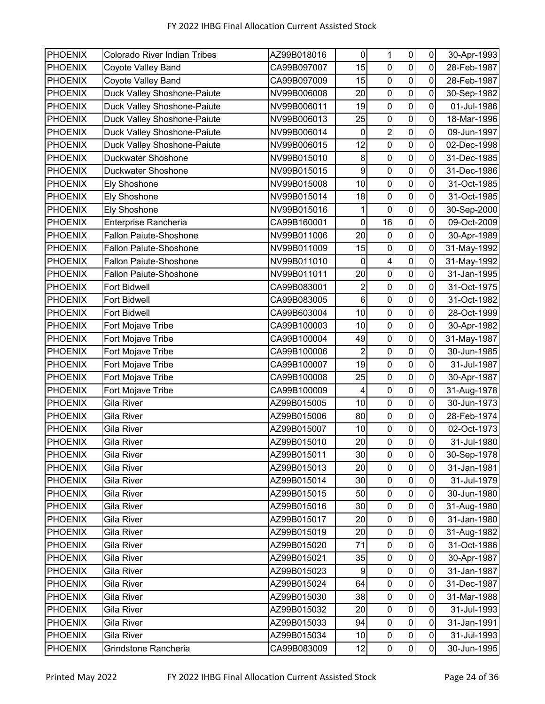| <b>PHOENIX</b> | <b>Colorado River Indian Tribes</b> | AZ99B018016 | 0              | $\mathbf{1}$     | 0                | $\pmb{0}$   | 30-Apr-1993 |
|----------------|-------------------------------------|-------------|----------------|------------------|------------------|-------------|-------------|
| <b>PHOENIX</b> | Coyote Valley Band                  | CA99B097007 | 15             | $\mathbf 0$      | $\mathbf 0$      | 0           | 28-Feb-1987 |
| <b>PHOENIX</b> | Coyote Valley Band                  | CA99B097009 | 15             | $\mathbf 0$      | $\pmb{0}$        | 0           | 28-Feb-1987 |
| <b>PHOENIX</b> | Duck Valley Shoshone-Paiute         | NV99B006008 | 20             | $\mathbf 0$      | $\mathbf 0$      | 0           | 30-Sep-1982 |
| <b>PHOENIX</b> | Duck Valley Shoshone-Paiute         | NV99B006011 | 19             | $\pmb{0}$        | $\mathbf 0$      | 0           | 01-Jul-1986 |
| <b>PHOENIX</b> | Duck Valley Shoshone-Paiute         | NV99B006013 | 25             | 0                | 0                | 0           | 18-Mar-1996 |
| <b>PHOENIX</b> | Duck Valley Shoshone-Paiute         | NV99B006014 | 0              | $\overline{2}$   | $\pmb{0}$        | 0           | 09-Jun-1997 |
| <b>PHOENIX</b> | Duck Valley Shoshone-Paiute         | NV99B006015 | 12             | $\pmb{0}$        | $\mathbf 0$      | 0           | 02-Dec-1998 |
| <b>PHOENIX</b> | Duckwater Shoshone                  | NV99B015010 | 8              | $\boldsymbol{0}$ | $\overline{0}$   | 0           | 31-Dec-1985 |
| <b>PHOENIX</b> | <b>Duckwater Shoshone</b>           | NV99B015015 | 9              | $\pmb{0}$        | $\pmb{0}$        | $\pmb{0}$   | 31-Dec-1986 |
| <b>PHOENIX</b> | <b>Ely Shoshone</b>                 | NV99B015008 | 10             | $\mathbf 0$      | $\boldsymbol{0}$ | 0           | 31-Oct-1985 |
| <b>PHOENIX</b> | <b>Ely Shoshone</b>                 | NV99B015014 | 18             | $\mathbf 0$      | $\overline{0}$   | $\pmb{0}$   | 31-Oct-1985 |
| <b>PHOENIX</b> | <b>Ely Shoshone</b>                 | NV99B015016 | 1              | 0                | $\pmb{0}$        | 0           | 30-Sep-2000 |
| <b>PHOENIX</b> | Enterprise Rancheria                | CA99B160001 | $\pmb{0}$      | 16               | $\mathbf 0$      | $\mathbf 0$ | 09-Oct-2009 |
| <b>PHOENIX</b> | <b>Fallon Paiute-Shoshone</b>       | NV99B011006 | 20             | $\mathbf 0$      | $\mathbf 0$      | $\mathbf 0$ | 30-Apr-1989 |
| <b>PHOENIX</b> | Fallon Paiute-Shoshone              | NV99B011009 | 15             | $\mathbf 0$      | $\overline{0}$   | 0           | 31-May-1992 |
| <b>PHOENIX</b> | <b>Fallon Paiute-Shoshone</b>       | NV99B011010 | 0              | 4                | $\pmb{0}$        | 0           | 31-May-1992 |
| <b>PHOENIX</b> | Fallon Paiute-Shoshone              | NV99B011011 | 20             | $\mathbf 0$      | $\mathbf 0$      | 0           | 31-Jan-1995 |
| <b>PHOENIX</b> | <b>Fort Bidwell</b>                 | CA99B083001 | 2              | $\pmb{0}$        | $\mathbf 0$      | 0           | 31-Oct-1975 |
| <b>PHOENIX</b> | <b>Fort Bidwell</b>                 | CA99B083005 | 6              | $\mathbf 0$      | $\mathbf 0$      | 0           | 31-Oct-1982 |
| <b>PHOENIX</b> | <b>Fort Bidwell</b>                 | CA99B603004 | 10             | $\mathbf 0$      | $\overline{0}$   | 0           | 28-Oct-1999 |
| <b>PHOENIX</b> | Fort Mojave Tribe                   | CA99B100003 | 10             | $\mathbf 0$      | $\pmb{0}$        | 0           | 30-Apr-1982 |
| <b>PHOENIX</b> | Fort Mojave Tribe                   | CA99B100004 | 49             | $\boldsymbol{0}$ | $\pmb{0}$        | 0           | 31-May-1987 |
| <b>PHOENIX</b> | Fort Mojave Tribe                   | CA99B100006 | $\overline{2}$ | $\pmb{0}$        | $\overline{0}$   | 0           | 30-Jun-1985 |
| <b>PHOENIX</b> | Fort Mojave Tribe                   | CA99B100007 | 19             | 0                | 0                | 0           | 31-Jul-1987 |
| <b>PHOENIX</b> | Fort Mojave Tribe                   | CA99B100008 | 25             | $\pmb{0}$        | $\pmb{0}$        | 0           | 30-Apr-1987 |
| <b>PHOENIX</b> | Fort Mojave Tribe                   | CA99B100009 | 4              | 0                | $\pmb{0}$        | 0           | 31-Aug-1978 |
| <b>PHOENIX</b> | <b>Gila River</b>                   | AZ99B015005 | 10             | $\mathbf 0$      | $\overline{0}$   | 0           | 30-Jun-1973 |
| <b>PHOENIX</b> | Gila River                          | AZ99B015006 | 80             | $\overline{0}$   | $\pmb{0}$        | $\pmb{0}$   | 28-Feb-1974 |
| <b>PHOENIX</b> | Gila River                          | AZ99B015007 | 10             | 0                | $\boldsymbol{0}$ | 0           | 02-Oct-1973 |
| <b>PHOENIX</b> | Gila River                          | AZ99B015010 | 20             | $\overline{0}$   | $\mathbf 0$      | $\mathbf 0$ | 31-Jul-1980 |
| <b>PHOENIX</b> | Gila River                          | AZ99B015011 | 30             | $\overline{0}$   | $\overline{0}$   | $\pmb{0}$   | 30-Sep-1978 |
| <b>PHOENIX</b> | Gila River                          | AZ99B015013 | 20             | $\overline{0}$   | $\mathbf 0$      | $\pmb{0}$   | 31-Jan-1981 |
| <b>PHOENIX</b> | Gila River                          | AZ99B015014 | 30             | $\pmb{0}$        | $\pmb{0}$        | $\pmb{0}$   | 31-Jul-1979 |
| <b>PHOENIX</b> | Gila River                          | AZ99B015015 | 50             | $\pmb{0}$        | $\pmb{0}$        | $\mathbf 0$ | 30-Jun-1980 |
| <b>PHOENIX</b> | Gila River                          | AZ99B015016 | 30             | $\pmb{0}$        | $\pmb{0}$        | $\pmb{0}$   | 31-Aug-1980 |
| <b>PHOENIX</b> | Gila River                          | AZ99B015017 | 20             | $\pmb{0}$        | $\pmb{0}$        | $\pmb{0}$   | 31-Jan-1980 |
| <b>PHOENIX</b> | Gila River                          | AZ99B015019 | 20             | $\pmb{0}$        | $\pmb{0}$        | $\pmb{0}$   | 31-Aug-1982 |
| <b>PHOENIX</b> | Gila River                          | AZ99B015020 | 71             | $\mathbf 0$      | $\pmb{0}$        | 0           | 31-Oct-1986 |
| <b>PHOENIX</b> | <b>Gila River</b>                   | AZ99B015021 | 35             | $\mathbf 0$      | $\mathbf 0$      | $\mathbf 0$ | 30-Apr-1987 |
| <b>PHOENIX</b> | Gila River                          | AZ99B015023 | 9              | $\pmb{0}$        | $\overline{0}$   | $\pmb{0}$   | 31-Jan-1987 |
| <b>PHOENIX</b> | Gila River                          | AZ99B015024 | 64             | $\pmb{0}$        | $\pmb{0}$        | $\pmb{0}$   | 31-Dec-1987 |
| <b>PHOENIX</b> | Gila River                          | AZ99B015030 | 38             | 0                | $\pmb{0}$        | $\pmb{0}$   | 31-Mar-1988 |
| <b>PHOENIX</b> | Gila River                          | AZ99B015032 | 20             | 0                | $\pmb{0}$        | 0           | 31-Jul-1993 |
| <b>PHOENIX</b> | Gila River                          | AZ99B015033 | 94             | $\overline{0}$   | $\pmb{0}$        | 0           | 31-Jan-1991 |
| <b>PHOENIX</b> | Gila River                          | AZ99B015034 | 10             | $\pmb{0}$        | $\mathbf 0$      | $\pmb{0}$   | 31-Jul-1993 |
| <b>PHOENIX</b> | Grindstone Rancheria                | CA99B083009 | 12             | $\overline{0}$   | $\overline{0}$   | $\pmb{0}$   | 30-Jun-1995 |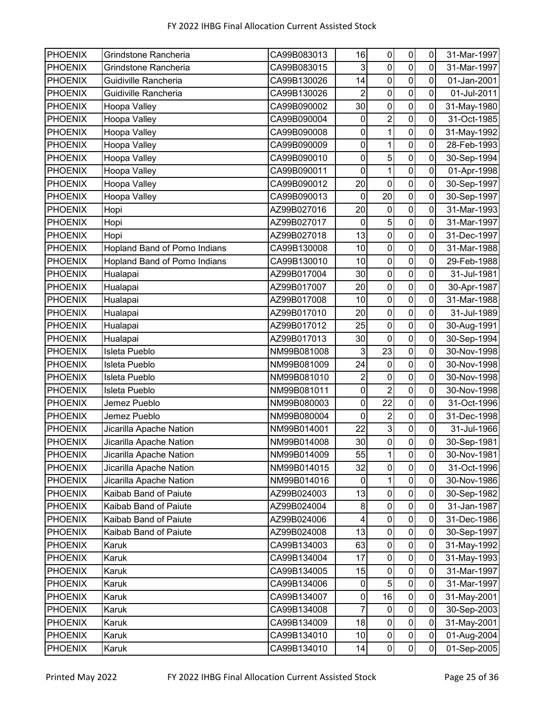| <b>PHOENIX</b> | Grindstone Rancheria         | CA99B083013 | 16             | $\mathbf 0$      | $\pmb{0}$               | 0           | 31-Mar-1997 |
|----------------|------------------------------|-------------|----------------|------------------|-------------------------|-------------|-------------|
| <b>PHOENIX</b> | Grindstone Rancheria         | CA99B083015 | 3              | $\mathbf 0$      | $\mathbf 0$             | 0           | 31-Mar-1997 |
| <b>PHOENIX</b> | Guidiville Rancheria         | CA99B130026 | 14             | $\mathbf 0$      | $\pmb{0}$               | 0           | 01-Jan-2001 |
| <b>PHOENIX</b> | Guidiville Rancheria         | CA99B130026 | $\overline{2}$ | $\mathbf 0$      | $\pmb{0}$               | 0           | 01-Jul-2011 |
| <b>PHOENIX</b> | Hoopa Valley                 | CA99B090002 | 30             | $\pmb{0}$        | $\mathbf 0$             | 0           | 31-May-1980 |
| <b>PHOENIX</b> | Hoopa Valley                 | CA99B090004 | 0              | $\overline{2}$   | $\mathbf 0$             | 0           | 31-Oct-1985 |
| <b>PHOENIX</b> | Hoopa Valley                 | CA99B090008 | $\pmb{0}$      | 1                | $\pmb{0}$               | 0           | 31-May-1992 |
| <b>PHOENIX</b> | Hoopa Valley                 | CA99B090009 | 0              | 1                | $\mathbf 0$             | 0           | 28-Feb-1993 |
| <b>PHOENIX</b> | Hoopa Valley                 | CA99B090010 | $\mathbf 0$    | 5                | $\mathbf 0$             | 0           | 30-Sep-1994 |
| <b>PHOENIX</b> | Hoopa Valley                 | CA99B090011 | $\mathbf 0$    | 1                | $\pmb{0}$               | $\mathbf 0$ | 01-Apr-1998 |
| <b>PHOENIX</b> | Hoopa Valley                 | CA99B090012 | 20             | $\mathbf 0$      | $\mathbf 0$             | 0           | 30-Sep-1997 |
| <b>PHOENIX</b> | Hoopa Valley                 | CA99B090013 | 0              | 20               | $\overline{\mathsf{o}}$ | 0           | 30-Sep-1997 |
| <b>PHOENIX</b> | Hopi                         | AZ99B027016 | 20             | $\mathbf 0$      | $\mathbf 0$             | 0           | 31-Mar-1993 |
| <b>PHOENIX</b> | Hopi                         | AZ99B027017 | 0              | 5                | $\mathbf 0$             | 0           | 31-Mar-1997 |
| <b>PHOENIX</b> | Hopi                         | AZ99B027018 | 13             | $\mathbf 0$      | $\pmb{0}$               | 0           | 31-Dec-1997 |
| <b>PHOENIX</b> | Hopland Band of Pomo Indians | CA99B130008 | 10             | $\mathbf 0$      | $\mathbf 0$             | 0           | 31-Mar-1988 |
| <b>PHOENIX</b> | Hopland Band of Pomo Indians | CA99B130010 | 10             | $\pmb{0}$        | $\pmb{0}$               | $\mathbf 0$ | 29-Feb-1988 |
| <b>PHOENIX</b> | Hualapai                     | AZ99B017004 | 30             | $\mathbf 0$      | $\mathbf 0$             | 0           | 31-Jul-1981 |
| <b>PHOENIX</b> | Hualapai                     | AZ99B017007 | 20             | $\pmb{0}$        | $\pmb{0}$               | 0           | 30-Apr-1987 |
| <b>PHOENIX</b> | Hualapai                     | AZ99B017008 | 10             | 0                | $\mathbf 0$             | 0           | 31-Mar-1988 |
| <b>PHOENIX</b> | Hualapai                     | AZ99B017010 | 20             | $\mathbf 0$      | $\mathbf 0$             | 0           | 31-Jul-1989 |
| <b>PHOENIX</b> | Hualapai                     | AZ99B017012 | 25             | $\mathbf 0$      | $\mathbf 0$             | 0           | 30-Aug-1991 |
| <b>PHOENIX</b> | Hualapai                     | AZ99B017013 | 30             | 0                | $\pmb{0}$               | 0           | 30-Sep-1994 |
| <b>PHOENIX</b> | Isleta Pueblo                | NM99B081008 | 3              | 23               | $\overline{0}$          | 0           | 30-Nov-1998 |
| <b>PHOENIX</b> | Isleta Pueblo                | NM99B081009 | 24             | $\pmb{0}$        | $\pmb{0}$               | 0           | 30-Nov-1998 |
| <b>PHOENIX</b> | Isleta Pueblo                | NM99B081010 | $\overline{2}$ | $\pmb{0}$        | $\pmb{0}$               | 0           | 30-Nov-1998 |
| <b>PHOENIX</b> | Isleta Pueblo                | NM99B081011 | $\pmb{0}$      | $\overline{2}$   | $\mathbf 0$             | 0           | 30-Nov-1998 |
| <b>PHOENIX</b> | Jemez Pueblo                 | NM99B080003 | $\pmb{0}$      | 22               | $\mathbf 0$             | $\mathbf 0$ | 31-Oct-1996 |
| <b>PHOENIX</b> | Jemez Pueblo                 | NM99B080004 | $\mathbf 0$    | $\boldsymbol{2}$ | $\pmb{0}$               | $\pmb{0}$   | 31-Dec-1998 |
| <b>PHOENIX</b> | Jicarilla Apache Nation      | NM99B014001 | 22             | $\mathbf{3}$     | $\pmb{0}$               | 0           | 31-Jul-1966 |
| <b>PHOENIX</b> | Jicarilla Apache Nation      | NM99B014008 | 30             | $\mathbf 0$      | $\overline{0}$          | 0           | 30-Sep-1981 |
| <b>PHOENIX</b> | Jicarilla Apache Nation      | NM99B014009 | 55             | 1                | $\pmb{0}$               | 0           | 30-Nov-1981 |
| <b>PHOENIX</b> | Jicarilla Apache Nation      | NM99B014015 | 32             | $\mathbf 0$      | $\pmb{0}$               | $\pmb{0}$   | 31-Oct-1996 |
| <b>PHOENIX</b> | Jicarilla Apache Nation      | NM99B014016 | 0              | 1                | $\mathsf{O}\xspace$     | $\pmb{0}$   | 30-Nov-1986 |
| <b>PHOENIX</b> | Kaibab Band of Paiute        | AZ99B024003 | 13             | $\pmb{0}$        | $\pmb{0}$               | $\mathbf 0$ | 30-Sep-1982 |
| <b>PHOENIX</b> | Kaibab Band of Paiute        | AZ99B024004 | 8              | $\pmb{0}$        | $\pmb{0}$               | $\pmb{0}$   | 31-Jan-1987 |
| <b>PHOENIX</b> | Kaibab Band of Paiute        | AZ99B024006 | 4              | $\pmb{0}$        | $\pmb{0}$               | 0           | 31-Dec-1986 |
| <b>PHOENIX</b> | Kaibab Band of Paiute        | AZ99B024008 | 13             | $\pmb{0}$        | $\pmb{0}$               | 0           | 30-Sep-1997 |
| <b>PHOENIX</b> | Karuk                        | CA99B134003 | 63             | 0                | $\pmb{0}$               | 0           | 31-May-1992 |
| <b>PHOENIX</b> | Karuk                        | CA99B134004 | 17             | $\mathbf 0$      | $\pmb{0}$               | 0           | 31-May-1993 |
| <b>PHOENIX</b> | Karuk                        | CA99B134005 | 15             | $\pmb{0}$        | $\pmb{0}$               | $\pmb{0}$   | 31-Mar-1997 |
| <b>PHOENIX</b> | Karuk                        | CA99B134006 | 0              | 5                | $\pmb{0}$               | 0           | 31-Mar-1997 |
| <b>PHOENIX</b> | Karuk                        | CA99B134007 | 0              | 16               | $\pmb{0}$               | $\pmb{0}$   | 31-May-2001 |
| <b>PHOENIX</b> | Karuk                        | CA99B134008 | 7              | $\pmb{0}$        | $\pmb{0}$               | 0           | 30-Sep-2003 |
| <b>PHOENIX</b> | Karuk                        | CA99B134009 | 18             | $\mathbf 0$      | $\pmb{0}$               | $\mathbf 0$ | 31-May-2001 |
| <b>PHOENIX</b> | Karuk                        | CA99B134010 | 10             | 0                | $\pmb{0}$               | $\pmb{0}$   | 01-Aug-2004 |
| <b>PHOENIX</b> | Karuk                        | CA99B134010 | 14             | $\pmb{0}$        | $\overline{0}$          | $\pmb{0}$   | 01-Sep-2005 |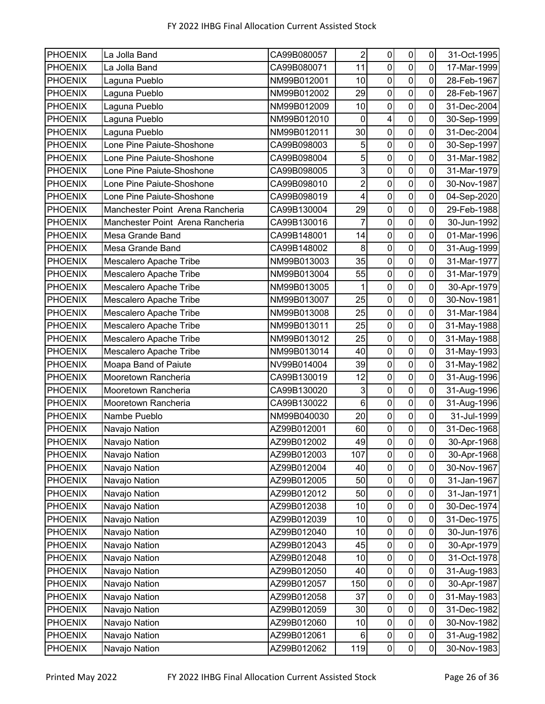| <b>PHOENIX</b> | La Jolla Band                    | CA99B080057 | $\overline{2}$ | $\mathbf 0$             | $\pmb{0}$               | $\mathbf 0$    | 31-Oct-1995 |
|----------------|----------------------------------|-------------|----------------|-------------------------|-------------------------|----------------|-------------|
| <b>PHOENIX</b> | La Jolla Band                    | CA99B080071 | 11             | $\mathbf 0$             | $\mathbf 0$             | 0              | 17-Mar-1999 |
| <b>PHOENIX</b> | Laguna Pueblo                    | NM99B012001 | 10             | $\pmb{0}$               | $\mathbf 0$             | $\mathbf 0$    | 28-Feb-1967 |
| <b>PHOENIX</b> | Laguna Pueblo                    | NM99B012002 | 29             | $\mathbf 0$             | $\mathbf 0$             | 0              | 28-Feb-1967 |
| <b>PHOENIX</b> | Laguna Pueblo                    | NM99B012009 | 10             | $\boldsymbol{0}$        | $\mathbf 0$             | 0              | 31-Dec-2004 |
| <b>PHOENIX</b> | Laguna Pueblo                    | NM99B012010 | 0              | $\overline{\mathbf{4}}$ | $\mathsf{O}\xspace$     | 0              | 30-Sep-1999 |
| <b>PHOENIX</b> | Laguna Pueblo                    | NM99B012011 | 30             | $\pmb{0}$               | $\mathsf{O}\xspace$     | 0              | 31-Dec-2004 |
| <b>PHOENIX</b> | Lone Pine Paiute-Shoshone        | CA99B098003 | 5              | $\mathbf 0$             | $\overline{0}$          | 0              | 30-Sep-1997 |
| <b>PHOENIX</b> | Lone Pine Paiute-Shoshone        | CA99B098004 | 5              | $\boldsymbol{0}$        | $\pmb{0}$               | 0              | 31-Mar-1982 |
| <b>PHOENIX</b> | Lone Pine Paiute-Shoshone        | CA99B098005 | $\overline{3}$ | $\pmb{0}$               | $\pmb{0}$               | $\mathbf 0$    | 31-Mar-1979 |
| <b>PHOENIX</b> | Lone Pine Paiute-Shoshone        | CA99B098010 | $\overline{c}$ | $\mathbf 0$             | $\mathbf 0$             | 0              | 30-Nov-1987 |
| <b>PHOENIX</b> | Lone Pine Paiute-Shoshone        | CA99B098019 | 4              | $\boldsymbol{0}$        | $\mathbf 0$             | 0              | 04-Sep-2020 |
| <b>PHOENIX</b> | Manchester Point Arena Rancheria | CA99B130004 | 29             | $\pmb{0}$               | $\pmb{0}$               | 0              | 29-Feb-1988 |
| <b>PHOENIX</b> | Manchester Point Arena Rancheria | CA99B130016 | $\overline{7}$ | $\mathbf 0$             | $\overline{0}$          | 0              | 30-Jun-1992 |
| <b>PHOENIX</b> | Mesa Grande Band                 | CA99B148001 | 14             | $\boldsymbol{0}$        | $\mathbf 0$             | 0              | 01-Mar-1996 |
| <b>PHOENIX</b> | Mesa Grande Band                 | CA99B148002 | 8              | $\boldsymbol{0}$        | $\pmb{0}$               | 0              | 31-Aug-1999 |
| <b>PHOENIX</b> | Mescalero Apache Tribe           | NM99B013003 | 35             | $\mathbf 0$             | $\overline{\mathsf{o}}$ | 0              | 31-Mar-1977 |
| <b>PHOENIX</b> | Mescalero Apache Tribe           | NM99B013004 | 55             | $\pmb{0}$               | $\mathbf 0$             | 0              | 31-Mar-1979 |
| <b>PHOENIX</b> | Mescalero Apache Tribe           | NM99B013005 | $\mathbf 1$    | $\pmb{0}$               | $\pmb{0}$               | 0              | 30-Apr-1979 |
| <b>PHOENIX</b> | Mescalero Apache Tribe           | NM99B013007 | 25             | $\mathbf 0$             | $\overline{0}$          | 0              | 30-Nov-1981 |
| <b>PHOENIX</b> | Mescalero Apache Tribe           | NM99B013008 | 25             | $\mathbf 0$             | $\overline{0}$          | 0              | 31-Mar-1984 |
| <b>PHOENIX</b> | Mescalero Apache Tribe           | NM99B013011 | 25             | $\pmb{0}$               | $\mathbf 0$             | $\mathbf 0$    | 31-May-1988 |
| <b>PHOENIX</b> | Mescalero Apache Tribe           | NM99B013012 | 25             | $\mathbf 0$             | $\mathbf 0$             | 0              | 31-May-1988 |
| <b>PHOENIX</b> | Mescalero Apache Tribe           | NM99B013014 | 40             | $\pmb{0}$               | $\mathbf 0$             | 0              | 31-May-1993 |
| <b>PHOENIX</b> | Moapa Band of Paiute             | NV99B014004 | 39             | $\pmb{0}$               | $\mathsf{O}\xspace$     | 0              | 31-May-1982 |
| <b>PHOENIX</b> | Mooretown Rancheria              | CA99B130019 | 12             | $\pmb{0}$               | $\pmb{0}$               | 0              | 31-Aug-1996 |
| <b>PHOENIX</b> | Mooretown Rancheria              | CA99B130020 | 3              | $\boldsymbol{0}$        | $\overline{0}$          | 0              | 31-Aug-1996 |
| <b>PHOENIX</b> | Mooretown Rancheria              | CA99B130022 | $\,6\,$        | $\boldsymbol{0}$        | $\mathbf 0$             | 0              | 31-Aug-1996 |
| <b>PHOENIX</b> | Nambe Pueblo                     | NM99B040030 | 20             | $\pmb{0}$               | $\pmb{0}$               | $\mathbf 0$    | 31-Jul-1999 |
| <b>PHOENIX</b> | Navajo Nation                    | AZ99B012001 | 60             | $\pmb{0}$               | $\mathbf 0$             | 0              | 31-Dec-1968 |
| <b>PHOENIX</b> | Navajo Nation                    | AZ99B012002 | 49             | $\pmb{0}$               | $\mathbf 0$             | $\mathbf 0$    | 30-Apr-1968 |
| <b>PHOENIX</b> | Navajo Nation                    | AZ99B012003 | 107            | 0                       | $\pmb{0}$               | $\overline{0}$ | 30-Apr-1968 |
| <b>PHOENIX</b> | Navajo Nation                    | AZ99B012004 | 40             | $\mathbf 0$             | $\pmb{0}$               | 0              | 30-Nov-1967 |
| <b>PHOENIX</b> | Navajo Nation                    | AZ99B012005 | 50             | $\pmb{0}$               | $\pmb{0}$               | 0              | 31-Jan-1967 |
| <b>PHOENIX</b> | Navajo Nation                    | AZ99B012012 | 50             | $\pmb{0}$               | $\pmb{0}$               | 0              | 31-Jan-1971 |
| <b>PHOENIX</b> | Navajo Nation                    | AZ99B012038 | 10             | $\pmb{0}$               | $\mathbf 0$             | $\pmb{0}$      | 30-Dec-1974 |
| <b>PHOENIX</b> | Navajo Nation                    | AZ99B012039 | 10             | $\pmb{0}$               | $\pmb{0}$               | 0              | 31-Dec-1975 |
| <b>PHOENIX</b> | Navajo Nation                    | AZ99B012040 | 10             | $\pmb{0}$               | $\mathbf 0$             | $\pmb{0}$      | 30-Jun-1976 |
| <b>PHOENIX</b> | Navajo Nation                    | AZ99B012043 | 45             | $\boldsymbol{0}$        | $\pmb{0}$               | $\pmb{0}$      | 30-Apr-1979 |
| <b>PHOENIX</b> | Navajo Nation                    | AZ99B012048 | 10             | $\pmb{0}$               | $\pmb{0}$               | $\pmb{0}$      | 31-Oct-1978 |
| <b>PHOENIX</b> | Navajo Nation                    | AZ99B012050 | 40             | $\pmb{0}$               | $\pmb{0}$               | $\pmb{0}$      | 31-Aug-1983 |
| <b>PHOENIX</b> | Navajo Nation                    | AZ99B012057 | 150            | $\boldsymbol{0}$        | $\mathbf 0$             | $\pmb{0}$      | 30-Apr-1987 |
| <b>PHOENIX</b> | Navajo Nation                    | AZ99B012058 | 37             | $\pmb{0}$               | $\pmb{0}$               | $\pmb{0}$      | 31-May-1983 |
| <b>PHOENIX</b> | Navajo Nation                    | AZ99B012059 | 30             | $\pmb{0}$               | $\pmb{0}$               | 0              | 31-Dec-1982 |
| <b>PHOENIX</b> | Navajo Nation                    | AZ99B012060 | 10             | $\pmb{0}$               | $\pmb{0}$               | $\mathbf 0$    | 30-Nov-1982 |
| <b>PHOENIX</b> | Navajo Nation                    | AZ99B012061 | 6              | $\pmb{0}$               | $\pmb{0}$               | $\pmb{0}$      | 31-Aug-1982 |
| <b>PHOENIX</b> | Navajo Nation                    | AZ99B012062 | 119            | $\pmb{0}$               | $\overline{0}$          | $\pmb{0}$      | 30-Nov-1983 |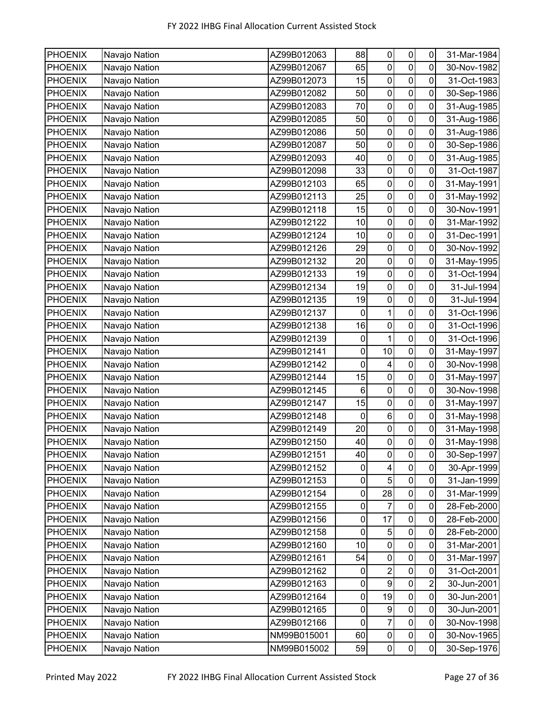| PHOENIX        | Navajo Nation | AZ99B012063 | 88          | $\pmb{0}$               | 0                | 0           | 31-Mar-1984 |
|----------------|---------------|-------------|-------------|-------------------------|------------------|-------------|-------------|
| <b>PHOENIX</b> | Navajo Nation | AZ99B012067 | 65          | $\mathbf 0$             | $\mathbf 0$      | 0           | 30-Nov-1982 |
| <b>PHOENIX</b> | Navajo Nation | AZ99B012073 | 15          | $\pmb{0}$               | $\mathbf 0$      | $\pmb{0}$   | 31-Oct-1983 |
| <b>PHOENIX</b> | Navajo Nation | AZ99B012082 | 50          | 0                       | $\pmb{0}$        | 0           | 30-Sep-1986 |
| <b>PHOENIX</b> | Navajo Nation | AZ99B012083 | 70          | $\pmb{0}$               | $\mathbf 0$      | 0           | 31-Aug-1985 |
| <b>PHOENIX</b> | Navajo Nation | AZ99B012085 | 50          | 0                       | $\pmb{0}$        | 0           | 31-Aug-1986 |
| <b>PHOENIX</b> | Navajo Nation | AZ99B012086 | 50          | $\mathbf 0$             | $\mathbf 0$      | 0           | 31-Aug-1986 |
| <b>PHOENIX</b> | Navajo Nation | AZ99B012087 | 50          | 0                       | $\mathbf 0$      | 0           | 30-Sep-1986 |
| <b>PHOENIX</b> | Navajo Nation | AZ99B012093 | 40          | $\mathbf 0$             | $\pmb{0}$        | 0           | 31-Aug-1985 |
| <b>PHOENIX</b> | Navajo Nation | AZ99B012098 | 33          | $\pmb{0}$               | $\mathbf 0$      | $\pmb{0}$   | 31-Oct-1987 |
| <b>PHOENIX</b> | Navajo Nation | AZ99B012103 | 65          | $\mathbf 0$             | $\boldsymbol{0}$ | 0           | 31-May-1991 |
| <b>PHOENIX</b> | Navajo Nation | AZ99B012113 | 25          | $\pmb{0}$               | $\mathbf 0$      | 0           | 31-May-1992 |
| <b>PHOENIX</b> | Navajo Nation | AZ99B012118 | 15          | 0                       | $\pmb{0}$        | 0           | 30-Nov-1991 |
| <b>PHOENIX</b> | Navajo Nation | AZ99B012122 | 10          | $\mathbf 0$             | $\mathbf 0$      | 0           | 31-Mar-1992 |
| <b>PHOENIX</b> | Navajo Nation | AZ99B012124 | 10          | $\pmb{0}$               | $\pmb{0}$        | 0           | 31-Dec-1991 |
| <b>PHOENIX</b> | Navajo Nation | AZ99B012126 | 29          | $\pmb{0}$               | $\mathbf 0$      | 0           | 30-Nov-1992 |
| PHOENIX        | Navajo Nation | AZ99B012132 | 20          | $\pmb{0}$               | $\mathbf 0$      | 0           | 31-May-1995 |
| <b>PHOENIX</b> | Navajo Nation | AZ99B012133 | 19          | 0                       | $\mathbf 0$      | 0           | 31-Oct-1994 |
| <b>PHOENIX</b> | Navajo Nation | AZ99B012134 | 19          | $\pmb{0}$               | $\pmb{0}$        | 0           | 31-Jul-1994 |
| <b>PHOENIX</b> | Navajo Nation | AZ99B012135 | 19          | $\pmb{0}$               | $\mathbf 0$      | 0           | 31-Jul-1994 |
| <b>PHOENIX</b> | Navajo Nation | AZ99B012137 | 0           | 1                       | $\pmb{0}$        | 0           | 31-Oct-1996 |
| <b>PHOENIX</b> | Navajo Nation | AZ99B012138 | 16          | $\pmb{0}$               | $\mathbf 0$      | $\pmb{0}$   | 31-Oct-1996 |
| <b>PHOENIX</b> | Navajo Nation | AZ99B012139 | 0           | 1                       | $\pmb{0}$        | 0           | 31-Oct-1996 |
| <b>PHOENIX</b> | Navajo Nation | AZ99B012141 | $\pmb{0}$   | 10                      | $\mathbf 0$      | 0           | 31-May-1997 |
| <b>PHOENIX</b> | Navajo Nation | AZ99B012142 | 0           | $\overline{\mathbf{4}}$ | $\pmb{0}$        | 0           | 30-Nov-1998 |
| <b>PHOENIX</b> | Navajo Nation | AZ99B012144 | 15          | $\mathbf 0$             | $\mathbf 0$      | 0           | 31-May-1997 |
| <b>PHOENIX</b> | Navajo Nation | AZ99B012145 | 6           | $\pmb{0}$               | $\pmb{0}$        | 0           | 30-Nov-1998 |
| <b>PHOENIX</b> | Navajo Nation | AZ99B012147 | 15          | $\pmb{0}$               | $\mathbf 0$      | 0           | 31-May-1997 |
| <b>PHOENIX</b> | Navajo Nation | AZ99B012148 | $\pmb{0}$   | $\,6$                   | $\pmb{0}$        | 0           | 31-May-1998 |
| <b>PHOENIX</b> | Navajo Nation | AZ99B012149 | 20          | $\pmb{0}$               | $\pmb{0}$        | $\mathbf 0$ | 31-May-1998 |
| <b>PHOENIX</b> | Navajo Nation | AZ99B012150 | 40          | $\overline{0}$          | $\mathsf 0$      | 0           | 31-May-1998 |
| <b>PHOENIX</b> | Navajo Nation | AZ99B012151 | 40          | $\mathsf{O}\xspace$     | 0                | 0           | 30-Sep-1997 |
| <b>PHOENIX</b> | Navajo Nation | AZ99B012152 | 0           | $\overline{4}$          | $\pmb{0}$        | $\pmb{0}$   | 30-Apr-1999 |
| <b>PHOENIX</b> | Navajo Nation | AZ99B012153 | $\pmb{0}$   | 5                       | $\overline{0}$   | $\pmb{0}$   | 31-Jan-1999 |
| <b>PHOENIX</b> | Navajo Nation | AZ99B012154 | 0           | 28                      | $\pmb{0}$        | $\pmb{0}$   | 31-Mar-1999 |
| <b>PHOENIX</b> | Navajo Nation | AZ99B012155 | $\pmb{0}$   | $\overline{7}$          | $\mathbf 0$      | $\pmb{0}$   | 28-Feb-2000 |
| <b>PHOENIX</b> | Navajo Nation | AZ99B012156 | 0           | 17                      | $\pmb{0}$        | 0           | 28-Feb-2000 |
| <b>PHOENIX</b> | Navajo Nation | AZ99B012158 | 0           | 5                       | $\pmb{0}$        | $\pmb{0}$   | 28-Feb-2000 |
| <b>PHOENIX</b> | Navajo Nation | AZ99B012160 | 10          | $\pmb{0}$               | $\pmb{0}$        | 0           | 31-Mar-2001 |
| <b>PHOENIX</b> | Navajo Nation | AZ99B012161 | 54          | $\pmb{0}$               | $\mathbf 0$      | 0           | 31-Mar-1997 |
| <b>PHOENIX</b> | Navajo Nation | AZ99B012162 | 0           | $\overline{a}$          | $\pmb{0}$        | $\pmb{0}$   | 31-Oct-2001 |
| <b>PHOENIX</b> | Navajo Nation | AZ99B012163 | 0           | 9                       | $\mathbf 0$      | 2           | 30-Jun-2001 |
| <b>PHOENIX</b> | Navajo Nation | AZ99B012164 | 0           | 19                      | $\pmb{0}$        | $\pmb{0}$   | 30-Jun-2001 |
| <b>PHOENIX</b> | Navajo Nation | AZ99B012165 | 0           | $\boldsymbol{9}$        | $\pmb{0}$        | $\pmb{0}$   | 30-Jun-2001 |
| <b>PHOENIX</b> | Navajo Nation | AZ99B012166 | $\mathbf 0$ | $\overline{7}$          | $\mathbf 0$      | $\mathbf 0$ | 30-Nov-1998 |
| <b>PHOENIX</b> | Navajo Nation | NM99B015001 | 60          | $\pmb{0}$               | $\pmb{0}$        | $\pmb{0}$   | 30-Nov-1965 |
| <b>PHOENIX</b> | Navajo Nation | NM99B015002 | 59          | $\overline{0}$          | $\overline{0}$   | $\pmb{0}$   | 30-Sep-1976 |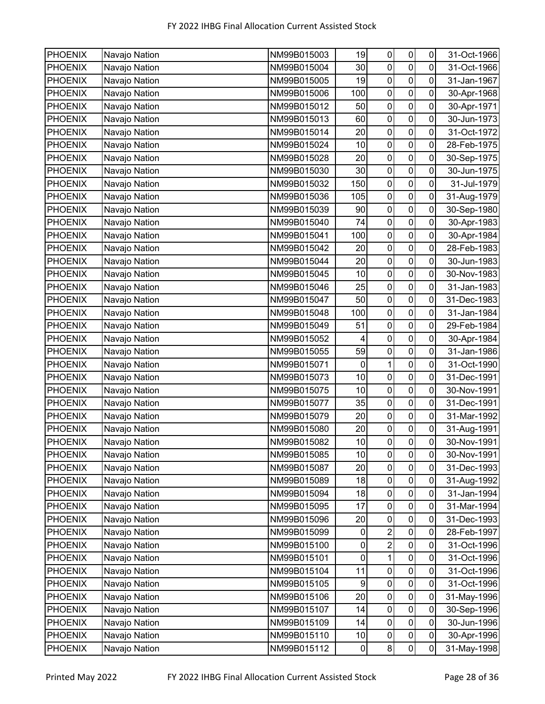| PHOENIX        | Navajo Nation | NM99B015003 | 19          | $\pmb{0}$           | 0                | 0           | 31-Oct-1966 |
|----------------|---------------|-------------|-------------|---------------------|------------------|-------------|-------------|
| <b>PHOENIX</b> | Navajo Nation | NM99B015004 | 30          | $\mathbf 0$         | $\mathbf 0$      | 0           | 31-Oct-1966 |
| <b>PHOENIX</b> | Navajo Nation | NM99B015005 | 19          | $\pmb{0}$           | $\mathbf 0$      | $\pmb{0}$   | 31-Jan-1967 |
| <b>PHOENIX</b> | Navajo Nation | NM99B015006 | 100         | 0                   | $\pmb{0}$        | 0           | 30-Apr-1968 |
| <b>PHOENIX</b> | Navajo Nation | NM99B015012 | 50          | $\pmb{0}$           | $\mathbf 0$      | $\pmb{0}$   | 30-Apr-1971 |
| <b>PHOENIX</b> | Navajo Nation | NM99B015013 | 60          | 0                   | $\pmb{0}$        | 0           | 30-Jun-1973 |
| <b>PHOENIX</b> | Navajo Nation | NM99B015014 | 20          | $\mathbf 0$         | $\mathbf 0$      | 0           | 31-Oct-1972 |
| <b>PHOENIX</b> | Navajo Nation | NM99B015024 | 10          | 0                   | $\pmb{0}$        | 0           | 28-Feb-1975 |
| <b>PHOENIX</b> | Navajo Nation | NM99B015028 | 20          | $\mathbf 0$         | $\pmb{0}$        | 0           | 30-Sep-1975 |
| <b>PHOENIX</b> | Navajo Nation | NM99B015030 | 30          | $\pmb{0}$           | $\boldsymbol{0}$ | $\pmb{0}$   | 30-Jun-1975 |
| <b>PHOENIX</b> | Navajo Nation | NM99B015032 | 150         | $\mathbf 0$         | $\boldsymbol{0}$ | 0           | 31-Jul-1979 |
| <b>PHOENIX</b> | Navajo Nation | NM99B015036 | 105         | $\pmb{0}$           | $\mathbf 0$      | 0           | 31-Aug-1979 |
| <b>PHOENIX</b> | Navajo Nation | NM99B015039 | 90          | 0                   | $\pmb{0}$        | 0           | 30-Sep-1980 |
| <b>PHOENIX</b> | Navajo Nation | NM99B015040 | 74          | $\mathbf 0$         | $\mathbf 0$      | 0           | 30-Apr-1983 |
| <b>PHOENIX</b> | Navajo Nation | NM99B015041 | 100         | $\pmb{0}$           | $\pmb{0}$        | 0           | 30-Apr-1984 |
| <b>PHOENIX</b> | Navajo Nation | NM99B015042 | 20          | $\pmb{0}$           | $\pmb{0}$        | 0           | 28-Feb-1983 |
| <b>PHOENIX</b> | Navajo Nation | NM99B015044 | 20          | $\pmb{0}$           | $\mathbf 0$      | 0           | 30-Jun-1983 |
| <b>PHOENIX</b> | Navajo Nation | NM99B015045 | 10          | 0                   | $\mathbf 0$      | 0           | 30-Nov-1983 |
| <b>PHOENIX</b> | Navajo Nation | NM99B015046 | 25          | $\pmb{0}$           | $\pmb{0}$        | 0           | 31-Jan-1983 |
| <b>PHOENIX</b> | Navajo Nation | NM99B015047 | 50          | $\mathbf 0$         | $\mathbf 0$      | 0           | 31-Dec-1983 |
| <b>PHOENIX</b> | Navajo Nation | NM99B015048 | 100         | $\mathbf 0$         | $\pmb{0}$        | 0           | 31-Jan-1984 |
| <b>PHOENIX</b> | Navajo Nation | NM99B015049 | 51          | $\pmb{0}$           | $\mathbf 0$      | $\pmb{0}$   | 29-Feb-1984 |
| <b>PHOENIX</b> | Navajo Nation | NM99B015052 | 4           | 0                   | $\pmb{0}$        | 0           | 30-Apr-1984 |
| <b>PHOENIX</b> | Navajo Nation | NM99B015055 | 59          | $\pmb{0}$           | $\mathbf 0$      | 0           | 31-Jan-1986 |
| <b>PHOENIX</b> | Navajo Nation | NM99B015071 | 0           | $\mathbf{1}$        | $\pmb{0}$        | 0           | 31-Oct-1990 |
| <b>PHOENIX</b> | Navajo Nation | NM99B015073 | 10          | $\mathbf 0$         | $\mathbf 0$      | 0           | 31-Dec-1991 |
| <b>PHOENIX</b> | Navajo Nation | NM99B015075 | 10          | $\pmb{0}$           | $\pmb{0}$        | 0           | 30-Nov-1991 |
| <b>PHOENIX</b> | Navajo Nation | NM99B015077 | 35          | $\boldsymbol{0}$    | $\pmb{0}$        | 0           | 31-Dec-1991 |
| <b>PHOENIX</b> | Navajo Nation | NM99B015079 | 20          | $\pmb{0}$           | $\pmb{0}$        | $\pmb{0}$   | 31-Mar-1992 |
| <b>PHOENIX</b> | Navajo Nation | NM99B015080 | 20          | 0                   | $\pmb{0}$        | 0           | 31-Aug-1991 |
| <b>PHOENIX</b> | Navajo Nation | NM99B015082 | 10          | $\overline{0}$      | $\mathsf 0$      | 0           | 30-Nov-1991 |
| <b>PHOENIX</b> | Navajo Nation | NM99B015085 | 10          | $\mathsf{O}\xspace$ | 0                | 0           | 30-Nov-1991 |
| <b>PHOENIX</b> | Navajo Nation | NM99B015087 | 20          | $\mathbf 0$         | $\pmb{0}$        | $\mathbf 0$ | 31-Dec-1993 |
| <b>PHOENIX</b> | Navajo Nation | NM99B015089 | 18          | $\pmb{0}$           | $\overline{0}$   | $\pmb{0}$   | 31-Aug-1992 |
| <b>PHOENIX</b> | Navajo Nation | NM99B015094 | 18          | $\pmb{0}$           | $\pmb{0}$        | $\pmb{0}$   | 31-Jan-1994 |
| <b>PHOENIX</b> | Navajo Nation | NM99B015095 | 17          | $\pmb{0}$           | $\mathbf 0$      | $\pmb{0}$   | 31-Mar-1994 |
| <b>PHOENIX</b> | Navajo Nation | NM99B015096 | 20          | 0                   | $\pmb{0}$        | 0           | 31-Dec-1993 |
| <b>PHOENIX</b> | Navajo Nation | NM99B015099 | 0           | $\overline{2}$      | $\pmb{0}$        | 0           | 28-Feb-1997 |
| <b>PHOENIX</b> | Navajo Nation | NM99B015100 | 0           | $\overline{2}$      | $\pmb{0}$        | 0           | 31-Oct-1996 |
| <b>PHOENIX</b> | Navajo Nation | NM99B015101 | $\mathsf 0$ | $\mathbf{1}$        | $\mathbf 0$      | 0           | 31-Oct-1996 |
| <b>PHOENIX</b> | Navajo Nation | NM99B015104 | 11          | $\pmb{0}$           | $\pmb{0}$        | $\pmb{0}$   | 31-Oct-1996 |
| <b>PHOENIX</b> | Navajo Nation | NM99B015105 | 9           | $\mathbf 0$         | $\mathbf 0$      | 0           | 31-Oct-1996 |
| <b>PHOENIX</b> | Navajo Nation | NM99B015106 | 20          | $\pmb{0}$           | $\mathbf 0$      | 0           | 31-May-1996 |
| <b>PHOENIX</b> | Navajo Nation | NM99B015107 | 14          | 0                   | $\pmb{0}$        | 0           | 30-Sep-1996 |
| <b>PHOENIX</b> | Navajo Nation | NM99B015109 | 14          | $\mathbf 0$         | $\mathbf 0$      | $\pmb{0}$   | 30-Jun-1996 |
| <b>PHOENIX</b> | Navajo Nation | NM99B015110 | 10          | $\pmb{0}$           | $\pmb{0}$        | $\pmb{0}$   | 30-Apr-1996 |
| <b>PHOENIX</b> | Navajo Nation | NM99B015112 | $\pmb{0}$   | 8 <sup>1</sup>      | $\overline{0}$   | $\pmb{0}$   | 31-May-1998 |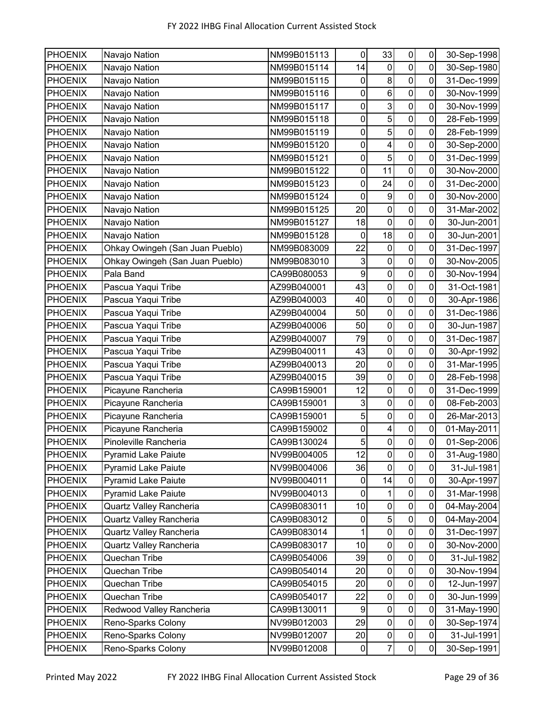| <b>PHOENIX</b> | Navajo Nation                   | NM99B015113 | 0                | 33                      | $\pmb{0}$           | 0                | 30-Sep-1998 |
|----------------|---------------------------------|-------------|------------------|-------------------------|---------------------|------------------|-------------|
| <b>PHOENIX</b> | Navajo Nation                   | NM99B015114 | 14               | $\mathbf 0$             | $\pmb{0}$           | 0                | 30-Sep-1980 |
| <b>PHOENIX</b> | Navajo Nation                   | NM99B015115 | 0                | $\bf 8$                 | $\pmb{0}$           | $\mathbf 0$      | 31-Dec-1999 |
| <b>PHOENIX</b> | Navajo Nation                   | NM99B015116 | 0                | $\,6$                   | $\mathbf 0$         | 0                | 30-Nov-1999 |
| <b>PHOENIX</b> | Navajo Nation                   | NM99B015117 | $\pmb{0}$        | $\overline{3}$          | $\mathbf 0$         | $\mathbf 0$      | 30-Nov-1999 |
| <b>PHOENIX</b> | Navajo Nation                   | NM99B015118 | 0                | 5                       | $\pmb{0}$           | 0                | 28-Feb-1999 |
| <b>PHOENIX</b> | Navajo Nation                   | NM99B015119 | 0                | $\sqrt{5}$              | $\pmb{0}$           | 0                | 28-Feb-1999 |
| <b>PHOENIX</b> | Navajo Nation                   | NM99B015120 | 0                | $\overline{\mathbf{4}}$ | $\mathbf 0$         | 0                | 30-Sep-2000 |
| <b>PHOENIX</b> | Navajo Nation                   | NM99B015121 | $\pmb{0}$        | 5                       | $\pmb{0}$           | 0                | 31-Dec-1999 |
| <b>PHOENIX</b> | Navajo Nation                   | NM99B015122 | $\pmb{0}$        | 11                      | $\pmb{0}$           | $\mathbf 0$      | 30-Nov-2000 |
| <b>PHOENIX</b> | Navajo Nation                   | NM99B015123 | 0                | 24                      | $\mathbf 0$         | 0                | 31-Dec-2000 |
| <b>PHOENIX</b> | Navajo Nation                   | NM99B015124 | 0                | $\boldsymbol{9}$        | $\mathbf 0$         | 0                | 30-Nov-2000 |
| <b>PHOENIX</b> | Navajo Nation                   | NM99B015125 | 20               | $\pmb{0}$               | $\pmb{0}$           | 0                | 31-Mar-2002 |
| <b>PHOENIX</b> | Navajo Nation                   | NM99B015127 | 18               | $\mathbf 0$             | $\mathbf 0$         | 0                | 30-Jun-2001 |
| <b>PHOENIX</b> | Navajo Nation                   | NM99B015128 | 0                | 18                      | $\pmb{0}$           | 0                | 30-Jun-2001 |
| <b>PHOENIX</b> | Ohkay Owingeh (San Juan Pueblo) | NM99B083009 | 22               | $\mathbf 0$             | $\mathbf 0$         | 0                | 31-Dec-1997 |
| <b>PHOENIX</b> | Ohkay Owingeh (San Juan Pueblo) | NM99B083010 | 3                | $\mathbf 0$             | $\mathbf 0$         | 0                | 30-Nov-2005 |
| <b>PHOENIX</b> | Pala Band                       | CA99B080053 | $\boldsymbol{9}$ | $\pmb{0}$               | $\pmb{0}$           | 0                | 30-Nov-1994 |
| <b>PHOENIX</b> | Pascua Yaqui Tribe              | AZ99B040001 | 43               | 0                       | $\pmb{0}$           | $\mathbf 0$      | 31-Oct-1981 |
| <b>PHOENIX</b> | Pascua Yaqui Tribe              | AZ99B040003 | 40               | $\pmb{0}$               | $\pmb{0}$           | 0                | 30-Apr-1986 |
| <b>PHOENIX</b> | Pascua Yaqui Tribe              | AZ99B040004 | 50               | $\boldsymbol{0}$        | $\pmb{0}$           | 0                | 31-Dec-1986 |
| <b>PHOENIX</b> | Pascua Yaqui Tribe              | AZ99B040006 | 50               | $\pmb{0}$               | $\pmb{0}$           | 0                | 30-Jun-1987 |
| <b>PHOENIX</b> | Pascua Yaqui Tribe              | AZ99B040007 | 79               | $\pmb{0}$               | $\mathbf 0$         | 0                | 31-Dec-1987 |
| <b>PHOENIX</b> | Pascua Yaqui Tribe              | AZ99B040011 | 43               | $\pmb{0}$               | $\mathbf 0$         | 0                | 30-Apr-1992 |
| <b>PHOENIX</b> | Pascua Yaqui Tribe              | AZ99B040013 | 20               | $\mathbf 0$             | $\mathsf{O}\xspace$ | 0                | 31-Mar-1995 |
| <b>PHOENIX</b> | Pascua Yaqui Tribe              | AZ99B040015 | 39               | $\mathbf 0$             | $\pmb{0}$           | 0                | 28-Feb-1998 |
| <b>PHOENIX</b> | Picayune Rancheria              | CA99B159001 | 12               | $\mathbf 0$             | $\mathbf 0$         | 0                | 31-Dec-1999 |
| <b>PHOENIX</b> | Picayune Rancheria              | CA99B159001 | 3                | $\mathbf 0$             | $\mathbf 0$         | $\mathbf 0$      | 08-Feb-2003 |
| <b>PHOENIX</b> | Picayune Rancheria              | CA99B159001 | $\overline{5}$   | $\pmb{0}$               | $\pmb{0}$           | $\mathbf 0$      | 26-Mar-2013 |
| <b>PHOENIX</b> | Picayune Rancheria              | CA99B159002 | 0                | 4                       | $\mathbf 0$         | 0                | 01-May-2011 |
| <b>PHOENIX</b> | Pinoleville Rancheria           | CA99B130024 | 5                | $\boldsymbol{0}$        | $\pmb{0}$           | 0                | 01-Sep-2006 |
| <b>PHOENIX</b> | <b>Pyramid Lake Paiute</b>      | NV99B004005 | 12               | $\pmb{0}$               | $\pmb{0}$           | $\mathbf 0$      | 31-Aug-1980 |
| <b>PHOENIX</b> | <b>Pyramid Lake Paiute</b>      | NV99B004006 | 36               | $\mathbf 0$             | $\overline{0}$      | $\mathbf 0$      | 31-Jul-1981 |
| <b>PHOENIX</b> | <b>Pyramid Lake Paiute</b>      | NV99B004011 | $\pmb{0}$        | 14                      | $\overline{0}$      | $\pmb{0}$        | 30-Apr-1997 |
| <b>PHOENIX</b> | <b>Pyramid Lake Paiute</b>      | NV99B004013 | $\pmb{0}$        | $\mathbf{1}$            | $\pmb{0}$           | $\mathbf 0$      | 31-Mar-1998 |
| <b>PHOENIX</b> | Quartz Valley Rancheria         | CA99B083011 | 10               | $\pmb{0}$               | $\pmb{0}$           | $\mathbf 0$      | 04-May-2004 |
| <b>PHOENIX</b> | Quartz Valley Rancheria         | CA99B083012 | 0                | $\mathbf 5$             | $\pmb{0}$           | 0                | 04-May-2004 |
| <b>PHOENIX</b> | Quartz Valley Rancheria         | CA99B083014 | 1                | $\pmb{0}$               | $\pmb{0}$           | $\mathbf 0$      | 31-Dec-1997 |
| <b>PHOENIX</b> | Quartz Valley Rancheria         | CA99B083017 | 10               | $\boldsymbol{0}$        | $\pmb{0}$           | $\pmb{0}$        | 30-Nov-2000 |
| <b>PHOENIX</b> | Quechan Tribe                   | CA99B054006 | 39               | $\boldsymbol{0}$        | $\pmb{0}$           | $\mathbf 0$      | 31-Jul-1982 |
| <b>PHOENIX</b> | Quechan Tribe                   | CA99B054014 | 20               | $\pmb{0}$               | $\pmb{0}$           | $\pmb{0}$        | 30-Nov-1994 |
| <b>PHOENIX</b> | Quechan Tribe                   | CA99B054015 | 20               | $\pmb{0}$               | $\mathbf 0$         | $\pmb{0}$        | 12-Jun-1997 |
| <b>PHOENIX</b> | Quechan Tribe                   | CA99B054017 | 22               | $\pmb{0}$               | $\pmb{0}$           | $\pmb{0}$        | 30-Jun-1999 |
| <b>PHOENIX</b> | Redwood Valley Rancheria        | CA99B130011 | 9                | $\pmb{0}$               | $\pmb{0}$           | $\boldsymbol{0}$ | 31-May-1990 |
| <b>PHOENIX</b> | Reno-Sparks Colony              | NV99B012003 | 29               | $\boldsymbol{0}$        | $\pmb{0}$           | $\mathbf 0$      | 30-Sep-1974 |
| <b>PHOENIX</b> | Reno-Sparks Colony              | NV99B012007 | 20               | $\pmb{0}$               | $\mathbf 0$         | $\pmb{0}$        | 31-Jul-1991 |
| <b>PHOENIX</b> | Reno-Sparks Colony              | NV99B012008 | $\pmb{0}$        | $\overline{7}$          | $\overline{0}$      | $\overline{0}$   | 30-Sep-1991 |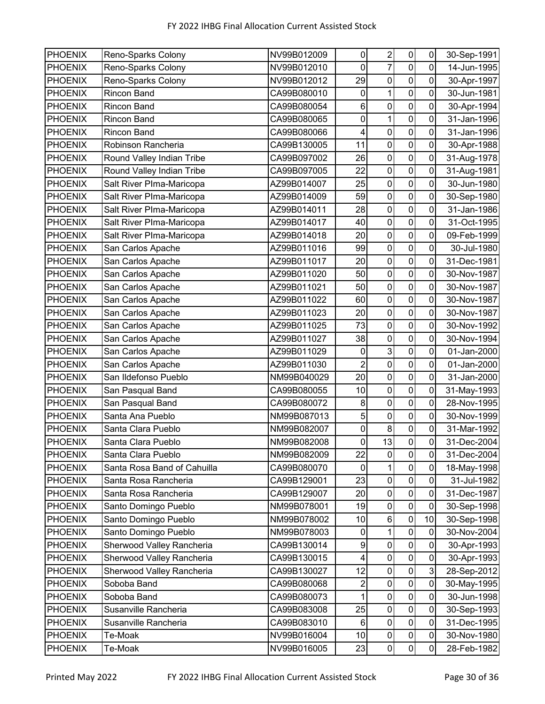| <b>PHOENIX</b> | Reno-Sparks Colony          | NV99B012009 | 0                       | $\boldsymbol{2}$ | $\pmb{0}$        | 0                | 30-Sep-1991 |
|----------------|-----------------------------|-------------|-------------------------|------------------|------------------|------------------|-------------|
| <b>PHOENIX</b> | Reno-Sparks Colony          | NV99B012010 | $\mathbf 0$             | $\overline{7}$   | $\mathbf 0$      | 0                | 14-Jun-1995 |
| <b>PHOENIX</b> | Reno-Sparks Colony          | NV99B012012 | 29                      | $\pmb{0}$        | $\pmb{0}$        | 0                | 30-Apr-1997 |
| <b>PHOENIX</b> | Rincon Band                 | CA99B080010 | $\pmb{0}$               | 1                | $\mathbf 0$      | 0                | 30-Jun-1981 |
| <b>PHOENIX</b> | <b>Rincon Band</b>          | CA99B080054 | 6                       | 0                | $\mathbf 0$      | $\mathbf 0$      | 30-Apr-1994 |
| <b>PHOENIX</b> | <b>Rincon Band</b>          | CA99B080065 | 0                       | 1                | 0                | 0                | 31-Jan-1996 |
| <b>PHOENIX</b> | Rincon Band                 | CA99B080066 | 4                       | 0                | $\mathbf 0$      | 0                | 31-Jan-1996 |
| <b>PHOENIX</b> | Robinson Rancheria          | CA99B130005 | 11                      | 0                | 0                | 0                | 30-Apr-1988 |
| <b>PHOENIX</b> | Round Valley Indian Tribe   | CA99B097002 | 26                      | $\mathbf 0$      | $\mathbf 0$      | $\mathbf 0$      | 31-Aug-1978 |
| <b>PHOENIX</b> | Round Valley Indian Tribe   | CA99B097005 | 22                      | $\boldsymbol{0}$ | $\pmb{0}$        | $\pmb{0}$        | 31-Aug-1981 |
| <b>PHOENIX</b> | Salt River Plma-Maricopa    | AZ99B014007 | 25                      | 0                | $\boldsymbol{0}$ | 0                | 30-Jun-1980 |
| <b>PHOENIX</b> | Salt River Plma-Maricopa    | AZ99B014009 | 59                      | $\mathbf 0$      | $\overline{0}$   | 0                | 30-Sep-1980 |
| <b>PHOENIX</b> | Salt River Plma-Maricopa    | AZ99B014011 | 28                      | 0                | $\mathbf 0$      | 0                | 31-Jan-1986 |
| <b>PHOENIX</b> | Salt River Plma-Maricopa    | AZ99B014017 | 40                      | $\mathbf 0$      | $\mathbf 0$      | 0                | 31-Oct-1995 |
| <b>PHOENIX</b> | Salt River Plma-Maricopa    | AZ99B014018 | 20                      | $\boldsymbol{0}$ | $\mathbf 0$      | 0                | 09-Feb-1999 |
| <b>PHOENIX</b> | San Carlos Apache           | AZ99B011016 | 99                      | $\boldsymbol{0}$ | $\mathbf 0$      | $\mathbf 0$      | 30-Jul-1980 |
| <b>PHOENIX</b> | San Carlos Apache           | AZ99B011017 | 20                      | $\pmb{0}$        | $\mathbf 0$      | 0                | 31-Dec-1981 |
| <b>PHOENIX</b> | San Carlos Apache           | AZ99B011020 | 50                      | $\mathbf 0$      | $\mathbf 0$      | 0                | 30-Nov-1987 |
| <b>PHOENIX</b> | San Carlos Apache           | AZ99B011021 | 50                      | $\pmb{0}$        | $\mathbf 0$      | 0                | 30-Nov-1987 |
| <b>PHOENIX</b> | San Carlos Apache           | AZ99B011022 | 60                      | 0                | 0                | 0                | 30-Nov-1987 |
| <b>PHOENIX</b> | San Carlos Apache           | AZ99B011023 | 20                      | $\overline{0}$   | $\mathbf 0$      | $\mathbf 0$      | 30-Nov-1987 |
| <b>PHOENIX</b> | San Carlos Apache           | AZ99B011025 | 73                      | $\boldsymbol{0}$ | $\pmb{0}$        | 0                | 30-Nov-1992 |
| <b>PHOENIX</b> | San Carlos Apache           | AZ99B011027 | 38                      | $\mathbf 0$      | $\mathbf 0$      | 0                | 30-Nov-1994 |
| <b>PHOENIX</b> | San Carlos Apache           | AZ99B011029 | $\pmb{0}$               | $\overline{3}$   | $\overline{0}$   | $\mathbf 0$      | 01-Jan-2000 |
| <b>PHOENIX</b> | San Carlos Apache           | AZ99B011030 | $\overline{2}$          | $\pmb{0}$        | 0                | 0                | 01-Jan-2000 |
| <b>PHOENIX</b> | San Ildefonso Pueblo        | NM99B040029 | 20                      | $\boldsymbol{0}$ | $\pmb{0}$        | $\mathbf 0$      | 31-Jan-2000 |
| <b>PHOENIX</b> | San Pasqual Band            | CA99B080055 | 10                      | 0                | $\mathbf 0$      | 0                | 31-May-1993 |
| <b>PHOENIX</b> | San Pasqual Band            | CA99B080072 | 8                       | $\mathbf 0$      | $\mathbf 0$      | $\mathbf 0$      | 28-Nov-1995 |
| <b>PHOENIX</b> | Santa Ana Pueblo            | NM99B087013 | 5                       | $\pmb{0}$        | $\pmb{0}$        | $\mathbf 0$      | 30-Nov-1999 |
| <b>PHOENIX</b> | Santa Clara Pueblo          | NM99B082007 | $\pmb{0}$               | 8                | $\pmb{0}$        | 0                | 31-Mar-1992 |
| <b>PHOENIX</b> | Santa Clara Pueblo          | NM99B082008 | $\pmb{0}$               | 13               | $\mathbf 0$      | 0                | 31-Dec-2004 |
| <b>PHOENIX</b> | Santa Clara Pueblo          | NM99B082009 | 22                      | $\pmb{0}$        | $\pmb{0}$        | 0                | 31-Dec-2004 |
| <b>PHOENIX</b> | Santa Rosa Band of Cahuilla | CA99B080070 | $\mathbf 0$             | 1                | $\pmb{0}$        | 0                | 18-May-1998 |
| <b>PHOENIX</b> | Santa Rosa Rancheria        | CA99B129001 | 23                      | $\pmb{0}$        | $\pmb{0}$        | $\pmb{0}$        | 31-Jul-1982 |
| <b>PHOENIX</b> | Santa Rosa Rancheria        | CA99B129007 | 20                      | $\pmb{0}$        | $\pmb{0}$        | 0                | 31-Dec-1987 |
| <b>PHOENIX</b> | Santo Domingo Pueblo        | NM99B078001 | 19                      | $\pmb{0}$        | $\pmb{0}$        | $\mathbf 0$      | 30-Sep-1998 |
| <b>PHOENIX</b> | Santo Domingo Pueblo        | NM99B078002 | 10                      | $\,6$            | $\pmb{0}$        | 10               | 30-Sep-1998 |
| <b>PHOENIX</b> | Santo Domingo Pueblo        | NM99B078003 | $\pmb{0}$               | 1                | $\mathbf 0$      | $\boldsymbol{0}$ | 30-Nov-2004 |
| <b>PHOENIX</b> | Sherwood Valley Rancheria   | CA99B130014 | 9                       | 0                | $\pmb{0}$        | 0                | 30-Apr-1993 |
| <b>PHOENIX</b> | Sherwood Valley Rancheria   | CA99B130015 | $\overline{\mathbf{4}}$ | $\mathbf 0$      | $\pmb{0}$        | $\mathbf 0$      | 30-Apr-1993 |
| <b>PHOENIX</b> | Sherwood Valley Rancheria   | CA99B130027 | 12                      | $\pmb{0}$        | $\pmb{0}$        | 3                | 28-Sep-2012 |
| <b>PHOENIX</b> | Soboba Band                 | CA99B080068 | 2                       | $\boldsymbol{0}$ | $\pmb{0}$        | $\mathbf 0$      | 30-May-1995 |
| <b>PHOENIX</b> | Soboba Band                 | CA99B080073 | 1                       | $\pmb{0}$        | $\mathbf 0$      | $\pmb{0}$        | 30-Jun-1998 |
| <b>PHOENIX</b> | Susanville Rancheria        | CA99B083008 | 25                      | $\pmb{0}$        | $\pmb{0}$        | 0                | 30-Sep-1993 |
| <b>PHOENIX</b> | Susanville Rancheria        | CA99B083010 | 6                       | $\pmb{0}$        | $\pmb{0}$        | 0                | 31-Dec-1995 |
| <b>PHOENIX</b> | Te-Moak                     | NV99B016004 | 10                      | $\pmb{0}$        | $\pmb{0}$        | $\pmb{0}$        | 30-Nov-1980 |
| <b>PHOENIX</b> | Te-Moak                     | NV99B016005 | 23                      | $\pmb{0}$        | $\pmb{0}$        | $\pmb{0}$        | 28-Feb-1982 |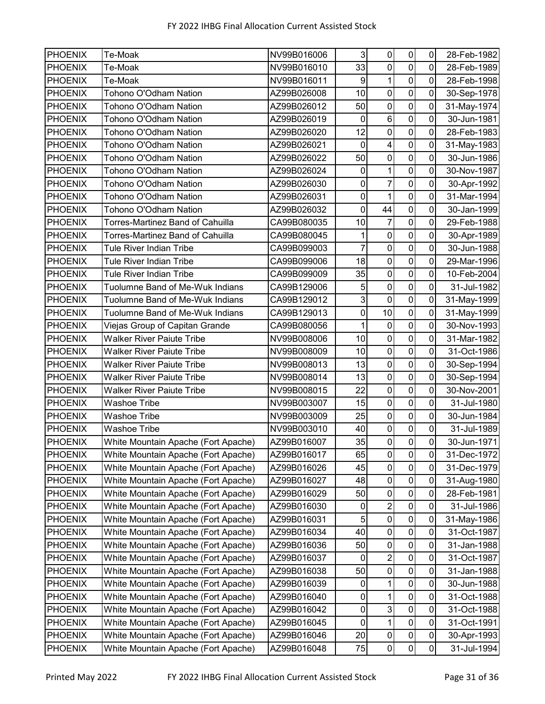| PHOENIX        | Te-Moak                                 | NV99B016006 | 3                | $\pmb{0}$                 | $\pmb{0}$      | $\mathbf 0$         | 28-Feb-1982 |
|----------------|-----------------------------------------|-------------|------------------|---------------------------|----------------|---------------------|-------------|
| <b>PHOENIX</b> | Te-Moak                                 | NV99B016010 | 33               | $\mathbf 0$               | $\mathbf 0$    | 0                   | 28-Feb-1989 |
| <b>PHOENIX</b> | Te-Moak                                 | NV99B016011 | $\boldsymbol{9}$ | 1                         | $\mathbf 0$    | $\mathbf 0$         | 28-Feb-1998 |
| <b>PHOENIX</b> | Tohono O'Odham Nation                   | AZ99B026008 | 10               | $\mathbf 0$               | $\pmb{0}$      | $\overline{0}$      | 30-Sep-1978 |
| <b>PHOENIX</b> | Tohono O'Odham Nation                   | AZ99B026012 | 50               | $\pmb{0}$                 | $\mathbf 0$    | $\mathbf 0$         | 31-May-1974 |
| <b>PHOENIX</b> | Tohono O'Odham Nation                   | AZ99B026019 | $\pmb{0}$        | $\,6$                     | $\mathbf 0$    | 0                   | 30-Jun-1981 |
| <b>PHOENIX</b> | Tohono O'Odham Nation                   | AZ99B026020 | 12               | $\boldsymbol{0}$          | $\pmb{0}$      | 0                   | 28-Feb-1983 |
| PHOENIX        | Tohono O'Odham Nation                   | AZ99B026021 | $\mathbf 0$      | $\overline{\mathcal{A}}$  | $\mathbf 0$    | 0                   | 31-May-1983 |
| <b>PHOENIX</b> | Tohono O'Odham Nation                   | AZ99B026022 | 50               | $\mathbf 0$               | $\mathbf 0$    | 0                   | 30-Jun-1986 |
| <b>PHOENIX</b> | Tohono O'Odham Nation                   | AZ99B026024 | $\pmb{0}$        | 1                         | $\pmb{0}$      | $\mathbf 0$         | 30-Nov-1987 |
| <b>PHOENIX</b> | Tohono O'Odham Nation                   | AZ99B026030 | $\pmb{0}$        | $\overline{7}$            | $\mathbf 0$    | $\mathbf 0$         | 30-Apr-1992 |
| <b>PHOENIX</b> | Tohono O'Odham Nation                   | AZ99B026031 | $\mathbf 0$      | 1                         | $\overline{0}$ | $\mathbf 0$         | 31-Mar-1994 |
| PHOENIX        | Tohono O'Odham Nation                   | AZ99B026032 | $\mathbf 0$      | 44                        | $\mathbf 0$    | 0                   | 30-Jan-1999 |
| <b>PHOENIX</b> | <b>Torres-Martinez Band of Cahuilla</b> | CA99B080035 | 10               | $\overline{7}$            | $\mathbf 0$    | 0                   | 29-Feb-1988 |
| <b>PHOENIX</b> | Torres-Martinez Band of Cahuilla        | CA99B080045 |                  | $\mathbf 0$               | $\mathbf 0$    | $\mathbf 0$         | 30-Apr-1989 |
| <b>PHOENIX</b> | <b>Tule River Indian Tribe</b>          | CA99B099003 | 7                | $\mathbf 0$               | $\mathbf 0$    | 0                   | 30-Jun-1988 |
| <b>PHOENIX</b> | <b>Tule River Indian Tribe</b>          | CA99B099006 | 18               | $\pmb{0}$                 | $\mathbf 0$    | $\mathbf 0$         | 29-Mar-1996 |
| <b>PHOENIX</b> | <b>Tule River Indian Tribe</b>          | CA99B099009 | 35               | $\mathbf 0$               | $\mathbf 0$    | 0                   | 10-Feb-2004 |
| <b>PHOENIX</b> | Tuolumne Band of Me-Wuk Indians         | CA99B129006 | 5                | $\pmb{0}$                 | $\pmb{0}$      | 0                   | 31-Jul-1982 |
| <b>PHOENIX</b> | Tuolumne Band of Me-Wuk Indians         | CA99B129012 | 3                | 0                         | $\mathbf 0$    | 0                   | 31-May-1999 |
| <b>PHOENIX</b> | Tuolumne Band of Me-Wuk Indians         | CA99B129013 | $\mathbf 0$      | 10                        | $\mathbf 0$    | 0                   | 31-May-1999 |
| <b>PHOENIX</b> | Viejas Group of Capitan Grande          | CA99B080056 | 1                | $\pmb{0}$                 | $\mathbf 0$    | 0                   | 30-Nov-1993 |
| <b>PHOENIX</b> | <b>Walker River Paiute Tribe</b>        | NV99B008006 | 10               | $\mathbf 0$               | $\mathbf 0$    | 0                   | 31-Mar-1982 |
| <b>PHOENIX</b> | <b>Walker River Paiute Tribe</b>        | NV99B008009 | 10               | $\mathbf 0$               | $\overline{0}$ | $\mathbf 0$         | 31-Oct-1986 |
| <b>PHOENIX</b> | <b>Walker River Paiute Tribe</b>        | NV99B008013 | 13               | 0                         | $\mathbf 0$    | 0                   | 30-Sep-1994 |
| <b>PHOENIX</b> | <b>Walker River Paiute Tribe</b>        | NV99B008014 | 13               | $\boldsymbol{0}$          | $\pmb{0}$      | 0                   | 30-Sep-1994 |
| PHOENIX        | <b>Walker River Paiute Tribe</b>        | NV99B008015 | 22               | $\pmb{0}$                 | $\mathbf 0$    | 0                   | 30-Nov-2001 |
| <b>PHOENIX</b> | <b>Washoe Tribe</b>                     | NV99B003007 | 15               | $\mathbf 0$               | $\overline{0}$ | 0                   | 31-Jul-1980 |
| <b>PHOENIX</b> | <b>Washoe Tribe</b>                     | NV99B003009 | 25               | $\pmb{0}$                 | $\mathbf 0$    | $\mathsf{O}\xspace$ | 30-Jun-1984 |
| <b>PHOENIX</b> | <b>Washoe Tribe</b>                     | NV99B003010 | 40               | $\pmb{0}$                 | $\pmb{0}$      | $\mathbf 0$         | 31-Jul-1989 |
| <b>PHOENIX</b> | White Mountain Apache (Fort Apache)     | AZ99B016007 | 35               | $\pmb{0}$                 | $\overline{0}$ | $\mathbf 0$         | 30-Jun-1971 |
| <b>PHOENIX</b> | White Mountain Apache (Fort Apache)     | AZ99B016017 | 65               | $\pmb{0}$                 | $\pmb{0}$      | 0                   | 31-Dec-1972 |
| <b>PHOENIX</b> | White Mountain Apache (Fort Apache)     | AZ99B016026 | 45               | $\pmb{0}$                 | $\pmb{0}$      | $\pmb{0}$           | 31-Dec-1979 |
| <b>PHOENIX</b> | White Mountain Apache (Fort Apache)     | AZ99B016027 | 48               | $\pmb{0}$                 | $\pmb{0}$      | 0                   | 31-Aug-1980 |
| <b>PHOENIX</b> | White Mountain Apache (Fort Apache)     | AZ99B016029 | 50               | $\pmb{0}$                 | $\pmb{0}$      | 0                   | 28-Feb-1981 |
| <b>PHOENIX</b> | White Mountain Apache (Fort Apache)     | AZ99B016030 | $\pmb{0}$        | $\boldsymbol{2}$          | $\pmb{0}$      | $\pmb{0}$           | 31-Jul-1986 |
| <b>PHOENIX</b> | White Mountain Apache (Fort Apache)     | AZ99B016031 | $\mathbf 5$      | $\pmb{0}$                 | $\pmb{0}$      | 0                   | 31-May-1986 |
| <b>PHOENIX</b> | White Mountain Apache (Fort Apache)     | AZ99B016034 | 40               | $\pmb{0}$                 | $\pmb{0}$      | 0                   | 31-Oct-1987 |
| <b>PHOENIX</b> | White Mountain Apache (Fort Apache)     | AZ99B016036 | 50               | $\pmb{0}$                 | $\pmb{0}$      | 0                   | 31-Jan-1988 |
| <b>PHOENIX</b> | White Mountain Apache (Fort Apache)     | AZ99B016037 | $\mathbf 0$      | $\boldsymbol{2}$          | $\mathbf 0$    | $\pmb{0}$           | 31-Oct-1987 |
| <b>PHOENIX</b> | White Mountain Apache (Fort Apache)     | AZ99B016038 | 50               | $\pmb{0}$                 | $\pmb{0}$      | $\mathsf 0$         | 31-Jan-1988 |
| <b>PHOENIX</b> | White Mountain Apache (Fort Apache)     | AZ99B016039 | 0                | 1                         | $\pmb{0}$      | $\pmb{0}$           | 30-Jun-1988 |
| <b>PHOENIX</b> | White Mountain Apache (Fort Apache)     | AZ99B016040 | $\pmb{0}$        | 1                         | $\mathbf 0$    | $\pmb{0}$           | 31-Oct-1988 |
| <b>PHOENIX</b> | White Mountain Apache (Fort Apache)     | AZ99B016042 | $\pmb{0}$        | $\ensuremath{\mathsf{3}}$ | $\pmb{0}$      | 0                   | 31-Oct-1988 |
| <b>PHOENIX</b> | White Mountain Apache (Fort Apache)     | AZ99B016045 | $\mathbf 0$      | $\mathbf{1}$              | $\pmb{0}$      | $\pmb{0}$           | 31-Oct-1991 |
| <b>PHOENIX</b> | White Mountain Apache (Fort Apache)     | AZ99B016046 | 20               | $\pmb{0}$                 | $\pmb{0}$      | $\pmb{0}$           | 30-Apr-1993 |
| <b>PHOENIX</b> | White Mountain Apache (Fort Apache)     | AZ99B016048 | 75               | $\pmb{0}$                 | $\mathbf 0$    | $\pmb{0}$           | 31-Jul-1994 |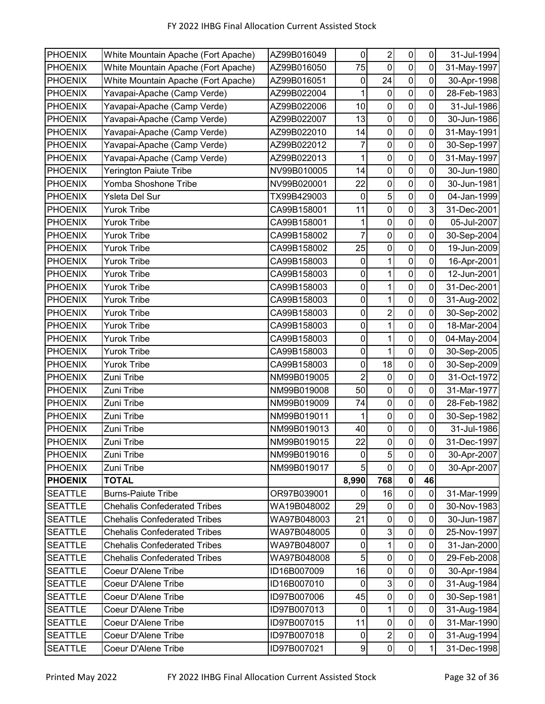| <b>PHOENIX</b> | White Mountain Apache (Fort Apache) | AZ99B016049 | 0                | $\boldsymbol{2}$ | $\pmb{0}$      | $\pmb{0}$      | 31-Jul-1994 |
|----------------|-------------------------------------|-------------|------------------|------------------|----------------|----------------|-------------|
| <b>PHOENIX</b> | White Mountain Apache (Fort Apache) | AZ99B016050 | 75               | $\mathbf 0$      | $\pmb{0}$      | 0              | 31-May-1997 |
| PHOENIX        | White Mountain Apache (Fort Apache) | AZ99B016051 | 0                | 24               | $\pmb{0}$      | 0              | 30-Apr-1998 |
| <b>PHOENIX</b> | Yavapai-Apache (Camp Verde)         | AZ99B022004 | $\mathbf{1}$     | $\mathbf 0$      | $\mathbf 0$    | $\mathbf 0$    | 28-Feb-1983 |
| <b>PHOENIX</b> | Yavapai-Apache (Camp Verde)         | AZ99B022006 | 10               | $\pmb{0}$        | $\pmb{0}$      | 0              | 31-Jul-1986 |
| <b>PHOENIX</b> | Yavapai-Apache (Camp Verde)         | AZ99B022007 | 13               | 0                | $\mathbf 0$    | 0              | 30-Jun-1986 |
| <b>PHOENIX</b> | Yavapai-Apache (Camp Verde)         | AZ99B022010 | 14               | $\pmb{0}$        | $\overline{0}$ | 0              | 31-May-1991 |
| <b>PHOENIX</b> | Yavapai-Apache (Camp Verde)         | AZ99B022012 | 7                | 0                | $\mathbf 0$    | 0              | 30-Sep-1997 |
| <b>PHOENIX</b> | Yavapai-Apache (Camp Verde)         | AZ99B022013 | 1                | $\boldsymbol{0}$ | $\mathbf 0$    | 0              | 31-May-1997 |
| <b>PHOENIX</b> | <b>Yerington Paiute Tribe</b>       | NV99B010005 | 14               | $\mathbf 0$      | $\mathbf 0$    | 0              | 30-Jun-1980 |
| <b>PHOENIX</b> | Yomba Shoshone Tribe                | NV99B020001 | 22               | $\mathbf 0$      | $\mathbf 0$    | 0              | 30-Jun-1981 |
| <b>PHOENIX</b> | Ysleta Del Sur                      | TX99B429003 | $\pmb{0}$        | 5                | $\mathbf 0$    | $\mathbf 0$    | 04-Jan-1999 |
| <b>PHOENIX</b> | <b>Yurok Tribe</b>                  | CA99B158001 | 11               | $\mathbf 0$      | $\mathbf 0$    | 3              | 31-Dec-2001 |
| PHOENIX        | <b>Yurok Tribe</b>                  | CA99B158001 | 1                | $\boldsymbol{0}$ | $\pmb{0}$      | 0              | 05-Jul-2007 |
| <b>PHOENIX</b> | <b>Yurok Tribe</b>                  | CA99B158002 | 7                | 0                | $\mathbf 0$    | 0              | 30-Sep-2004 |
| <b>PHOENIX</b> | <b>Yurok Tribe</b>                  | CA99B158002 | 25               | 0                | $\mathbf 0$    | 0              | 19-Jun-2009 |
| <b>PHOENIX</b> | <b>Yurok Tribe</b>                  | CA99B158003 | 0                | 1                | $\mathbf 0$    | 0              | 16-Apr-2001 |
| <b>PHOENIX</b> | <b>Yurok Tribe</b>                  | CA99B158003 | $\pmb{0}$        | 1                | $\mathbf 0$    | 0              | 12-Jun-2001 |
| <b>PHOENIX</b> | <b>Yurok Tribe</b>                  | CA99B158003 | $\pmb{0}$        | 1                | $\pmb{0}$      | $\mathbf 0$    | 31-Dec-2001 |
| <b>PHOENIX</b> | <b>Yurok Tribe</b>                  | CA99B158003 | 0                | 1                | $\pmb{0}$      | 0              | 31-Aug-2002 |
| <b>PHOENIX</b> | <b>Yurok Tribe</b>                  | CA99B158003 | $\pmb{0}$        | $\boldsymbol{2}$ | $\mathbf 0$    | 0              | 30-Sep-2002 |
| PHOENIX        | <b>Yurok Tribe</b>                  | CA99B158003 | 0                | 1                | $\mathbf 0$    | 0              | 18-Mar-2004 |
| <b>PHOENIX</b> | <b>Yurok Tribe</b>                  | CA99B158003 | $\pmb{0}$        | 1                | $\mathbf 0$    | $\mathbf 0$    | 04-May-2004 |
| PHOENIX        | <b>Yurok Tribe</b>                  | CA99B158003 | $\pmb{0}$        | 1                | $\pmb{0}$      | $\mathsf 0$    | 30-Sep-2005 |
| <b>PHOENIX</b> | <b>Yurok Tribe</b>                  | CA99B158003 | $\pmb{0}$        | 18               | $\mathbf 0$    | 0              | 30-Sep-2009 |
| <b>PHOENIX</b> | Zuni Tribe                          | NM99B019005 | $\overline{2}$   | 0                | $\pmb{0}$      | 0              | 31-Oct-1972 |
| <b>PHOENIX</b> | Zuni Tribe                          | NM99B019008 | 50               | 0                | $\pmb{0}$      | $\mathbf 0$    | 31-Mar-1977 |
| <b>PHOENIX</b> | Zuni Tribe                          | NM99B019009 | 74               | $\pmb{0}$        | $\mathbf 0$    | 0              | 28-Feb-1982 |
| <b>PHOENIX</b> | Zuni Tribe                          | NM99B019011 |                  | $\mathbf 0$      | $\mathbf 0$    | 0              | 30-Sep-1982 |
| <b>PHOENIX</b> | Zuni Tribe                          | NM99B019013 | 40               | $\pmb{0}$        | $\pmb{0}$      | 0              | 31-Jul-1986 |
| <b>PHOENIX</b> | <b>Zuni Tribe</b>                   | NM99B019015 | 22               | $\mathbf 0$      | $\mathbf 0$    | $\overline{0}$ | 31-Dec-1997 |
| <b>PHOENIX</b> | Zuni Tribe                          | NM99B019016 | $\pmb{0}$        | $\sqrt{5}$       | $\pmb{0}$      | $\pmb{0}$      | 30-Apr-2007 |
| <b>PHOENIX</b> | Zuni Tribe                          | NM99B019017 | 5                | $\mathbf 0$      | $\mathbf 0$    | $\mathbf 0$    | 30-Apr-2007 |
| <b>PHOENIX</b> | <b>TOTAL</b>                        |             | 8,990            | 768              | $\pmb{0}$      | 46             |             |
| <b>SEATTLE</b> | <b>Burns-Paiute Tribe</b>           | OR97B039001 | $\mathbf 0$      | 16               | $\mathbf 0$    | $\mathbf 0$    | 31-Mar-1999 |
| <b>SEATTLE</b> | <b>Chehalis Confederated Tribes</b> | WA19B048002 | 29               | $\pmb{0}$        | $\pmb{0}$      | $\mathbf 0$    | 30-Nov-1983 |
| <b>SEATTLE</b> | <b>Chehalis Confederated Tribes</b> | WA97B048003 | 21               | $\boldsymbol{0}$ | $\mathbf 0$    | $\mathbf 0$    | 30-Jun-1987 |
| <b>SEATTLE</b> | <b>Chehalis Confederated Tribes</b> | WA97B048005 | $\pmb{0}$        | $\mathbf{3}$     | $\mathbf 0$    | $\pmb{0}$      | 25-Nov-1997 |
| <b>SEATTLE</b> | <b>Chehalis Confederated Tribes</b> | WA97B048007 | $\pmb{0}$        | 1                | $\pmb{0}$      | $\pmb{0}$      | 31-Jan-2000 |
| <b>SEATTLE</b> | <b>Chehalis Confederated Tribes</b> | WA97B048008 | 5                | $\pmb{0}$        | $\pmb{0}$      | $\pmb{0}$      | 29-Feb-2008 |
| <b>SEATTLE</b> | Coeur D'Alene Tribe                 | ID16B007009 | 16               | 0                | $\pmb{0}$      | 0              | 30-Apr-1984 |
| <b>SEATTLE</b> | Coeur D'Alene Tribe                 | ID16B007010 | $\mathbf 0$      | $\sqrt{3}$       | $\pmb{0}$      | $\mathbf 0$    | 31-Aug-1984 |
| <b>SEATTLE</b> | Coeur D'Alene Tribe                 | ID97B007006 | 45               | $\pmb{0}$        | $\pmb{0}$      | $\pmb{0}$      | 30-Sep-1981 |
| <b>SEATTLE</b> | Coeur D'Alene Tribe                 | ID97B007013 | $\pmb{0}$        | 1                | $\pmb{0}$      | $\mathbf 0$    | 31-Aug-1984 |
| <b>SEATTLE</b> | Coeur D'Alene Tribe                 | ID97B007015 | 11               | $\pmb{0}$        | $\pmb{0}$      | $\pmb{0}$      | 31-Mar-1990 |
| <b>SEATTLE</b> | Coeur D'Alene Tribe                 | ID97B007018 | 0                | $\overline{2}$   | $\pmb{0}$      | $\pmb{0}$      | 31-Aug-1994 |
| <b>SEATTLE</b> | Coeur D'Alene Tribe                 | ID97B007021 | $\boldsymbol{9}$ | $\pmb{0}$        | $\pmb{0}$      | 1              | 31-Dec-1998 |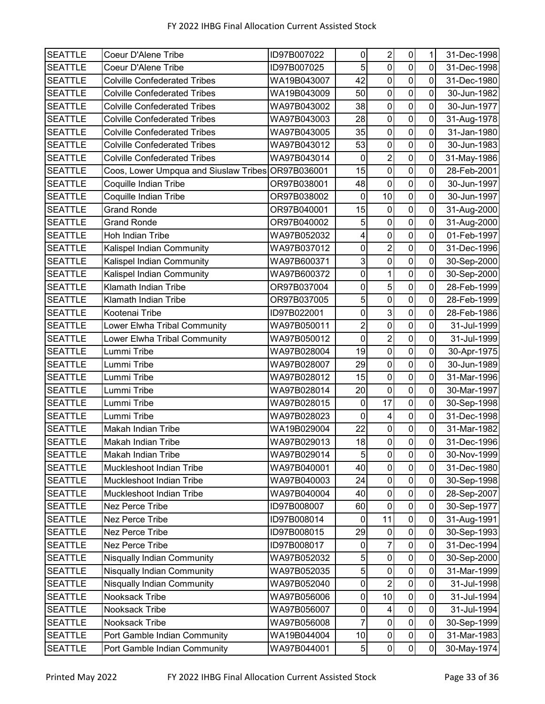| <b>SEATTLE</b> | Coeur D'Alene Tribe                               | ID97B007022 | $\pmb{0}$           | $\overline{c}$          | $\pmb{0}$           | 1              | 31-Dec-1998 |
|----------------|---------------------------------------------------|-------------|---------------------|-------------------------|---------------------|----------------|-------------|
| <b>SEATTLE</b> | Coeur D'Alene Tribe                               | ID97B007025 | 5                   | $\mathbf 0$             | $\mathbf 0$         | 0              | 31-Dec-1998 |
| <b>SEATTLE</b> | <b>Colville Confederated Tribes</b>               | WA19B043007 | 42                  | $\pmb{0}$               | $\pmb{0}$           | $\mathbf 0$    | 31-Dec-1980 |
| <b>SEATTLE</b> | <b>Colville Confederated Tribes</b>               | WA19B043009 | 50                  | 0                       | $\mathbf 0$         | $\overline{0}$ | 30-Jun-1982 |
| <b>SEATTLE</b> | <b>Colville Confederated Tribes</b>               | WA97B043002 | 38                  | $\pmb{0}$               | $\mathsf{O}\xspace$ | $\mathbf 0$    | 30-Jun-1977 |
| <b>SEATTLE</b> | <b>Colville Confederated Tribes</b>               | WA97B043003 | 28                  | $\mathbf 0$             | $\pmb{0}$           | 0              | 31-Aug-1978 |
| <b>SEATTLE</b> | <b>Colville Confederated Tribes</b>               | WA97B043005 | 35                  | $\pmb{0}$               | $\mathbf 0$         | $\mathbf 0$    | 31-Jan-1980 |
| <b>SEATTLE</b> | <b>Colville Confederated Tribes</b>               | WA97B043012 | 53                  | $\pmb{0}$               | $\pmb{0}$           | 0              | 30-Jun-1983 |
| <b>SEATTLE</b> | <b>Colville Confederated Tribes</b>               | WA97B043014 | $\mathbf 0$         | $\overline{2}$          | $\pmb{0}$           | 0              | 31-May-1986 |
| <b>SEATTLE</b> | Coos, Lower Umpqua and Siuslaw Tribes OR97B036001 |             | 15                  | $\mathbf 0$             | $\mathbf 0$         | $\mathbf 0$    | 28-Feb-2001 |
| <b>SEATTLE</b> | Coquille Indian Tribe                             | OR97B038001 | 48                  | $\boldsymbol{0}$        | $\mathbf 0$         | 0              | 30-Jun-1997 |
| <b>SEATTLE</b> | Coquille Indian Tribe                             | OR97B038002 | 0                   | 10                      | $\mathbf 0$         | 0              | 30-Jun-1997 |
| <b>SEATTLE</b> | <b>Grand Ronde</b>                                | OR97B040001 | 15                  | $\pmb{0}$               | $\mathbf 0$         | 0              | 31-Aug-2000 |
| <b>SEATTLE</b> | <b>Grand Ronde</b>                                | OR97B040002 | 5                   | $\pmb{0}$               | $\pmb{0}$           | 0              | 31-Aug-2000 |
| <b>SEATTLE</b> | Hoh Indian Tribe                                  | WA97B052032 | $\overline{4}$      | $\pmb{0}$               | $\pmb{0}$           | $\overline{0}$ | 01-Feb-1997 |
| <b>SEATTLE</b> | Kalispel Indian Community                         | WA97B037012 | $\pmb{0}$           | $\overline{2}$          | $\pmb{0}$           | $\overline{0}$ | 31-Dec-1996 |
| <b>SEATTLE</b> | Kalispel Indian Community                         | WA97B600371 | 3                   | $\pmb{0}$               | $\mathsf{O}\xspace$ | $\mathbf 0$    | 30-Sep-2000 |
| <b>SEATTLE</b> | Kalispel Indian Community                         | WA97B600372 | $\pmb{0}$           | 1                       | $\mathbf 0$         | 0              | 30-Sep-2000 |
| <b>SEATTLE</b> | Klamath Indian Tribe                              | OR97B037004 | $\mathsf{O}\xspace$ | $\overline{5}$          | $\mathbf 0$         | $\mathbf 0$    | 28-Feb-1999 |
| <b>SEATTLE</b> | Klamath Indian Tribe                              | OR97B037005 | $\overline{5}$      | $\pmb{0}$               | $\pmb{0}$           | 0              | 28-Feb-1999 |
| <b>SEATTLE</b> | Kootenai Tribe                                    | ID97B022001 | 0                   | $\mathbf{3}$            | $\pmb{0}$           | $\overline{0}$ | 28-Feb-1986 |
| <b>SEATTLE</b> | Lower Elwha Tribal Community                      | WA97B050011 | $\overline{c}$      | $\mathbf 0$             | $\pmb{0}$           | $\mathbf 0$    | 31-Jul-1999 |
| <b>SEATTLE</b> | Lower Elwha Tribal Community                      | WA97B050012 | $\mathbf 0$         | $\overline{c}$          | $\mathbf 0$         | $\mathbf 0$    | 31-Jul-1999 |
| <b>SEATTLE</b> | Lummi Tribe                                       | WA97B028004 | 19                  | $\pmb{0}$               | $\pmb{0}$           | $\mathbf 0$    | 30-Apr-1975 |
| <b>SEATTLE</b> | Lummi Tribe                                       | WA97B028007 | 29                  | $\pmb{0}$               | $\pmb{0}$           | $\mathbf 0$    | 30-Jun-1989 |
| <b>SEATTLE</b> | Lummi Tribe                                       | WA97B028012 | 15                  | $\pmb{0}$               | $\pmb{0}$           | $\mathbf 0$    | 31-Mar-1996 |
| <b>SEATTLE</b> | Lummi Tribe                                       | WA97B028014 | 20                  | $\pmb{0}$               | $\pmb{0}$           | 0              | 30-Mar-1997 |
| <b>SEATTLE</b> | Lummi Tribe                                       | WA97B028015 | $\mathbf 0$         | 17                      | $\mathbf 0$         | $\overline{0}$ | 30-Sep-1998 |
| <b>SEATTLE</b> | Lummi Tribe                                       | WA97B028023 | 0                   | 4                       | $\mathbf 0$         | $\mathbf 0$    | 31-Dec-1998 |
| <b>SEATTLE</b> | Makah Indian Tribe                                | WA19B029004 | 22                  | $\pmb{0}$               | $\mathbf 0$         | 0              | 31-Mar-1982 |
| <b>SEATTLE</b> | <b>Makah Indian Tribe</b>                         | WA97B029013 | 18                  | $\mathbf 0$             | $\overline{0}$      | $\mathbf 0$    | 31-Dec-1996 |
| <b>SEATTLE</b> | Makah Indian Tribe                                | WA97B029014 | 5 <sup>1</sup>      | $\pmb{0}$               | $\pmb{0}$           | 0              | 30-Nov-1999 |
| <b>SEATTLE</b> | Muckleshoot Indian Tribe                          | WA97B040001 | 40                  | $\mathbf 0$             | $\mathbf 0$         | $\mathbf 0$    | 31-Dec-1980 |
| <b>SEATTLE</b> | Muckleshoot Indian Tribe                          | WA97B040003 | 24                  | $\pmb{0}$               | $\pmb{0}$           | 0              | 30-Sep-1998 |
| <b>SEATTLE</b> | Muckleshoot Indian Tribe                          | WA97B040004 | 40                  | $\pmb{0}$               | $\pmb{0}$           | $\mathbf 0$    | 28-Sep-2007 |
| <b>SEATTLE</b> | Nez Perce Tribe                                   | ID97B008007 | 60                  | $\pmb{0}$               | $\pmb{0}$           | $\mathbf 0$    | 30-Sep-1977 |
| <b>SEATTLE</b> | Nez Perce Tribe                                   | ID97B008014 | $\pmb{0}$           | 11                      | $\pmb{0}$           | 0              | 31-Aug-1991 |
| <b>SEATTLE</b> | Nez Perce Tribe                                   | ID97B008015 | 29                  | $\pmb{0}$               | $\pmb{0}$           | 0              | 30-Sep-1993 |
| <b>SEATTLE</b> | Nez Perce Tribe                                   | ID97B008017 | $\pmb{0}$           | $\overline{7}$          | $\pmb{0}$           | $\mathbf 0$    | 31-Dec-1994 |
| <b>SEATTLE</b> | <b>Nisqually Indian Community</b>                 | WA97B052032 | 5                   | $\pmb{0}$               | $\pmb{0}$           | 0              | 30-Sep-2000 |
| <b>SEATTLE</b> | <b>Nisqually Indian Community</b>                 | WA97B052035 | 5 <sup>1</sup>      | $\pmb{0}$               | $\pmb{0}$           | $\overline{0}$ | 31-Mar-1999 |
| <b>SEATTLE</b> | <b>Nisqually Indian Community</b>                 | WA97B052040 | $\pmb{0}$           | $\overline{\mathbf{c}}$ | $\pmb{0}$           | 0              | 31-Jul-1998 |
| <b>SEATTLE</b> | Nooksack Tribe                                    | WA97B056006 | $\pmb{0}$           | 10                      | $\pmb{0}$           | $\pmb{0}$      | 31-Jul-1994 |
| <b>SEATTLE</b> | Nooksack Tribe                                    | WA97B056007 | 0                   | 4                       | $\mathbf 0$         | $\mathbf 0$    | 31-Jul-1994 |
| <b>SEATTLE</b> | Nooksack Tribe                                    | WA97B056008 | $\overline{7}$      | $\pmb{0}$               | $\pmb{0}$           | $\mathbf 0$    | 30-Sep-1999 |
| <b>SEATTLE</b> | Port Gamble Indian Community                      | WA19B044004 | 10                  | $\pmb{0}$               | $\pmb{0}$           | $\pmb{0}$      | 31-Mar-1983 |
| <b>SEATTLE</b> | Port Gamble Indian Community                      | WA97B044001 | 5 <sup>1</sup>      | $\pmb{0}$               | $\overline{0}$      | $\mathbf 0$    | 30-May-1974 |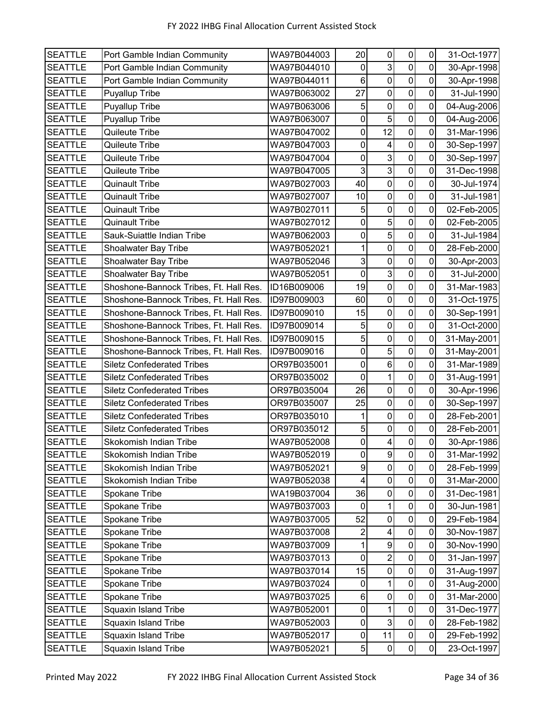| <b>SEATTLE</b> | Port Gamble Indian Community           | WA97B044003 | 20             | $\pmb{0}$       | $\pmb{0}$               | $\pmb{0}$      | 31-Oct-1977 |
|----------------|----------------------------------------|-------------|----------------|-----------------|-------------------------|----------------|-------------|
| <b>SEATTLE</b> | Port Gamble Indian Community           | WA97B044010 | 0              | 3               | $\pmb{0}$               | 0              | 30-Apr-1998 |
| <b>SEATTLE</b> | Port Gamble Indian Community           | WA97B044011 | 6              | $\mathbf 0$     | $\mathbf 0$             | $\mathsf 0$    | 30-Apr-1998 |
| <b>SEATTLE</b> | Puyallup Tribe                         | WA97B063002 | 27             | $\mathbf 0$     | $\pmb{0}$               | 0              | 31-Jul-1990 |
| <b>SEATTLE</b> | Puyallup Tribe                         | WA97B063006 | 5              | $\mathbf 0$     | $\pmb{0}$               | $\mathbf 0$    | 04-Aug-2006 |
| <b>SEATTLE</b> | Puyallup Tribe                         | WA97B063007 | $\pmb{0}$      | $\overline{5}$  | $\mathbf 0$             | 0              | 04-Aug-2006 |
| <b>SEATTLE</b> | Quileute Tribe                         | WA97B047002 | $\mathsf 0$    | 12              | $\mathbf 0$             | 0              | 31-Mar-1996 |
| <b>SEATTLE</b> | Quileute Tribe                         | WA97B047003 | 0              | 4               | $\pmb{0}$               | 0              | 30-Sep-1997 |
| <b>SEATTLE</b> | Quileute Tribe                         | WA97B047004 | $\pmb{0}$      | 3 <sup>1</sup>  | $\pmb{0}$               | 0              | 30-Sep-1997 |
| <b>SEATTLE</b> | Quileute Tribe                         | WA97B047005 | 3              | $\overline{3}$  | $\mathbf 0$             | 0              | 31-Dec-1998 |
| <b>SEATTLE</b> | <b>Quinault Tribe</b>                  | WA97B027003 | 40             | $\mathbf 0$     | $\mathbf 0$             | 0              | 30-Jul-1974 |
| <b>SEATTLE</b> | <b>Quinault Tribe</b>                  | WA97B027007 | 10             | $\pmb{0}$       | $\pmb{0}$               | $\pmb{0}$      | 31-Jul-1981 |
| <b>SEATTLE</b> | <b>Quinault Tribe</b>                  | WA97B027011 | 5              | $\pmb{0}$       | $\mathbf 0$             | $\mathsf 0$    | 02-Feb-2005 |
| <b>SEATTLE</b> | <b>Quinault Tribe</b>                  | WA97B027012 | $\mathbf 0$    | $\sqrt{5}$      | $\mathbf 0$             | 0              | 02-Feb-2005 |
| <b>SEATTLE</b> | Sauk-Suiattle Indian Tribe             | WA97B062003 | 0              | 5               | $\mathsf 0$             | 0              | 31-Jul-1984 |
| <b>SEATTLE</b> | Shoalwater Bay Tribe                   | WA97B052021 | 1              | $\mathbf 0$     | $\overline{\mathbf{o}}$ | $\overline{0}$ | 28-Feb-2000 |
| <b>SEATTLE</b> | <b>Shoalwater Bay Tribe</b>            | WA97B052046 | 3              | $\pmb{0}$       | $\pmb{0}$               | $\pmb{0}$      | 30-Apr-2003 |
| <b>SEATTLE</b> | Shoalwater Bay Tribe                   | WA97B052051 | $\mathsf 0$    | 3               | $\mathbf 0$             | 0              | 31-Jul-2000 |
| <b>SEATTLE</b> | Shoshone-Bannock Tribes, Ft. Hall Res. | ID16B009006 | 19             | $\mathbf 0$     | $\overline{0}$          | $\mathbf 0$    | 31-Mar-1983 |
| <b>SEATTLE</b> | Shoshone-Bannock Tribes, Ft. Hall Res. | ID97B009003 | 60             | $\pmb{0}$       | $\mathbf 0$             | 0              | 31-Oct-1975 |
| <b>SEATTLE</b> | Shoshone-Bannock Tribes, Ft. Hall Res. | ID97B009010 | 15             | $\mathbf 0$     | $\pmb{0}$               | 0              | 30-Sep-1991 |
| <b>SEATTLE</b> | Shoshone-Bannock Tribes, Ft. Hall Res. | ID97B009014 | 5              | $\mathbf 0$     | $\mathbf 0$             | 0              | 31-Oct-2000 |
| <b>SEATTLE</b> | Shoshone-Bannock Tribes, Ft. Hall Res. | ID97B009015 | 5              | $\mathbf 0$     | $\mathbf 0$             | 0              | 31-May-2001 |
| <b>SEATTLE</b> | Shoshone-Bannock Tribes, Ft. Hall Res. | ID97B009016 | 0              | 5               | $\pmb{0}$               | $\mathbf 0$    | 31-May-2001 |
| <b>SEATTLE</b> | <b>Siletz Confederated Tribes</b>      | OR97B035001 | 0              | $6\phantom{a}$  | $\mathbf 0$             | 0              | 31-Mar-1989 |
| <b>SEATTLE</b> | <b>Siletz Confederated Tribes</b>      | OR97B035002 | $\mathbf 0$    | $\mathbf{1}$    | $\pmb{0}$               | 0              | 31-Aug-1991 |
| <b>SEATTLE</b> | <b>Siletz Confederated Tribes</b>      | OR97B035004 | 26             | $\mathbf 0$     | $\mathbf 0$             | 0              | 30-Apr-1996 |
| <b>SEATTLE</b> | <b>Siletz Confederated Tribes</b>      | OR97B035007 | 25             | $\mathbf 0$     | $\overline{0}$          | 0              | 30-Sep-1997 |
| <b>SEATTLE</b> | <b>Siletz Confederated Tribes</b>      | OR97B035010 |                | $\mathbf 0$     | $\overline{\mathbf{o}}$ | $\mathsf 0$    | 28-Feb-2001 |
| <b>SEATTLE</b> | <b>Siletz Confederated Tribes</b>      | OR97B035012 | 5              | 0               | $\pmb{0}$               | $\mathbf 0$    | 28-Feb-2001 |
| <b>SEATTLE</b> | Skokomish Indian Tribe                 | WA97B052008 | $\overline{0}$ | $\vert 4 \vert$ | $\overline{0}$          | $\mathbf 0$    | 30-Apr-1986 |
| <b>SEATTLE</b> | Skokomish Indian Tribe                 | WA97B052019 | 0              | 9               | $\pmb{0}$               | 0              | 31-Mar-1992 |
| <b>SEATTLE</b> | Skokomish Indian Tribe                 | WA97B052021 | 9              | $\mathbf 0$     | $\mathbf 0$             | $\pmb{0}$      | 28-Feb-1999 |
| <b>SEATTLE</b> | Skokomish Indian Tribe                 | WA97B052038 | 4              | 0               | $\pmb{0}$               | 0              | 31-Mar-2000 |
| <b>SEATTLE</b> | Spokane Tribe                          | WA19B037004 | 36             | $\pmb{0}$       | $\pmb{0}$               | 0              | 31-Dec-1981 |
| <b>SEATTLE</b> | Spokane Tribe                          | WA97B037003 | 0              | 1               | $\pmb{0}$               | $\pmb{0}$      | 30-Jun-1981 |
| <b>SEATTLE</b> | Spokane Tribe                          | WA97B037005 | 52             | $\pmb{0}$       | $\pmb{0}$               | 0              | 29-Feb-1984 |
| <b>SEATTLE</b> | Spokane Tribe                          | WA97B037008 | 2              | 4               | $\pmb{0}$               | $\pmb{0}$      | 30-Nov-1987 |
| <b>SEATTLE</b> | Spokane Tribe                          | WA97B037009 |                | 9               | $\pmb{0}$               | 0              | 30-Nov-1990 |
| <b>SEATTLE</b> | Spokane Tribe                          | WA97B037013 | $\mathbf 0$    | $\overline{2}$  | $\pmb{0}$               | 0              | 31-Jan-1997 |
| <b>SEATTLE</b> | Spokane Tribe                          | WA97B037014 | 15             | 0               | $\pmb{0}$               | $\mathbf 0$    | 31-Aug-1997 |
| <b>SEATTLE</b> | Spokane Tribe                          | WA97B037024 | 0              | 1               | $\pmb{0}$               | $\mathbf 0$    | 31-Aug-2000 |
| <b>SEATTLE</b> | Spokane Tribe                          | WA97B037025 | 6              | 0               | $\pmb{0}$               | $\pmb{0}$      | 31-Mar-2000 |
| <b>SEATTLE</b> | <b>Squaxin Island Tribe</b>            | WA97B052001 | 0              | 1               | $\pmb{0}$               | $\pmb{0}$      | 31-Dec-1977 |
| <b>SEATTLE</b> | <b>Squaxin Island Tribe</b>            | WA97B052003 | 0              | 3 <sup>1</sup>  | $\pmb{0}$               | $\pmb{0}$      | 28-Feb-1982 |
| <b>SEATTLE</b> | <b>Squaxin Island Tribe</b>            | WA97B052017 | 0              | 11              | $\pmb{0}$               | $\pmb{0}$      | 29-Feb-1992 |
| <b>SEATTLE</b> | <b>Squaxin Island Tribe</b>            | WA97B052021 | 5              | $\pmb{0}$       | $\overline{0}$          | $\pmb{0}$      | 23-Oct-1997 |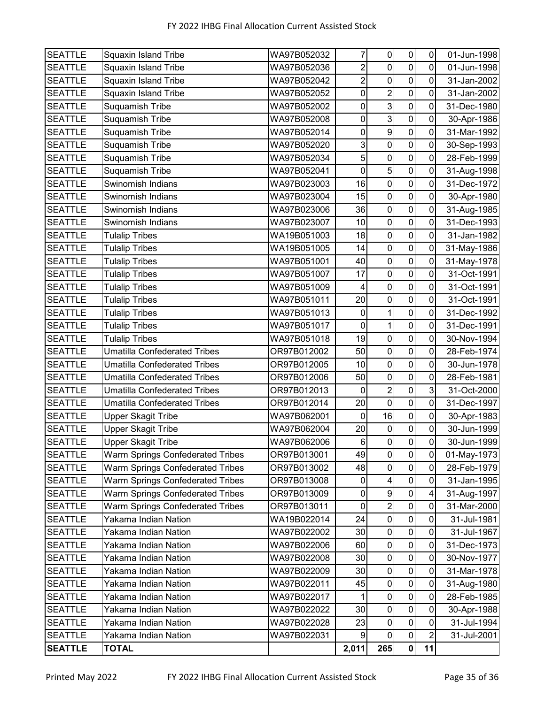| <b>SEATTLE</b> | Squaxin Island Tribe                    | WA97B052032 | 7              | $\pmb{0}$               | $\pmb{0}$      | $\pmb{0}$      | 01-Jun-1998 |
|----------------|-----------------------------------------|-------------|----------------|-------------------------|----------------|----------------|-------------|
| <b>SEATTLE</b> | <b>Squaxin Island Tribe</b>             | WA97B052036 | $\overline{c}$ | $\mathbf 0$             | $\mathsf 0$    | 0              | 01-Jun-1998 |
| <b>SEATTLE</b> | Squaxin Island Tribe                    | WA97B052042 | $\overline{2}$ | $\pmb{0}$               | $\pmb{0}$      | $\mathbf 0$    | 31-Jan-2002 |
| <b>SEATTLE</b> | <b>Squaxin Island Tribe</b>             | WA97B052052 | 0              | $\overline{\mathbf{c}}$ | $\mathbf 0$    | $\mathbf 0$    | 31-Jan-2002 |
| <b>SEATTLE</b> | Suquamish Tribe                         | WA97B052002 | $\mathsf 0$    | $\overline{3}$          | $\overline{0}$ | $\mathbf 0$    | 31-Dec-1980 |
| <b>SEATTLE</b> | Suquamish Tribe                         | WA97B052008 | 0              | $\mathbf{3}$            | $\mathbf 0$    | 0              | 30-Apr-1986 |
| <b>SEATTLE</b> | Suquamish Tribe                         | WA97B052014 | $\pmb{0}$      | $\boldsymbol{9}$        | $\pmb{0}$      | 0              | 31-Mar-1992 |
| <b>SEATTLE</b> | Suquamish Tribe                         | WA97B052020 | 3              | $\mathbf 0$             | $\mathbf 0$    | 0              | 30-Sep-1993 |
| <b>SEATTLE</b> | Suquamish Tribe                         | WA97B052034 | 5              | $\mathbf 0$             | $\mathbf 0$    | 0              | 28-Feb-1999 |
| <b>SEATTLE</b> | Suquamish Tribe                         | WA97B052041 | 0              | 5                       | $\pmb{0}$      | $\mathbf 0$    | 31-Aug-1998 |
| <b>SEATTLE</b> | Swinomish Indians                       | WA97B023003 | 16             | $\mathbf 0$             | $\mathbf 0$    | 0              | 31-Dec-1972 |
| <b>SEATTLE</b> | Swinomish Indians                       | WA97B023004 | 15             | $\mathbf 0$             | $\mathbf 0$    | 0              | 30-Apr-1980 |
| <b>SEATTLE</b> | Swinomish Indians                       | WA97B023006 | 36             | $\pmb{0}$               | $\pmb{0}$      | 0              | 31-Aug-1985 |
| <b>SEATTLE</b> | Swinomish Indians                       | WA97B023007 | 10             | $\mathbf 0$             | $\mathbf 0$    | $\mathbf 0$    | 31-Dec-1993 |
| <b>SEATTLE</b> | <b>Tulalip Tribes</b>                   | WA19B051003 | 18             | $\pmb{0}$               | $\mathbf 0$    | 0              | 31-Jan-1982 |
| <b>SEATTLE</b> | <b>Tulalip Tribes</b>                   | WA19B051005 | 14             | $\mathbf 0$             | $\pmb{0}$      | 0              | 31-May-1986 |
| <b>SEATTLE</b> | <b>Tulalip Tribes</b>                   | WA97B051001 | 40             | $\mathbf 0$             | $\overline{0}$ | 0              | 31-May-1978 |
| <b>SEATTLE</b> | <b>Tulalip Tribes</b>                   | WA97B051007 | 17             | 0                       | $\mathbf 0$    | 0              | 31-Oct-1991 |
| <b>SEATTLE</b> | <b>Tulalip Tribes</b>                   | WA97B051009 | 4              | $\pmb{0}$               | $\pmb{0}$      | 0              | 31-Oct-1991 |
| <b>SEATTLE</b> | <b>Tulalip Tribes</b>                   | WA97B051011 | 20             | $\mathbf 0$             | $\mathbf 0$    | 0              | 31-Oct-1991 |
| <b>SEATTLE</b> | <b>Tulalip Tribes</b>                   | WA97B051013 | 0              | 1                       | $\mathbf 0$    | $\mathbf 0$    | 31-Dec-1992 |
| <b>SEATTLE</b> | <b>Tulalip Tribes</b>                   | WA97B051017 | $\mathbf 0$    | $\mathbf 1$             | $\pmb{0}$      | $\mathbf 0$    | 31-Dec-1991 |
| <b>SEATTLE</b> | <b>Tulalip Tribes</b>                   | WA97B051018 | 19             | $\mathbf 0$             | $\mathbf 0$    | 0              | 30-Nov-1994 |
| <b>SEATTLE</b> | <b>Umatilla Confederated Tribes</b>     | OR97B012002 | 50             | $\pmb{0}$               | $\pmb{0}$      | $\mathbf 0$    | 28-Feb-1974 |
| <b>SEATTLE</b> | <b>Umatilla Confederated Tribes</b>     | OR97B012005 | 10             | $\mathbf 0$             | $\mathbf 0$    | 0              | 30-Jun-1978 |
| <b>SEATTLE</b> | <b>Umatilla Confederated Tribes</b>     | OR97B012006 | 50             | $\mathbf 0$             | $\pmb{0}$      | 0              | 28-Feb-1981 |
| <b>SEATTLE</b> | <b>Umatilla Confederated Tribes</b>     | OR97B012013 | 0              | $\overline{2}$          | $\mathbf 0$    | 3              | 31-Oct-2000 |
| <b>SEATTLE</b> | <b>Umatilla Confederated Tribes</b>     | OR97B012014 | 20             | $\mathbf 0$             | $\pmb{0}$      | 0              | 31-Dec-1997 |
| <b>SEATTLE</b> | <b>Upper Skagit Tribe</b>               | WA97B062001 | $\mathbf 0$    | 16                      | $\pmb{0}$      | $\pmb{0}$      | 30-Apr-1983 |
| <b>SEATTLE</b> | <b>Upper Skagit Tribe</b>               | WA97B062004 | 20             | $\boldsymbol{0}$        | $\mathbf 0$    | $\mathbf 0$    | 30-Jun-1999 |
| <b>SEATTLE</b> | <b>Upper Skagit Tribe</b>               | WA97B062006 | 6              | $\pmb{0}$               | $\mathbf 0$    | $\mathbf 0$    | 30-Jun-1999 |
| <b>SEATTLE</b> | Warm Springs Confederated Tribes        | OR97B013001 | 49             | 0                       | $\pmb{0}$      | 0              | 01-May-1973 |
| <b>SEATTLE</b> | Warm Springs Confederated Tribes        | OR97B013002 | 48             | $\mathbf 0$             | $\mathbf 0$    | $\pmb{0}$      | 28-Feb-1979 |
| <b>SEATTLE</b> | <b>Warm Springs Confederated Tribes</b> | OR97B013008 | 0              | 4                       | $\pmb{0}$      | $\pmb{0}$      | 31-Jan-1995 |
| <b>SEATTLE</b> | <b>Warm Springs Confederated Tribes</b> | OR97B013009 | 0              | $\boldsymbol{9}$        | $\pmb{0}$      | 4              | 31-Aug-1997 |
| <b>SEATTLE</b> | <b>Warm Springs Confederated Tribes</b> | OR97B013011 | $\mathbf 0$    | $\overline{c}$          | $\pmb{0}$      | $\mathbf 0$    | 31-Mar-2000 |
| <b>SEATTLE</b> | Yakama Indian Nation                    | WA19B022014 | 24             | $\pmb{0}$               | $\pmb{0}$      | 0              | 31-Jul-1981 |
| <b>SEATTLE</b> | Yakama Indian Nation                    | WA97B022002 | 30             | $\mathbf 0$             | $\pmb{0}$      | 0              | 31-Jul-1967 |
| <b>SEATTLE</b> | Yakama Indian Nation                    | WA97B022006 | 60             | 0                       | $\pmb{0}$      | 0              | 31-Dec-1973 |
| <b>SEATTLE</b> | Yakama Indian Nation                    | WA97B022008 | 30             | $\mathsf 0$             | $\pmb{0}$      | 0              | 30-Nov-1977 |
| <b>SEATTLE</b> | Yakama Indian Nation                    | WA97B022009 | 30             | $\pmb{0}$               | $\pmb{0}$      | $\mathbf 0$    | 31-Mar-1978 |
| <b>SEATTLE</b> | Yakama Indian Nation                    | WA97B022011 | 45             | $\pmb{0}$               | $\pmb{0}$      | 0              | 31-Aug-1980 |
| <b>SEATTLE</b> | Yakama Indian Nation                    | WA97B022017 |                | $\pmb{0}$               | $\pmb{0}$      | $\pmb{0}$      | 28-Feb-1985 |
| <b>SEATTLE</b> | Yakama Indian Nation                    | WA97B022022 | 30             | 0                       | $\pmb{0}$      | 0              | 30-Apr-1988 |
| <b>SEATTLE</b> | Yakama Indian Nation                    | WA97B022028 | 23             | $\mathbf 0$             | $\pmb{0}$      | 0              | 31-Jul-1994 |
| <b>SEATTLE</b> | Yakama Indian Nation                    | WA97B022031 | 9              | $\pmb{0}$               | $\pmb{0}$      | $\overline{c}$ | 31-Jul-2001 |
| <b>SEATTLE</b> | <b>TOTAL</b>                            |             | 2,011          | 265                     | 0              | 11             |             |